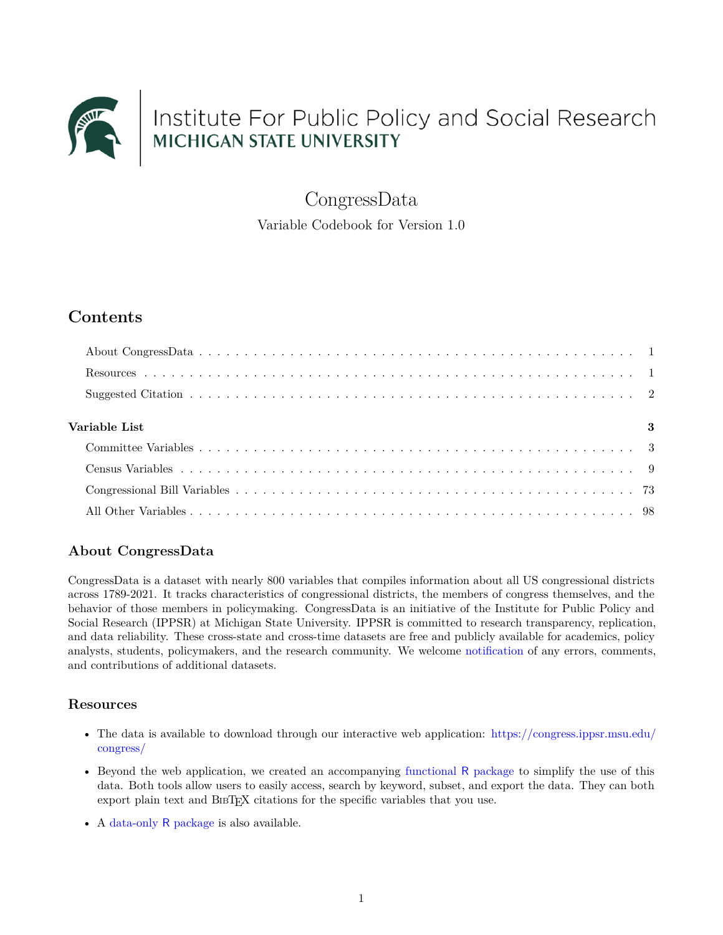

CongressData

Variable Codebook for Version 1.0

# **Contents**

| $\overline{\textbf{3}}$<br>Variable List |  |
|------------------------------------------|--|
|                                          |  |
|                                          |  |
|                                          |  |
|                                          |  |

## <span id="page-0-0"></span>**About CongressData**

CongressData is a dataset with nearly 800 variables that compiles information about all US congressional districts across 1789-2021. It tracks characteristics of congressional districts, the members of congress themselves, and the behavior of those members in policymaking. CongressData is an initiative of the Institute for Public Policy and Social Research (IPPSR) at Michigan State University. IPPSR is committed to research transparency, replication, and data reliability. These cross-state and cross-time datasets are free and publicly available for academics, policy analysts, students, policymakers, and the research community. We welcome [notification](mailto:correlatesofstatepolicyproject@gmail.com) of any errors, comments, and contributions of additional datasets.

### <span id="page-0-1"></span>**Resources**

- The data is available to download through our interactive web application: [https://congress.ippsr.msu.edu/](https://congress.ippsr.msu.edu/congress/) [congress/](https://congress.ippsr.msu.edu/congress/)
- Beyond the web application, we created an accompanying [functional](https://github.com/ippsr/congress) R package to simplify the use of this data. Both tools allow users to easily access, search by keyword, subset, and export the data. They can both export plain text and BIBTEX citations for the specific variables that you use.
- A [data-only](https://github.com/ippsr/congressData) R package is also available.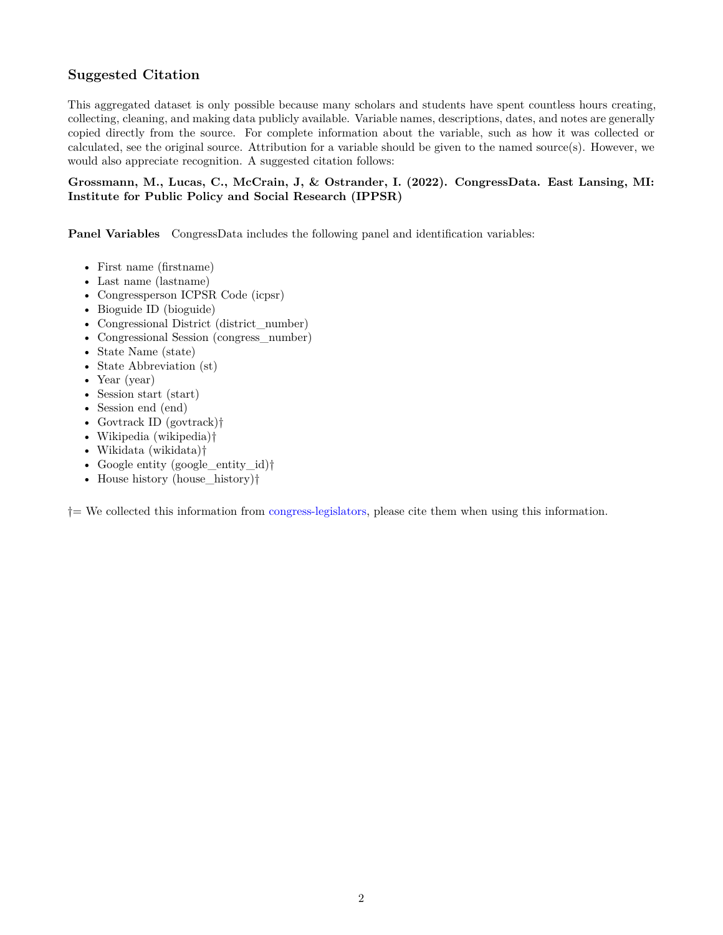### <span id="page-1-0"></span>**Suggested Citation**

This aggregated dataset is only possible because many scholars and students have spent countless hours creating, collecting, cleaning, and making data publicly available. Variable names, descriptions, dates, and notes are generally copied directly from the source. For complete information about the variable, such as how it was collected or calculated, see the original source. Attribution for a variable should be given to the named source(s). However, we would also appreciate recognition. A suggested citation follows:

#### **Grossmann, M., Lucas, C., McCrain, J, & Ostrander, I. (2022). CongressData. East Lansing, MI: Institute for Public Policy and Social Research (IPPSR)**

**Panel Variables** CongressData includes the following panel and identification variables:

- First name (firstname)
- Last name (lastname)
- Congressperson ICPSR Code (icpsr)
- Bioguide ID (bioguide)
- Congressional District (district\_number)
- Congressional Session (congress\_number)
- State Name (state)
- State Abbreviation (st)
- Year (year)
- Session start (start)
- Session end (end)
- Govtrack ID (govtrack)†
- Wikipedia (wikipedia)†
- Wikidata (wikidata)†
- Google entity (google\_entity\_id)<sup>†</sup>
- House history (house\_history)†

†= We collected this information from [congress-legislators](https://github.com/unitedstates/congress-legislators), please cite them when using this information.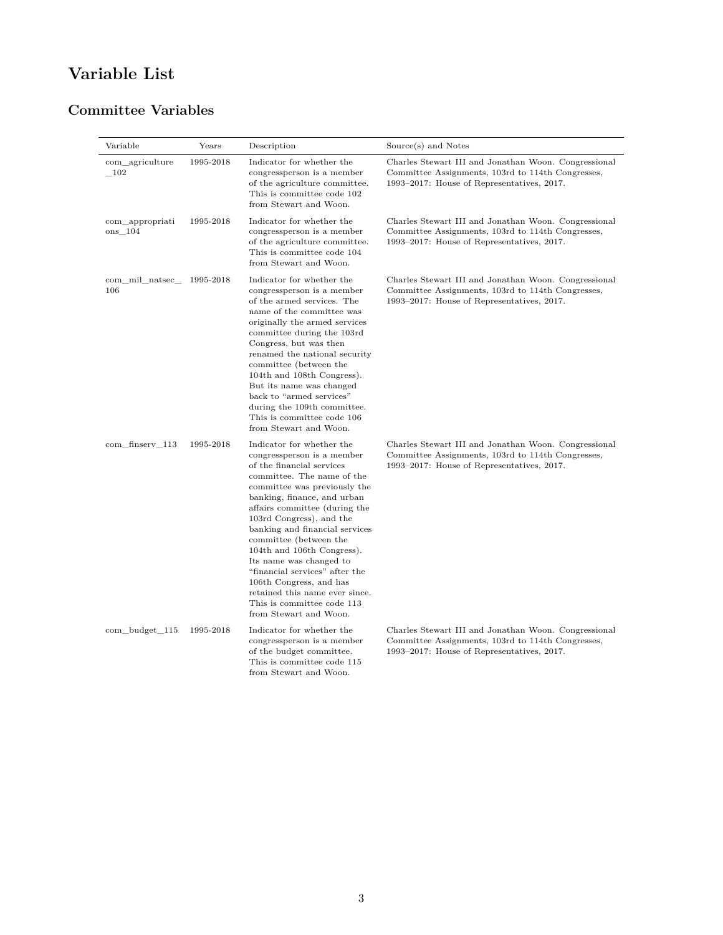# <span id="page-2-0"></span>**Variable List**

# <span id="page-2-1"></span>**Committee Variables**

| Variable                   | Years     | Description                                                                                                                                                                                                                                                                                                                                                                                                                                                                                                                | Source(s) and Notes                                                                                                                                     |
|----------------------------|-----------|----------------------------------------------------------------------------------------------------------------------------------------------------------------------------------------------------------------------------------------------------------------------------------------------------------------------------------------------------------------------------------------------------------------------------------------------------------------------------------------------------------------------------|---------------------------------------------------------------------------------------------------------------------------------------------------------|
| com agriculture<br>102     | 1995-2018 | Indicator for whether the<br>congressperson is a member<br>of the agriculture committee.<br>This is committee code 102<br>from Stewart and Woon.                                                                                                                                                                                                                                                                                                                                                                           | Charles Stewart III and Jonathan Woon. Congressional<br>Committee Assignments, 103rd to 114th Congresses,<br>1993–2017: House of Representatives, 2017. |
| com appropriati<br>ons 104 | 1995-2018 | Indicator for whether the<br>congressperson is a member<br>of the agriculture committee.<br>This is committee code 104<br>from Stewart and Woon.                                                                                                                                                                                                                                                                                                                                                                           | Charles Stewart III and Jonathan Woon. Congressional<br>Committee Assignments, 103rd to 114th Congresses,<br>1993–2017: House of Representatives, 2017. |
| com mil natsec<br>106      | 1995-2018 | Indicator for whether the<br>congressperson is a member<br>of the armed services. The<br>name of the committee was<br>originally the armed services<br>committee during the 103rd<br>Congress, but was then<br>renamed the national security<br>committee (between the<br>104th and 108th Congress).<br>But its name was changed<br>back to "armed services"<br>during the 109th committee.<br>This is committee code 106<br>from Stewart and Woon.                                                                        | Charles Stewart III and Jonathan Woon. Congressional<br>Committee Assignments, 103rd to 114th Congresses,<br>1993–2017: House of Representatives, 2017. |
| com_finserv_113            | 1995-2018 | Indicator for whether the<br>congressperson is a member<br>of the financial services<br>committee. The name of the<br>committee was previously the<br>banking, finance, and urban<br>affairs committee (during the<br>103rd Congress), and the<br>banking and financial services<br>committee (between the<br>104th and 106th Congress).<br>Its name was changed to<br>"financial services" after the<br>106th Congress, and has<br>retained this name ever since.<br>This is committee code 113<br>from Stewart and Woon. | Charles Stewart III and Jonathan Woon. Congressional<br>Committee Assignments, 103rd to 114th Congresses,<br>1993–2017: House of Representatives, 2017. |
| com budget 115             | 1995-2018 | Indicator for whether the<br>congressperson is a member<br>of the budget committee.<br>This is committee code 115<br>from Stewart and Woon.                                                                                                                                                                                                                                                                                                                                                                                | Charles Stewart III and Jonathan Woon. Congressional<br>Committee Assignments, 103rd to 114th Congresses,<br>1993–2017: House of Representatives, 2017. |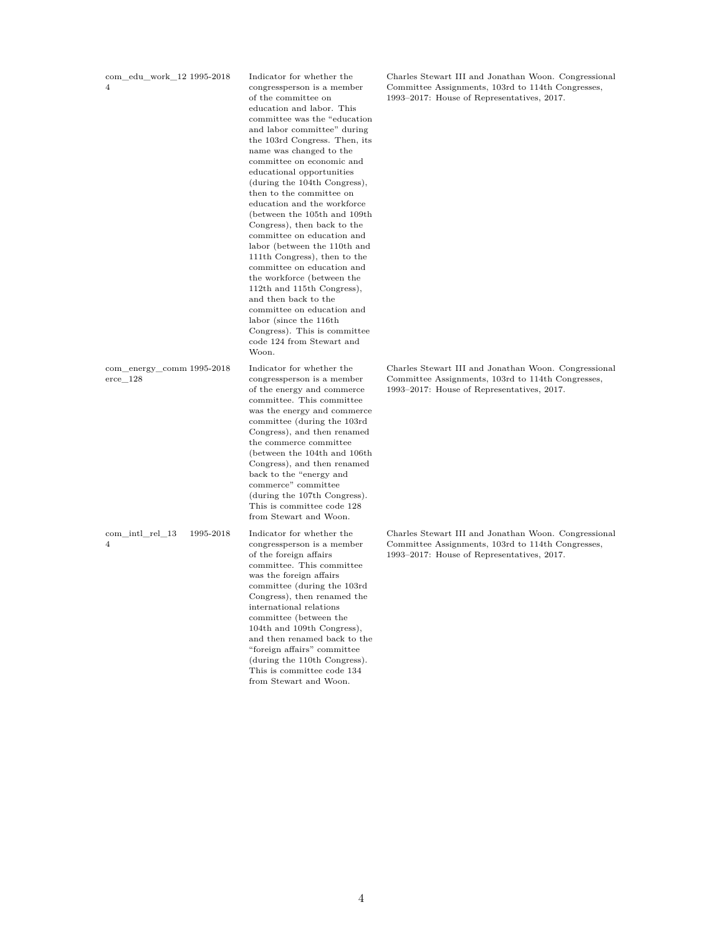$\mathrm{com\_edu\_work\_12}$ 1995-2018 4

committee on education and the workforce (between the 112th and 115th Congress), and then back to the committee on education and labor (since the 116th Congress). This is committee code 124 from Stewart and Woon. com\_energy\_comm Indicator for whether the congressperson is a member of the energy and commerce committee. This committee was the energy and commerce

com\_intl\_rel\_13 1995-2018 4

erce\_128

from Stewart and Woon. Indicator for whether the congressperson is a member of the foreign affairs committee. This committee was the foreign affairs committee (during the 103rd Congress), then renamed the international relations committee (between the 104th and 109th Congress), and then renamed back to the "foreign affairs" committee (during the 110th Congress). This is committee code 134 from Stewart and Woon.

committee (during the 103rd Congress), and then renamed the commerce committee (between the 104th and 106th Congress), and then renamed back to the "energy and commerce" committee (during the 107th Congress). This is committee code 128

Indicator for whether the congressperson is a member of the committee on education and labor. This committee was the "education and labor committee" during the 103rd Congress. Then, its name was changed to the committee on economic and educational opportunities (during the 104th Congress), then to the committee on education and the workforce (between the 105th and 109th Congress), then back to the committee on education and labor (between the 110th and 111th Congress), then to the

Charles Stewart III and Jonathan Woon. Congressional Committee Assignments, 103rd to 114th Congresses, 1993–2017: House of Representatives, 2017.

Charles Stewart III and Jonathan Woon. Congressional Committee Assignments, 103rd to 114th Congresses, 1993–2017: House of Representatives, 2017.

Charles Stewart III and Jonathan Woon. Congressional Committee Assignments, 103rd to 114th Congresses, 1993–2017: House of Representatives, 2017.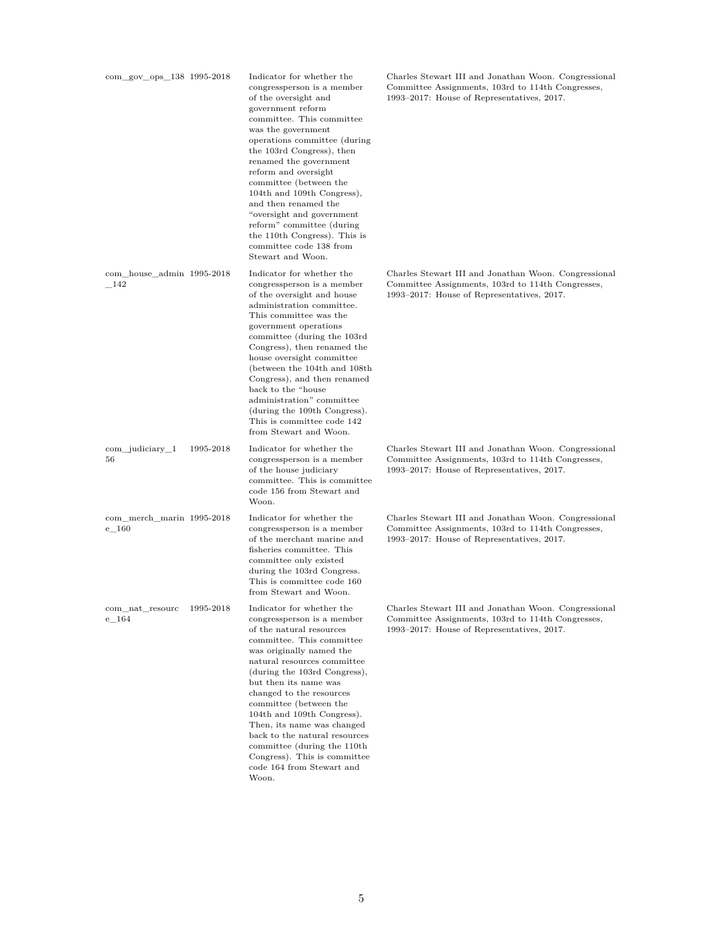| com_gov_ops_138 1995-2018            |           | Indicator for whether the<br>congressperson is a member<br>of the oversight and<br>government reform<br>committee. This committee<br>was the government<br>operations committee (during)<br>the 103rd Congress), then<br>renamed the government<br>reform and oversight<br>committee (between the<br>104th and 109th Congress),<br>and then renamed the<br>"oversight and government"<br>reform" committee (during<br>the 110th Congress). This is<br>committee code 138 from<br>Stewart and Woon. | Charles Stewart III and Jonathan Woon. Congressional<br>Committee Assignments, 103rd to 114th Congresses,<br>1993–2017: House of Representatives, 2017. |
|--------------------------------------|-----------|----------------------------------------------------------------------------------------------------------------------------------------------------------------------------------------------------------------------------------------------------------------------------------------------------------------------------------------------------------------------------------------------------------------------------------------------------------------------------------------------------|---------------------------------------------------------------------------------------------------------------------------------------------------------|
| com_house_admin 1995-2018<br>$-142$  |           | Indicator for whether the<br>congressperson is a member<br>of the oversight and house<br>administration committee.<br>This committee was the<br>government operations<br>committee (during the 103rd<br>Congress), then renamed the<br>house oversight committee<br>(between the 104th and 108th)<br>Congress), and then renamed<br>back to the "house<br>administration" committee<br>(during the 109th Congress).<br>This is committee code 142<br>from Stewart and Woon.                        | Charles Stewart III and Jonathan Woon. Congressional<br>Committee Assignments, 103rd to 114th Congresses,<br>1993–2017: House of Representatives, 2017. |
| $com\_judiciency_1$<br>56            | 1995-2018 | Indicator for whether the<br>congressperson is a member<br>of the house judiciary<br>committee. This is committee<br>code 156 from Stewart and<br>Woon.                                                                                                                                                                                                                                                                                                                                            | Charles Stewart III and Jonathan Woon. Congressional<br>Committee Assignments, 103rd to 114th Congresses,<br>1993–2017: House of Representatives, 2017. |
| com_merch_marin 1995-2018<br>$e$ 160 |           | Indicator for whether the<br>congressperson is a member<br>of the merchant marine and<br>fisheries committee. This<br>committee only existed<br>during the 103rd Congress.<br>This is committee code 160<br>from Stewart and Woon.                                                                                                                                                                                                                                                                 | Charles Stewart III and Jonathan Woon. Congressional<br>Committee Assignments, 103rd to 114th Congresses,<br>1993–2017: House of Representatives, 2017. |
| com_nat_resourc<br>$e$ 164           | 1995-2018 | Indicator for whether the<br>congressperson is a member<br>of the natural resources<br>committee. This committee<br>was originally named the<br>natural resources committee<br>(during the 103rd Congress),<br>but then its name was<br>changed to the resources<br>committee (between the<br>104th and 109th Congress).<br>Then, its name was changed<br>back to the natural resources<br>committee (during the 110th)<br>Congress). This is committee<br>code 164 from Stewart and<br>Woon.      | Charles Stewart III and Jonathan Woon. Congressional<br>Committee Assignments, 103rd to 114th Congresses,<br>1993–2017: House of Representatives, 2017. |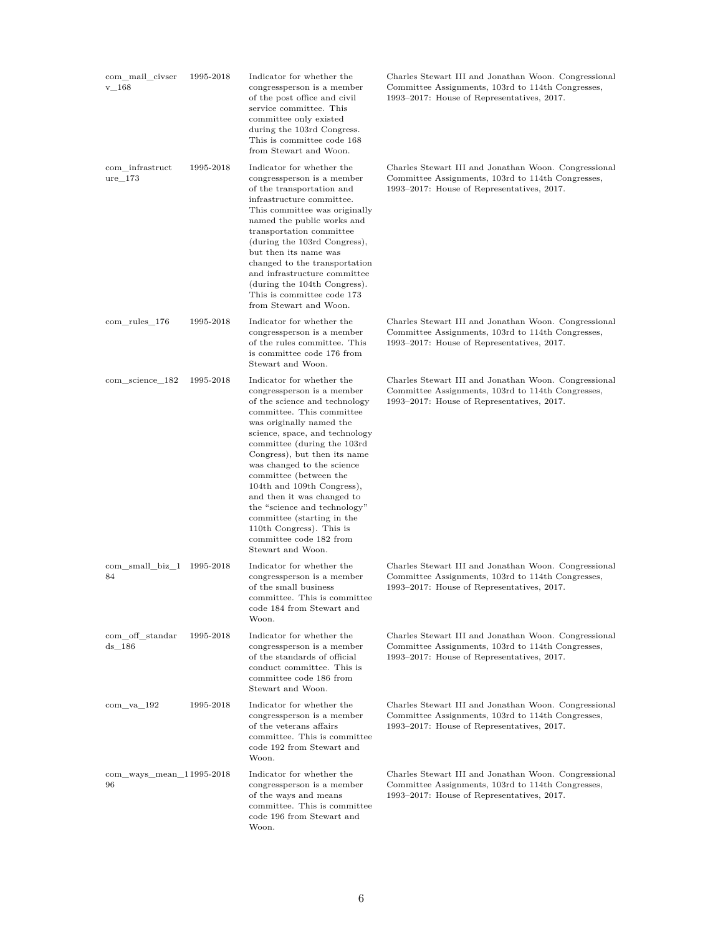| com mail civser<br>$v_{168}$    | 1995-2018 | Indicator for whether the<br>congressperson is a member<br>of the post office and civil<br>service committee. This<br>committee only existed<br>during the 103rd Congress.<br>This is committee code 168<br>from Stewart and Woon.                                                                                                                                                                                                                                                                               | Charles Stewart III and Jonathan Woon. Congressional<br>Committee Assignments, 103rd to 114th Congresses,<br>1993–2017: House of Representatives, 2017. |
|---------------------------------|-----------|------------------------------------------------------------------------------------------------------------------------------------------------------------------------------------------------------------------------------------------------------------------------------------------------------------------------------------------------------------------------------------------------------------------------------------------------------------------------------------------------------------------|---------------------------------------------------------------------------------------------------------------------------------------------------------|
| com infrastruct<br>$ure_173$    | 1995-2018 | Indicator for whether the<br>congressperson is a member<br>of the transportation and<br>infrastructure committee.<br>This committee was originally<br>named the public works and<br>transportation committee<br>(during the 103rd Congress),<br>but then its name was<br>changed to the transportation<br>and infrastructure committee<br>(during the 104th Congress).<br>This is committee code 173<br>from Stewart and Woon.                                                                                   | Charles Stewart III and Jonathan Woon. Congressional<br>Committee Assignments, 103rd to 114th Congresses,<br>1993–2017: House of Representatives, 2017. |
| com rules 176                   | 1995-2018 | Indicator for whether the<br>congressperson is a member<br>of the rules committee. This<br>is committee code 176 from<br>Stewart and Woon.                                                                                                                                                                                                                                                                                                                                                                       | Charles Stewart III and Jonathan Woon. Congressional<br>Committee Assignments, 103rd to 114th Congresses,<br>1993–2017: House of Representatives, 2017. |
| com_science_182                 | 1995-2018 | Indicator for whether the<br>congressperson is a member<br>of the science and technology<br>committee. This committee<br>was originally named the<br>science, space, and technology<br>committee (during the 103rd<br>Congress), but then its name<br>was changed to the science<br>committee (between the<br>104th and 109th Congress),<br>and then it was changed to<br>the "science and technology"<br>committee (starting in the<br>110th Congress). This is<br>committee code 182 from<br>Stewart and Woon. | Charles Stewart III and Jonathan Woon. Congressional<br>Committee Assignments, 103rd to 114th Congresses,<br>1993–2017: House of Representatives, 2017. |
| com_small_biz_1 1995-2018<br>84 |           | Indicator for whether the<br>congressperson is a member<br>of the small business<br>committee. This is committee<br>code 184 from Stewart and<br>Woon.                                                                                                                                                                                                                                                                                                                                                           | Charles Stewart III and Jonathan Woon. Congressional<br>Committee Assignments, 103rd to 114th Congresses,<br>1993–2017: House of Representatives, 2017. |
| com off standar<br>ds 186       | 1995-2018 | Indicator for whether the<br>congressperson is a member<br>of the standards of official<br>conduct committee. This is<br>committee code 186 from<br>Stewart and Woon.                                                                                                                                                                                                                                                                                                                                            | Charles Stewart III and Jonathan Woon. Congressional<br>Committee Assignments, 103rd to 114th Congresses,<br>1993–2017: House of Representatives, 2017. |
| $com$ va $192$                  | 1995-2018 | Indicator for whether the<br>congressperson is a member<br>of the veterans affairs<br>committee. This is committee<br>code 192 from Stewart and<br>Woon.                                                                                                                                                                                                                                                                                                                                                         | Charles Stewart III and Jonathan Woon. Congressional<br>Committee Assignments, 103rd to 114th Congresses,<br>1993–2017: House of Representatives, 2017. |
| com_ways_mean_11995-2018<br>96  |           | Indicator for whether the<br>congressperson is a member<br>of the ways and means<br>committee. This is committee<br>code 196 from Stewart and<br>Woon.                                                                                                                                                                                                                                                                                                                                                           | Charles Stewart III and Jonathan Woon. Congressional<br>Committee Assignments, 103rd to 114th Congresses,<br>1993–2017: House of Representatives, 2017. |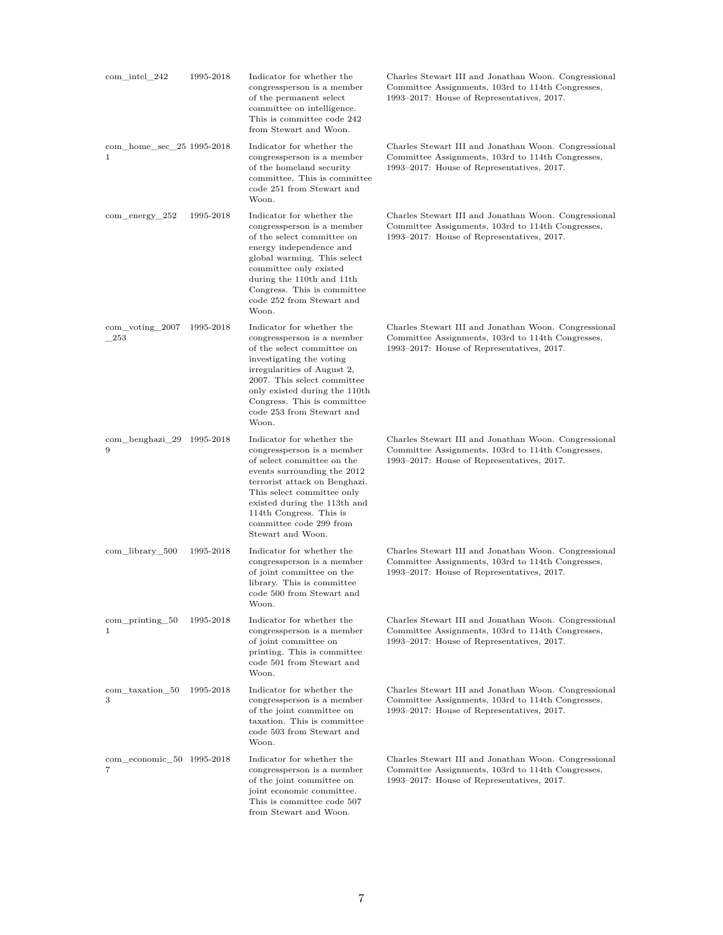| $com\_intel\_242$              | 1995-2018 | Indicator for whether the<br>congressperson is a member<br>of the permanent select<br>committee on intelligence.<br>This is committee code 242<br>from Stewart and Woon.                                                                                                                       | Charles Stewart III and Jonathan Woon. Congressional<br>Committee Assignments, 103rd to 114th Congresses,<br>1993–2017: House of Representatives, 2017. |
|--------------------------------|-----------|------------------------------------------------------------------------------------------------------------------------------------------------------------------------------------------------------------------------------------------------------------------------------------------------|---------------------------------------------------------------------------------------------------------------------------------------------------------|
| com_home_sec_25 1995-2018<br>1 |           | Indicator for whether the<br>congressperson is a member<br>of the homeland security<br>committee. This is committee<br>code 251 from Stewart and<br>Woon.                                                                                                                                      | Charles Stewart III and Jonathan Woon. Congressional<br>Committee Assignments, 103rd to 114th Congresses,<br>1993–2017: House of Representatives, 2017. |
| $com\_energy\_252$             | 1995-2018 | Indicator for whether the<br>congressperson is a member<br>of the select committee on<br>energy independence and<br>global warming. This select<br>committee only existed<br>during the 110th and 11th<br>Congress. This is committee<br>code 252 from Stewart and<br>Woon.                    | Charles Stewart III and Jonathan Woon. Congressional<br>Committee Assignments, 103rd to 114th Congresses,<br>1993–2017: House of Representatives, 2017. |
| com voting 2007<br>253         | 1995-2018 | Indicator for whether the<br>congressperson is a member<br>of the select committee on<br>investigating the voting<br>irregularities of August 2.<br>2007. This select committee<br>only existed during the 110th<br>Congress. This is committee<br>code 253 from Stewart and<br>Woon.          | Charles Stewart III and Jonathan Woon. Congressional<br>Committee Assignments, 103rd to 114th Congresses,<br>1993–2017: House of Representatives, 2017. |
| com_benghazi_29 1995-2018<br>9 |           | Indicator for whether the<br>congressperson is a member<br>of select committee on the<br>events surrounding the 2012<br>terrorist attack on Benghazi.<br>This select committee only<br>existed during the 113th and<br>114th Congress. This is<br>committee code 299 from<br>Stewart and Woon. | Charles Stewart III and Jonathan Woon. Congressional<br>Committee Assignments, 103rd to 114th Congresses,<br>1993–2017: House of Representatives, 2017. |
| com_library_500                | 1995-2018 | Indicator for whether the<br>congressperson is a member<br>of joint committee on the<br>library. This is committee<br>code 500 from Stewart and<br>Woon.                                                                                                                                       | Charles Stewart III and Jonathan Woon. Congressional<br>Committee Assignments, 103rd to 114th Congresses,<br>1993–2017: House of Representatives, 2017. |
| $com\_printing\_50$<br>1       | 1995-2018 | Indicator for whether the<br>congressperson is a member<br>of joint committee on<br>printing. This is committee<br>code 501 from Stewart and<br>Woon.                                                                                                                                          | Charles Stewart III and Jonathan Woon. Congressional<br>Committee Assignments, 103rd to 114th Congresses,<br>1993–2017: House of Representatives, 2017. |
| com_taxation_50<br>3           | 1995-2018 | Indicator for whether the<br>congressperson is a member<br>of the joint committee on<br>taxation. This is committee<br>code 503 from Stewart and<br>Woon.                                                                                                                                      | Charles Stewart III and Jonathan Woon. Congressional<br>Committee Assignments, 103rd to 114th Congresses,<br>1993–2017: House of Representatives, 2017. |
| com_economic_50 1995-2018<br>7 |           | Indicator for whether the<br>congressperson is a member<br>of the joint committee on<br>joint economic committee.<br>This is committee code 507<br>from Stewart and Woon.                                                                                                                      | Charles Stewart III and Jonathan Woon. Congressional<br>Committee Assignments, 103rd to 114th Congresses,<br>1993-2017: House of Representatives, 2017. |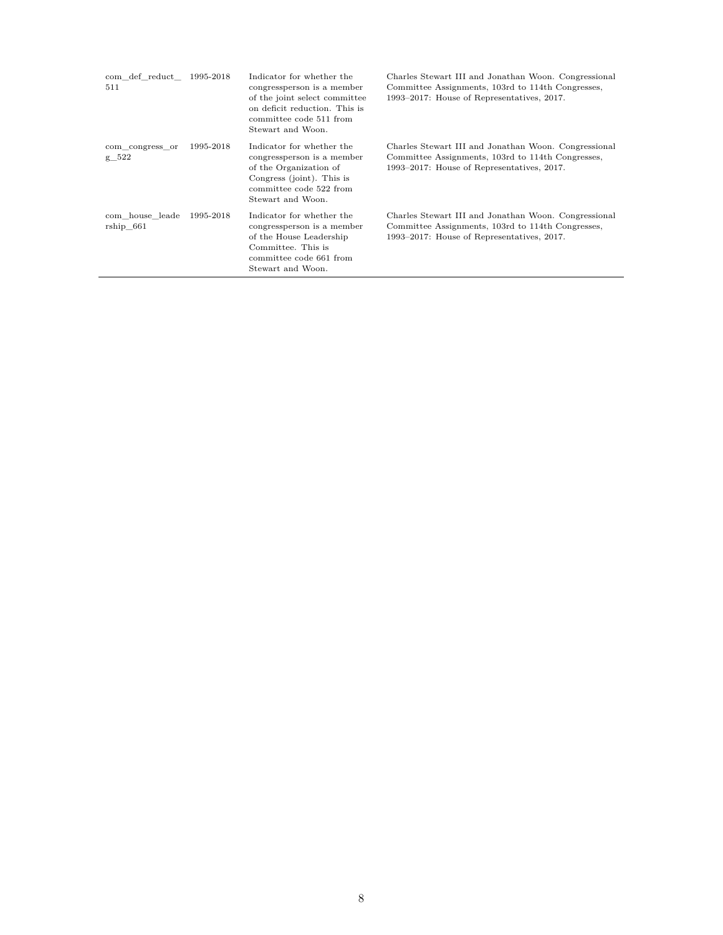| com def reduct 1995-2018<br>511 |           | Indicator for whether the<br>congressperson is a member<br>of the joint select committee<br>on deficit reduction. This is<br>committee code 511 from<br>Stewart and Woon. | Charles Stewart III and Jonathan Woon. Congressional<br>Committee Assignments, 103rd to 114th Congresses,<br>1993–2017: House of Representatives, 2017. |
|---------------------------------|-----------|---------------------------------------------------------------------------------------------------------------------------------------------------------------------------|---------------------------------------------------------------------------------------------------------------------------------------------------------|
| com congress or<br>$g_{522}$    | 1995-2018 | Indicator for whether the<br>congressperson is a member<br>of the Organization of<br>Congress (joint). This is<br>committee code 522 from<br>Stewart and Woon.            | Charles Stewart III and Jonathan Woon. Congressional<br>Committee Assignments, 103rd to 114th Congresses,<br>1993–2017: House of Representatives, 2017. |
| com house leade<br>rship 661    | 1995-2018 | Indicator for whether the<br>congressperson is a member<br>of the House Leadership<br>Committee. This is<br>committee code 661 from<br>Stewart and Woon.                  | Charles Stewart III and Jonathan Woon. Congressional<br>Committee Assignments, 103rd to 114th Congresses,<br>1993–2017: House of Representatives, 2017. |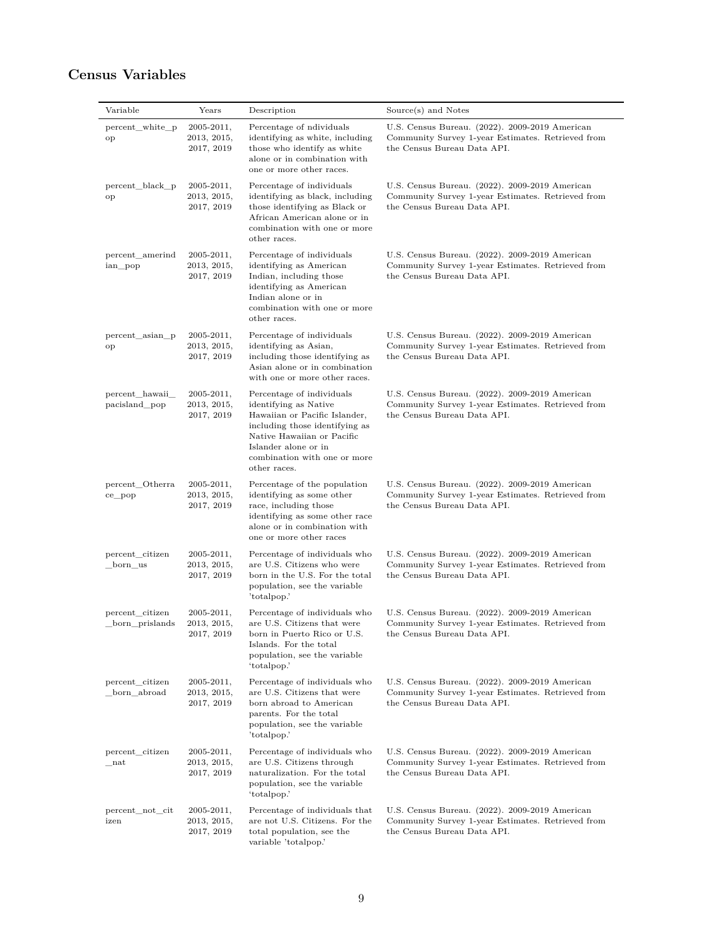## <span id="page-8-0"></span>**Census Variables**

| Variable                             | Years                                       | Description                                                                                                                                                                                                                 | Source(s) and Notes                                                                                                                |
|--------------------------------------|---------------------------------------------|-----------------------------------------------------------------------------------------------------------------------------------------------------------------------------------------------------------------------------|------------------------------------------------------------------------------------------------------------------------------------|
| percent_white_p<br>op                | $2005 - 2011,$<br>2013, 2015,<br>2017, 2019 | Percentage of ndividuals<br>identifying as white, including<br>those who identify as white<br>alone or in combination with<br>one or more other races.                                                                      | U.S. Census Bureau. (2022). 2009-2019 American<br>Community Survey 1-year Estimates. Retrieved from<br>the Census Bureau Data API. |
| percent_black_p<br>op                | $2005 - 2011,$<br>2013, 2015,<br>2017, 2019 | Percentage of individuals<br>identifying as black, including<br>those identifying as Black or<br>African American alone or in<br>combination with one or more<br>other races.                                               | U.S. Census Bureau. (2022). 2009-2019 American<br>Community Survey 1-year Estimates. Retrieved from<br>the Census Bureau Data API. |
| percent_amerind<br>ian pop           | $2005 - 2011,$<br>2013, 2015,<br>2017, 2019 | Percentage of individuals<br>identifying as American<br>Indian, including those<br>identifying as American<br>Indian alone or in<br>combination with one or more<br>other races.                                            | U.S. Census Bureau. (2022). 2009-2019 American<br>Community Survey 1-year Estimates. Retrieved from<br>the Census Bureau Data API. |
| percent_asian_p<br>op                | $2005 - 2011,$<br>2013, 2015,<br>2017, 2019 | Percentage of individuals<br>identifying as Asian,<br>including those identifying as<br>Asian alone or in combination<br>with one or more other races.                                                                      | U.S. Census Bureau. (2022). 2009-2019 American<br>Community Survey 1-year Estimates. Retrieved from<br>the Census Bureau Data API. |
| percent hawaii<br>pacisland_pop      | $2005 - 2011,$<br>2013, 2015,<br>2017, 2019 | Percentage of individuals<br>identifying as Native<br>Hawaiian or Pacific Islander,<br>including those identifying as<br>Native Hawaiian or Pacific<br>Islander alone or in<br>combination with one or more<br>other races. | U.S. Census Bureau. (2022). 2009-2019 American<br>Community Survey 1-year Estimates. Retrieved from<br>the Census Bureau Data API. |
| percent_Otherra<br>ce_pop            | $2005 - 2011,$<br>2013, 2015,<br>2017, 2019 | Percentage of the population<br>identifying as some other<br>race, including those<br>identifying as some other race<br>alone or in combination with<br>one or more other races                                             | U.S. Census Bureau. (2022). 2009-2019 American<br>Community Survey 1-year Estimates. Retrieved from<br>the Census Bureau Data API. |
| percent_citizen<br>_born_us          | $2005 - 2011,$<br>2013, 2015,<br>2017, 2019 | Percentage of individuals who<br>are U.S. Citizens who were<br>born in the U.S. For the total<br>population, see the variable<br>'totalpop.'                                                                                | U.S. Census Bureau. (2022). 2009-2019 American<br>Community Survey 1-year Estimates. Retrieved from<br>the Census Bureau Data API. |
| percent citizen<br>born prislands    | $2005 - 2011,$<br>2013, 2015,<br>2017, 2019 | Percentage of individuals who<br>are U.S. Citizens that were<br>born in Puerto Rico or U.S.<br>Islands. For the total<br>population, see the variable<br>'totalpop.'                                                        | U.S. Census Bureau. (2022). 2009-2019 American<br>Community Survey 1-year Estimates. Retrieved from<br>the Census Bureau Data API. |
| percent_citizen<br>_born_abroad      | $2005 - 2011,$<br>2013, 2015,<br>2017, 2019 | Percentage of individuals who<br>are U.S. Citizens that were<br>born abroad to American<br>parents. For the total<br>population, see the variable<br>'totalpop.'                                                            | U.S. Census Bureau. (2022). 2009-2019 American<br>Community Survey 1-year Estimates. Retrieved from<br>the Census Bureau Data API. |
| percent citizen<br>${\bf _{\_}}$ nat | $2005 - 2011,$<br>2013, 2015,<br>2017, 2019 | Percentage of individuals who<br>are U.S. Citizens through<br>naturalization. For the total<br>population, see the variable<br>'totalpop.'                                                                                  | U.S. Census Bureau. (2022). 2009-2019 American<br>Community Survey 1-year Estimates. Retrieved from<br>the Census Bureau Data API. |
| percent_not_cit<br>izen              | $2005 - 2011,$<br>2013, 2015,<br>2017, 2019 | Percentage of individuals that<br>are not U.S. Citizens. For the<br>total population, see the<br>variable 'totalpop.'                                                                                                       | U.S. Census Bureau. (2022). 2009-2019 American<br>Community Survey 1-year Estimates. Retrieved from<br>the Census Bureau Data API. |

 $\overline{\phantom{0}}$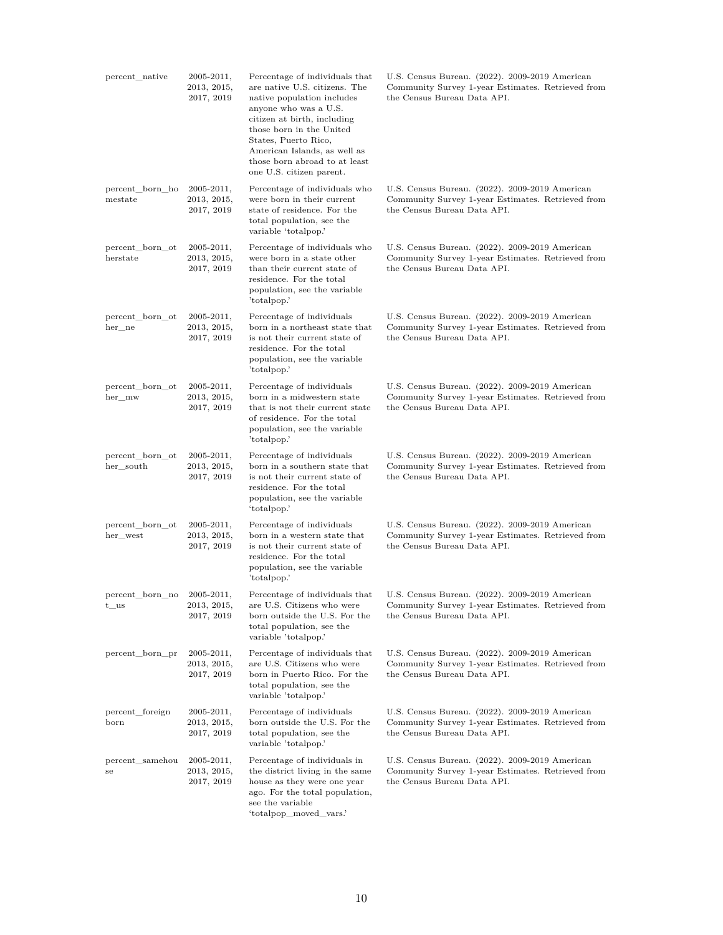| percent_native                   | $2005 - 2011,$<br>2013, 2015,<br>2017, 2019 | Percentage of individuals that<br>are native U.S. citizens. The<br>native population includes<br>anyone who was a U.S.<br>citizen at birth, including<br>those born in the United<br>States, Puerto Rico,<br>American Islands, as well as<br>those born abroad to at least<br>one U.S. citizen parent. | U.S. Census Bureau. (2022). 2009-2019 American<br>Community Survey 1-year Estimates. Retrieved from<br>the Census Bureau Data API. |
|----------------------------------|---------------------------------------------|--------------------------------------------------------------------------------------------------------------------------------------------------------------------------------------------------------------------------------------------------------------------------------------------------------|------------------------------------------------------------------------------------------------------------------------------------|
| percent born ho<br>mestate       | $2005 - 2011,$<br>2013, 2015,<br>2017, 2019 | Percentage of individuals who<br>were born in their current<br>state of residence. For the<br>total population, see the<br>variable 'totalpop.'                                                                                                                                                        | U.S. Census Bureau. (2022). 2009-2019 American<br>Community Survey 1-year Estimates. Retrieved from<br>the Census Bureau Data API. |
| percent_born_ot<br>herstate      | $2005 - 2011,$<br>2013, 2015,<br>2017, 2019 | Percentage of individuals who<br>were born in a state other<br>than their current state of<br>residence. For the total<br>population, see the variable<br>'totalpop.'                                                                                                                                  | U.S. Census Bureau. (2022). 2009-2019 American<br>Community Survey 1-year Estimates. Retrieved from<br>the Census Bureau Data API. |
| percent_born_ot<br>her ne        | $2005 - 2011,$<br>2013, 2015,<br>2017, 2019 | Percentage of individuals<br>born in a northeast state that<br>is not their current state of<br>residence. For the total<br>population, see the variable<br>'totalpop.'                                                                                                                                | U.S. Census Bureau. (2022). 2009-2019 American<br>Community Survey 1-year Estimates. Retrieved from<br>the Census Bureau Data API. |
| percent born ot<br>her mw        | $2005 - 2011,$<br>2013, 2015,<br>2017, 2019 | Percentage of individuals<br>born in a midwestern state<br>that is not their current state<br>of residence. For the total<br>population, see the variable<br>'totalpop.'                                                                                                                               | U.S. Census Bureau. (2022). 2009-2019 American<br>Community Survey 1-year Estimates. Retrieved from<br>the Census Bureau Data API. |
| percent_born_ot<br>her_south     | $2005 - 2011,$<br>2013, 2015,<br>2017, 2019 | Percentage of individuals<br>born in a southern state that<br>is not their current state of<br>residence. For the total<br>population, see the variable<br>'totalpop.'                                                                                                                                 | U.S. Census Bureau. (2022). 2009-2019 American<br>Community Survey 1-year Estimates. Retrieved from<br>the Census Bureau Data API. |
| percent_born_ot<br>her_west      | $2005 - 2011,$<br>2013, 2015,<br>2017, 2019 | Percentage of individuals<br>born in a western state that<br>is not their current state of<br>residence. For the total<br>population, see the variable<br>'totalpop.'                                                                                                                                  | U.S. Census Bureau. (2022). 2009-2019 American<br>Community Survey 1-year Estimates. Retrieved from<br>the Census Bureau Data API. |
| percent_born_no<br>$_{\rm t}$ us | 2005-2011,<br>2013, 2015,<br>2017, 2019     | Percentage of individuals that<br>are U.S. Citizens who were<br>born outside the U.S. For the<br>total population, see the<br>variable 'totalpop.'                                                                                                                                                     | U.S. Census Bureau. (2022). 2009-2019 American<br>Community Survey 1-year Estimates. Retrieved from<br>the Census Bureau Data API. |
| percent_born_pr                  | $2005 - 2011,$<br>2013, 2015,<br>2017, 2019 | Percentage of individuals that<br>are U.S. Citizens who were<br>born in Puerto Rico. For the<br>total population, see the<br>variable 'totalpop.'                                                                                                                                                      | U.S. Census Bureau. (2022). 2009-2019 American<br>Community Survey 1-year Estimates. Retrieved from<br>the Census Bureau Data API. |
| percent_foreign<br>born          | $2005 - 2011,$<br>2013, 2015,<br>2017, 2019 | Percentage of individuals<br>born outside the U.S. For the<br>total population, see the<br>variable 'totalpop.'                                                                                                                                                                                        | U.S. Census Bureau. (2022). 2009-2019 American<br>Community Survey 1-year Estimates. Retrieved from<br>the Census Bureau Data API. |
| percent_samehou<br>se            | $2005 - 2011,$<br>2013, 2015,<br>2017, 2019 | Percentage of individuals in<br>the district living in the same<br>house as they were one year<br>ago. For the total population,<br>see the variable<br>'totalpop_moved_vars.'                                                                                                                         | U.S. Census Bureau. (2022). 2009-2019 American<br>Community Survey 1-year Estimates. Retrieved from<br>the Census Bureau Data API. |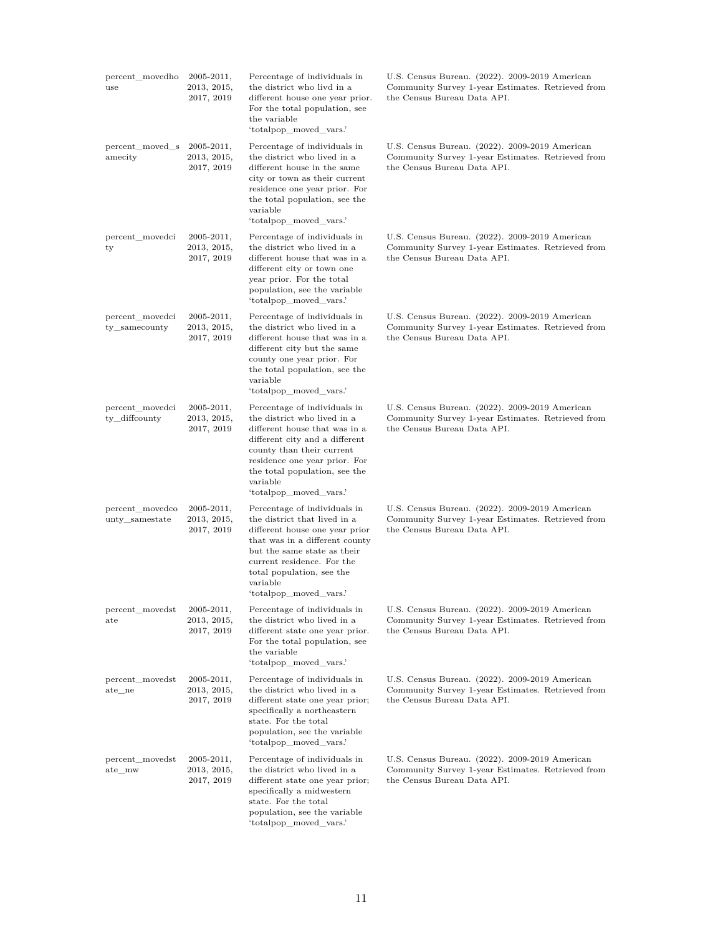| percent_movedho<br>use              | $2005 - 2011,$<br>2013, 2015,<br>2017, 2019 | Percentage of individuals in<br>the district who livd in a<br>different house one year prior.<br>For the total population, see<br>the variable<br>'totalpop_moved_vars.'                                                                                            | U.S. Census Bureau. (2022). 2009-2019 American<br>Community Survey 1-year Estimates. Retrieved from<br>the Census Bureau Data API. |
|-------------------------------------|---------------------------------------------|---------------------------------------------------------------------------------------------------------------------------------------------------------------------------------------------------------------------------------------------------------------------|------------------------------------------------------------------------------------------------------------------------------------|
| percent_moved_s<br>amecity          | $2005 - 2011,$<br>2013, 2015,<br>2017, 2019 | Percentage of individuals in<br>the district who lived in a<br>different house in the same<br>city or town as their current<br>residence one year prior. For<br>the total population, see the<br>variable<br>'totalpop_moved_vars.'                                 | U.S. Census Bureau. (2022). 2009-2019 American<br>Community Survey 1-year Estimates. Retrieved from<br>the Census Bureau Data API. |
| percent_movedci<br>ty               | $2005 - 2011,$<br>2013, 2015,<br>2017, 2019 | Percentage of individuals in<br>the district who lived in a<br>different house that was in a<br>different city or town one<br>year prior. For the total<br>population, see the variable<br>'totalpop_moved_vars.'                                                   | U.S. Census Bureau. (2022). 2009-2019 American<br>Community Survey 1-year Estimates. Retrieved from<br>the Census Bureau Data API. |
| percent movedci<br>ty_samecounty    | 2005-2011,<br>2013, 2015,<br>2017, 2019     | Percentage of individuals in<br>the district who lived in a<br>different house that was in a<br>different city but the same<br>county one year prior. For<br>the total population, see the<br>variable<br>'totalpop_moved_vars.'                                    | U.S. Census Bureau. (2022). 2009-2019 American<br>Community Survey 1-year Estimates. Retrieved from<br>the Census Bureau Data API. |
| percent_movedci<br>ty_diffcounty    | $2005 - 2011,$<br>2013, 2015,<br>2017, 2019 | Percentage of individuals in<br>the district who lived in a<br>different house that was in a<br>different city and a different<br>county than their current<br>residence one year prior. For<br>the total population, see the<br>variable<br>'totalpop_moved_vars.' | U.S. Census Bureau. (2022). 2009-2019 American<br>Community Survey 1-year Estimates. Retrieved from<br>the Census Bureau Data API. |
| percent_movedco<br>unty_samestate   | $2005 - 2011,$<br>2013, 2015,<br>2017, 2019 | Percentage of individuals in<br>the district that lived in a<br>different house one year prior<br>that was in a different county<br>but the same state as their<br>current residence. For the<br>total population, see the<br>variable<br>'totalpop_moved_vars.'    | U.S. Census Bureau. (2022). 2009-2019 American<br>Community Survey 1-year Estimates. Retrieved from<br>the Census Bureau Data API. |
| percent_movedst<br>$_{\rm ate}$     | 2005-2011,<br>2013, 2015,<br>2017, 2019     | Percentage of individuals in<br>the district who lived in a<br>different state one year prior.<br>For the total population, see<br>the variable<br>'totalpop_moved_vars.'                                                                                           | U.S. Census Bureau. (2022). 2009-2019 American<br>Community Survey 1-year Estimates. Retrieved from<br>the Census Bureau Data API. |
| percent_movedst<br>ate ne           | 2005-2011,<br>2013, 2015,<br>2017, 2019     | Percentage of individuals in<br>the district who lived in a<br>different state one year prior;<br>specifically a northeastern<br>state. For the total<br>population, see the variable<br>'totalpop_moved_vars.'                                                     | U.S. Census Bureau. (2022). 2009-2019 American<br>Community Survey 1-year Estimates. Retrieved from<br>the Census Bureau Data API. |
| percent_movedst<br>$\rm ^{ate\_mw}$ | $2005 - 2011,$<br>2013, 2015,<br>2017, 2019 | Percentage of individuals in<br>the district who lived in a<br>different state one year prior;<br>specifically a midwestern<br>state. For the total<br>population, see the variable<br>'totalpop_moved_vars.'                                                       | U.S. Census Bureau. (2022). 2009-2019 American<br>Community Survey 1-year Estimates. Retrieved from<br>the Census Bureau Data API. |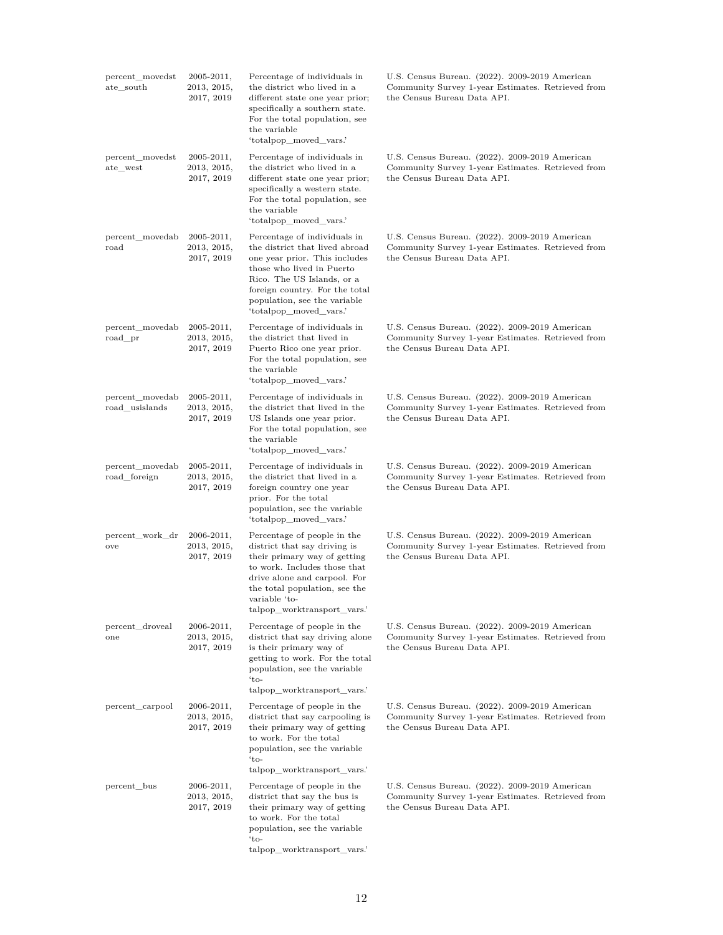| percent_movedst<br>ate_south      | $2005 - 2011,$<br>2013, 2015,<br>2017, 2019 | Percentage of individuals in<br>the district who lived in a<br>different state one year prior;<br>specifically a southern state.<br>For the total population, see<br>the variable<br>'totalpop_moved_vars.'                                            | U.S. Census Bureau. (2022). 2009-2019 American<br>Community Survey 1-year Estimates. Retrieved from<br>the Census Bureau Data API. |
|-----------------------------------|---------------------------------------------|--------------------------------------------------------------------------------------------------------------------------------------------------------------------------------------------------------------------------------------------------------|------------------------------------------------------------------------------------------------------------------------------------|
| percent_movedst<br>ate_west       | $2005 - 2011,$<br>2013, 2015,<br>2017, 2019 | Percentage of individuals in<br>the district who lived in a<br>different state one year prior;<br>specifically a western state.<br>For the total population, see<br>the variable<br>'totalpop_moved_vars.'                                             | U.S. Census Bureau. (2022). 2009-2019 American<br>Community Survey 1-year Estimates. Retrieved from<br>the Census Bureau Data API. |
| percent movedab<br>road           | $2005 - 2011,$<br>2013, 2015,<br>2017, 2019 | Percentage of individuals in<br>the district that lived abroad<br>one year prior. This includes<br>those who lived in Puerto<br>Rico. The US Islands, or a<br>foreign country. For the total<br>population, see the variable<br>'totalpop_moved_vars.' | U.S. Census Bureau. (2022). 2009-2019 American<br>Community Survey 1-year Estimates. Retrieved from<br>the Census Bureau Data API. |
| percent_movedab<br>road_pr        | $2005 - 2011,$<br>2013, 2015,<br>2017, 2019 | Percentage of individuals in<br>the district that lived in<br>Puerto Rico one year prior.<br>For the total population, see<br>the variable<br>'totalpop_moved_vars.'                                                                                   | U.S. Census Bureau. (2022). 2009-2019 American<br>Community Survey 1-year Estimates. Retrieved from<br>the Census Bureau Data API. |
| percent_movedab<br>road_usislands | $2005 - 2011,$<br>2013, 2015,<br>2017, 2019 | Percentage of individuals in<br>the district that lived in the<br>US Islands one year prior.<br>For the total population, see<br>the variable<br>'totalpop_moved_vars.'                                                                                | U.S. Census Bureau. (2022). 2009-2019 American<br>Community Survey 1-year Estimates. Retrieved from<br>the Census Bureau Data API. |
| percent_movedab<br>road_foreign   | $2005 - 2011,$<br>2013, 2015,<br>2017, 2019 | Percentage of individuals in<br>the district that lived in a<br>foreign country one year<br>prior. For the total<br>population, see the variable<br>'totalpop_moved_vars.'                                                                             | U.S. Census Bureau. (2022). 2009-2019 American<br>Community Survey 1-year Estimates. Retrieved from<br>the Census Bureau Data API. |
| percent_work_dr<br>ove            | $2006 - 2011,$<br>2013, 2015,<br>2017, 2019 | Percentage of people in the<br>district that say driving is<br>their primary way of getting<br>to work. Includes those that<br>drive alone and carpool. For<br>the total population, see the<br>variable 'to-<br>talpop_worktransport_vars.'           | U.S. Census Bureau. (2022). 2009-2019 American<br>Community Survey 1-year Estimates. Retrieved from<br>the Census Bureau Data API. |
| percent_droveal<br>one            | $2006 - 2011,$<br>2013, 2015,<br>2017, 2019 | Percentage of people in the<br>district that say driving alone<br>is their primary way of<br>getting to work. For the total<br>population, see the variable<br>$'to-$<br>talpop worktransport vars.'                                                   | U.S. Census Bureau. (2022). 2009-2019 American<br>Community Survey 1-year Estimates. Retrieved from<br>the Census Bureau Data API. |
| percent_carpool                   | 2006-2011,<br>2013, 2015,<br>2017, 2019     | Percentage of people in the<br>district that say carpooling is<br>their primary way of getting<br>to work. For the total<br>population, see the variable<br>$'to-$<br>talpop_worktransport_vars.'                                                      | U.S. Census Bureau. (2022). 2009-2019 American<br>Community Survey 1-year Estimates. Retrieved from<br>the Census Bureau Data API. |
| percent_bus                       | $2006 - 2011,$<br>2013, 2015,<br>2017, 2019 | Percentage of people in the<br>district that say the bus is<br>their primary way of getting<br>to work. For the total<br>population, see the variable<br>$'to-$<br>talpop_worktransport_vars.'                                                         | U.S. Census Bureau. (2022). 2009-2019 American<br>Community Survey 1-year Estimates. Retrieved from<br>the Census Bureau Data API. |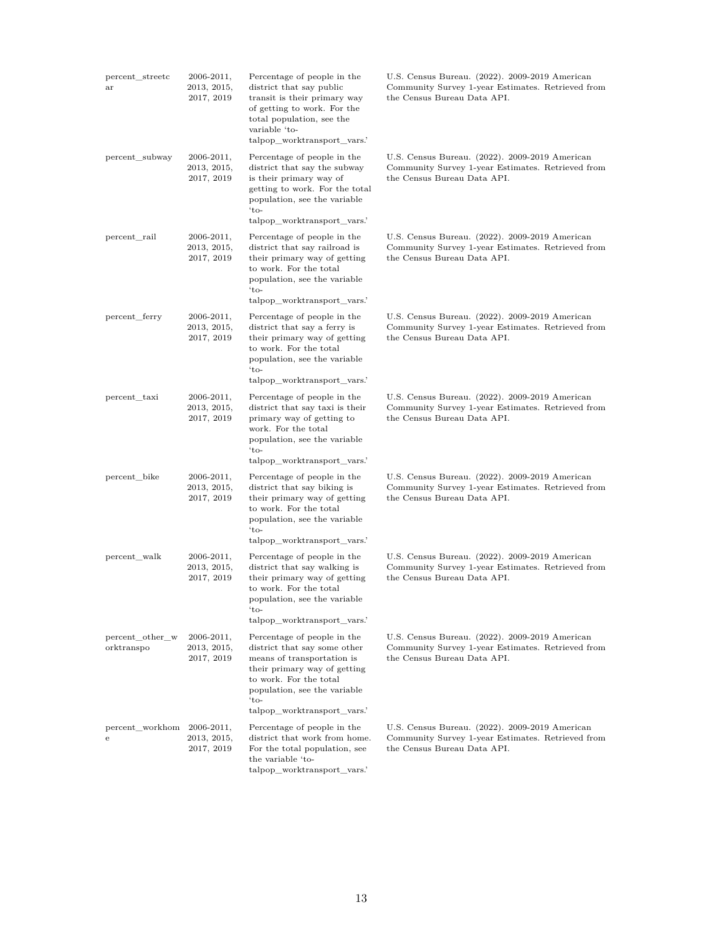| percent_streetc<br>ar           | 2006-2011,<br>2013, 2015,<br>2017, 2019     | Percentage of people in the<br>district that say public<br>transit is their primary way<br>of getting to work. For the<br>total population, see the<br>variable 'to-<br>talpop_worktransport_vars.'                        | U.S. Census Bureau. (2022). 2009-2019 American<br>Community Survey 1-year Estimates. Retrieved from<br>the Census Bureau Data API. |
|---------------------------------|---------------------------------------------|----------------------------------------------------------------------------------------------------------------------------------------------------------------------------------------------------------------------------|------------------------------------------------------------------------------------------------------------------------------------|
| percent_subway                  | $2006 - 2011,$<br>2013, 2015,<br>2017, 2019 | Percentage of people in the<br>district that say the subway<br>is their primary way of<br>getting to work. For the total<br>population, see the variable<br>'to-<br>talpop_worktransport_vars.'                            | U.S. Census Bureau. (2022). 2009-2019 American<br>Community Survey 1-year Estimates. Retrieved from<br>the Census Bureau Data API. |
| percent_rail                    | $2006 - 2011,$<br>2013, 2015,<br>2017, 2019 | Percentage of people in the<br>district that say railroad is<br>their primary way of getting<br>to work. For the total<br>population, see the variable<br>'to-<br>talpop_worktransport_vars.'                              | U.S. Census Bureau. (2022). 2009-2019 American<br>Community Survey 1-year Estimates. Retrieved from<br>the Census Bureau Data API. |
| percent_ferry                   | $2006 - 2011,$<br>2013, 2015,<br>2017, 2019 | Percentage of people in the<br>district that say a ferry is<br>their primary way of getting<br>to work. For the total<br>population, see the variable<br>$`to-$<br>talpop_worktransport_vars.'                             | U.S. Census Bureau. (2022). 2009-2019 American<br>Community Survey 1-year Estimates. Retrieved from<br>the Census Bureau Data API. |
| percent_taxi                    | $2006 - 2011,$<br>2013, 2015,<br>2017, 2019 | Percentage of people in the<br>district that say taxi is their<br>primary way of getting to<br>work. For the total<br>population, see the variable<br>'to-<br>talpop_worktransport_vars.'                                  | U.S. Census Bureau. (2022). 2009-2019 American<br>Community Survey 1-year Estimates. Retrieved from<br>the Census Bureau Data API. |
| percent_bike                    | $2006 - 2011,$<br>2013, 2015,<br>2017, 2019 | Percentage of people in the<br>district that say biking is<br>their primary way of getting<br>to work. For the total<br>population, see the variable<br>'to-<br>talpop_worktransport_vars.'                                | U.S. Census Bureau. (2022). 2009-2019 American<br>Community Survey 1-year Estimates. Retrieved from<br>the Census Bureau Data API. |
| percent_walk                    | $2006 - 2011,$<br>2013, 2015,<br>2017, 2019 | Percentage of people in the<br>district that say walking is<br>their primary way of getting<br>to work. For the total<br>population, see the variable<br>'to-<br>talpop_worktransport_vars.'                               | U.S. Census Bureau. (2022). 2009-2019 American<br>Community Survey 1-year Estimates. Retrieved from<br>the Census Bureau Data API. |
| percent_other_w<br>orktranspo   | $2006 - 2011,$<br>2013, 2015,<br>2017, 2019 | Percentage of people in the<br>district that say some other<br>means of transportation is<br>their primary way of getting<br>to work. For the total<br>population, see the variable<br>'to-<br>talpop_worktransport_vars.' | U.S. Census Bureau. (2022). 2009-2019 American<br>Community Survey 1-year Estimates. Retrieved from<br>the Census Bureau Data API. |
| percent_workhom 2006-2011,<br>e | 2013, 2015,<br>2017, 2019                   | Percentage of people in the<br>district that work from home.<br>For the total population, see<br>the variable 'to-<br>talpop_worktransport_vars.'                                                                          | U.S. Census Bureau. (2022). 2009-2019 American<br>Community Survey 1-year Estimates. Retrieved from<br>the Census Bureau Data API. |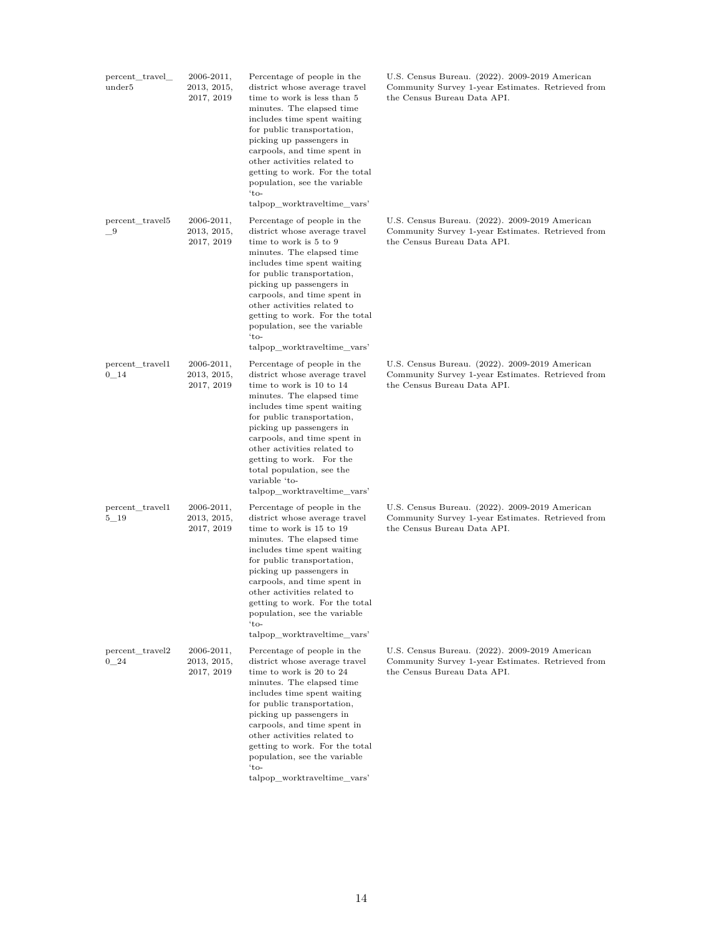| percent_travel_<br>under <sup>5</sup> | 2006-2011,<br>2013, 2015,<br>2017, 2019     | Percentage of people in the<br>district whose average travel<br>time to work is less than 5<br>minutes. The elapsed time<br>includes time spent waiting<br>for public transportation,<br>picking up passengers in<br>carpools, and time spent in<br>other activities related to<br>getting to work. For the total<br>population, see the variable<br>$'to-$<br>talpop_worktraveltime_vars' | U.S. Census Bureau. (2022). 2009-2019 American<br>Community Survey 1-year Estimates. Retrieved from<br>the Census Bureau Data API. |
|---------------------------------------|---------------------------------------------|--------------------------------------------------------------------------------------------------------------------------------------------------------------------------------------------------------------------------------------------------------------------------------------------------------------------------------------------------------------------------------------------|------------------------------------------------------------------------------------------------------------------------------------|
| percent_travel5<br>- 9                | $2006 - 2011,$<br>2013, 2015,<br>2017, 2019 | Percentage of people in the<br>district whose average travel<br>time to work is 5 to 9<br>minutes. The elapsed time<br>includes time spent waiting<br>for public transportation,<br>picking up passengers in<br>carpools, and time spent in<br>other activities related to<br>getting to work. For the total<br>population, see the variable<br>$\cdot$ to-<br>talpop worktraveltime vars' | U.S. Census Bureau. (2022). 2009-2019 American<br>Community Survey 1-year Estimates. Retrieved from<br>the Census Bureau Data API. |
| percent travel1<br>0 14               | $2006 - 2011,$<br>2013, 2015,<br>2017, 2019 | Percentage of people in the<br>district whose average travel<br>time to work is 10 to 14<br>minutes. The elapsed time<br>includes time spent waiting<br>for public transportation,<br>picking up passengers in<br>carpools, and time spent in<br>other activities related to<br>getting to work. For the<br>total population, see the<br>variable 'to-<br>talpop_worktraveltime_vars'      | U.S. Census Bureau. (2022). 2009-2019 American<br>Community Survey 1-year Estimates. Retrieved from<br>the Census Bureau Data API. |
| percent_travel1<br>$5\_19$            | $2006 - 2011,$<br>2013, 2015,<br>2017, 2019 | Percentage of people in the<br>district whose average travel<br>time to work is 15 to 19<br>minutes. The elapsed time<br>includes time spent waiting<br>for public transportation,<br>picking up passengers in<br>carpools, and time spent in<br>other activities related to<br>getting to work. For the total<br>population, see the variable<br>$'to-$<br>talpop_worktraveltime_vars'    | U.S. Census Bureau. (2022). 2009-2019 American<br>Community Survey 1-year Estimates. Retrieved from<br>the Census Bureau Data API. |
| percent_travel2<br>0 24               | $2006 - 2011,$<br>2013, 2015,<br>2017, 2019 | Percentage of people in the<br>district whose average travel<br>time to work is 20 to 24<br>minutes. The elapsed time<br>includes time spent waiting<br>for public transportation,<br>picking up passengers in<br>carpools, and time spent in<br>other activities related to<br>getting to work. For the total<br>population, see the variable<br>$'to-$<br>talpop_worktraveltime_vars'    | U.S. Census Bureau. (2022). 2009-2019 American<br>Community Survey 1-year Estimates. Retrieved from<br>the Census Bureau Data API. |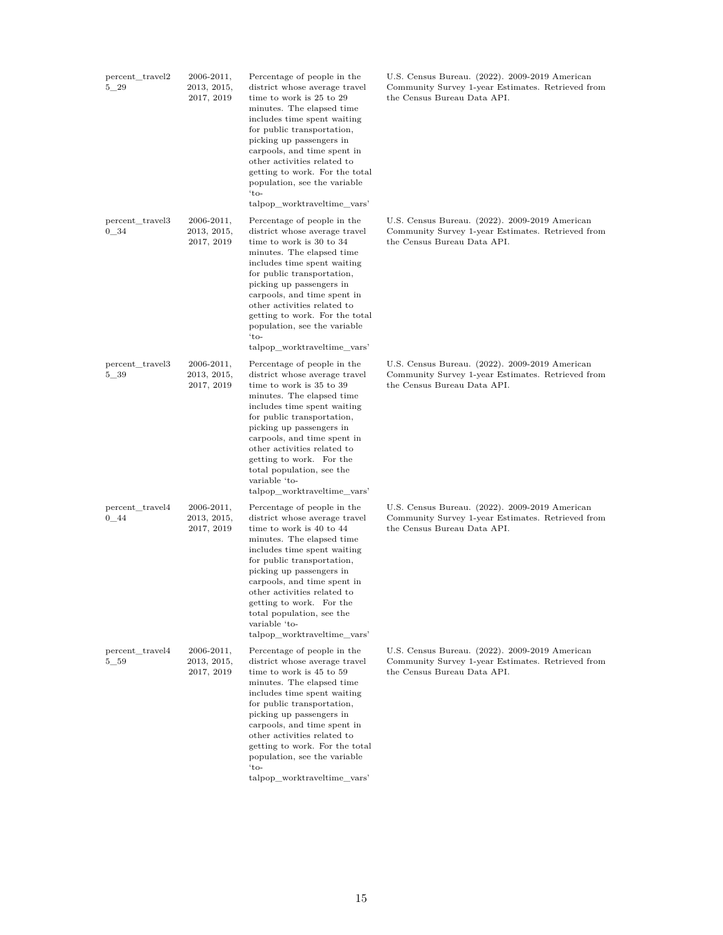| percent_travel2<br>$5 - 29$ | 2006-2011,<br>2013, 2015,<br>2017, 2019     | Percentage of people in the<br>district whose average travel<br>time to work is 25 to 29<br>minutes. The elapsed time<br>includes time spent waiting<br>for public transportation,<br>picking up passengers in<br>carpools, and time spent in<br>other activities related to<br>getting to work. For the total<br>population, see the variable<br>$'to-$<br>talpop_worktraveltime_vars' | U.S. Census Bureau. (2022). 2009-2019 American<br>Community Survey 1-year Estimates. Retrieved from<br>the Census Bureau Data API. |
|-----------------------------|---------------------------------------------|-----------------------------------------------------------------------------------------------------------------------------------------------------------------------------------------------------------------------------------------------------------------------------------------------------------------------------------------------------------------------------------------|------------------------------------------------------------------------------------------------------------------------------------|
| percent_travel3<br>$0 - 34$ | 2006-2011,<br>2013, 2015,<br>2017, 2019     | Percentage of people in the<br>district whose average travel<br>time to work is 30 to 34<br>minutes. The elapsed time<br>includes time spent waiting<br>for public transportation,<br>picking up passengers in<br>carpools, and time spent in<br>other activities related to<br>getting to work. For the total<br>population, see the variable<br>$'to-$<br>talpop_worktraveltime_vars' | U.S. Census Bureau. (2022). 2009-2019 American<br>Community Survey 1-year Estimates. Retrieved from<br>the Census Bureau Data API. |
| percent_travel3<br>5 39     | 2006-2011,<br>2013, 2015,<br>2017, 2019     | Percentage of people in the<br>district whose average travel<br>time to work is 35 to 39<br>minutes. The elapsed time<br>includes time spent waiting<br>for public transportation,<br>picking up passengers in<br>carpools, and time spent in<br>other activities related to<br>getting to work. For the<br>total population, see the<br>variable 'to-<br>talpop_worktraveltime_vars'   | U.S. Census Bureau. (2022). 2009-2019 American<br>Community Survey 1-year Estimates. Retrieved from<br>the Census Bureau Data API. |
| percent_travel4<br>$0 - 44$ | 2006-2011,<br>2013, 2015,<br>2017, 2019     | Percentage of people in the<br>district whose average travel<br>time to work is 40 to 44<br>minutes. The elapsed time<br>includes time spent waiting<br>for public transportation,<br>picking up passengers in<br>carpools, and time spent in<br>other activities related to<br>getting to work. For the<br>total population, see the<br>variable 'to-<br>talpop_worktraveltime_vars'   | U.S. Census Bureau. (2022). 2009-2019 American<br>Community Survey 1-year Estimates. Retrieved from<br>the Census Bureau Data API. |
| percent_travel4<br>$5\_59$  | $2006 - 2011,$<br>2013, 2015,<br>2017, 2019 | Percentage of people in the<br>district whose average travel<br>time to work is 45 to 59<br>minutes. The elapsed time<br>includes time spent waiting<br>for public transportation,<br>picking up passengers in<br>carpools, and time spent in<br>other activities related to<br>getting to work. For the total<br>population, see the variable<br>$'to-$<br>talpop_worktraveltime_vars' | U.S. Census Bureau. (2022). 2009-2019 American<br>Community Survey 1-year Estimates. Retrieved from<br>the Census Bureau Data API. |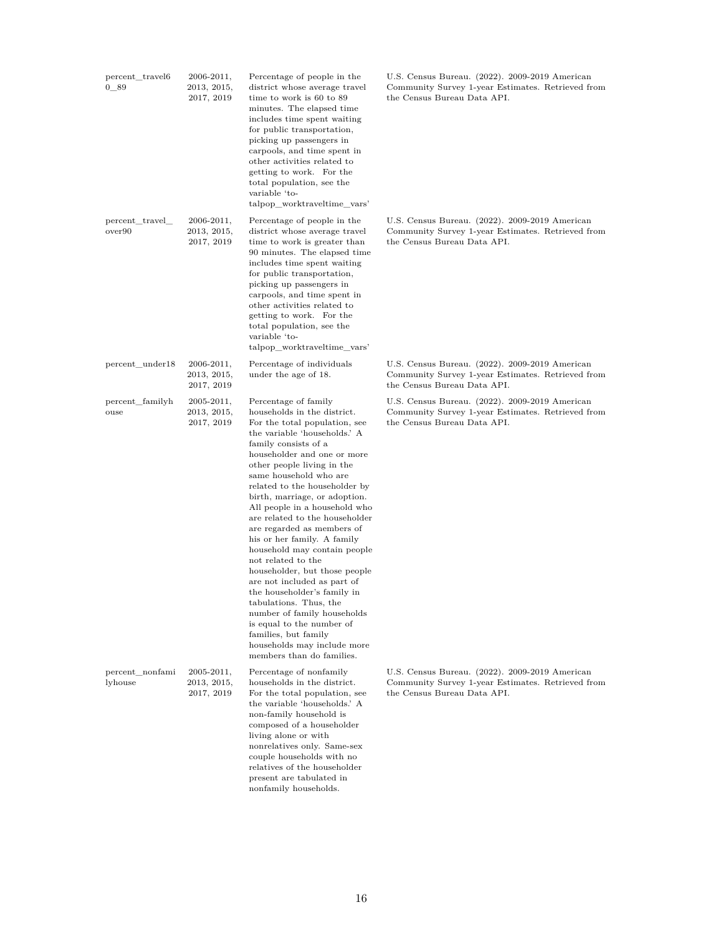| percent_travel6<br>0 89    | $2006 - 2011,$<br>2013, 2015,<br>2017, 2019 | Percentage of people in the<br>district whose average travel<br>time to work is 60 to 89<br>minutes. The elapsed time<br>includes time spent waiting<br>for public transportation,<br>picking up passengers in<br>carpools, and time spent in<br>other activities related to<br>getting to work. For the<br>total population, see the<br>variable 'to-<br>talpop worktraveltime vars'                                                                                                                                                                                                                                                                                                                                                                                | U.S. Census Bureau. (2022). 2009-2019 American<br>Community Survey 1-year Estimates. Retrieved from<br>the Census Bureau Data API. |
|----------------------------|---------------------------------------------|----------------------------------------------------------------------------------------------------------------------------------------------------------------------------------------------------------------------------------------------------------------------------------------------------------------------------------------------------------------------------------------------------------------------------------------------------------------------------------------------------------------------------------------------------------------------------------------------------------------------------------------------------------------------------------------------------------------------------------------------------------------------|------------------------------------------------------------------------------------------------------------------------------------|
| percent travel<br>over90   | $2006 - 2011,$<br>2013, 2015,<br>2017, 2019 | Percentage of people in the<br>district whose average travel<br>time to work is greater than<br>90 minutes. The elapsed time<br>includes time spent waiting<br>for public transportation,<br>picking up passengers in<br>carpools, and time spent in<br>other activities related to<br>getting to work. For the<br>total population, see the<br>variable 'to-<br>talpop_worktraveltime_vars'                                                                                                                                                                                                                                                                                                                                                                         | U.S. Census Bureau. (2022). 2009-2019 American<br>Community Survey 1-year Estimates. Retrieved from<br>the Census Bureau Data API. |
| percent_under18            | $2006 - 2011,$<br>2013, 2015,<br>2017, 2019 | Percentage of individuals<br>under the age of 18.                                                                                                                                                                                                                                                                                                                                                                                                                                                                                                                                                                                                                                                                                                                    | U.S. Census Bureau. (2022). 2009-2019 American<br>Community Survey 1-year Estimates. Retrieved from<br>the Census Bureau Data API. |
| percent familyh<br>ouse    | $2005 - 2011,$<br>2013, 2015,<br>2017, 2019 | Percentage of family<br>households in the district.<br>For the total population, see<br>the variable 'households.' A<br>family consists of a<br>householder and one or more<br>other people living in the<br>same household who are<br>related to the householder by<br>birth, marriage, or adoption.<br>All people in a household who<br>are related to the householder<br>are regarded as members of<br>his or her family. A family<br>household may contain people<br>not related to the<br>householder, but those people<br>are not included as part of<br>the householder's family in<br>tabulations. Thus, the<br>number of family households<br>is equal to the number of<br>families, but family<br>households may include more<br>members than do families. | U.S. Census Bureau. (2022). 2009-2019 American<br>Community Survey 1-year Estimates. Retrieved from<br>the Census Bureau Data API. |
| percent_nonfami<br>lyhouse | $2005 - 2011,$<br>2013, 2015,<br>2017, 2019 | Percentage of nonfamily<br>households in the district.<br>For the total population, see<br>the variable 'households.' A<br>non-family household is<br>composed of a householder<br>living alone or with<br>nonrelatives only. Same-sex<br>couple households with no<br>relatives of the householder<br>present are tabulated in<br>nonfamily households.                                                                                                                                                                                                                                                                                                                                                                                                             | U.S. Census Bureau. (2022). 2009-2019 American<br>Community Survey 1-year Estimates. Retrieved from<br>the Census Bureau Data API. |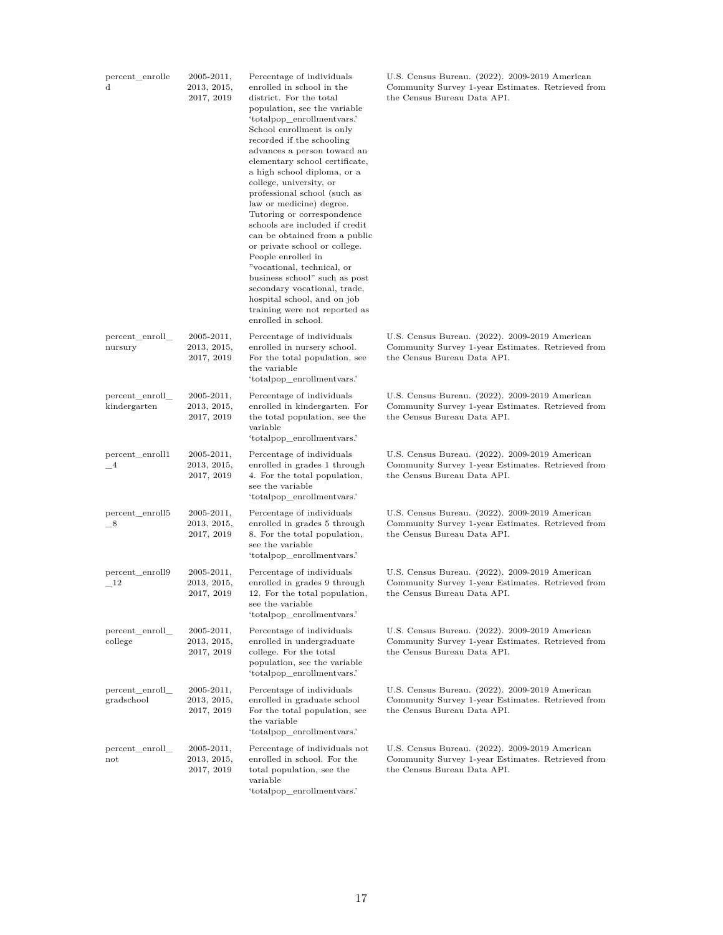| percent_enrolle<br>$\mathbf d$  | $2005 - 2011,$<br>2013, 2015,<br>2017, 2019 | Percentage of individuals<br>enrolled in school in the<br>district. For the total<br>population, see the variable<br>'totalpop_enrollmentvars.'<br>School enrollment is only<br>recorded if the schooling<br>advances a person toward an<br>elementary school certificate,<br>a high school diploma, or a<br>college, university, or<br>professional school (such as<br>law or medicine) degree.<br>Tutoring or correspondence<br>schools are included if credit<br>can be obtained from a public<br>or private school or college.<br>People enrolled in<br>"vocational, technical, or<br>business school" such as post<br>secondary vocational, trade,<br>hospital school, and on job<br>training were not reported as<br>enrolled in school. | U.S. Census Bureau. (2022). 2009-2019 American<br>Community Survey 1-year Estimates. Retrieved from<br>the Census Bureau Data API. |
|---------------------------------|---------------------------------------------|------------------------------------------------------------------------------------------------------------------------------------------------------------------------------------------------------------------------------------------------------------------------------------------------------------------------------------------------------------------------------------------------------------------------------------------------------------------------------------------------------------------------------------------------------------------------------------------------------------------------------------------------------------------------------------------------------------------------------------------------|------------------------------------------------------------------------------------------------------------------------------------|
| percent_enroll_<br>nursury      | $2005 - 2011,$<br>2013, 2015,<br>2017, 2019 | Percentage of individuals<br>enrolled in nursery school.<br>For the total population, see<br>the variable<br>'totalpop_enrollmentvars.'                                                                                                                                                                                                                                                                                                                                                                                                                                                                                                                                                                                                        | U.S. Census Bureau. (2022). 2009-2019 American<br>Community Survey 1-year Estimates. Retrieved from<br>the Census Bureau Data API. |
| percent_enroll_<br>kindergarten | $2005 - 2011,$<br>2013, 2015,<br>2017, 2019 | Percentage of individuals<br>enrolled in kindergarten. For<br>the total population, see the<br>variable<br>'totalpop_enrollmentvars.'                                                                                                                                                                                                                                                                                                                                                                                                                                                                                                                                                                                                          | U.S. Census Bureau. (2022). 2009-2019 American<br>Community Survey 1-year Estimates. Retrieved from<br>the Census Bureau Data API. |
| percent_enroll1<br>$_{-4}$      | $2005 - 2011,$<br>2013, 2015,<br>2017, 2019 | Percentage of individuals<br>enrolled in grades 1 through<br>4. For the total population,<br>see the variable<br>'totalpop_enrollmentvars.'                                                                                                                                                                                                                                                                                                                                                                                                                                                                                                                                                                                                    | U.S. Census Bureau. (2022). 2009-2019 American<br>Community Survey 1-year Estimates. Retrieved from<br>the Census Bureau Data API. |
| percent_enroll5<br>$-8$         | $2005 - 2011,$<br>2013, 2015,<br>2017, 2019 | Percentage of individuals<br>enrolled in grades 5 through<br>8. For the total population,<br>see the variable<br>'totalpop_enrollmentvars.'                                                                                                                                                                                                                                                                                                                                                                                                                                                                                                                                                                                                    | U.S. Census Bureau. (2022). 2009-2019 American<br>Community Survey 1-year Estimates. Retrieved from<br>the Census Bureau Data API. |
| percent_enroll9<br>- 12         | $2005 - 2011,$<br>2013, 2015,<br>2017, 2019 | Percentage of individuals<br>enrolled in grades 9 through<br>12. For the total population,<br>see the variable<br>'totalpop_enrollmentvars.'                                                                                                                                                                                                                                                                                                                                                                                                                                                                                                                                                                                                   | U.S. Census Bureau. (2022). 2009-2019 American<br>Community Survey 1-year Estimates. Retrieved from<br>the Census Bureau Data API. |
| percent enroll<br>college       | $2005 - 2011,$<br>2013, 2015,<br>2017, 2019 | Percentage of individuals<br>enrolled in undergraduate<br>college. For the total<br>population, see the variable<br>'totalpop enrollment vars.'                                                                                                                                                                                                                                                                                                                                                                                                                                                                                                                                                                                                | U.S. Census Bureau. (2022). 2009-2019 American<br>Community Survey 1-year Estimates. Retrieved from<br>the Census Bureau Data API. |
| percent enroll<br>gradschool    | $2005 - 2011,$<br>2013, 2015,<br>2017, 2019 | Percentage of individuals<br>enrolled in graduate school<br>For the total population, see<br>the variable<br>'totalpop_enrollmentvars.'                                                                                                                                                                                                                                                                                                                                                                                                                                                                                                                                                                                                        | U.S. Census Bureau. (2022). 2009-2019 American<br>Community Survey 1-year Estimates. Retrieved from<br>the Census Bureau Data API. |
| percent_enroll_<br>not          | $2005 - 2011,$<br>2013, 2015,<br>2017, 2019 | Percentage of individuals not<br>enrolled in school. For the<br>total population, see the<br>variable<br>'totalpop_enrollmentvars.'                                                                                                                                                                                                                                                                                                                                                                                                                                                                                                                                                                                                            | U.S. Census Bureau. (2022). 2009-2019 American<br>Community Survey 1-year Estimates. Retrieved from<br>the Census Bureau Data API. |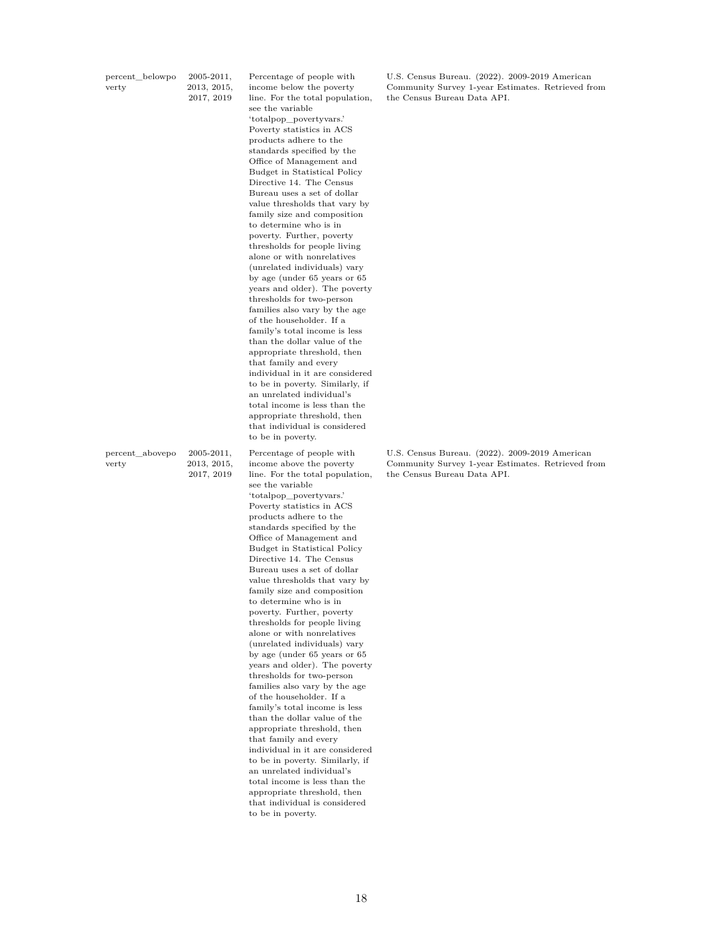| percent belowpo | $2005 - 2011,$ |
|-----------------|----------------|
| verty           | 2013, 2015,    |
|                 | 2017, 2019     |

Percentage of people with income below the poverty line. For the total population, see the variable 'totalpop\_povertyvars.' Poverty statistics in ACS products adhere to the standards specified by the Office of Management and Budget in Statistical Policy Directive 14. The Census Bureau uses a set of dollar value thresholds that vary by family size and composition to determine who is in poverty. Further, poverty thresholds for people living alone or with nonrelatives (unrelated individuals) vary by age (under 65 years or 65 years and older). The poverty thresholds for two-person families also vary by the age of the householder. If a family's total income is less than the dollar value of the appropriate threshold, then that family and every individual in it are considered to be in poverty. Similarly, if an unrelated individual's total income is less than the appropriate threshold, then that individual is considered to be in poverty.

percent\_abovepo verty 2005-2011, 2013, 2015, 2017, 2019

Percentage of people with income above the poverty line. For the total population, see the variable 'totalpop\_povertyvars.' Poverty statistics in ACS products adhere to the standards specified by the Office of Management and Budget in Statistical Policy Directive 14. The Census Bureau uses a set of dollar value thresholds that vary by family size and composition to determine who is in poverty. Further, poverty thresholds for people living alone or with nonrelatives (unrelated individuals) vary by age (under 65 years or 65 years and older). The poverty thresholds for two-person families also vary by the age of the householder. If a family's total income is less than the dollar value of the appropriate threshold, then that family and every individual in it are considered to be in poverty. Similarly, if an unrelated individual's total income is less than the appropriate threshold, then that individual is considered to be in poverty.

U.S. Census Bureau. (2022). 2009-2019 American Community Survey 1-year Estimates. Retrieved from the Census Bureau Data API.

U.S. Census Bureau. (2022). 2009-2019 American Community Survey 1-year Estimates. Retrieved from the Census Bureau Data API.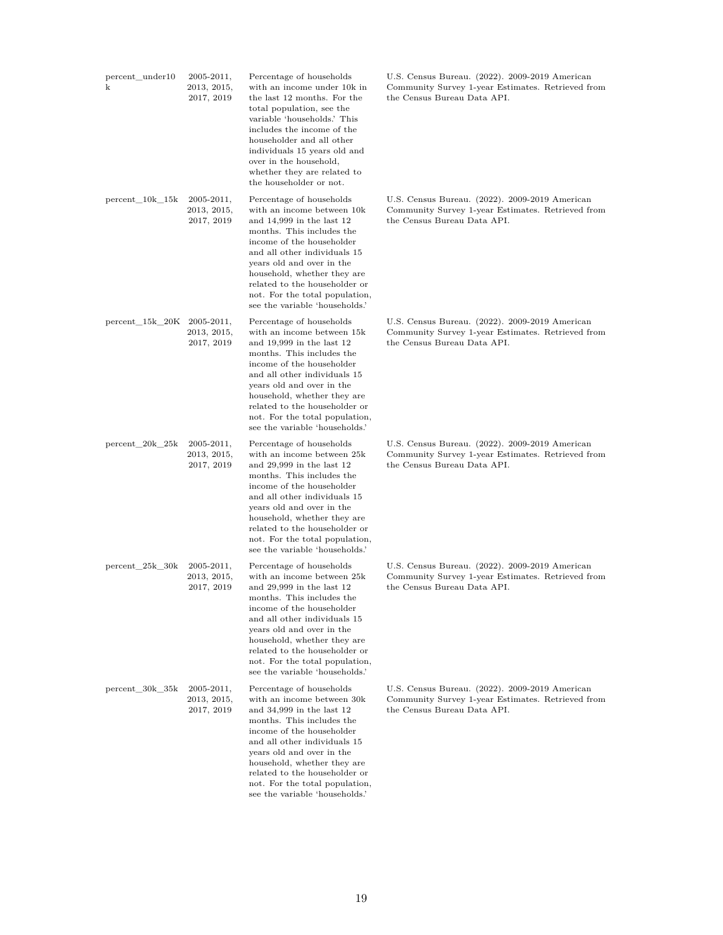| percent_under10<br>k | $2005 - 2011,$<br>2013, 2015,<br>2017, 2019 | Percentage of households<br>with an income under 10k in<br>the last 12 months. For the<br>total population, see the<br>variable 'households.' This<br>includes the income of the<br>householder and all other<br>individuals 15 years old and<br>over in the household,<br>whether they are related to<br>the householder or not.                  | U.S. Census Bureau. (2022). 2009-2019 American<br>Community Survey 1-year Estimates. Retrieved from<br>the Census Bureau Data API. |
|----------------------|---------------------------------------------|----------------------------------------------------------------------------------------------------------------------------------------------------------------------------------------------------------------------------------------------------------------------------------------------------------------------------------------------------|------------------------------------------------------------------------------------------------------------------------------------|
| $percent_10k_15k$    | $2005 - 2011,$<br>2013, 2015,<br>2017, 2019 | Percentage of households<br>with an income between 10k<br>and $14,999$ in the last $12$<br>months. This includes the<br>income of the householder<br>and all other individuals 15<br>years old and over in the<br>household, whether they are<br>related to the householder or<br>not. For the total population,<br>see the variable 'households.' | U.S. Census Bureau. (2022). 2009-2019 American<br>Community Survey 1-year Estimates. Retrieved from<br>the Census Bureau Data API. |
| percent 15k 20K      | $2005 - 2011,$<br>2013, 2015,<br>2017, 2019 | Percentage of households<br>with an income between 15k<br>and $19,999$ in the last $12$<br>months. This includes the<br>income of the householder<br>and all other individuals 15<br>years old and over in the<br>household, whether they are<br>related to the householder or<br>not. For the total population,<br>see the variable 'households.' | U.S. Census Bureau. (2022). 2009-2019 American<br>Community Survey 1-year Estimates. Retrieved from<br>the Census Bureau Data API. |
| $percent_20k_25k$    | $2005 - 2011,$<br>2013, 2015,<br>2017, 2019 | Percentage of households<br>with an income between 25k<br>and $29,999$ in the last $12$<br>months. This includes the<br>income of the householder<br>and all other individuals 15<br>years old and over in the<br>household, whether they are<br>related to the householder or<br>not. For the total population,<br>see the variable 'households.' | U.S. Census Bureau. (2022). 2009-2019 American<br>Community Survey 1-year Estimates. Retrieved from<br>the Census Bureau Data API. |
| $percent_25k_30k$    | $2005 - 2011,$<br>2013, 2015,<br>2017, 2019 | Percentage of households<br>with an income between 25k<br>and $29,999$ in the last 12<br>months. This includes the<br>income of the householder<br>and all other individuals 15<br>years old and over in the<br>household, whether they are<br>related to the householder or<br>not. For the total population,<br>see the variable 'households.'   | U.S. Census Bureau. (2022). 2009-2019 American<br>Community Survey 1-year Estimates. Retrieved from<br>the Census Bureau Data API. |
| percent_30k_35k      | $2005 - 2011,$<br>2013, 2015,<br>2017, 2019 | Percentage of households<br>with an income between 30k<br>and $34,999$ in the last 12<br>months. This includes the<br>income of the householder<br>and all other individuals 15<br>years old and over in the<br>household, whether they are<br>related to the householder or<br>not. For the total population,<br>see the variable 'households.'   | U.S. Census Bureau. (2022). 2009-2019 American<br>Community Survey 1-year Estimates. Retrieved from<br>the Census Bureau Data API. |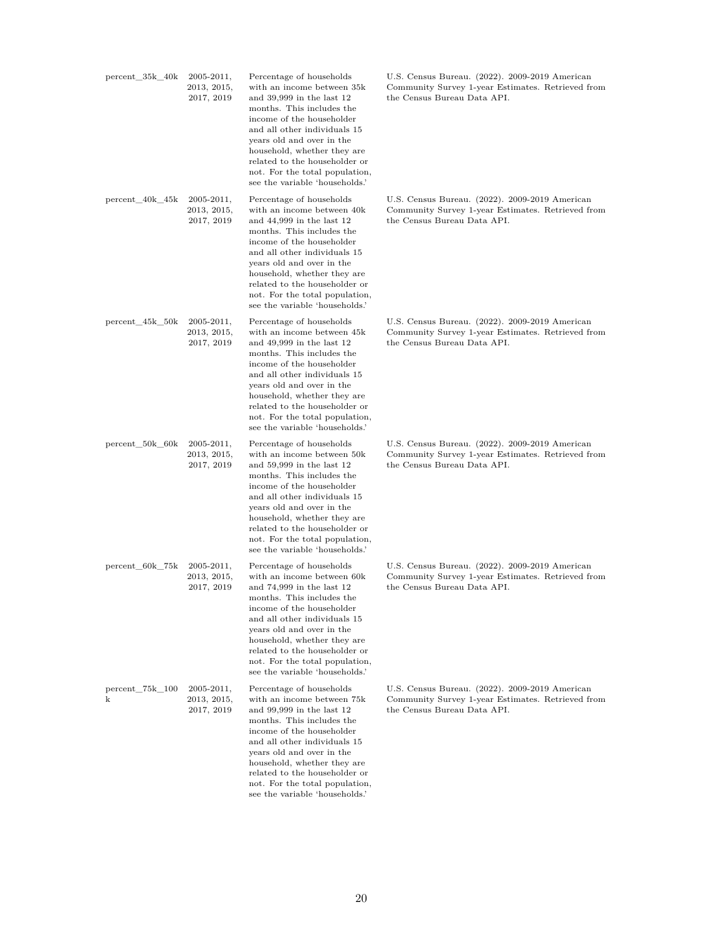| $percent_35k_40k$    | $2005 - 2011,$<br>$2013,\,2015,$<br>2017, 2019 | Percentage of households<br>with an income between 35k<br>and $39,999$ in the last $12$<br>months. This includes the<br>income of the householder<br>and all other individuals 15<br>years old and over in the<br>household, whether they are<br>related to the householder or<br>not. For the total population,<br>see the variable 'households.' | U.S. Census Bureau. (2022). 2009-2019 American<br>Community Survey 1-year Estimates. Retrieved from<br>the Census Bureau Data API. |
|----------------------|------------------------------------------------|----------------------------------------------------------------------------------------------------------------------------------------------------------------------------------------------------------------------------------------------------------------------------------------------------------------------------------------------------|------------------------------------------------------------------------------------------------------------------------------------|
| $percent_40k_45k$    | $2005 - 2011,$<br>$2013,\,2015,$<br>2017, 2019 | Percentage of households<br>with an income between 40k<br>and $44,999$ in the last $12$<br>months. This includes the<br>income of the householder<br>and all other individuals 15<br>years old and over in the<br>household, whether they are<br>related to the householder or<br>not. For the total population,<br>see the variable 'households.' | U.S. Census Bureau. (2022). 2009-2019 American<br>Community Survey 1-year Estimates. Retrieved from<br>the Census Bureau Data API. |
| $percent_45k_50k$    | $2005 - 2011,$<br>2013, 2015,<br>2017, 2019    | Percentage of households<br>with an income between 45k<br>and $49,999$ in the last $12$<br>months. This includes the<br>income of the householder<br>and all other individuals 15<br>years old and over in the<br>household, whether they are<br>related to the householder or<br>not. For the total population,<br>see the variable 'households.' | U.S. Census Bureau. (2022). 2009-2019 American<br>Community Survey 1-year Estimates. Retrieved from<br>the Census Bureau Data API. |
| $percent_50k_60k$    | $2005 - 2011,$<br>$2013,\,2015,$<br>2017, 2019 | Percentage of households<br>with an income between 50k<br>and $59,999$ in the last $12$<br>months. This includes the<br>income of the householder<br>and all other individuals 15<br>years old and over in the<br>household, whether they are<br>related to the householder or<br>not. For the total population,<br>see the variable 'households.' | U.S. Census Bureau. (2022). 2009-2019 American<br>Community Survey 1-year Estimates. Retrieved from<br>the Census Bureau Data API. |
| percent_60k_75k      | $2005 - 2011,$<br>2013, 2015,<br>2017, 2019    | Percentage of households<br>with an income between 60k<br>and $74,999$ in the last $12$<br>months. This includes the<br>income of the householder<br>and all other individuals 15<br>years old and over in the<br>household, whether they are<br>related to the householder or<br>not. For the total population,<br>see the variable 'households.' | U.S. Census Bureau. (2022). 2009-2019 American<br>Community Survey 1-year Estimates. Retrieved from<br>the Census Bureau Data API. |
| percent 75k 100<br>k | 2005-2011,<br>$2013,\,2015,$<br>2017, 2019     | Percentage of households<br>with an income between 75k<br>and $99,999$ in the last $12$<br>months. This includes the<br>income of the householder<br>and all other individuals 15<br>years old and over in the<br>household, whether they are<br>related to the householder or<br>not. For the total population,                                   | U.S. Census Bureau. (2022). 2009-2019 American<br>Community Survey 1-year Estimates. Retrieved from<br>the Census Bureau Data API. |

see the variable 'households.'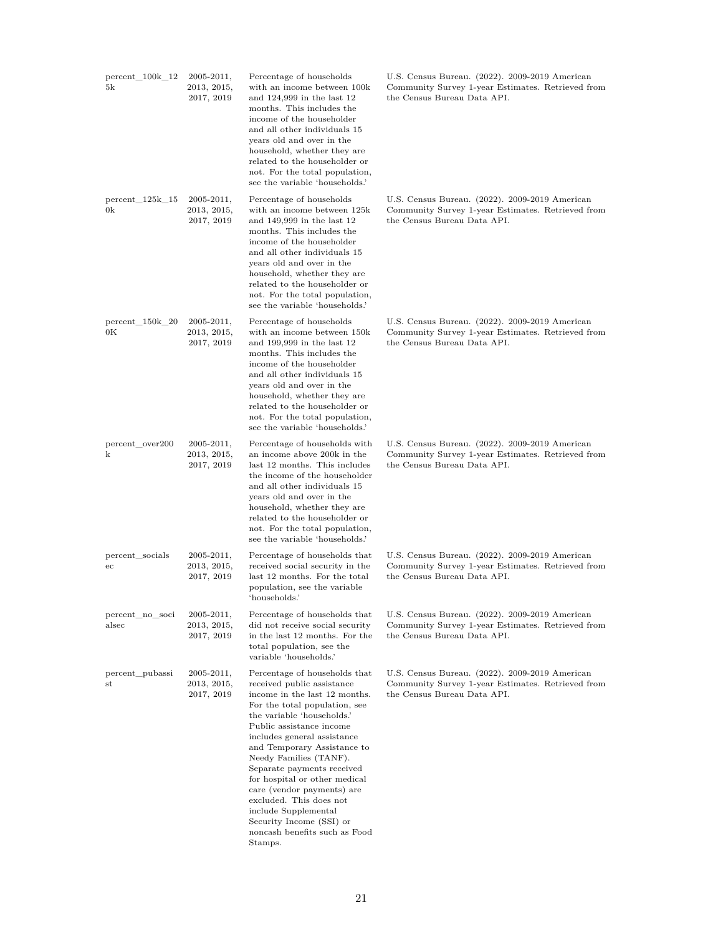| $percent_100k_12$<br>5k      | $2005 - 2011,$<br>2013, 2015,<br>2017, 2019 | Percentage of households<br>with an income between 100k<br>and $124,999$ in the last $12$<br>months. This includes the<br>income of the householder<br>and all other individuals 15<br>years old and over in the<br>household, whether they are<br>related to the householder or<br>not. For the total population,<br>see the variable 'households.'                                                                                                                                                    | U.S. Census Bureau. (2022). 2009-2019 American<br>Community Survey 1-year Estimates. Retrieved from<br>the Census Bureau Data API. |
|------------------------------|---------------------------------------------|---------------------------------------------------------------------------------------------------------------------------------------------------------------------------------------------------------------------------------------------------------------------------------------------------------------------------------------------------------------------------------------------------------------------------------------------------------------------------------------------------------|------------------------------------------------------------------------------------------------------------------------------------|
| $percent_125k_15$<br>0k      | $2005 - 2011,$<br>2013, 2015,<br>2017, 2019 | Percentage of households<br>with an income between 125k<br>and 149,999 in the last 12<br>months. This includes the<br>income of the householder<br>and all other individuals 15<br>years old and over in the<br>household, whether they are<br>related to the householder or<br>not. For the total population,<br>see the variable 'households.'                                                                                                                                                        | U.S. Census Bureau. (2022). 2009-2019 American<br>Community Survey 1-year Estimates. Retrieved from<br>the Census Bureau Data API. |
| $percent_150k_20$<br>$_{0K}$ | $2005 - 2011,$<br>2013, 2015,<br>2017, 2019 | Percentage of households<br>with an income between 150k<br>and 199,999 in the last 12<br>months. This includes the<br>income of the householder<br>and all other individuals 15<br>years old and over in the<br>household, whether they are<br>related to the householder or<br>not. For the total population,<br>see the variable 'households.'                                                                                                                                                        | U.S. Census Bureau. (2022). 2009-2019 American<br>Community Survey 1-year Estimates. Retrieved from<br>the Census Bureau Data API. |
| percent_over200<br>k         | 2005-2011,<br>2013, 2015,<br>2017, 2019     | Percentage of households with<br>an income above 200k in the<br>last 12 months. This includes<br>the income of the householder<br>and all other individuals 15<br>years old and over in the<br>household, whether they are<br>related to the householder or<br>not. For the total population,<br>see the variable 'households.'                                                                                                                                                                         | U.S. Census Bureau. (2022). 2009-2019 American<br>Community Survey 1-year Estimates. Retrieved from<br>the Census Bureau Data API. |
| percent_socials<br>ec        | $2005 - 2011,$<br>2013, 2015,<br>2017, 2019 | Percentage of households that<br>received social security in the<br>last 12 months. For the total<br>population, see the variable<br>'households.'                                                                                                                                                                                                                                                                                                                                                      | U.S. Census Bureau. (2022). 2009-2019 American<br>Community Survey 1-year Estimates. Retrieved from<br>the Census Bureau Data API. |
| percent no soci<br>alsec     | $2005 - 2011,$<br>2013, 2015,<br>2017, 2019 | Percentage of households that<br>did not receive social security<br>in the last 12 months. For the<br>total population, see the<br>variable 'households.'                                                                                                                                                                                                                                                                                                                                               | U.S. Census Bureau. (2022). 2009-2019 American<br>Community Survey 1-year Estimates. Retrieved from<br>the Census Bureau Data API. |
| percent_pubassi<br>st        | $2005 - 2011,$<br>2013, 2015,<br>2017, 2019 | Percentage of households that<br>received public assistance<br>income in the last 12 months.<br>For the total population, see<br>the variable 'households.'<br>Public assistance income<br>includes general assistance<br>and Temporary Assistance to<br>Needy Families (TANF).<br>Separate payments received<br>for hospital or other medical<br>care (vendor payments) are<br>excluded. This does not<br>include Supplemental<br>Security Income (SSI) or<br>noncash benefits such as Food<br>Stamps. | U.S. Census Bureau. (2022). 2009-2019 American<br>Community Survey 1-year Estimates. Retrieved from<br>the Census Bureau Data API. |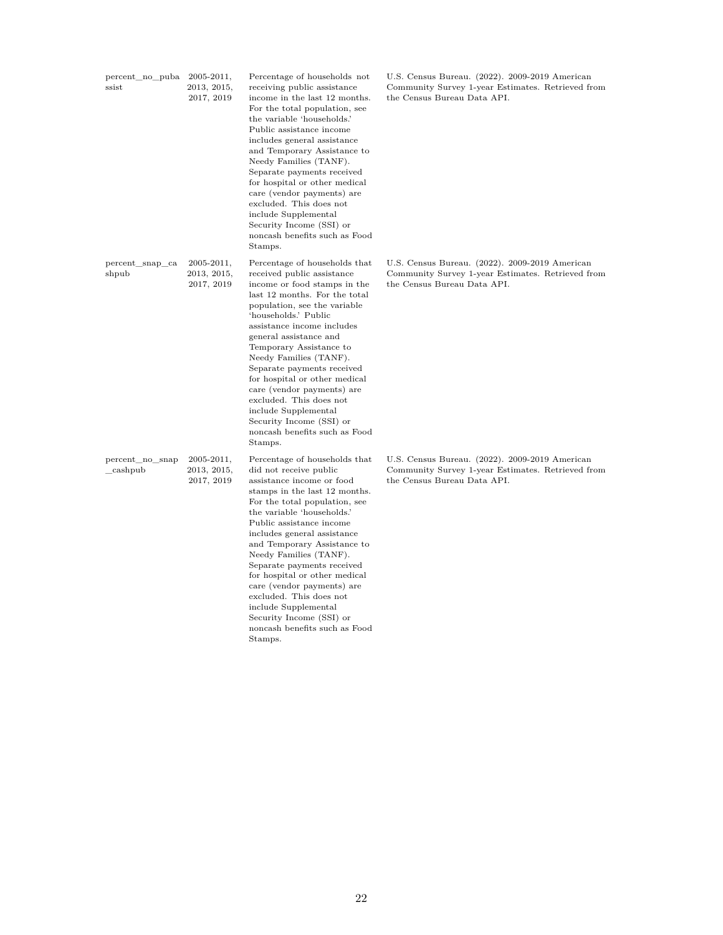| percent_no_puba<br>ssist   | $2005 - 2011,$<br>2013, 2015,<br>2017, 2019 | Percentage of households not<br>receiving public assistance<br>income in the last 12 months.<br>For the total population, see<br>the variable 'households.'<br>Public assistance income<br>includes general assistance<br>and Temporary Assistance to<br>Needy Families (TANF).<br>Separate payments received<br>for hospital or other medical<br>care (vendor payments) are<br>excluded. This does not<br>include Supplemental<br>Security Income (SSI) or<br>noncash benefits such as Food<br>Stamps.                   | U.S. Census Bureau. (2022). 2009-2019 American<br>Community Survey 1-year Estimates. Retrieved from<br>the Census Bureau Data API. |
|----------------------------|---------------------------------------------|---------------------------------------------------------------------------------------------------------------------------------------------------------------------------------------------------------------------------------------------------------------------------------------------------------------------------------------------------------------------------------------------------------------------------------------------------------------------------------------------------------------------------|------------------------------------------------------------------------------------------------------------------------------------|
| percent_snap_ca<br>shpub   | $2005 - 2011,$<br>2013, 2015,<br>2017, 2019 | Percentage of households that<br>received public assistance<br>income or food stamps in the<br>last 12 months. For the total<br>population, see the variable<br>'households.' Public<br>assistance income includes<br>general assistance and<br>Temporary Assistance to<br>Needy Families (TANF).<br>Separate payments received<br>for hospital or other medical<br>care (vendor payments) are<br>excluded. This does not<br>include Supplemental<br>Security Income (SSI) or<br>noncash benefits such as Food<br>Stamps. | U.S. Census Bureau. (2022). 2009-2019 American<br>Community Survey 1-year Estimates. Retrieved from<br>the Census Bureau Data API. |
| percent no snap<br>cashpub | $2005 - 2011,$<br>2013, 2015,<br>2017, 2019 | Percentage of households that<br>did not receive public<br>assistance income or food<br>stamps in the last 12 months.<br>For the total population, see<br>the variable 'households.'<br>Public assistance income<br>includes general assistance<br>and Temporary Assistance to<br>Needy Families (TANF).<br>Separate payments received<br>for hospital or other medical<br>care (vendor payments) are<br>excluded. This does not<br>include Supplemental<br>Security Income (SSI) or                                      | U.S. Census Bureau. (2022). 2009-2019 American<br>Community Survey 1-year Estimates. Retrieved from<br>the Census Bureau Data API. |

noncash benefits such as Food Stamps.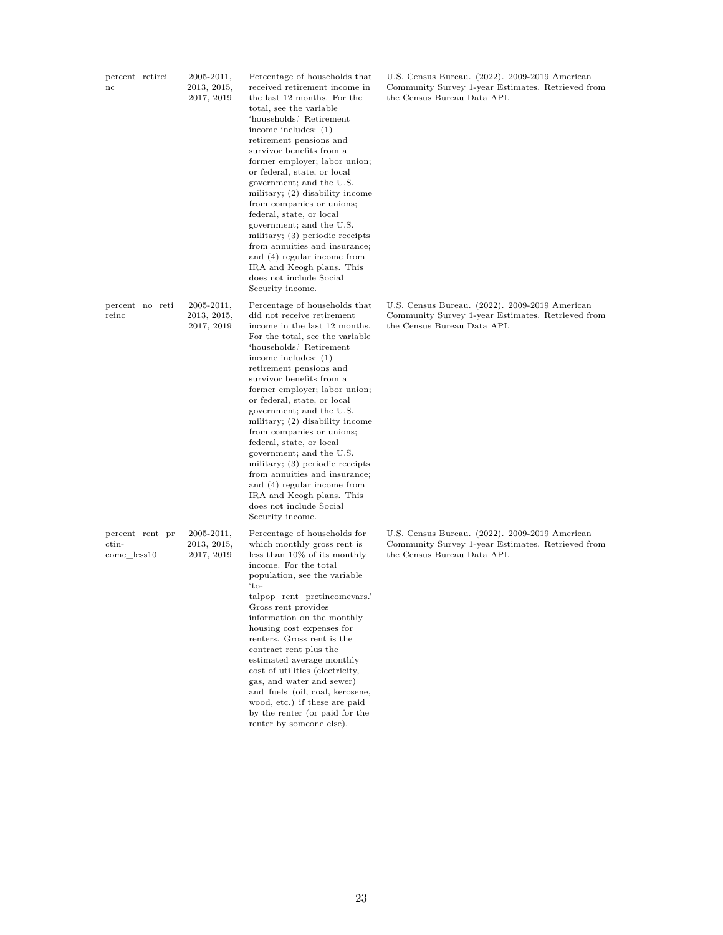| percent retirei<br>nc                                  | $2005 - 2011,$<br>2013, 2015,<br>2017, 2019 | Percentage of households that<br>received retirement income in<br>the last 12 months. For the<br>total, see the variable<br>'households.' Retirement<br>income includes: $(1)$<br>retirement pensions and<br>survivor benefits from a<br>former employer; labor union;<br>or federal, state, or local<br>government; and the U.S.<br>military; $(2)$ disability income<br>from companies or unions;<br>federal, state, or local<br>government; and the U.S.<br>military; (3) periodic receipts<br>from annuities and insurance;<br>and (4) regular income from<br>IRA and Keogh plans. This<br>does not include Social<br>Security income.        | U.S. Census Bureau. (2022). 2009-2019 American<br>Community Survey 1-year Estimates. Retrieved from<br>the Census Bureau Data API. |
|--------------------------------------------------------|---------------------------------------------|---------------------------------------------------------------------------------------------------------------------------------------------------------------------------------------------------------------------------------------------------------------------------------------------------------------------------------------------------------------------------------------------------------------------------------------------------------------------------------------------------------------------------------------------------------------------------------------------------------------------------------------------------|------------------------------------------------------------------------------------------------------------------------------------|
| percent_no_reti<br>reinc                               | 2005-2011,<br>$2013,\,2015,$<br>2017, 2019  | Percentage of households that<br>did not receive retirement<br>income in the last 12 months.<br>For the total, see the variable<br>'households.' Retirement<br>income includes: $(1)$<br>retirement pensions and<br>survivor benefits from a<br>former employer; labor union;<br>or federal, state, or local<br>government; and the U.S.<br>military; $(2)$ disability income<br>from companies or unions;<br>federal, state, or local<br>government; and the U.S.<br>military; (3) periodic receipts<br>from annuities and insurance;<br>and (4) regular income from<br>IRA and Keogh plans. This<br>does not include Social<br>Security income. | U.S. Census Bureau. (2022). 2009-2019 American<br>Community Survey 1-year Estimates. Retrieved from<br>the Census Bureau Data API. |
| percent_rent_pr<br>$_{\text{ctin-}}$<br>$come\_less10$ | $2005 - 2011,$<br>2013, 2015,<br>2017, 2019 | Percentage of households for<br>which monthly gross rent is<br>less than 10% of its monthly<br>income. For the total<br>population, see the variable<br>'to-<br>talpop_rent_prctincomevars.'<br>Gross rent provides<br>information on the monthly<br>housing cost expenses for<br>renters. Gross rent is the<br>contract rent plus the<br>estimated average monthly<br>cost of utilities (electricity,<br>gas, and water and sewer)<br>and fuels (oil, coal, kerosene,<br>wood, etc.) if these are paid                                                                                                                                           | U.S. Census Bureau. (2022). 2009-2019 American<br>Community Survey 1-year Estimates. Retrieved from<br>the Census Bureau Data API. |

by the renter (or paid for the renter by someone else).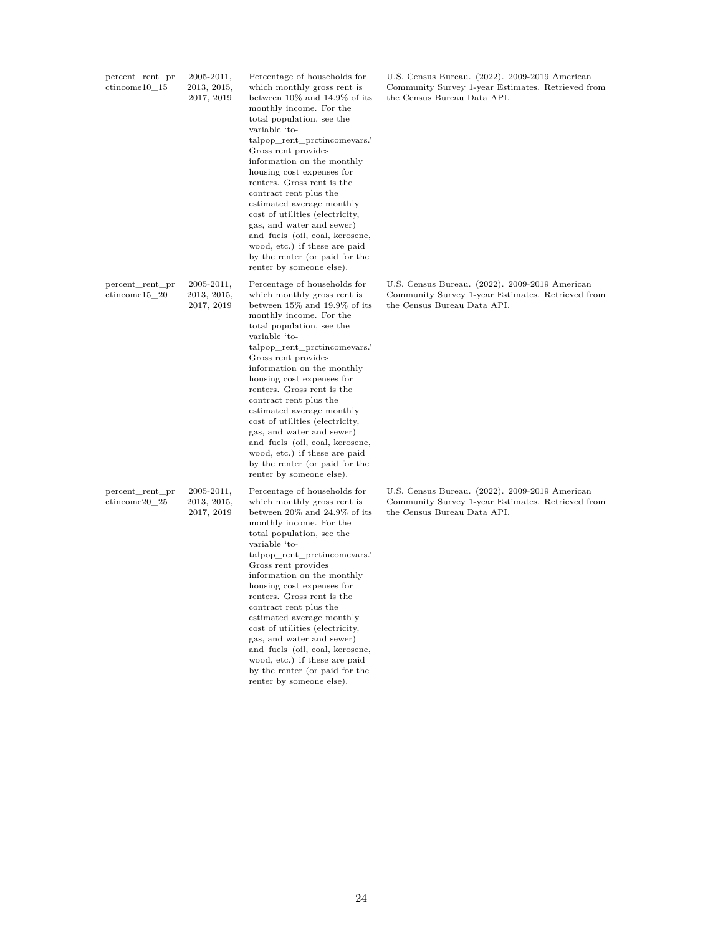| percent_rent_pr<br>$ctincome10$ 15 | $2005 - 2011,$<br>2013, 2015,<br>2017, 2019 | Percentage of households for<br>which monthly gross rent is<br>between $10\%$ and $14.9\%$ of its<br>monthly income. For the<br>total population, see the<br>variable 'to-<br>talpop rent protincomevars.'<br>Gross rent provides<br>information on the monthly<br>housing cost expenses for<br>renters. Gross rent is the<br>contract rent plus the<br>estimated average monthly<br>cost of utilities (electricity,<br>gas, and water and sewer)<br>and fuels (oil, coal, kerosene,<br>wood, etc.) if these are paid<br>by the renter (or paid for the<br>renter by someone else). | U.S. Census Bureau. (2022). 2009-2019 American<br>Community Survey 1-year Estimates. Retrieved from<br>the Census Bureau Data API. |
|------------------------------------|---------------------------------------------|-------------------------------------------------------------------------------------------------------------------------------------------------------------------------------------------------------------------------------------------------------------------------------------------------------------------------------------------------------------------------------------------------------------------------------------------------------------------------------------------------------------------------------------------------------------------------------------|------------------------------------------------------------------------------------------------------------------------------------|
| percent_rent_pr<br>ctincome15 20   | $2005 - 2011,$<br>2013, 2015,<br>2017, 2019 | Percentage of households for<br>which monthly gross rent is<br>between 15% and 19.9% of its<br>monthly income. For the<br>total population, see the<br>variable 'to-<br>talpop_rent_prctincomevars.'<br>Gross rent provides<br>information on the monthly<br>housing cost expenses for<br>renters. Gross rent is the<br>contract rent plus the<br>estimated average monthly<br>cost of utilities (electricity,<br>gas, and water and sewer)<br>and fuels (oil, coal, kerosene,<br>wood, etc.) if these are paid<br>by the renter (or paid for the<br>renter by someone else).       | U.S. Census Bureau. (2022). 2009-2019 American<br>Community Survey 1-year Estimates. Retrieved from<br>the Census Bureau Data API. |
| percent_rent_pr<br>ctincome20_25   | $2005 - 2011,$<br>2013, 2015,<br>2017, 2019 | Percentage of households for<br>which monthly gross rent is<br>between 20% and 24.9% of its<br>monthly income. For the<br>total population, see the<br>variable 'to-<br>talpop_rent_prctincomevars.'<br>Gross rent provides<br>information on the monthly<br>housing cost expenses for<br>renters. Gross rent is the<br>contract rent plus the<br>estimated average monthly<br>cost of utilities (electricity,<br>gas, and water and sewer)<br>and fuels (oil, coal, kerosene,<br>wood, etc.) if these are paid<br>by the renter (or paid for the<br>renter by someone else).       | U.S. Census Bureau. (2022). 2009-2019 American<br>Community Survey 1-year Estimates. Retrieved from<br>the Census Bureau Data API. |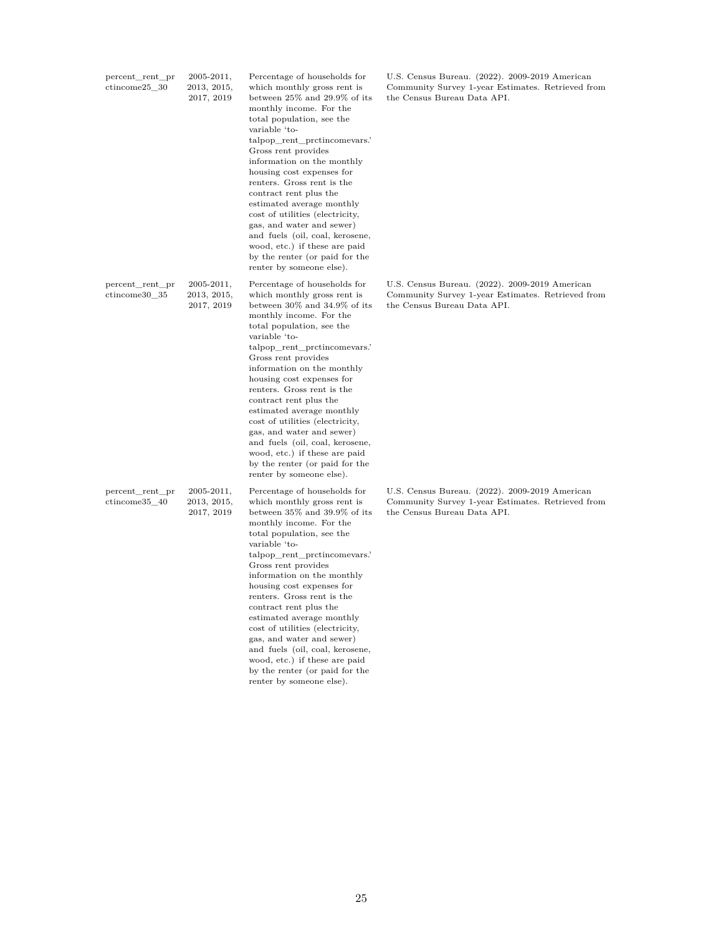| percent_rent_pr<br>$ctincome25$ 30 | $2005 - 2011,$<br>2013, 2015,<br>2017, 2019 | Percentage of households for<br>which monthly gross rent is<br>between $25\%$ and $29.9\%$ of its<br>monthly income. For the<br>total population, see the<br>variable 'to-<br>talpop rent protincomevars.'<br>Gross rent provides<br>information on the monthly<br>housing cost expenses for<br>renters. Gross rent is the<br>contract rent plus the<br>estimated average monthly<br>cost of utilities (electricity,<br>gas, and water and sewer)<br>and fuels (oil, coal, kerosene,<br>wood, etc.) if these are paid<br>by the renter (or paid for the<br>renter by someone else). | U.S. Census Bureau. (2022). 2009-2019 American<br>Community Survey 1-year Estimates. Retrieved from<br>the Census Bureau Data API. |
|------------------------------------|---------------------------------------------|-------------------------------------------------------------------------------------------------------------------------------------------------------------------------------------------------------------------------------------------------------------------------------------------------------------------------------------------------------------------------------------------------------------------------------------------------------------------------------------------------------------------------------------------------------------------------------------|------------------------------------------------------------------------------------------------------------------------------------|
| percent_rent_pr<br>ctincome30 35   | $2005 - 2011,$<br>2013, 2015,<br>2017, 2019 | Percentage of households for<br>which monthly gross rent is<br>between 30% and 34.9% of its<br>monthly income. For the<br>total population, see the<br>variable 'to-<br>talpop_rent_prctincomevars.'<br>Gross rent provides<br>information on the monthly<br>housing cost expenses for<br>renters. Gross rent is the<br>contract rent plus the<br>estimated average monthly<br>cost of utilities (electricity,<br>gas, and water and sewer)<br>and fuels (oil, coal, kerosene,<br>wood, etc.) if these are paid<br>by the renter (or paid for the<br>renter by someone else).       | U.S. Census Bureau. (2022). 2009-2019 American<br>Community Survey 1-year Estimates. Retrieved from<br>the Census Bureau Data API. |
| percent_rent_pr<br>ctincome35_40   | $2005 - 2011,$<br>2013, 2015,<br>2017, 2019 | Percentage of households for<br>which monthly gross rent is<br>between 35% and 39.9% of its<br>monthly income. For the<br>total population, see the<br>variable 'to-<br>talpop_rent_prctincomevars.'<br>Gross rent provides<br>information on the monthly<br>housing cost expenses for<br>renters. Gross rent is the<br>contract rent plus the<br>estimated average monthly<br>cost of utilities (electricity,<br>gas, and water and sewer)<br>and fuels (oil, coal, kerosene,<br>wood, etc.) if these are paid<br>by the renter (or paid for the<br>renter by someone else).       | U.S. Census Bureau. (2022). 2009-2019 American<br>Community Survey 1-year Estimates. Retrieved from<br>the Census Bureau Data API. |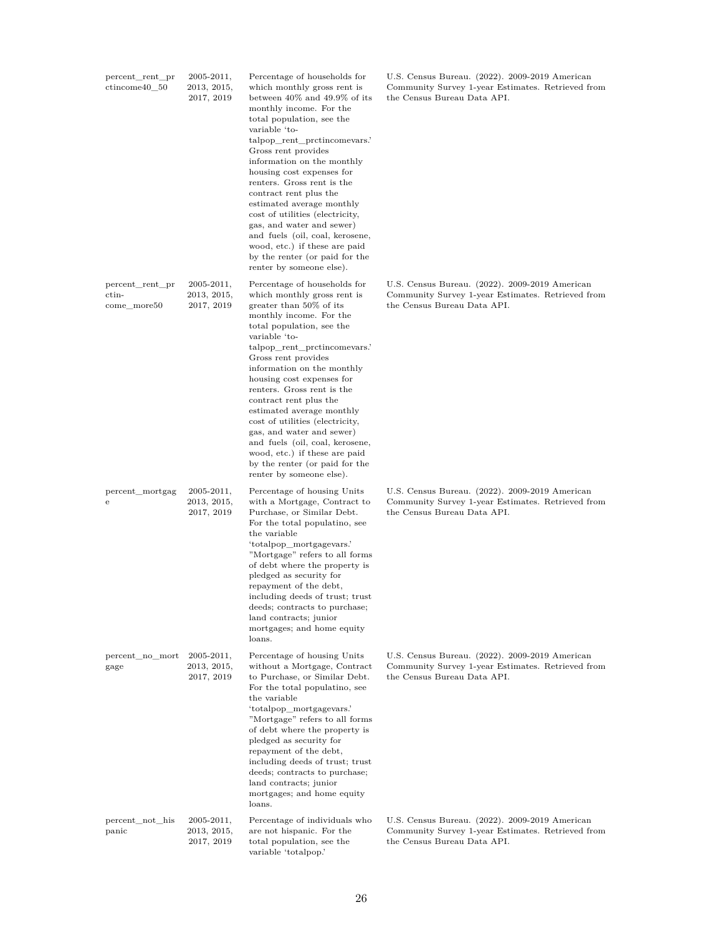| percent_rent_pr<br>ctincome40 50        | 2005-2011,<br>2013, 2015,<br>2017, 2019     | Percentage of households for<br>which monthly gross rent is<br>between $40\%$ and $49.9\%$ of its<br>monthly income. For the<br>total population, see the<br>variable 'to-<br>talpop_rent_prctincomevars.'<br>Gross rent provides<br>information on the monthly<br>housing cost expenses for<br>renters. Gross rent is the<br>contract rent plus the<br>estimated average monthly<br>cost of utilities (electricity,<br>gas, and water and sewer)<br>and fuels (oil, coal, kerosene,<br>wood, etc.) if these are paid<br>by the renter (or paid for the<br>renter by someone else). | U.S. Census Bureau. (2022). 2009-2019 American<br>Community Survey 1-year Estimates. Retrieved from<br>the Census Bureau Data API. |
|-----------------------------------------|---------------------------------------------|-------------------------------------------------------------------------------------------------------------------------------------------------------------------------------------------------------------------------------------------------------------------------------------------------------------------------------------------------------------------------------------------------------------------------------------------------------------------------------------------------------------------------------------------------------------------------------------|------------------------------------------------------------------------------------------------------------------------------------|
| percent_rent_pr<br>ctin-<br>come more50 | $2005 - 2011,$<br>2013, 2015,<br>2017, 2019 | Percentage of households for<br>which monthly gross rent is<br>greater than $50\%$ of its<br>monthly income. For the<br>total population, see the<br>variable 'to-<br>talpop_rent_prctincomevars.<br>Gross rent provides<br>information on the monthly<br>housing cost expenses for<br>renters. Gross rent is the<br>contract rent plus the<br>estimated average monthly<br>cost of utilities (electricity,<br>gas, and water and sewer)<br>and fuels (oil, coal, kerosene,<br>wood, etc.) if these are paid<br>by the renter (or paid for the<br>renter by someone else).          | U.S. Census Bureau. (2022). 2009-2019 American<br>Community Survey 1-year Estimates. Retrieved from<br>the Census Bureau Data API. |
| percent_mortgag<br>е                    | $2005 - 2011,$<br>2013, 2015,<br>2017, 2019 | Percentage of housing Units<br>with a Mortgage, Contract to<br>Purchase, or Similar Debt.<br>For the total populatino, see<br>the variable<br>'totalpop_mortgagevars.'<br>"Mortgage" refers to all forms<br>of debt where the property is<br>pledged as security for<br>repayment of the debt,<br>including deeds of trust; trust<br>deeds; contracts to purchase;<br>land contracts; junior<br>mortgages; and home equity<br>loans.                                                                                                                                                | U.S. Census Bureau. (2022). 2009-2019 American<br>Community Survey 1-year Estimates. Retrieved from<br>the Census Bureau Data API. |
| percent_no_mort<br>gage                 | $2005 - 2011,$<br>2013, 2015,<br>2017, 2019 | Percentage of housing Units<br>without a Mortgage, Contract<br>to Purchase, or Similar Debt.<br>For the total populatino, see<br>the variable<br>'totalpop_mortgagevars.'<br>"Mortgage" refers to all forms<br>of debt where the property is<br>pledged as security for<br>repayment of the debt,<br>including deeds of trust; trust<br>deeds; contracts to purchase;<br>land contracts; junior<br>mortgages; and home equity<br>loans.                                                                                                                                             | U.S. Census Bureau. (2022). 2009-2019 American<br>Community Survey 1-year Estimates. Retrieved from<br>the Census Bureau Data API. |
| percent not his<br>panic                | $2005 - 2011,$<br>2013, 2015,<br>2017, 2019 | Percentage of individuals who<br>are not hispanic. For the<br>total population, see the<br>variable 'totalpop.'                                                                                                                                                                                                                                                                                                                                                                                                                                                                     | U.S. Census Bureau. (2022). 2009-2019 American<br>Community Survey 1-year Estimates. Retrieved from<br>the Census Bureau Data API. |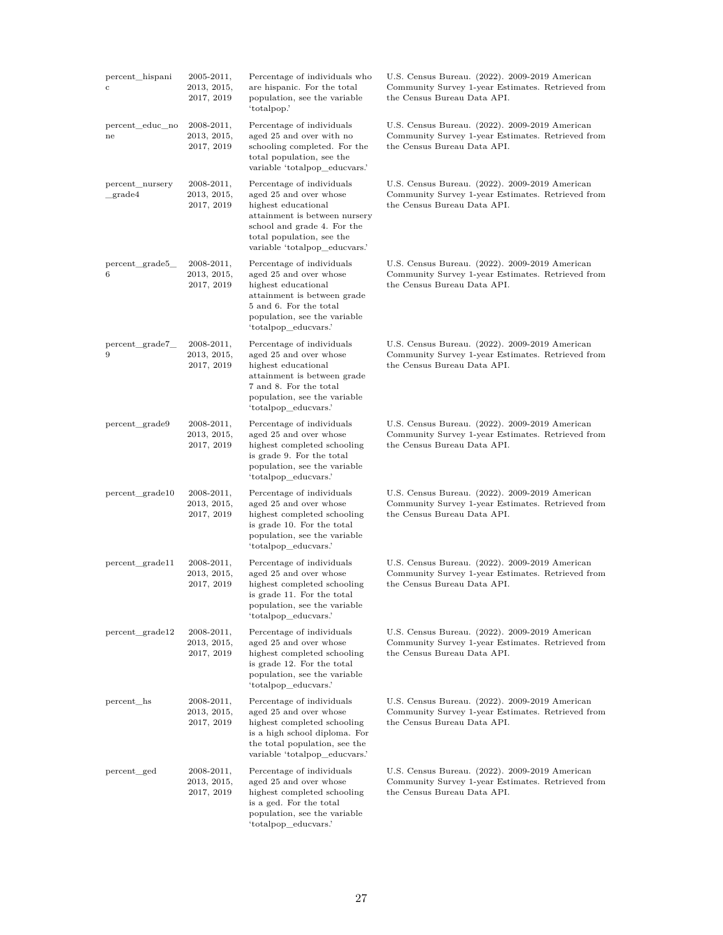| percent_hispani<br>$\mathbf c$ | 2005-2011,<br>2013, 2015,<br>2017, 2019     | Percentage of individuals who<br>are hispanic. For the total<br>population, see the variable<br>'totalpop.'                                                                                              | U.S. Census Bureau. (2022). 2009-2019 American<br>Community Survey 1-year Estimates. Retrieved from<br>the Census Bureau Data API. |
|--------------------------------|---------------------------------------------|----------------------------------------------------------------------------------------------------------------------------------------------------------------------------------------------------------|------------------------------------------------------------------------------------------------------------------------------------|
| percent_educ_no<br>ne          | $2008 - 2011,$<br>2013, 2015,<br>2017, 2019 | Percentage of individuals<br>aged 25 and over with no<br>schooling completed. For the<br>total population, see the<br>variable 'totalpop_educvars.'                                                      | U.S. Census Bureau. (2022). 2009-2019 American<br>Community Survey 1-year Estimates. Retrieved from<br>the Census Bureau Data API. |
| percent_nursery<br>grade4      | $2008 - 2011,$<br>2013, 2015,<br>2017, 2019 | Percentage of individuals<br>aged 25 and over whose<br>highest educational<br>attainment is between nursery<br>school and grade 4. For the<br>total population, see the<br>variable 'totalpop_educvars.' | U.S. Census Bureau. (2022). 2009-2019 American<br>Community Survey 1-year Estimates. Retrieved from<br>the Census Bureau Data API. |
| percent_grade5_<br>6           | $2008 - 2011,$<br>2013, 2015,<br>2017, 2019 | Percentage of individuals<br>aged 25 and over whose<br>highest educational<br>attainment is between grade<br>5 and 6. For the total<br>population, see the variable<br>'totalpop_educvars.'              | U.S. Census Bureau. (2022). 2009-2019 American<br>Community Survey 1-year Estimates. Retrieved from<br>the Census Bureau Data API. |
| percent_grade7_<br>9           | $2008 - 2011,$<br>2013, 2015,<br>2017, 2019 | Percentage of individuals<br>aged 25 and over whose<br>highest educational<br>attainment is between grade<br>7 and 8. For the total<br>population, see the variable<br>'totalpop educvars.'              | U.S. Census Bureau. (2022). 2009-2019 American<br>Community Survey 1-year Estimates. Retrieved from<br>the Census Bureau Data API. |
| percent_grade9                 | $2008 - 2011,$<br>2013, 2015,<br>2017, 2019 | Percentage of individuals<br>aged 25 and over whose<br>highest completed schooling<br>is grade 9. For the total<br>population, see the variable<br>'totalpop_educvars.'                                  | U.S. Census Bureau. (2022). 2009-2019 American<br>Community Survey 1-year Estimates. Retrieved from<br>the Census Bureau Data API. |
| percent_grade10                | $2008 - 2011,$<br>2013, 2015,<br>2017, 2019 | Percentage of individuals<br>aged 25 and over whose<br>highest completed schooling<br>is grade 10. For the total<br>population, see the variable<br>'totalpop_educvars.'                                 | U.S. Census Bureau. (2022). 2009-2019 American<br>Community Survey 1-year Estimates. Retrieved from<br>the Census Bureau Data API. |
| percent_grade11                | 2008-2011,<br>2013, 2015,<br>2017, 2019     | Percentage of individuals<br>aged 25 and over whose<br>highest completed schooling<br>is grade 11. For the total<br>population, see the variable<br>'totalpop_educvars.'                                 | U.S. Census Bureau. (2022). 2009-2019 American<br>Community Survey 1-year Estimates. Retrieved from<br>the Census Bureau Data API. |
| percent_grade12                | 2008-2011,<br>2013, 2015,<br>2017, 2019     | Percentage of individuals<br>aged 25 and over whose<br>highest completed schooling<br>is grade 12. For the total<br>population, see the variable<br>'totalpop educvars.'                                 | U.S. Census Bureau. (2022). 2009-2019 American<br>Community Survey 1-year Estimates. Retrieved from<br>the Census Bureau Data API. |
| percent hs                     | 2008-2011,<br>2013, 2015,<br>2017, 2019     | Percentage of individuals<br>aged 25 and over whose<br>highest completed schooling<br>is a high school diploma. For<br>the total population, see the<br>variable 'totalpop_educvars.'                    | U.S. Census Bureau. (2022). 2009-2019 American<br>Community Survey 1-year Estimates. Retrieved from<br>the Census Bureau Data API. |
| percent_ged                    | $2008 - 2011,$<br>2013, 2015,<br>2017, 2019 | Percentage of individuals<br>aged 25 and over whose<br>highest completed schooling<br>is a ged. For the total<br>population, see the variable<br>'totalpop_educvars.'                                    | U.S. Census Bureau. (2022). 2009-2019 American<br>Community Survey 1-year Estimates. Retrieved from<br>the Census Bureau Data API. |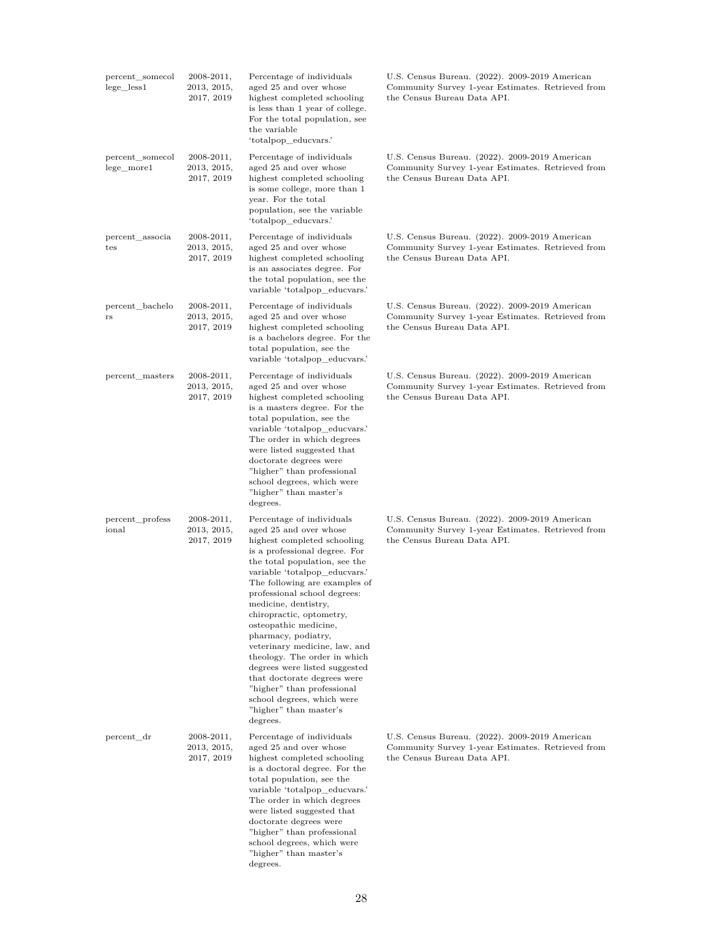| percent somecol<br>$lege_less1$               | 2008-2011,<br>2013, 2015,<br>2017, 2019     | Percentage of individuals<br>aged 25 and over whose<br>highest completed schooling<br>is less than 1 year of college.<br>For the total population, see<br>the variable<br>'totalpop_educvars.'                                                                                                                                                                                                                                                                                                                                                                                                | U.S. Census Bureau. (2022). 2009-2019 American<br>Community Survey 1-year Estimates. Retrieved from<br>the Census Bureau Data API. |
|-----------------------------------------------|---------------------------------------------|-----------------------------------------------------------------------------------------------------------------------------------------------------------------------------------------------------------------------------------------------------------------------------------------------------------------------------------------------------------------------------------------------------------------------------------------------------------------------------------------------------------------------------------------------------------------------------------------------|------------------------------------------------------------------------------------------------------------------------------------|
| percent_somecol<br>$lege$ <sub>more</sub> $1$ | $2008 - 2011,$<br>2013, 2015,<br>2017, 2019 | Percentage of individuals<br>aged 25 and over whose<br>highest completed schooling<br>is some college, more than 1<br>year. For the total<br>population, see the variable<br>'totalpop_educvars.'                                                                                                                                                                                                                                                                                                                                                                                             | U.S. Census Bureau. (2022). 2009-2019 American<br>Community Survey 1-year Estimates. Retrieved from<br>the Census Bureau Data API. |
| percent_associa<br>tes                        | $2008 - 2011,$<br>2013, 2015,<br>2017, 2019 | Percentage of individuals<br>aged 25 and over whose<br>highest completed schooling<br>is an associates degree. For<br>the total population, see the<br>variable 'totalpop_educvars.'                                                                                                                                                                                                                                                                                                                                                                                                          | U.S. Census Bureau. (2022). 2009-2019 American<br>Community Survey 1-year Estimates. Retrieved from<br>the Census Bureau Data API. |
| percent_bachelo<br>$_{\rm rs}$                | $2008 - 2011,$<br>2013, 2015,<br>2017, 2019 | Percentage of individuals<br>aged 25 and over whose<br>highest completed schooling<br>is a bachelors degree. For the<br>total population, see the<br>variable 'totalpop educvars.'                                                                                                                                                                                                                                                                                                                                                                                                            | U.S. Census Bureau. (2022). 2009-2019 American<br>Community Survey 1-year Estimates. Retrieved from<br>the Census Bureau Data API. |
| percent_masters                               | $2008 - 2011,$<br>2013, 2015,<br>2017, 2019 | Percentage of individuals<br>aged 25 and over whose<br>highest completed schooling<br>is a masters degree. For the<br>total population, see the<br>variable 'totalpop_educvars.'<br>The order in which degrees<br>were listed suggested that<br>doctorate degrees were<br>"higher" than professional<br>school degrees, which were<br>"higher" than master's<br>degrees.                                                                                                                                                                                                                      | U.S. Census Bureau. (2022). 2009-2019 American<br>Community Survey 1-year Estimates. Retrieved from<br>the Census Bureau Data API. |
| percent_profess<br>ional                      | $2008 - 2011,$<br>2013, 2015,<br>2017, 2019 | Percentage of individuals<br>aged 25 and over whose<br>highest completed schooling<br>is a professional degree. For<br>the total population, see the<br>variable 'totalpop educvars.'<br>The following are examples of<br>professional school degrees:<br>medicine, dentistry,<br>chiropractic, optometry,<br>osteopathic medicine,<br>pharmacy, podiatry,<br>veterinary medicine, law, and<br>theology. The order in which<br>degrees were listed suggested<br>that doctorate degrees were<br>"higher" than professional<br>school degrees, which were<br>"higher" than master's<br>degrees. | U.S. Census Bureau. (2022). 2009-2019 American<br>Community Survey 1-year Estimates. Retrieved from<br>the Census Bureau Data API. |
| percent_dr                                    | $2008 - 2011,$<br>2013, 2015,<br>2017, 2019 | Percentage of individuals<br>aged 25 and over whose<br>highest completed schooling<br>is a doctoral degree. For the<br>total population, see the<br>variable 'totalpop_educvars.'<br>The order in which degrees<br>were listed suggested that<br>doctorate degrees were<br>"higher" than professional<br>school degrees, which were<br>"higher" than master's<br>degrees.                                                                                                                                                                                                                     | U.S. Census Bureau. (2022). 2009-2019 American<br>Community Survey 1-year Estimates. Retrieved from<br>the Census Bureau Data API. |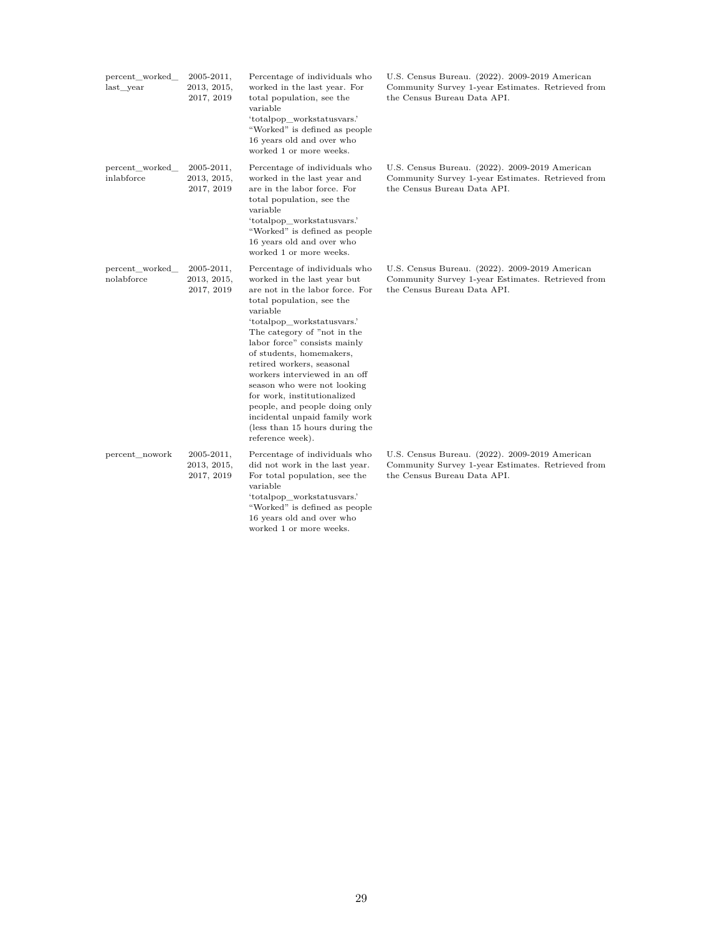| percent worked<br>last year   | $2005 - 2011,$<br>2013, 2015,<br>2017, 2019 | Percentage of individuals who<br>worked in the last year. For<br>total population, see the<br>variable<br>'totalpop_workstatusvars.'<br>"Worked" is defined as people<br>16 years old and over who<br>worked 1 or more weeks.                                                                                                                                                                                                                                                                                         | U.S. Census Bureau. (2022). 2009-2019 American<br>Community Survey 1-year Estimates. Retrieved from<br>the Census Bureau Data API. |
|-------------------------------|---------------------------------------------|-----------------------------------------------------------------------------------------------------------------------------------------------------------------------------------------------------------------------------------------------------------------------------------------------------------------------------------------------------------------------------------------------------------------------------------------------------------------------------------------------------------------------|------------------------------------------------------------------------------------------------------------------------------------|
| percent_worked_<br>inlabforce | $2005 - 2011,$<br>2013, 2015,<br>2017, 2019 | Percentage of individuals who<br>worked in the last year and<br>are in the labor force. For<br>total population, see the<br>variable<br>'totalpop workstatusvars.'<br>"Worked" is defined as people<br>16 years old and over who<br>worked 1 or more weeks.                                                                                                                                                                                                                                                           | U.S. Census Bureau. (2022). 2009-2019 American<br>Community Survey 1-year Estimates. Retrieved from<br>the Census Bureau Data API. |
| percent_worked_<br>nolabforce | $2005 - 2011,$<br>2013, 2015,<br>2017, 2019 | Percentage of individuals who<br>worked in the last year but<br>are not in the labor force. For<br>total population, see the<br>variable<br>'totalpop workstatusvars.'<br>The category of "not in the<br>labor force" consists mainly<br>of students, homemakers,<br>retired workers, seasonal<br>workers interviewed in an off<br>season who were not looking<br>for work, institutionalized<br>people, and people doing only<br>incidental unpaid family work<br>(less than 15 hours during the<br>reference week). | U.S. Census Bureau. (2022). 2009-2019 American<br>Community Survey 1-year Estimates. Retrieved from<br>the Census Bureau Data API. |
| percent nowork                | $2005 - 2011,$<br>2013, 2015,<br>2017, 2019 | Percentage of individuals who<br>did not work in the last year.<br>For total population, see the<br>variable<br>'totalpop workstatusvars.'<br>"Worked" is defined as people<br>16 years old and over who<br>worked 1 or more weeks.                                                                                                                                                                                                                                                                                   | U.S. Census Bureau. (2022). 2009-2019 American<br>Community Survey 1-year Estimates. Retrieved from<br>the Census Bureau Data API. |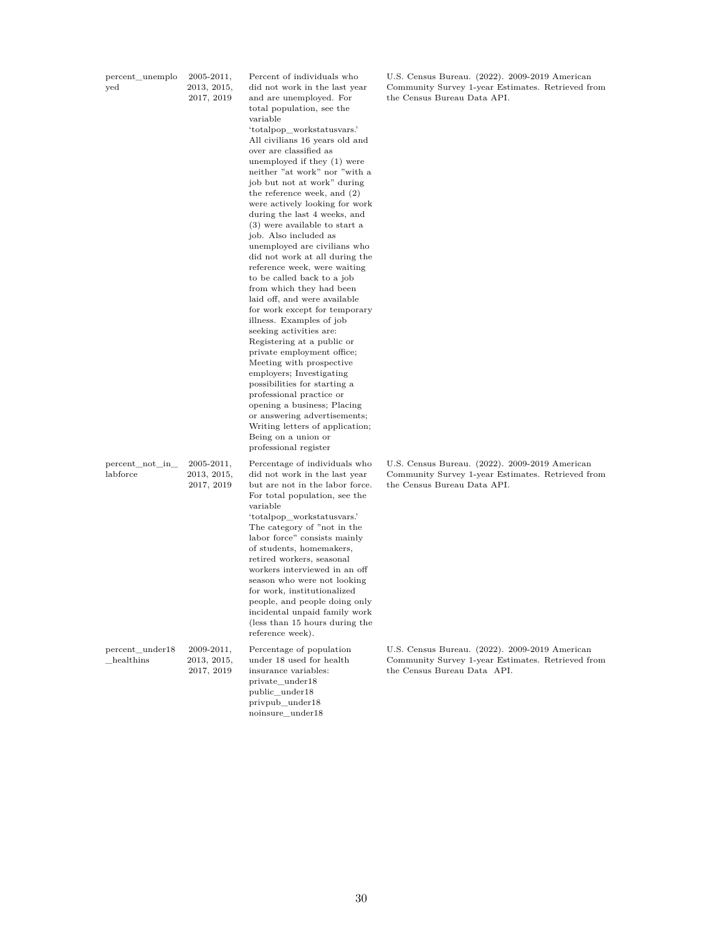| percent_unemplo<br>yed         | 2005-2011,<br>2013, 2015,<br>2017, 2019     | Percent of individuals who<br>did not work in the last year<br>and are unemployed. For<br>total population, see the<br>variable<br>'totalpop_workstatusvars.'<br>All civilians 16 years old and<br>over are classified as<br>unemployed if they (1) were<br>neither "at work" nor "with a<br>job but not at work" during<br>the reference week, and $(2)$<br>were actively looking for work<br>during the last 4 weeks, and<br>(3) were available to start a<br>job. Also included as<br>unemployed are civilians who<br>did not work at all during the<br>reference week, were waiting<br>to be called back to a job<br>from which they had been<br>laid off, and were available<br>for work except for temporary<br>illness. Examples of job<br>seeking activities are:<br>Registering at a public or<br>private employment office;<br>Meeting with prospective<br>employers; Investigating<br>possibilities for starting a<br>professional practice or<br>opening a business; Placing<br>or answering advertisements;<br>Writing letters of application;<br>Being on a union or<br>professional register | U.S. Census Bureau. (2022). 2009-2019 American<br>Community Survey 1-year Estimates. Retrieved from<br>the Census Bureau Data API. |
|--------------------------------|---------------------------------------------|-------------------------------------------------------------------------------------------------------------------------------------------------------------------------------------------------------------------------------------------------------------------------------------------------------------------------------------------------------------------------------------------------------------------------------------------------------------------------------------------------------------------------------------------------------------------------------------------------------------------------------------------------------------------------------------------------------------------------------------------------------------------------------------------------------------------------------------------------------------------------------------------------------------------------------------------------------------------------------------------------------------------------------------------------------------------------------------------------------------|------------------------------------------------------------------------------------------------------------------------------------|
| $percent\_not\_in$<br>labforce | $2005 - 2011,$<br>2013, 2015,<br>2017, 2019 | Percentage of individuals who<br>did not work in the last year<br>but are not in the labor force.<br>For total population, see the<br>variable<br>'totalpop_workstatusvars.'<br>The category of "not in the<br>labor force" consists mainly<br>of students, homemakers,<br>retired workers, seasonal<br>workers interviewed in an off<br>season who were not looking<br>for work, institutionalized<br>people, and people doing only<br>incidental unpaid family work<br>(less than 15 hours during the<br>reference week).                                                                                                                                                                                                                                                                                                                                                                                                                                                                                                                                                                                 | U.S. Census Bureau. (2022). 2009-2019 American<br>Community Survey 1-year Estimates. Retrieved from<br>the Census Bureau Data API. |
| percent_under18<br>healthins   | $2009 - 2011,$<br>2013, 2015,<br>2017, 2019 | Percentage of population<br>under 18 used for health<br>insurance variables:<br>private_under18<br>public under18<br>privpub under18                                                                                                                                                                                                                                                                                                                                                                                                                                                                                                                                                                                                                                                                                                                                                                                                                                                                                                                                                                        | U.S. Census Bureau. (2022). 2009-2019 American<br>Community Survey 1-year Estimates. Retrieved from<br>the Census Bureau Data API. |

noinsure\_under18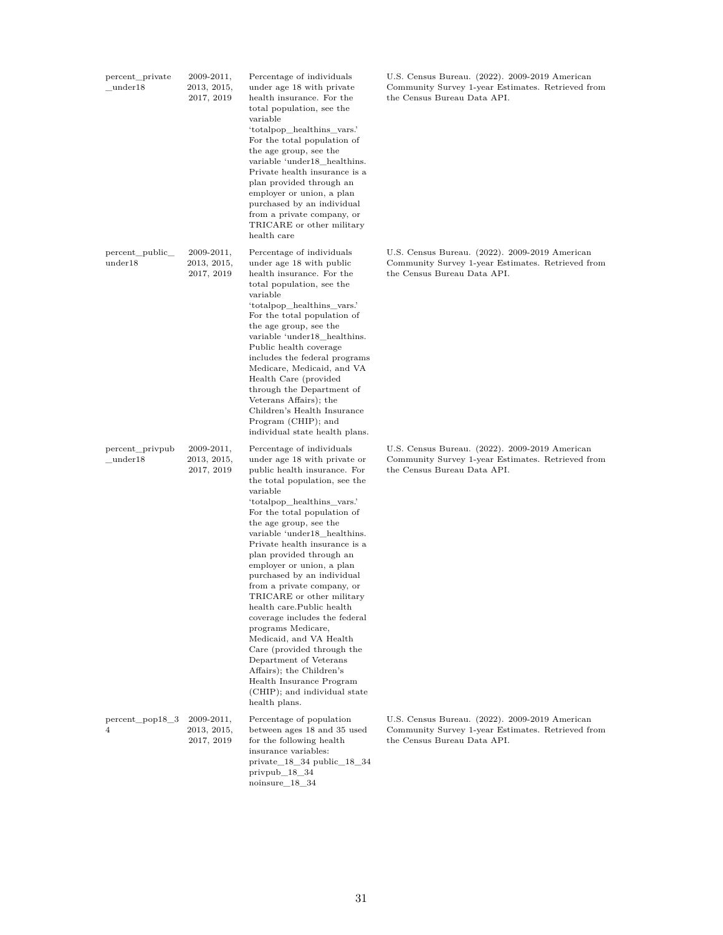| percent_private<br>under18  | $2009 - 2011,$<br>2013, 2015,<br>2017, 2019 | Percentage of individuals<br>under age 18 with private<br>health insurance. For the<br>total population, see the<br>variable<br>'totalpop_healthins_vars.'<br>For the total population of<br>the age group, see the<br>variable 'under18 healthins.<br>Private health insurance is a<br>plan provided through an<br>employer or union, a plan<br>purchased by an individual<br>from a private company, or<br>TRICARE or other military<br>health care                                                                                                                                                                                                                                                                            | U.S. Census Bureau. (2022). 2009-2019 American<br>Community Survey 1-year Estimates. Retrieved from<br>the Census Bureau Data API. |
|-----------------------------|---------------------------------------------|----------------------------------------------------------------------------------------------------------------------------------------------------------------------------------------------------------------------------------------------------------------------------------------------------------------------------------------------------------------------------------------------------------------------------------------------------------------------------------------------------------------------------------------------------------------------------------------------------------------------------------------------------------------------------------------------------------------------------------|------------------------------------------------------------------------------------------------------------------------------------|
| percent_public_<br>under18  | $2009 - 2011,$<br>2013, 2015,<br>2017, 2019 | Percentage of individuals<br>under age 18 with public<br>health insurance. For the<br>total population, see the<br>variable<br>'totalpop_healthins_vars.'<br>For the total population of<br>the age group, see the<br>variable 'under18_healthins.<br>Public health coverage<br>includes the federal programs<br>Medicare, Medicaid, and VA<br>Health Care (provided<br>through the Department of<br>Veterans Affairs); the<br>Children's Health Insurance<br>Program (CHIP); and<br>individual state health plans.                                                                                                                                                                                                              | U.S. Census Bureau. (2022). 2009-2019 American<br>Community Survey 1-year Estimates. Retrieved from<br>the Census Bureau Data API. |
| percent_privpub<br>under 18 | $2009 - 2011,$<br>2013, 2015,<br>2017, 2019 | Percentage of individuals<br>under age 18 with private or<br>public health insurance. For<br>the total population, see the<br>variable<br>'totalpop_healthins_vars.'<br>For the total population of<br>the age group, see the<br>variable 'under18 healthins.<br>Private health insurance is a<br>plan provided through an<br>employer or union, a plan<br>purchased by an individual<br>from a private company, or<br>TRICARE or other military<br>health care.Public health<br>coverage includes the federal<br>programs Medicare,<br>Medicaid, and VA Health<br>Care (provided through the<br>Department of Veterans<br>Affairs); the Children's<br>Health Insurance Program<br>(CHIP); and individual state<br>health plans. | U.S. Census Bureau. (2022). 2009-2019 American<br>Community Survey 1-year Estimates. Retrieved from<br>the Census Bureau Data API. |
| percent_pop18_3<br>4        | $2009 - 2011,$<br>2013, 2015,<br>2017, 2019 | Percentage of population<br>between ages 18 and 35 used<br>for the following health<br>insurance variables:<br>$private_18_34 public_18_34$<br>$privpub_18_34$<br>$noinsure_18_34$                                                                                                                                                                                                                                                                                                                                                                                                                                                                                                                                               | U.S. Census Bureau. (2022). 2009-2019 American<br>Community Survey 1-year Estimates. Retrieved from<br>the Census Bureau Data API. |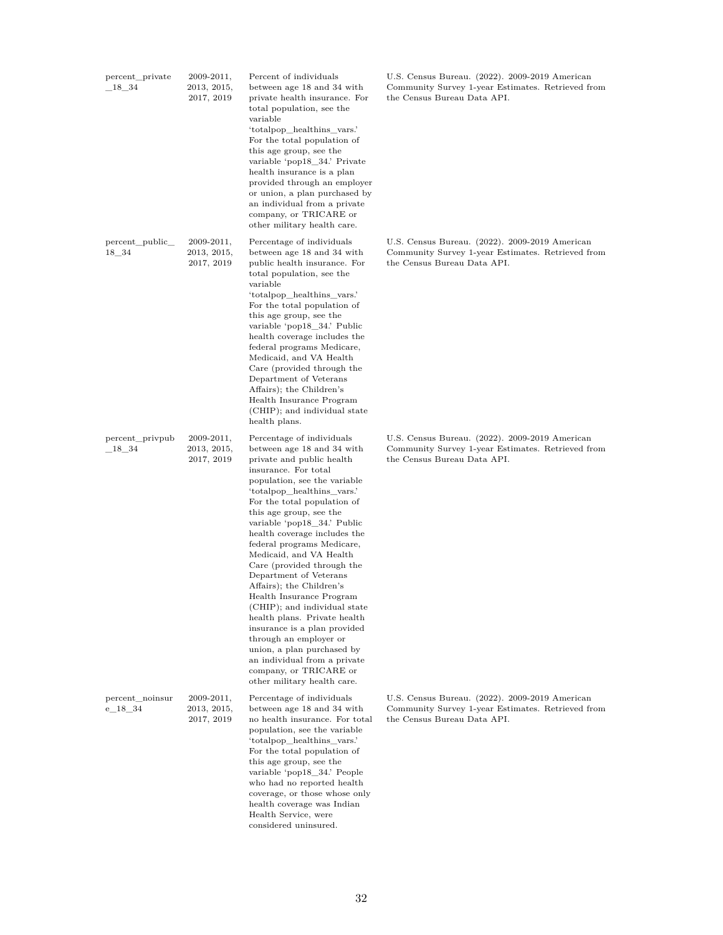| percent_private<br>$18 - 34$  | 2009-2011,<br>2013, 2015,<br>2017, 2019     | Percent of individuals<br>between age 18 and 34 with<br>private health insurance. For<br>total population, see the<br>variable<br>'totalpop_healthins_vars.'<br>For the total population of<br>this age group, see the<br>variable 'pop18_34.' Private<br>health insurance is a plan<br>provided through an employer<br>or union, a plan purchased by<br>an individual from a private<br>company, or TRICARE or<br>other military health care.                                                                                                                                                                                                                                                                                | U.S. Census Bureau. (2022). 2009-2019 American<br>Community Survey 1-year Estimates. Retrieved from<br>the Census Bureau Data API. |
|-------------------------------|---------------------------------------------|-------------------------------------------------------------------------------------------------------------------------------------------------------------------------------------------------------------------------------------------------------------------------------------------------------------------------------------------------------------------------------------------------------------------------------------------------------------------------------------------------------------------------------------------------------------------------------------------------------------------------------------------------------------------------------------------------------------------------------|------------------------------------------------------------------------------------------------------------------------------------|
| percent_public_<br>$18 - 34$  | 2009-2011,<br>2013, 2015,<br>2017, 2019     | Percentage of individuals<br>between age 18 and 34 with<br>public health insurance. For<br>total population, see the<br>variable<br>'totalpop_healthins_vars.'<br>For the total population of<br>this age group, see the<br>variable 'pop18_34.' Public<br>health coverage includes the<br>federal programs Medicare,<br>Medicaid, and VA Health<br>Care (provided through the<br>Department of Veterans<br>Affairs); the Children's<br>Health Insurance Program<br>(CHIP); and individual state<br>health plans.                                                                                                                                                                                                             | U.S. Census Bureau. (2022). 2009-2019 American<br>Community Survey 1-year Estimates. Retrieved from<br>the Census Bureau Data API. |
| percent_privpub<br>$\_18\_34$ | $2009 - 2011,$<br>2013, 2015,<br>2017, 2019 | Percentage of individuals<br>between age 18 and 34 with<br>private and public health<br>insurance. For total<br>population, see the variable<br>'totalpop_healthins_vars.'<br>For the total population of<br>this age group, see the<br>variable 'pop18_34.' Public<br>health coverage includes the<br>federal programs Medicare,<br>Medicaid, and VA Health<br>Care (provided through the<br>Department of Veterans<br>Affairs); the Children's<br>Health Insurance Program<br>(CHIP); and individual state<br>health plans. Private health<br>insurance is a plan provided<br>through an employer or<br>union, a plan purchased by<br>an individual from a private<br>company, or TRICARE or<br>other military health care. | U.S. Census Bureau. (2022). 2009-2019 American<br>Community Survey 1-year Estimates. Retrieved from<br>the Census Bureau Data API. |
| percent_noinsur<br>$e_{18}34$ | $2009 - 2011,$<br>2013, 2015,<br>2017, 2019 | Percentage of individuals<br>between age 18 and 34 with<br>no health insurance. For total<br>population, see the variable<br>'totalpop_healthins_vars.'<br>For the total population of<br>this age group, see the<br>variable 'pop18_34.' People<br>who had no reported health<br>coverage, or those whose only<br>health coverage was Indian<br>Health Service, were<br>considered uninsured.                                                                                                                                                                                                                                                                                                                                | U.S. Census Bureau. (2022). 2009-2019 American<br>Community Survey 1-year Estimates. Retrieved from<br>the Census Bureau Data API. |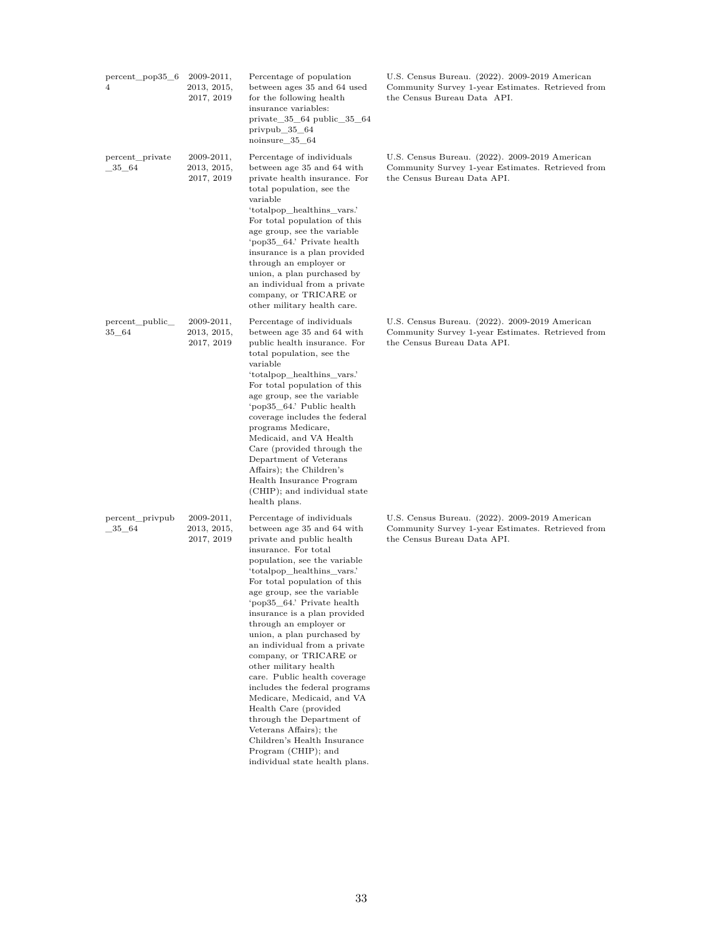| 4                             | percent_pop35_6 | $2009 - 2011,$<br>2013, 2015,<br>2017, 2019 | Percentage of population<br>between ages 35 and 64 used<br>for the following health<br>insurance variables:<br>private $35-64$ public $35-64$<br>privpub $\_\,35\_\,64$<br>noinsure_35_64                                                                                                                                                                                                                                                                                                                                                                                                                                                                                                                                 | U.S. Census Bureau. (2022). 2009-2019 American<br>Community Survey 1-year Estimates. Retrieved from<br>the Census Bureau Data API. |
|-------------------------------|-----------------|---------------------------------------------|---------------------------------------------------------------------------------------------------------------------------------------------------------------------------------------------------------------------------------------------------------------------------------------------------------------------------------------------------------------------------------------------------------------------------------------------------------------------------------------------------------------------------------------------------------------------------------------------------------------------------------------------------------------------------------------------------------------------------|------------------------------------------------------------------------------------------------------------------------------------|
| percent_private<br>$-35 - 64$ |                 | $2009 - 2011,$<br>2013, 2015,<br>2017, 2019 | Percentage of individuals<br>between age 35 and 64 with<br>private health insurance. For<br>total population, see the<br>variable<br>'totalpop healthins vars.'<br>For total population of this<br>age group, see the variable<br>'pop35_64.' Private health<br>insurance is a plan provided<br>through an employer or<br>union, a plan purchased by<br>an individual from a private<br>company, or TRICARE or<br>other military health care.                                                                                                                                                                                                                                                                             | U.S. Census Bureau. (2022). 2009-2019 American<br>Community Survey 1-year Estimates. Retrieved from<br>the Census Bureau Data API. |
| percent public<br>35_64       |                 | $2009 - 2011,$<br>2013, 2015,<br>2017, 2019 | Percentage of individuals<br>between age 35 and 64 with<br>public health insurance. For<br>total population, see the<br>variable<br>'totalpop healthins vars.'<br>For total population of this<br>age group, see the variable<br>'pop35 64.' Public health<br>coverage includes the federal<br>programs Medicare,<br>Medicaid, and VA Health<br>Care (provided through the<br>Department of Veterans<br>Affairs); the Children's<br>Health Insurance Program<br>(CHIP); and individual state<br>health plans.                                                                                                                                                                                                             | U.S. Census Bureau. (2022). 2009-2019 American<br>Community Survey 1-year Estimates. Retrieved from<br>the Census Bureau Data API. |
| percent_privpub<br>$-35 - 64$ |                 | $2009 - 2011,$<br>2013, 2015,<br>2017, 2019 | Percentage of individuals<br>between age 35 and 64 with<br>private and public health<br>insurance. For total<br>population, see the variable<br>'totalpop_healthins_vars.'<br>For total population of this<br>age group, see the variable<br>'pop35_64.' Private health<br>insurance is a plan provided<br>through an employer or<br>union, a plan purchased by<br>an individual from a private<br>company, or TRICARE or<br>other military health<br>care. Public health coverage<br>includes the federal programs<br>Medicare, Medicaid, and VA<br>Health Care (provided<br>through the Department of<br>Veterans Affairs); the<br>Children's Health Insurance<br>Program (CHIP); and<br>individual state health plans. | U.S. Census Bureau. (2022). 2009-2019 American<br>Community Survey 1-year Estimates. Retrieved from<br>the Census Bureau Data API. |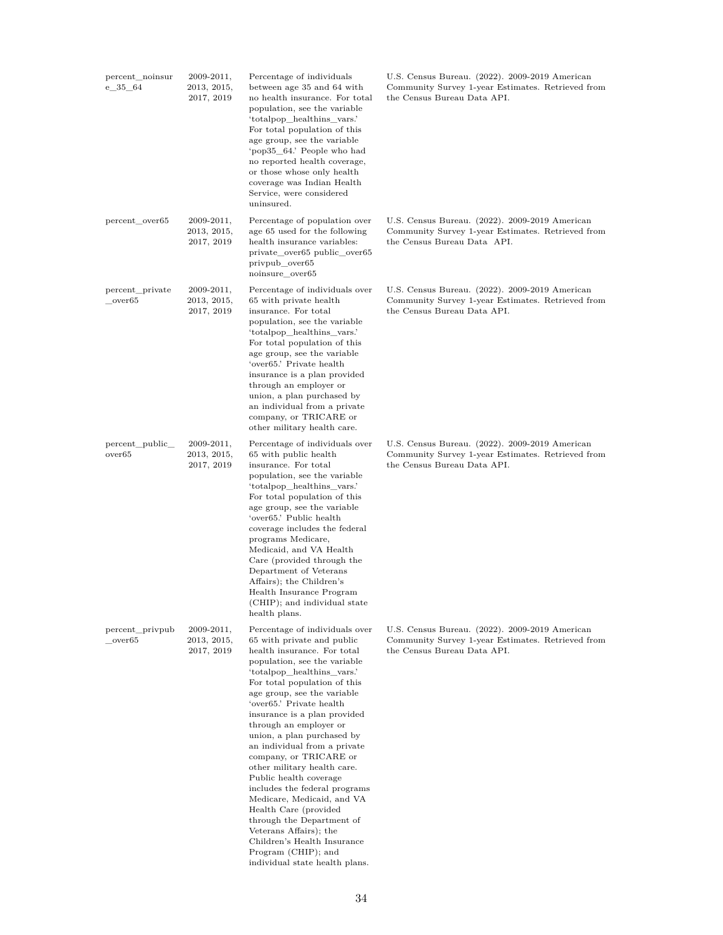| percent_noinsur<br>e 35 64            | 2009-2011,<br>2013, 2015,<br>2017, 2019     | Percentage of individuals<br>between age 35 and 64 with<br>no health insurance. For total<br>population, see the variable<br>'totalpop_healthins_vars.'<br>For total population of this<br>age group, see the variable<br>'pop35 64.' People who had<br>no reported health coverage,<br>or those whose only health<br>coverage was Indian Health<br>Service, were considered<br>uninsured.                                                                                                                                                                                                                                                                           | U.S. Census Bureau. (2022). 2009-2019 American<br>Community Survey 1-year Estimates. Retrieved from<br>the Census Bureau Data API. |
|---------------------------------------|---------------------------------------------|----------------------------------------------------------------------------------------------------------------------------------------------------------------------------------------------------------------------------------------------------------------------------------------------------------------------------------------------------------------------------------------------------------------------------------------------------------------------------------------------------------------------------------------------------------------------------------------------------------------------------------------------------------------------|------------------------------------------------------------------------------------------------------------------------------------|
| percent over65                        | $2009 - 2011,$<br>2013, 2015,<br>2017, 2019 | Percentage of population over<br>age 65 used for the following<br>health insurance variables:<br>private_over65 public_over65<br>privpub_over65<br>noinsure over65                                                                                                                                                                                                                                                                                                                                                                                                                                                                                                   | U.S. Census Bureau. (2022). 2009-2019 American<br>Community Survey 1-year Estimates. Retrieved from<br>the Census Bureau Data API. |
| percent_private<br>over <sub>65</sub> | $2009 - 2011,$<br>2013, 2015,<br>2017, 2019 | Percentage of individuals over<br>65 with private health<br>insurance. For total<br>population, see the variable<br>'totalpop_healthins_vars.'<br>For total population of this<br>age group, see the variable<br>'over65.' Private health<br>insurance is a plan provided<br>through an employer or<br>union, a plan purchased by<br>an individual from a private<br>company, or TRICARE or<br>other military health care.                                                                                                                                                                                                                                           | U.S. Census Bureau. (2022). 2009-2019 American<br>Community Survey 1-year Estimates. Retrieved from<br>the Census Bureau Data API. |
| percent_public_<br>over65             | $2009 - 2011,$<br>2013, 2015,<br>2017, 2019 | Percentage of individuals over<br>65 with public health<br>insurance. For total<br>population, see the variable<br>'totalpop_healthins_vars.'<br>For total population of this<br>age group, see the variable<br>'over65.' Public health<br>coverage includes the federal<br>programs Medicare,<br>Medicaid, and VA Health<br>Care (provided through the<br>Department of Veterans<br>Affairs); the Children's<br>Health Insurance Program<br>(CHIP); and individual state<br>health plans.                                                                                                                                                                           | U.S. Census Bureau. (2022). 2009-2019 American<br>Community Survey 1-year Estimates. Retrieved from<br>the Census Bureau Data API. |
| percent_privpub<br>over65             | 2009-2011,<br>2013, 2015,<br>2017, 2019     | Percentage of individuals over<br>65 with private and public<br>health insurance. For total<br>population, see the variable<br>'totalpop_healthins_vars.'<br>For total population of this<br>age group, see the variable<br>'over65.' Private health<br>insurance is a plan provided<br>through an employer or<br>union, a plan purchased by<br>an individual from a private<br>company, or TRICARE or<br>other military health care.<br>Public health coverage<br>includes the federal programs<br>Medicare, Medicaid, and VA<br>Health Care (provided<br>through the Department of<br>Veterans Affairs); the<br>Children's Health Insurance<br>Program (CHIP); and | U.S. Census Bureau. (2022). 2009-2019 American<br>Community Survey 1-year Estimates. Retrieved from<br>the Census Bureau Data API. |

individual state health plans.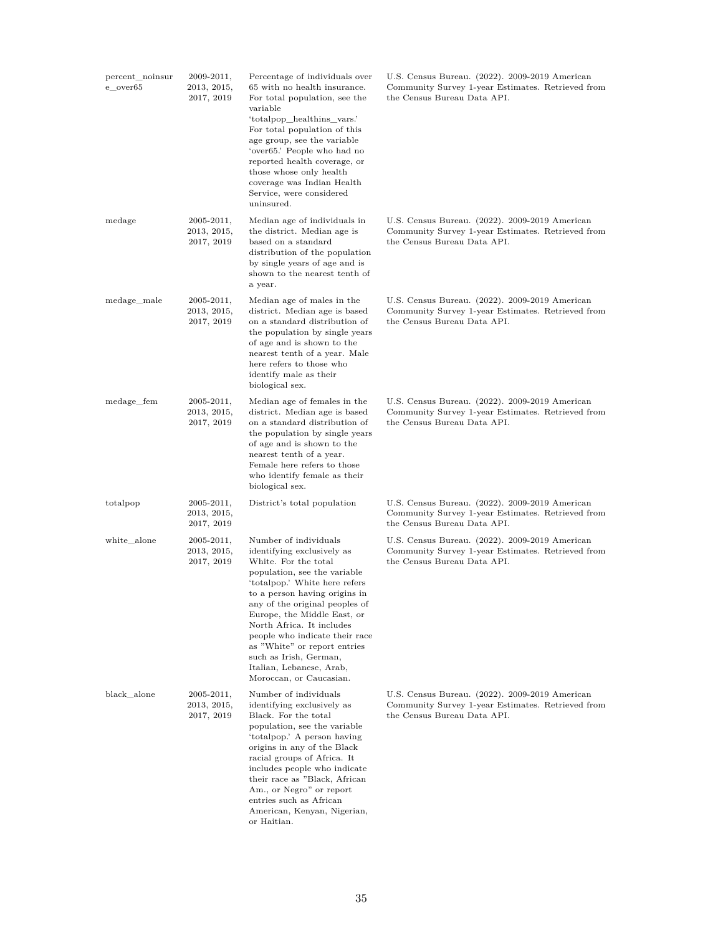| percent_noinsur<br>e over65 | 2009-2011,<br>2013, 2015,<br>2017, 2019     | Percentage of individuals over<br>65 with no health insurance.<br>For total population, see the<br>variable<br>'totalpop_healthins_vars.'<br>For total population of this<br>age group, see the variable<br>'over65.' People who had no<br>reported health coverage, or<br>those whose only health<br>coverage was Indian Health<br>Service, were considered<br>uninsured.                                                     | U.S. Census Bureau. (2022). 2009-2019 American<br>Community Survey 1-year Estimates. Retrieved from<br>the Census Bureau Data API. |
|-----------------------------|---------------------------------------------|--------------------------------------------------------------------------------------------------------------------------------------------------------------------------------------------------------------------------------------------------------------------------------------------------------------------------------------------------------------------------------------------------------------------------------|------------------------------------------------------------------------------------------------------------------------------------|
| medage                      | $2005 - 2011,$<br>2013, 2015,<br>2017, 2019 | Median age of individuals in<br>the district. Median age is<br>based on a standard<br>distribution of the population<br>by single years of age and is<br>shown to the nearest tenth of<br>a year.                                                                                                                                                                                                                              | U.S. Census Bureau. (2022). 2009-2019 American<br>Community Survey 1-year Estimates. Retrieved from<br>the Census Bureau Data API. |
| medage male                 | $2005 - 2011,$<br>2013, 2015,<br>2017, 2019 | Median age of males in the<br>district. Median age is based<br>on a standard distribution of<br>the population by single years<br>of age and is shown to the<br>nearest tenth of a year. Male<br>here refers to those who<br>identify male as their<br>biological sex.                                                                                                                                                         | U.S. Census Bureau. (2022). 2009-2019 American<br>Community Survey 1-year Estimates. Retrieved from<br>the Census Bureau Data API. |
| medage_fem                  | $2005 - 2011,$<br>2013, 2015,<br>2017, 2019 | Median age of females in the<br>district. Median age is based<br>on a standard distribution of<br>the population by single years<br>of age and is shown to the<br>nearest tenth of a year.<br>Female here refers to those<br>who identify female as their<br>biological sex.                                                                                                                                                   | U.S. Census Bureau. (2022). 2009-2019 American<br>Community Survey 1-year Estimates. Retrieved from<br>the Census Bureau Data API. |
| totalpop                    | $2005 - 2011,$<br>2013, 2015,<br>2017, 2019 | District's total population                                                                                                                                                                                                                                                                                                                                                                                                    | U.S. Census Bureau. (2022). 2009-2019 American<br>Community Survey 1-year Estimates. Retrieved from<br>the Census Bureau Data API. |
| white_alone                 | $2005 - 2011,$<br>2013, 2015,<br>2017, 2019 | Number of individuals<br>identifying exclusively as<br>White. For the total<br>population, see the variable<br>'totalpop.' White here refers<br>to a person having origins in<br>any of the original peoples of<br>Europe, the Middle East, or<br>North Africa. It includes<br>people who indicate their race<br>as "White" or report entries<br>such as Irish, German,<br>Italian, Lebanese, Arab,<br>Moroccan, or Caucasian. | U.S. Census Bureau. (2022). 2009-2019 American<br>Community Survey 1-year Estimates. Retrieved from<br>the Census Bureau Data API. |
| $black$ alone               | $2005 - 2011,$<br>2013, 2015,<br>2017, 2019 | Number of individuals<br>identifying exclusively as<br>Black. For the total<br>population, see the variable<br>'totalpop.' A person having<br>origins in any of the Black<br>racial groups of Africa. It<br>includes people who indicate<br>their race as "Black, African"<br>Am., or Negro" or report<br>entries such as African<br>American, Kenyan, Nigerian,<br>or Haitian.                                                | U.S. Census Bureau. (2022). 2009-2019 American<br>Community Survey 1-year Estimates. Retrieved from<br>the Census Bureau Data API. |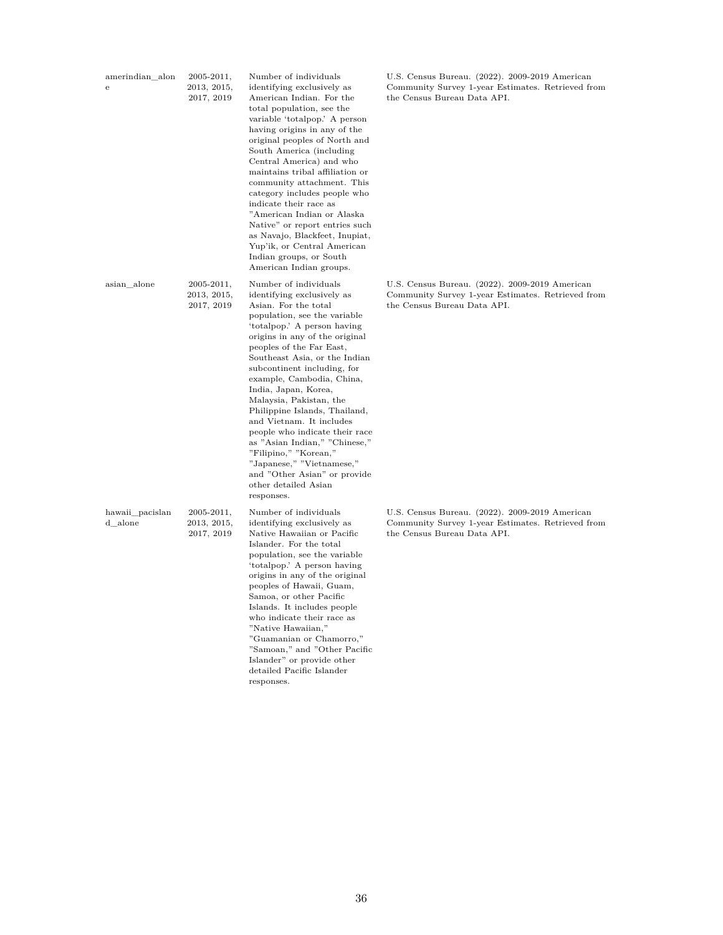| amerindian_alon<br>${\bf e}$ | $2005 - 2011,$<br>2013, 2015,<br>2017, 2019 | Number of individuals<br>identifying exclusively as<br>American Indian. For the<br>total population, see the<br>variable 'totalpop.' A person<br>having origins in any of the<br>original peoples of North and<br>South America (including<br>Central America) and who<br>maintains tribal affiliation or<br>community attachment. This<br>category includes people who<br>indicate their race as<br>"American Indian or Alaska<br>Native" or report entries such<br>as Navajo, Blackfeet, Inupiat,<br>Yup'ik, or Central American<br>Indian groups, or South<br>American Indian groups.                             | U.S. Census Bureau. (2022). 2009-2019 American<br>Community Survey 1-year Estimates. Retrieved from<br>the Census Bureau Data API. |
|------------------------------|---------------------------------------------|----------------------------------------------------------------------------------------------------------------------------------------------------------------------------------------------------------------------------------------------------------------------------------------------------------------------------------------------------------------------------------------------------------------------------------------------------------------------------------------------------------------------------------------------------------------------------------------------------------------------|------------------------------------------------------------------------------------------------------------------------------------|
| asian alone                  | $2005 - 2011,$<br>2013, 2015,<br>2017, 2019 | Number of individuals<br>identifying exclusively as<br>Asian. For the total<br>population, see the variable<br>'totalpop.' A person having<br>origins in any of the original<br>peoples of the Far East,<br>Southeast Asia, or the Indian<br>subcontinent including, for<br>example, Cambodia, China,<br>India, Japan, Korea,<br>Malaysia, Pakistan, the<br>Philippine Islands, Thailand,<br>and Vietnam. It includes<br>people who indicate their race<br>as "Asian Indian," "Chinese,"<br>"Filipino," "Korean,"<br>"Japanese," "Vietnamese,"<br>and "Other Asian" or provide<br>other detailed Asian<br>responses. | U.S. Census Bureau. (2022). 2009-2019 American<br>Community Survey 1-year Estimates. Retrieved from<br>the Census Bureau Data API. |
| hawaii_pacislan<br>d alone   | $2005 - 2011,$<br>2013, 2015,<br>2017, 2019 | Number of individuals<br>identifying exclusively as<br>Native Hawaiian or Pacific<br>Islander. For the total<br>population, see the variable<br>'totalpop.' A person having<br>origins in any of the original<br>peoples of Hawaii, Guam,<br>Samoa, or other Pacific<br>Islands. It includes people<br>who indicate their race as<br>"Native Hawaiian,"<br>"Guamanian or Chamorro,"<br>"Samoan," and "Other Pacific<br>Islander" or provide other<br>detailed Pacific Islander<br>responses.                                                                                                                         | U.S. Census Bureau. (2022). 2009-2019 American<br>Community Survey 1-year Estimates. Retrieved from<br>the Census Bureau Data API. |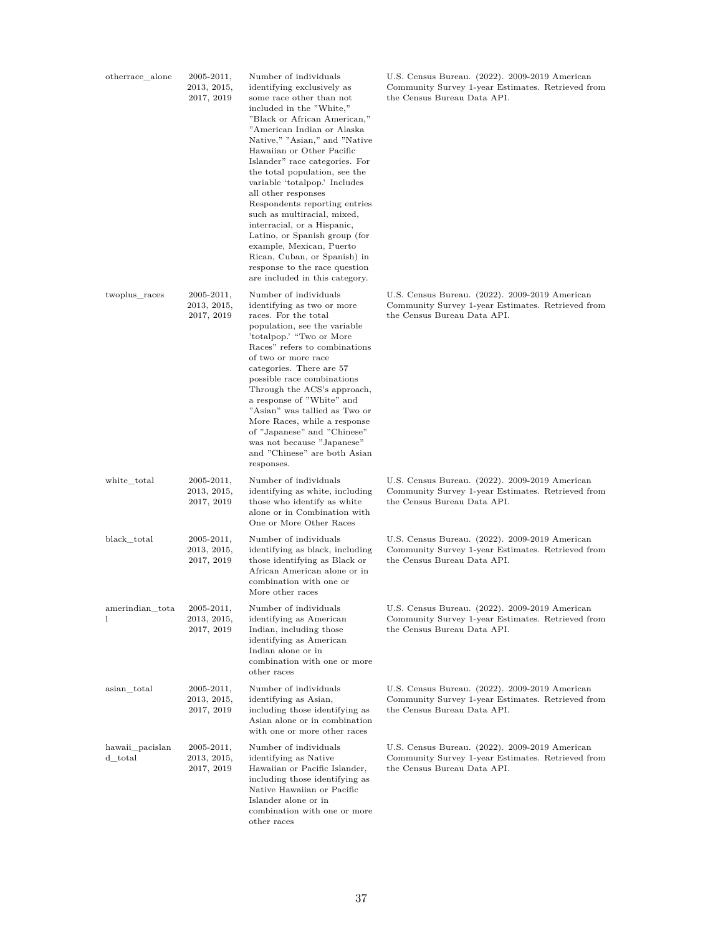| otherrace_alone            | $2005 - 2011,$<br>2013, 2015,<br>2017, 2019    | Number of individuals<br>identifying exclusively as<br>some race other than not<br>included in the "White,"<br>"Black or African American,"<br>"American Indian or Alaska<br>Native," "Asian," and "Native<br>Hawaiian or Other Pacific<br>Islander" race categories. For<br>the total population, see the<br>variable 'totalpop.' Includes<br>all other responses<br>Respondents reporting entries<br>such as multiracial, mixed,<br>interracial, or a Hispanic,<br>Latino, or Spanish group (for<br>example, Mexican, Puerto<br>Rican, Cuban, or Spanish) in<br>response to the race question<br>are included in this category. | U.S. Census Bureau. (2022). 2009-2019 American<br>Community Survey 1-year Estimates. Retrieved from<br>the Census Bureau Data API. |
|----------------------------|------------------------------------------------|-----------------------------------------------------------------------------------------------------------------------------------------------------------------------------------------------------------------------------------------------------------------------------------------------------------------------------------------------------------------------------------------------------------------------------------------------------------------------------------------------------------------------------------------------------------------------------------------------------------------------------------|------------------------------------------------------------------------------------------------------------------------------------|
| twoplus_races              | $2005 - 2011,$<br>$2013,\,2015,$<br>2017, 2019 | Number of individuals<br>identifying as two or more<br>races. For the total<br>population, see the variable<br>'totalpop.' "Two or More<br>Races" refers to combinations<br>of two or more race<br>categories. There are 57<br>possible race combinations<br>Through the ACS's approach,<br>a response of "White" and<br>"Asian" was tallied as Two or<br>More Races, while a response<br>of "Japanese" and "Chinese"<br>was not because "Japanese"<br>and "Chinese" are both Asian<br>responses.                                                                                                                                 | U.S. Census Bureau. (2022). 2009-2019 American<br>Community Survey 1-year Estimates. Retrieved from<br>the Census Bureau Data API. |
| white total                | $2005 - 2011,$<br>$2013,\,2015,$<br>2017, 2019 | Number of individuals<br>identifying as white, including<br>those who identify as white<br>alone or in Combination with<br>One or More Other Races                                                                                                                                                                                                                                                                                                                                                                                                                                                                                | U.S. Census Bureau. (2022). 2009-2019 American<br>Community Survey 1-year Estimates. Retrieved from<br>the Census Bureau Data API. |
| black_total                | $2005 - 2011,$<br>2013, 2015,<br>2017, 2019    | Number of individuals<br>identifying as black, including<br>those identifying as Black or<br>African American alone or in<br>combination with one or<br>More other races                                                                                                                                                                                                                                                                                                                                                                                                                                                          | U.S. Census Bureau. (2022). 2009-2019 American<br>Community Survey 1-year Estimates. Retrieved from<br>the Census Bureau Data API. |
| amerindian_tota<br>1       | $2005 - 2011,$<br>2013, 2015,<br>2017, 2019    | Number of individuals<br>identifying as American<br>Indian, including those<br>identifying as American<br>Indian alone or in<br>combination with one or more<br>other races                                                                                                                                                                                                                                                                                                                                                                                                                                                       | U.S. Census Bureau. (2022). 2009-2019 American<br>Community Survey 1-year Estimates. Retrieved from<br>the Census Bureau Data API. |
| asian_total                | $2005 - 2011,$<br>$2013,\,2015,$<br>2017, 2019 | Number of individuals<br>identifying as Asian,<br>including those identifying as<br>Asian alone or in combination<br>with one or more other races                                                                                                                                                                                                                                                                                                                                                                                                                                                                                 | U.S. Census Bureau. (2022). 2009-2019 American<br>Community Survey 1-year Estimates. Retrieved from<br>the Census Bureau Data API. |
| hawaii_pacislan<br>d_total | $2005 - 2011,$<br>$2013,\,2015,$<br>2017, 2019 | Number of individuals<br>identifying as Native<br>Hawaiian or Pacific Islander,<br>including those identifying as<br>Native Hawaiian or Pacific<br>Islander alone or in<br>combination with one or more<br>other races                                                                                                                                                                                                                                                                                                                                                                                                            | U.S. Census Bureau. (2022). 2009-2019 American<br>Community Survey 1-year Estimates. Retrieved from<br>the Census Bureau Data API. |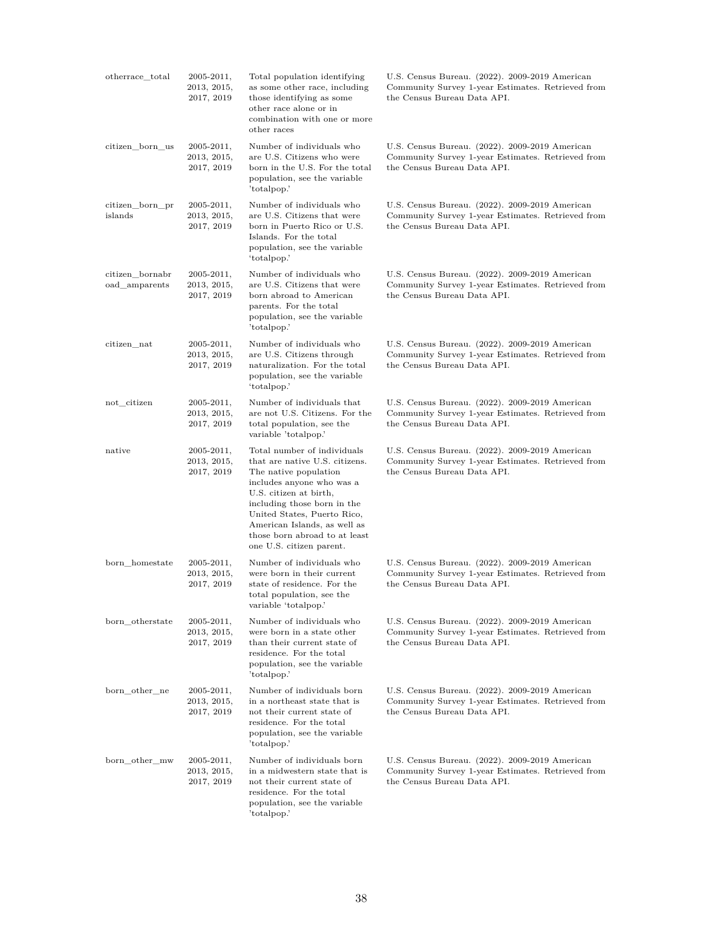| otherrace_total                  | $2005 - 2011,$<br>2013, 2015,<br>2017, 2019 | Total population identifying<br>as some other race, including<br>those identifying as some<br>other race alone or in<br>combination with one or more<br>other races                                                                                                                                      | U.S. Census Bureau. (2022). 2009-2019 American<br>Community Survey 1-year Estimates. Retrieved from<br>the Census Bureau Data API. |
|----------------------------------|---------------------------------------------|----------------------------------------------------------------------------------------------------------------------------------------------------------------------------------------------------------------------------------------------------------------------------------------------------------|------------------------------------------------------------------------------------------------------------------------------------|
| citizen_born_us                  | 2005-2011,<br>2013, 2015,<br>2017, 2019     | Number of individuals who<br>are U.S. Citizens who were<br>born in the U.S. For the total<br>population, see the variable<br>'totalpop.'                                                                                                                                                                 | U.S. Census Bureau. (2022). 2009-2019 American<br>Community Survey 1-year Estimates. Retrieved from<br>the Census Bureau Data API. |
| citizen_born_pr<br>islands       | $2005 - 2011,$<br>2013, 2015,<br>2017, 2019 | Number of individuals who<br>are U.S. Citizens that were<br>born in Puerto Rico or U.S.<br>Islands. For the total<br>population, see the variable<br>'totalpop.'                                                                                                                                         | U.S. Census Bureau. (2022). 2009-2019 American<br>Community Survey 1-year Estimates. Retrieved from<br>the Census Bureau Data API. |
| citizen_bornabr<br>oad_amparents | $2005 - 2011,$<br>2013, 2015,<br>2017, 2019 | Number of individuals who<br>are U.S. Citizens that were<br>born abroad to American<br>parents. For the total<br>population, see the variable<br>'totalpop.'                                                                                                                                             | U.S. Census Bureau. (2022). 2009-2019 American<br>Community Survey 1-year Estimates. Retrieved from<br>the Census Bureau Data API. |
| citizen nat                      | $2005 - 2011,$<br>2013, 2015,<br>2017, 2019 | Number of individuals who<br>are U.S. Citizens through<br>naturalization. For the total<br>population, see the variable<br>'totalpop.'                                                                                                                                                                   | U.S. Census Bureau. (2022). 2009-2019 American<br>Community Survey 1-year Estimates. Retrieved from<br>the Census Bureau Data API. |
| not_citizen                      | $2005 - 2011,$<br>2013, 2015,<br>2017, 2019 | Number of individuals that<br>are not U.S. Citizens. For the<br>total population, see the<br>variable 'totalpop.'                                                                                                                                                                                        | U.S. Census Bureau. (2022). 2009-2019 American<br>Community Survey 1-year Estimates. Retrieved from<br>the Census Bureau Data API. |
| native                           | $2005 - 2011,$<br>2013, 2015,<br>2017, 2019 | Total number of individuals<br>that are native U.S. citizens.<br>The native population<br>includes anyone who was a<br>U.S. citizen at birth,<br>including those born in the<br>United States, Puerto Rico,<br>American Islands, as well as<br>those born abroad to at least<br>one U.S. citizen parent. | U.S. Census Bureau. (2022). 2009-2019 American<br>Community Survey 1-year Estimates. Retrieved from<br>the Census Bureau Data API. |
| born homestate                   | $2005 - 2011,$<br>2013, 2015,<br>2017, 2019 | Number of individuals who<br>were born in their current<br>state of residence. For the<br>total population, see the<br>variable 'totalpop.'                                                                                                                                                              | U.S. Census Bureau. (2022). 2009-2019 American<br>Community Survey 1-year Estimates. Retrieved from<br>the Census Bureau Data API. |
| born_otherstate                  | $2005 - 2011,$<br>2013, 2015,<br>2017, 2019 | Number of individuals who<br>were born in a state other<br>than their current state of<br>residence. For the total<br>population, see the variable<br>'totalpop.'                                                                                                                                        | U.S. Census Bureau. (2022). 2009-2019 American<br>Community Survey 1-year Estimates. Retrieved from<br>the Census Bureau Data API. |
| born other ne                    | $2005 - 2011,$<br>2013, 2015,<br>2017, 2019 | Number of individuals born<br>in a northeast state that is<br>not their current state of<br>residence. For the total<br>population, see the variable<br>'totalpop.'                                                                                                                                      | U.S. Census Bureau. (2022). 2009-2019 American<br>Community Survey 1-year Estimates. Retrieved from<br>the Census Bureau Data API. |
| born_other_mw                    | $2005 - 2011,$<br>2013, 2015,<br>2017, 2019 | Number of individuals born<br>in a midwestern state that is<br>not their current state of<br>residence. For the total<br>population, see the variable<br>'totalpop.'                                                                                                                                     | U.S. Census Bureau. (2022). 2009-2019 American<br>Community Survey 1-year Estimates. Retrieved from<br>the Census Bureau Data API. |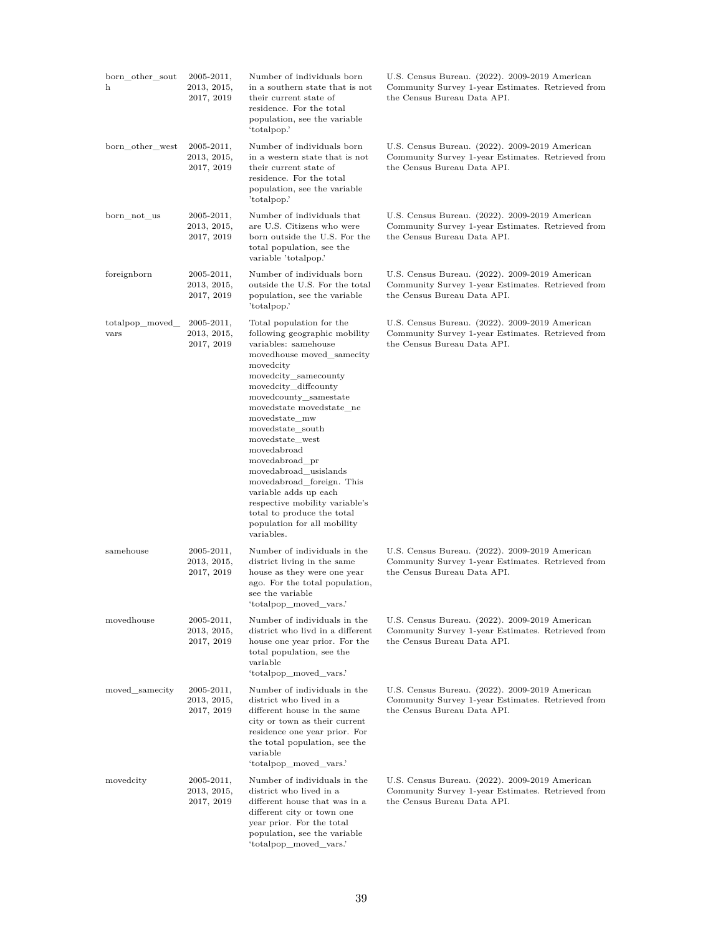| born_other_sout<br>h   | $2005 - 2011,$<br>2013, 2015,<br>2017, 2019 | Number of individuals born<br>in a southern state that is not<br>their current state of<br>residence. For the total<br>population, see the variable<br>'totalpop.'                                                                                                                                                                                                                                                                                                                                                    | U.S. Census Bureau. (2022). 2009-2019 American<br>Community Survey 1-year Estimates. Retrieved from<br>the Census Bureau Data API. |
|------------------------|---------------------------------------------|-----------------------------------------------------------------------------------------------------------------------------------------------------------------------------------------------------------------------------------------------------------------------------------------------------------------------------------------------------------------------------------------------------------------------------------------------------------------------------------------------------------------------|------------------------------------------------------------------------------------------------------------------------------------|
| born_other_west        | $2005 - 2011,$<br>2013, 2015,<br>2017, 2019 | Number of individuals born<br>in a western state that is not<br>their current state of<br>residence. For the total<br>population, see the variable<br>'totalpop.'                                                                                                                                                                                                                                                                                                                                                     | U.S. Census Bureau. (2022). 2009-2019 American<br>Community Survey 1-year Estimates. Retrieved from<br>the Census Bureau Data API. |
| born not us            | $2005 - 2011,$<br>2013, 2015,<br>2017, 2019 | Number of individuals that<br>are U.S. Citizens who were<br>born outside the U.S. For the<br>total population, see the<br>variable 'totalpop.'                                                                                                                                                                                                                                                                                                                                                                        | U.S. Census Bureau. (2022). 2009-2019 American<br>Community Survey 1-year Estimates. Retrieved from<br>the Census Bureau Data API. |
| foreignborn            | $2005 - 2011,$<br>2013, 2015,<br>2017, 2019 | Number of individuals born<br>outside the U.S. For the total<br>population, see the variable<br>'totalpop.'                                                                                                                                                                                                                                                                                                                                                                                                           | U.S. Census Bureau. (2022). 2009-2019 American<br>Community Survey 1-year Estimates. Retrieved from<br>the Census Bureau Data API. |
| totalpop moved<br>vars | $2005 - 2011,$<br>2013, 2015,<br>2017, 2019 | Total population for the<br>following geographic mobility<br>variables: samehouse<br>movedhouse moved_samecity<br>movedcity<br>movedcity_samecounty<br>movedcity_diffcounty<br>movedcounty_samestate<br>movedstate movedstate ne<br>movedstate mw<br>movedstate south<br>movedstate west<br>movedabroad<br>movedabroad_pr<br>movedabroad_usislands<br>movedabroad_foreign. This<br>variable adds up each<br>respective mobility variable's<br>total to produce the total<br>population for all mobility<br>variables. | U.S. Census Bureau. (2022). 2009-2019 American<br>Community Survey 1-year Estimates. Retrieved from<br>the Census Bureau Data API. |
| samehouse              | $2005 - 2011,$<br>2013, 2015,<br>2017, 2019 | Number of individuals in the<br>district living in the same<br>house as they were one year<br>ago. For the total population,<br>see the variable<br>'totalpop_moved_vars.'                                                                                                                                                                                                                                                                                                                                            | U.S. Census Bureau. (2022). 2009-2019 American<br>Community Survey 1-year Estimates. Retrieved from<br>the Census Bureau Data API. |
| movedhouse             | $2005 - 2011,$<br>2013, 2015,<br>2017, 2019 | Number of individuals in the<br>district who livd in a different<br>house one year prior. For the<br>total population, see the<br>variable<br>'totalpop moved vars.'                                                                                                                                                                                                                                                                                                                                                  | U.S. Census Bureau. (2022). 2009-2019 American<br>Community Survey 1-year Estimates. Retrieved from<br>the Census Bureau Data API. |
| moved samecity         | $2005 - 2011,$<br>2013, 2015,<br>2017, 2019 | Number of individuals in the<br>district who lived in a<br>different house in the same<br>city or town as their current<br>residence one year prior. For<br>the total population, see the<br>variable<br>'totalpop moved vars.'                                                                                                                                                                                                                                                                                       | U.S. Census Bureau. (2022). 2009-2019 American<br>Community Survey 1-year Estimates. Retrieved from<br>the Census Bureau Data API. |
| movedcity              | $2005 - 2011,$<br>2013, 2015,<br>2017, 2019 | Number of individuals in the<br>district who lived in a<br>different house that was in a<br>different city or town one<br>year prior. For the total<br>population, see the variable<br>'totalpop_moved_vars.'                                                                                                                                                                                                                                                                                                         | U.S. Census Bureau. (2022). 2009-2019 American<br>Community Survey 1-year Estimates. Retrieved from<br>the Census Bureau Data API. |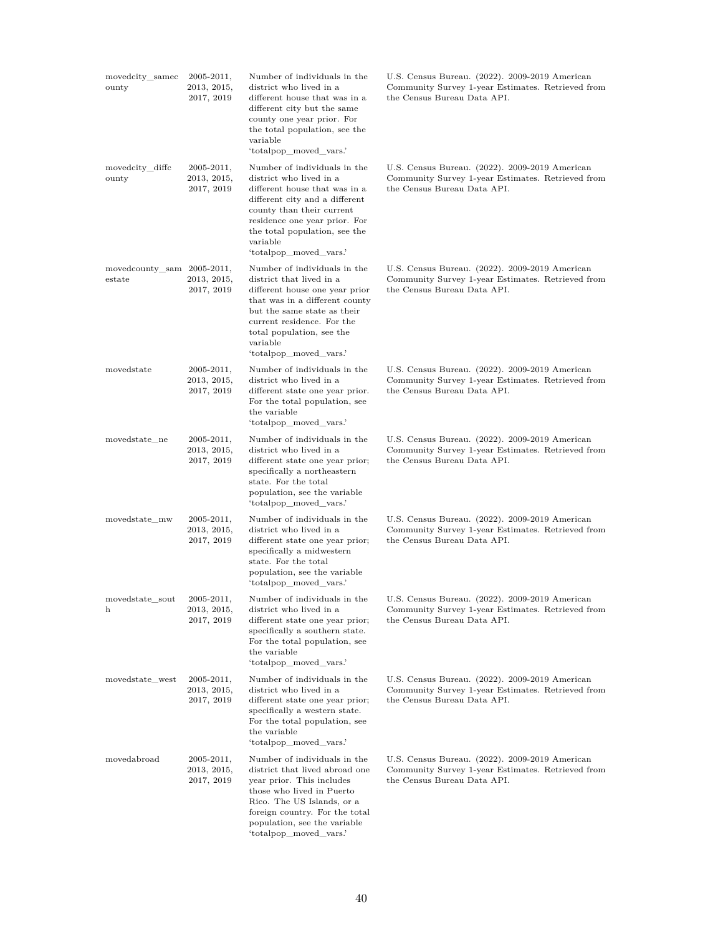| movedcity_samec<br>ounty             | $2005 - 2011,$<br>2013, 2015,<br>2017, 2019 | Number of individuals in the<br>district who lived in a<br>different house that was in a<br>different city but the same<br>county one year prior. For<br>the total population, see the<br>variable<br>'totalpop_moved_vars.'                                    | U.S. Census Bureau. (2022). 2009-2019 American<br>Community Survey 1-year Estimates. Retrieved from<br>the Census Bureau Data API.                              |
|--------------------------------------|---------------------------------------------|-----------------------------------------------------------------------------------------------------------------------------------------------------------------------------------------------------------------------------------------------------------------|-----------------------------------------------------------------------------------------------------------------------------------------------------------------|
| movedcity_diffc<br>ounty             | $2005 - 2011,$<br>2013, 2015,<br>2017, 2019 | Number of individuals in the<br>district who lived in a<br>different house that was in a<br>different city and a different<br>county than their current<br>residence one year prior. For<br>the total population, see the<br>variable<br>'totalpop_moved_vars.' | U.S. Census Bureau. (2022). 2009-2019 American<br>Community Survey 1-year Estimates. Retrieved from<br>the Census Bureau Data API.                              |
| movedcounty_sam 2005-2011,<br>estate | 2013, 2015,<br>2017, 2019                   | Number of individuals in the<br>district that lived in a<br>different house one year prior<br>that was in a different county<br>but the same state as their<br>current residence. For the<br>total population, see the<br>variable<br>'totalpop_moved_vars.'    | U.S. Census Bureau. (2022). 2009-2019 American<br>Community Survey 1-year Estimates. Retrieved from<br>the Census Bureau Data API.                              |
| movedstate                           | $2005 - 2011,$<br>2013, 2015,<br>2017, 2019 | Number of individuals in the<br>district who lived in a<br>different state one year prior.<br>For the total population, see<br>the variable<br>'totalpop_moved_vars.'                                                                                           | U.S. Census Bureau. (2022). 2009-2019 American<br>Community Survey 1-year Estimates. Retrieved from<br>the Census Bureau Data API.                              |
| movedstate_ne                        | $2005 - 2011,$<br>2013, 2015,<br>2017, 2019 | Number of individuals in the<br>district who lived in a<br>different state one year prior;<br>specifically a northeastern<br>state. For the total<br>population, see the variable<br>'totalpop_moved_vars.'                                                     | U.S. Census Bureau. (2022). 2009-2019 American<br>Community Survey 1-year Estimates. Retrieved from<br>the Census Bureau Data API.                              |
| movedstate mw                        | 2005-2011,<br>2013, 2015,<br>2017, 2019     | Number of individuals in the<br>district who lived in a<br>different state one year prior;<br>specifically a midwestern<br>state. For the total<br>population, see the variable<br>'totalpop_moved_vars.'                                                       | U.S. Census Bureau. (2022). 2009-2019 American<br>Community Survey 1-year Estimates. Retrieved from<br>the Census Bureau Data API.                              |
| movedstate sout<br>h                 | 2005-2011,<br>2013, 2015,<br>2017, 2019     | district who lived in a<br>different state one year prior;<br>specifically a southern state.<br>For the total population, see<br>the variable<br>'totalpop moved vars.'                                                                                         | Number of individuals in the U.S. Census Bureau. (2022). 2009-2019 American<br>Community Survey 1-year Estimates. Retrieved from<br>the Census Bureau Data API. |
| movedstate west                      | $2005 - 2011,$<br>2013, 2015,<br>2017, 2019 | Number of individuals in the<br>district who lived in a<br>different state one year prior;<br>specifically a western state.<br>For the total population, see<br>the variable<br>'totalpop_moved_vars.'                                                          | U.S. Census Bureau. (2022). 2009-2019 American<br>Community Survey 1-year Estimates. Retrieved from<br>the Census Bureau Data API.                              |
| movedabroad                          | $2005 - 2011,$<br>2013, 2015,<br>2017, 2019 | Number of individuals in the<br>district that lived abroad one<br>year prior. This includes<br>those who lived in Puerto<br>Rico. The US Islands, or a<br>foreign country. For the total<br>population, see the variable<br>'totalpop_moved_vars.'              | U.S. Census Bureau. (2022). 2009-2019 American<br>Community Survey 1-year Estimates. Retrieved from<br>the Census Bureau Data API.                              |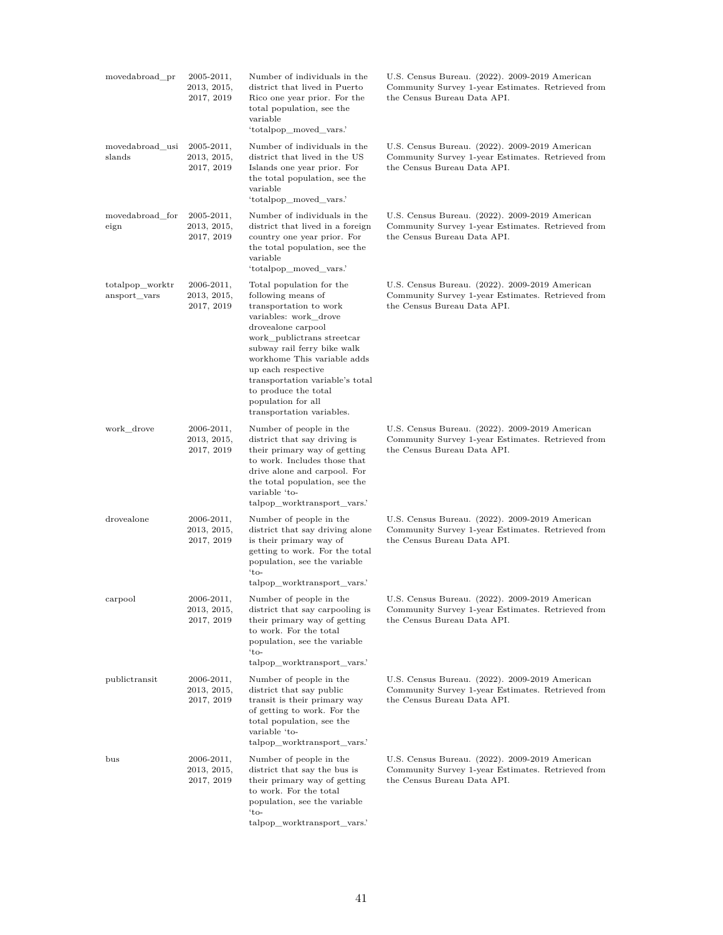| movedabroad_pr                  | $2005 - 2011,$<br>2013, 2015,<br>2017, 2019 | Number of individuals in the<br>district that lived in Puerto<br>Rico one year prior. For the<br>total population, see the<br>variable<br>'totalpop moved vars.'                                                                                                                                                                                        | U.S. Census Bureau. (2022). 2009-2019 American<br>Community Survey 1-year Estimates. Retrieved from<br>the Census Bureau Data API. |
|---------------------------------|---------------------------------------------|---------------------------------------------------------------------------------------------------------------------------------------------------------------------------------------------------------------------------------------------------------------------------------------------------------------------------------------------------------|------------------------------------------------------------------------------------------------------------------------------------|
| movedabroad_usi<br>slands       | $2005 - 2011,$<br>2013, 2015,<br>2017, 2019 | Number of individuals in the<br>district that lived in the US<br>Islands one year prior. For<br>the total population, see the<br>variable<br>'totalpop_moved_vars.'                                                                                                                                                                                     | U.S. Census Bureau. (2022). 2009-2019 American<br>Community Survey 1-year Estimates. Retrieved from<br>the Census Bureau Data API. |
| movedabroad_for<br>eign         | $2005 - 2011,$<br>2013, 2015,<br>2017, 2019 | Number of individuals in the<br>district that lived in a foreign<br>country one year prior. For<br>the total population, see the<br>variable<br>'totalpop_moved_vars.'                                                                                                                                                                                  | U.S. Census Bureau. (2022). 2009-2019 American<br>Community Survey 1-year Estimates. Retrieved from<br>the Census Bureau Data API. |
| totalpop_worktr<br>ansport_vars | $2006 - 2011,$<br>2013, 2015,<br>2017, 2019 | Total population for the<br>following means of<br>transportation to work<br>variables: work_drove<br>drovealone carpool<br>work publictrans streetcar<br>subway rail ferry bike walk<br>workhome This variable adds<br>up each respective<br>transportation variable's total<br>to produce the total<br>population for all<br>transportation variables. | U.S. Census Bureau. (2022). 2009-2019 American<br>Community Survey 1-year Estimates. Retrieved from<br>the Census Bureau Data API. |
| work drove                      | $2006 - 2011,$<br>2013, 2015,<br>2017, 2019 | Number of people in the<br>district that say driving is<br>their primary way of getting<br>to work. Includes those that<br>drive alone and carpool. For<br>the total population, see the<br>variable 'to-<br>talpop_worktransport_vars.'                                                                                                                | U.S. Census Bureau. (2022). 2009-2019 American<br>Community Survey 1-year Estimates. Retrieved from<br>the Census Bureau Data API. |
| drovealone                      | $2006 - 2011,$<br>2013, 2015,<br>2017, 2019 | Number of people in the<br>district that say driving alone<br>is their primary way of<br>getting to work. For the total<br>population, see the variable<br>$`to-$<br>talpop worktransport vars.'                                                                                                                                                        | U.S. Census Bureau. (2022). 2009-2019 American<br>Community Survey 1-year Estimates. Retrieved from<br>the Census Bureau Data API. |
| carpool                         | 2006-2011,<br>2013, 2015,<br>2017, 2019     | Number of people in the<br>district that say carpooling is<br>their primary way of getting<br>to work. For the total<br>population, see the variable<br>$'to-$<br>talpop worktransport vars.'                                                                                                                                                           | U.S. Census Bureau. (2022). 2009-2019 American<br>Community Survey 1-year Estimates. Retrieved from<br>the Census Bureau Data API. |
| publictransit                   | $2006 - 2011,$<br>2013, 2015,<br>2017, 2019 | Number of people in the<br>district that say public<br>transit is their primary way<br>of getting to work. For the<br>total population, see the<br>variable 'to-<br>talpop_worktransport_vars.'                                                                                                                                                         | U.S. Census Bureau. (2022). 2009-2019 American<br>Community Survey 1-year Estimates. Retrieved from<br>the Census Bureau Data API. |
| bus                             | 2006-2011,<br>2013, 2015,<br>2017, 2019     | Number of people in the<br>district that say the bus is<br>their primary way of getting<br>to work. For the total<br>population, see the variable<br>$\cdot$ to-<br>talpop_worktransport_vars.'                                                                                                                                                         | U.S. Census Bureau. (2022). 2009-2019 American<br>Community Survey 1-year Estimates. Retrieved from<br>the Census Bureau Data API. |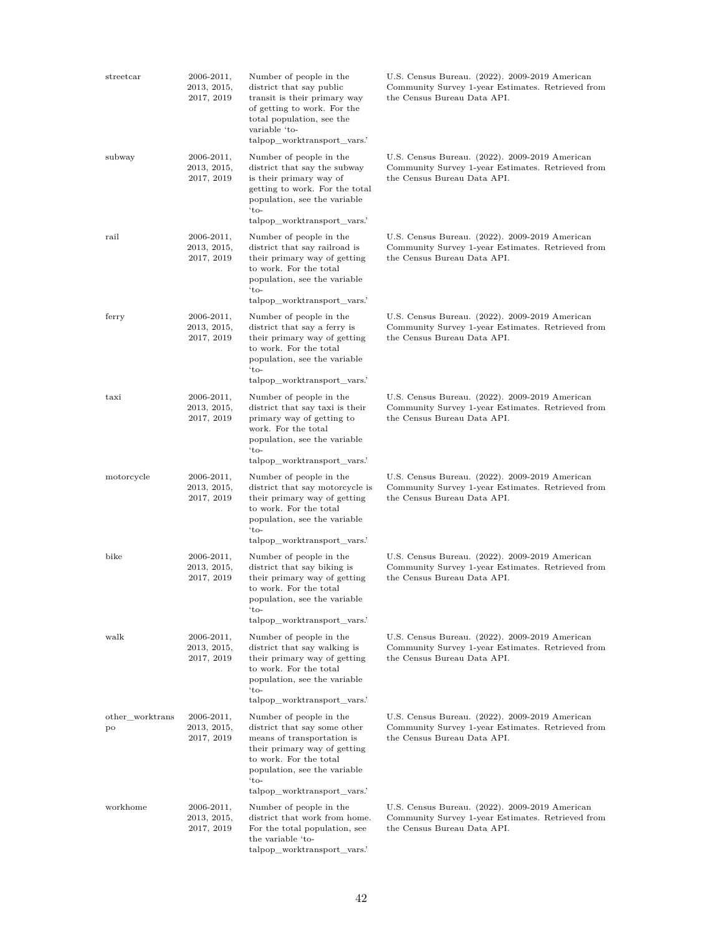| streetcar             | 2006-2011,<br>2013, 2015,<br>2017, 2019     | Number of people in the<br>district that say public<br>transit is their primary way<br>of getting to work. For the<br>total population, see the<br>variable 'to-<br>talpop_worktransport_vars.                           | U.S. Census Bureau. (2022). 2009-2019 American<br>Community Survey 1-year Estimates. Retrieved from<br>the Census Bureau Data API. |
|-----------------------|---------------------------------------------|--------------------------------------------------------------------------------------------------------------------------------------------------------------------------------------------------------------------------|------------------------------------------------------------------------------------------------------------------------------------|
| subway                | $2006 - 2011,$<br>2013, 2015,<br>2017, 2019 | Number of people in the<br>district that say the subway<br>is their primary way of<br>getting to work. For the total<br>population, see the variable<br>$'to-$<br>talpop_worktransport_vars.'                            | U.S. Census Bureau. (2022). 2009-2019 American<br>Community Survey 1-year Estimates. Retrieved from<br>the Census Bureau Data API. |
| rail                  | $2006 - 2011,$<br>2013, 2015,<br>2017, 2019 | Number of people in the<br>district that say railroad is<br>their primary way of getting<br>to work. For the total<br>population, see the variable<br>$'to-$<br>talpop_worktransport_vars.                               | U.S. Census Bureau. (2022). 2009-2019 American<br>Community Survey 1-year Estimates. Retrieved from<br>the Census Bureau Data API. |
| ferry                 | $2006 - 2011,$<br>2013, 2015,<br>2017, 2019 | Number of people in the<br>district that say a ferry is<br>their primary way of getting<br>to work. For the total<br>population, see the variable<br>$'to-$<br>talpop_worktransport_vars.                                | U.S. Census Bureau. (2022). 2009-2019 American<br>Community Survey 1-year Estimates. Retrieved from<br>the Census Bureau Data API. |
| taxi                  | $2006 - 2011,$<br>2013, 2015,<br>2017, 2019 | Number of people in the<br>district that say taxi is their<br>primary way of getting to<br>work. For the total<br>population, see the variable<br>$'to-$<br>talpop_worktransport_vars.                                   | U.S. Census Bureau. (2022). 2009-2019 American<br>Community Survey 1-year Estimates. Retrieved from<br>the Census Bureau Data API. |
| motorcycle            | $2006 - 2011,$<br>2013, 2015,<br>2017, 2019 | Number of people in the<br>district that say motorcycle is<br>their primary way of getting<br>to work. For the total<br>population, see the variable<br>$'to-$<br>talpop_worktransport_vars.                             | U.S. Census Bureau. (2022). 2009-2019 American<br>Community Survey 1-year Estimates. Retrieved from<br>the Census Bureau Data API. |
| bike                  | $2006 - 2011,$<br>2013, 2015,<br>2017, 2019 | Number of people in the<br>district that say biking is<br>their primary way of getting<br>to work. For the total<br>$\operatorname{population},$ see the variable<br>$'to-$<br>talpop worktransport vars.'               | U.S. Census Bureau. (2022). 2009-2019 American<br>Community Survey 1-year Estimates. Retrieved from<br>the Census Bureau Data API. |
| walk                  | $2006 - 2011,$<br>2013, 2015,<br>2017, 2019 | Number of people in the<br>district that say walking is<br>their primary way of getting<br>to work. For the total<br>population, see the variable<br>$`$ to-<br>talpop worktransport vars.'                              | U.S. Census Bureau. (2022). 2009-2019 American<br>Community Survey 1-year Estimates. Retrieved from<br>the Census Bureau Data API. |
| other worktrans<br>po | $2006 - 2011,$<br>2013, 2015,<br>2017, 2019 | Number of people in the<br>district that say some other<br>means of transportation is<br>their primary way of getting<br>to work. For the total<br>population, see the variable<br>$'to-$<br>talpop_worktransport_vars.' | U.S. Census Bureau. (2022). 2009-2019 American<br>Community Survey 1-year Estimates. Retrieved from<br>the Census Bureau Data API. |
| workhome              | $2006 - 2011,$<br>2013, 2015,<br>2017, 2019 | Number of people in the<br>district that work from home.<br>For the total population, see<br>the variable 'to-<br>talpop worktransport vars.'                                                                            | U.S. Census Bureau. (2022). 2009-2019 American<br>Community Survey 1-year Estimates. Retrieved from<br>the Census Bureau Data API. |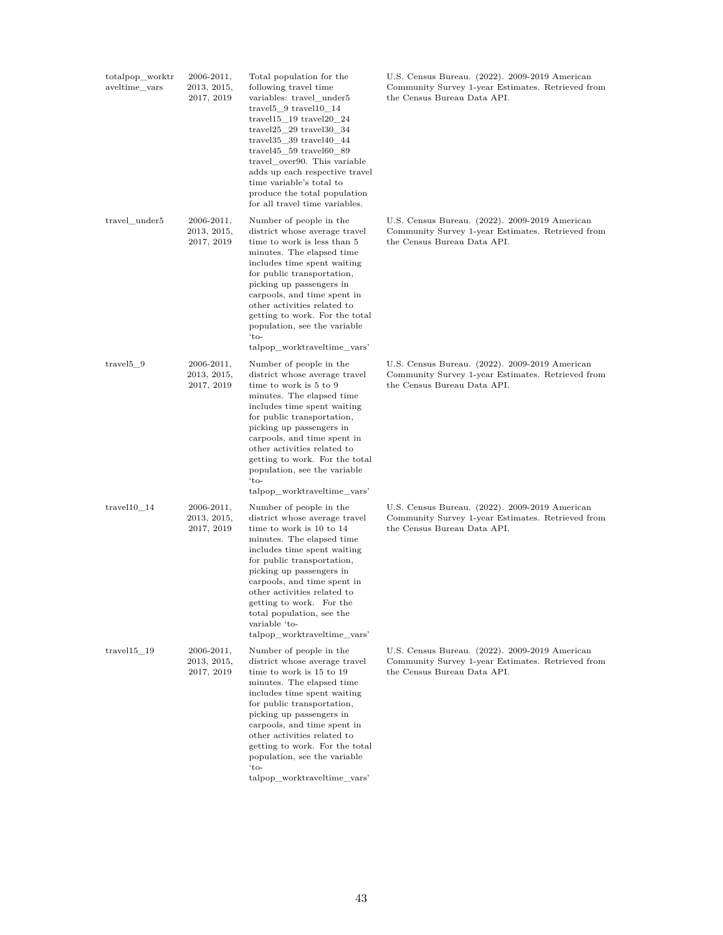| totalpop_worktr<br>aveltime vars | 2006-2011,<br>2013, 2015,<br>2017, 2019     | Total population for the<br>following travel time<br>variables: travel_under5<br>$travel5_9 travel10_14$<br>$travel15\_19$ travel $20\_24$<br>$travel25\_29$ travel $30\_34$<br>$travel35\_39$ travel $40\_44$<br>travel $45$ 59 travel $60$ 89<br>travel_over90. This variable<br>adds up each respective travel<br>time variable's total to<br>produce the total population<br>for all travel time variables. | U.S. Census Bureau. (2022). 2009-2019 American<br>Community Survey 1-year Estimates. Retrieved from<br>the Census Bureau Data API. |
|----------------------------------|---------------------------------------------|-----------------------------------------------------------------------------------------------------------------------------------------------------------------------------------------------------------------------------------------------------------------------------------------------------------------------------------------------------------------------------------------------------------------|------------------------------------------------------------------------------------------------------------------------------------|
| travel_under5                    | $2006 - 2011,$<br>2013, 2015,<br>2017, 2019 | Number of people in the<br>district whose average travel<br>time to work is less than 5<br>minutes. The elapsed time<br>includes time spent waiting<br>for public transportation,<br>picking up passengers in<br>carpools, and time spent in<br>other activities related to<br>getting to work. For the total<br>population, see the variable<br>$'to-$<br>talpop_worktraveltime_vars'                          | U.S. Census Bureau. (2022). 2009-2019 American<br>Community Survey 1-year Estimates. Retrieved from<br>the Census Bureau Data API. |
| travel <sup>5</sup> 9            | $2006 - 2011,$<br>2013, 2015,<br>2017, 2019 | Number of people in the<br>district whose average travel<br>time to work is 5 to 9<br>minutes. The elapsed time<br>includes time spent waiting<br>for public transportation,<br>picking up passengers in<br>carpools, and time spent in<br>other activities related to<br>getting to work. For the total<br>population, see the variable<br>$'to-$<br>talpop_worktraveltime_vars'                               | U.S. Census Bureau. (2022). 2009-2019 American<br>Community Survey 1-year Estimates. Retrieved from<br>the Census Bureau Data API. |
| $travel10_14$                    | $2006 - 2011,$<br>2013, 2015,<br>2017, 2019 | Number of people in the<br>district whose average travel<br>time to work is 10 to 14<br>minutes. The elapsed time<br>includes time spent waiting<br>for public transportation,<br>picking up passengers in<br>carpools, and time spent in<br>other activities related to<br>getting to work. For the<br>total population, see the<br>variable 'to-<br>talpop worktraveltime vars'                               | U.S. Census Bureau. (2022). 2009-2019 American<br>Community Survey 1-year Estimates. Retrieved from<br>the Census Bureau Data API. |
| travel15 19                      | $2006 - 2011,$<br>2013, 2015,<br>2017, 2019 | Number of people in the<br>district whose average travel<br>time to work is 15 to 19<br>minutes. The elapsed time<br>includes time spent waiting<br>for public transportation,<br>picking up passengers in<br>carpools, and time spent in<br>other activities related to<br>getting to work. For the total<br>population, see the variable<br>$'to-$<br>talpop worktraveltime vars'                             | U.S. Census Bureau. (2022). 2009-2019 American<br>Community Survey 1-year Estimates. Retrieved from<br>the Census Bureau Data API. |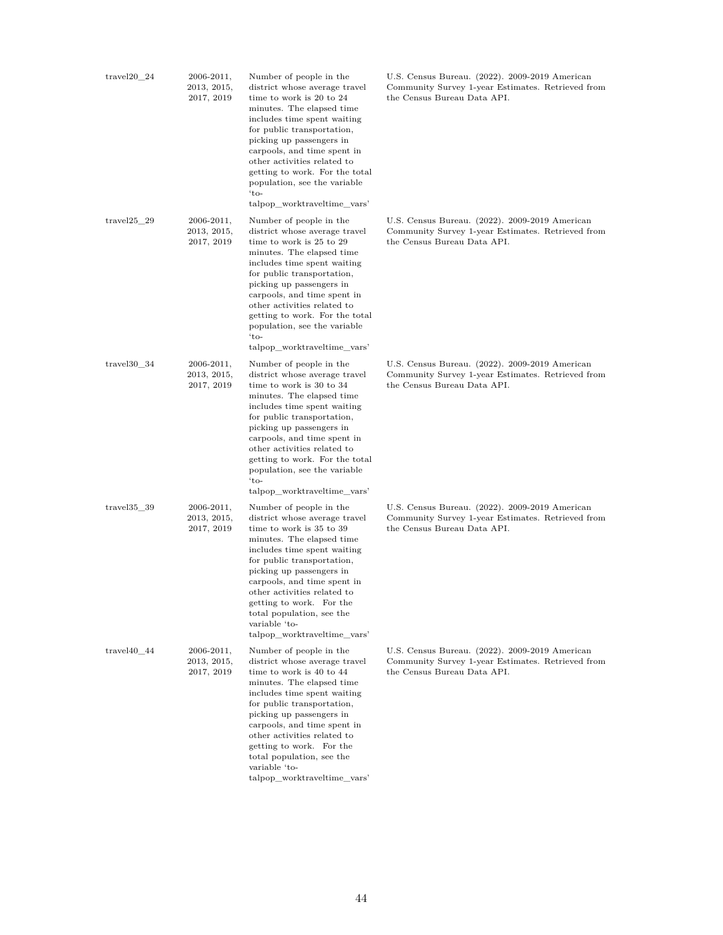| $travel20_24$   | 2006-2011,<br>2013, 2015,<br>2017, 2019     | Number of people in the<br>district whose average travel<br>time to work is 20 to 24<br>minutes. The elapsed time<br>includes time spent waiting<br>for public transportation,<br>picking up passengers in<br>carpools, and time spent in<br>other activities related to<br>getting to work. For the total<br>population, see the variable<br>$'to-$<br>talpop_worktraveltime_vars' | U.S. Census Bureau. (2022). 2009-2019 American<br>Community Survey 1-year Estimates. Retrieved from<br>the Census Bureau Data API. |
|-----------------|---------------------------------------------|-------------------------------------------------------------------------------------------------------------------------------------------------------------------------------------------------------------------------------------------------------------------------------------------------------------------------------------------------------------------------------------|------------------------------------------------------------------------------------------------------------------------------------|
| travel $25\,29$ | $2006 - 2011,$<br>2013, 2015,<br>2017, 2019 | Number of people in the<br>district whose average travel<br>time to work is 25 to 29<br>minutes. The elapsed time<br>includes time spent waiting<br>for public transportation,<br>picking up passengers in<br>carpools, and time spent in<br>other activities related to<br>getting to work. For the total<br>population, see the variable<br>$'to-$<br>talpop worktraveltime vars' | U.S. Census Bureau. (2022). 2009-2019 American<br>Community Survey 1-year Estimates. Retrieved from<br>the Census Bureau Data API. |
| $travel30$ 34   | $2006 - 2011,$<br>2013, 2015,<br>2017, 2019 | Number of people in the<br>district whose average travel<br>time to work is 30 to 34<br>minutes. The elapsed time<br>includes time spent waiting<br>for public transportation,<br>picking up passengers in<br>carpools, and time spent in<br>other activities related to<br>getting to work. For the total<br>population, see the variable<br>$'to-$<br>talpop_worktraveltime_vars' | U.S. Census Bureau. (2022). 2009-2019 American<br>Community Survey 1-year Estimates. Retrieved from<br>the Census Bureau Data API. |
| travel 35 39    | $2006 - 2011,$<br>2013, 2015,<br>2017, 2019 | Number of people in the<br>district whose average travel<br>time to work is 35 to 39<br>minutes. The elapsed time<br>includes time spent waiting<br>for public transportation,<br>picking up passengers in<br>carpools, and time spent in<br>other activities related to<br>getting to work. For the<br>total population, see the<br>variable 'to-<br>talpop worktraveltime vars'   | U.S. Census Bureau. (2022). 2009-2019 American<br>Community Survey 1-year Estimates. Retrieved from<br>the Census Bureau Data API. |
| $travel40$ 44   | $2006 - 2011,$<br>2013, 2015,<br>2017, 2019 | Number of people in the<br>district whose average travel<br>time to work is 40 to 44<br>minutes. The elapsed time<br>includes time spent waiting<br>for public transportation,<br>picking up passengers in<br>carpools, and time spent in<br>other activities related to<br>getting to work. For the<br>total population, see the<br>variable 'to-<br>talpop worktraveltime vars'   | U.S. Census Bureau. (2022). 2009-2019 American<br>Community Survey 1-year Estimates. Retrieved from<br>the Census Bureau Data API. |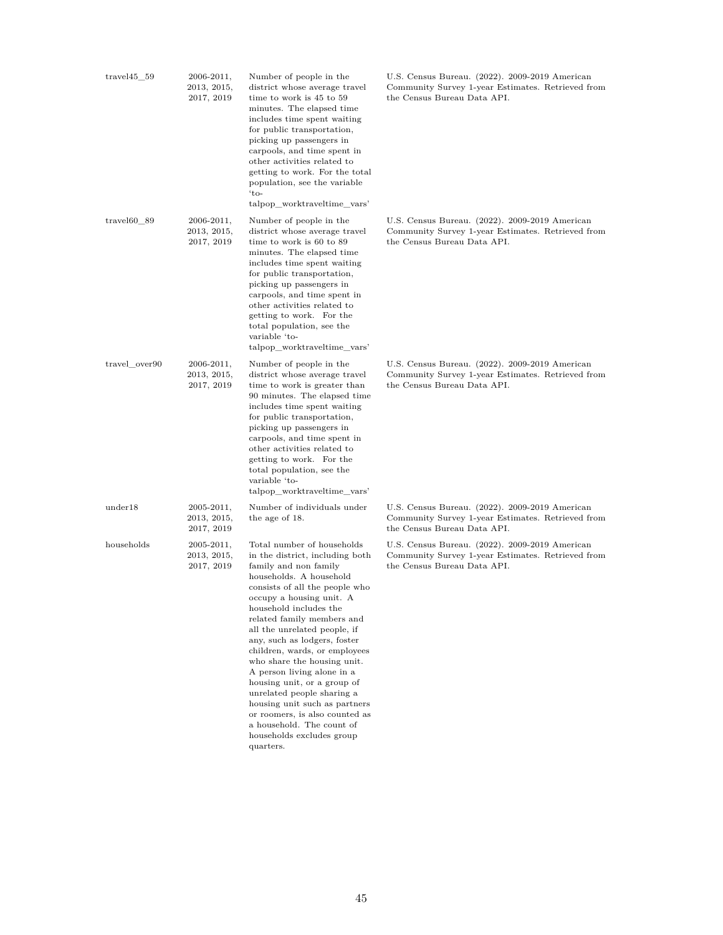| $travel45\_59$ | $2006 - 2011,$<br>2013, 2015,<br>2017, 2019 | Number of people in the<br>district whose average travel<br>time to work is 45 to 59<br>minutes. The elapsed time<br>includes time spent waiting<br>for public transportation,<br>picking up passengers in<br>carpools, and time spent in<br>other activities related to<br>getting to work. For the total<br>population, see the variable<br>$'to-$<br>talpop_worktraveltime_vars'                                                                                                                                                                                                                          | U.S. Census Bureau. (2022). 2009-2019 American<br>Community Survey 1-year Estimates. Retrieved from<br>the Census Bureau Data API. |
|----------------|---------------------------------------------|--------------------------------------------------------------------------------------------------------------------------------------------------------------------------------------------------------------------------------------------------------------------------------------------------------------------------------------------------------------------------------------------------------------------------------------------------------------------------------------------------------------------------------------------------------------------------------------------------------------|------------------------------------------------------------------------------------------------------------------------------------|
| $travel60_89$  | $2006 - 2011,$<br>2013, 2015,<br>2017, 2019 | Number of people in the<br>district whose average travel<br>time to work is 60 to 89<br>minutes. The elapsed time<br>includes time spent waiting<br>for public transportation,<br>picking up passengers in<br>carpools, and time spent in<br>other activities related to<br>getting to work. For the<br>total population, see the<br>variable 'to-<br>talpop_worktraveltime_vars'                                                                                                                                                                                                                            | U.S. Census Bureau. (2022). 2009-2019 American<br>Community Survey 1-year Estimates. Retrieved from<br>the Census Bureau Data API. |
| travel over90  | $2006 - 2011,$<br>2013, 2015,<br>2017, 2019 | Number of people in the<br>district whose average travel<br>time to work is greater than<br>90 minutes. The elapsed time<br>includes time spent waiting<br>for public transportation,<br>picking up passengers in<br>carpools, and time spent in<br>other activities related to<br>getting to work. For the<br>total population, see the<br>variable 'to-<br>talpop_worktraveltime_vars'                                                                                                                                                                                                                     | U.S. Census Bureau. (2022). 2009-2019 American<br>Community Survey 1-year Estimates. Retrieved from<br>the Census Bureau Data API. |
| under18        | $2005 - 2011,$<br>2013, 2015,<br>2017, 2019 | Number of individuals under<br>the age of 18.                                                                                                                                                                                                                                                                                                                                                                                                                                                                                                                                                                | U.S. Census Bureau. (2022). 2009-2019 American<br>Community Survey 1-year Estimates. Retrieved from<br>the Census Bureau Data API. |
| households     | 2005-2011,<br>2013, 2015,<br>2017, 2019     | Total number of households<br>in the district, including both<br>family and non family<br>households. A household<br>consists of all the people who<br>occupy a housing unit. A<br>household includes the<br>related family members and<br>all the unrelated people, if<br>any, such as lodgers, foster<br>children, wards, or employees<br>who share the housing unit.<br>A person living alone in a<br>housing unit, or a group of<br>unrelated people sharing a<br>housing unit such as partners<br>or roomers, is also counted as<br>a household. The count of<br>households excludes group<br>quarters. | U.S. Census Bureau. (2022). 2009-2019 American<br>Community Survey 1-year Estimates. Retrieved from<br>the Census Bureau Data API. |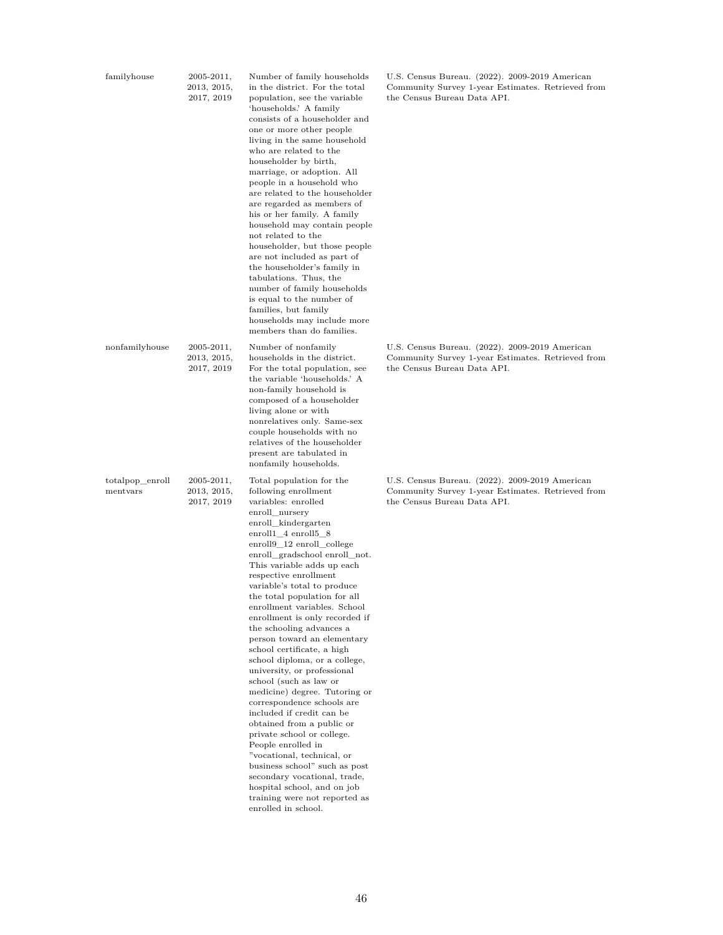| familyhouse                 | 2005-2011,<br>2013, 2015,<br>2017, 2019     | Number of family households<br>in the district. For the total<br>population, see the variable<br>'households.' A family<br>consists of a householder and<br>one or more other people<br>living in the same household<br>who are related to the<br>householder by birth,<br>marriage, or adoption. All<br>people in a household who<br>are related to the householder<br>are regarded as members of<br>his or her family. A family<br>household may contain people<br>not related to the<br>householder, but those people<br>are not included as part of<br>the householder's family in<br>tabulations. Thus, the<br>number of family households<br>is equal to the number of<br>families, but family<br>households may include more<br>members than do families.                                                                                                                                                                                          | U.S. Census Bureau. (2022). 2009-2019 American<br>Community Survey 1-year Estimates. Retrieved from<br>the Census Bureau Data API. |
|-----------------------------|---------------------------------------------|-----------------------------------------------------------------------------------------------------------------------------------------------------------------------------------------------------------------------------------------------------------------------------------------------------------------------------------------------------------------------------------------------------------------------------------------------------------------------------------------------------------------------------------------------------------------------------------------------------------------------------------------------------------------------------------------------------------------------------------------------------------------------------------------------------------------------------------------------------------------------------------------------------------------------------------------------------------|------------------------------------------------------------------------------------------------------------------------------------|
| nonfamilyhouse              | $2005 - 2011,$<br>2013, 2015,<br>2017, 2019 | Number of nonfamily<br>households in the district.<br>For the total population, see<br>the variable 'households.' A<br>non-family household is<br>composed of a householder<br>living alone or with<br>nonrelatives only. Same-sex<br>couple households with no<br>relatives of the householder<br>present are tabulated in<br>nonfamily households.                                                                                                                                                                                                                                                                                                                                                                                                                                                                                                                                                                                                      | U.S. Census Bureau. (2022). 2009-2019 American<br>Community Survey 1-year Estimates. Retrieved from<br>the Census Bureau Data API. |
| totalpop_enroll<br>mentvars | $2005 - 2011,$<br>2013, 2015,<br>2017, 2019 | Total population for the<br>following enrollment<br>variables: enrolled<br>enroll_nursery<br>enroll_kindergarten<br>enroll $1_4$ enroll $5_8$<br>enroll9_12 enroll_college<br>enroll_gradschool enroll_not.<br>This variable adds up each<br>respective enrollment<br>variable's total to produce<br>the total population for all<br>enrollment variables. School<br>enrollment is only recorded if<br>the schooling advances a<br>person toward an elementary<br>school certificate, a high<br>school diploma, or a college,<br>university, or professional<br>school (such as law or<br>medicine) degree. Tutoring or<br>correspondence schools are<br>included if credit can be<br>obtained from a public or<br>private school or college.<br>People enrolled in<br>"vocational, technical, or<br>business school" such as post<br>secondary vocational, trade,<br>hospital school, and on job<br>training were not reported as<br>enrolled in school. | U.S. Census Bureau. (2022). 2009-2019 American<br>Community Survey 1-year Estimates. Retrieved from<br>the Census Bureau Data API. |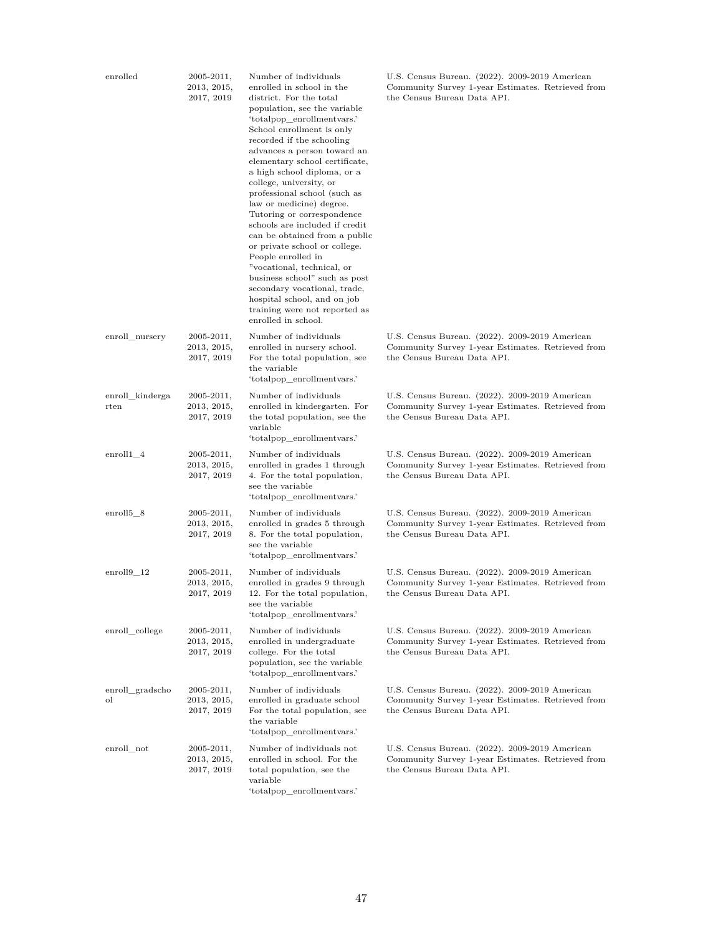| enrolled                | $2005 - 2011,$<br>2013, 2015,<br>2017, 2019 | Number of individuals<br>enrolled in school in the<br>district. For the total<br>population, see the variable<br>'totalpop_enrollmentvars.'<br>School enrollment is only<br>recorded if the schooling<br>advances a person toward an<br>elementary school certificate,<br>a high school diploma, or a<br>college, university, or<br>professional school (such as<br>law or medicine) degree.<br>Tutoring or correspondence<br>schools are included if credit<br>can be obtained from a public<br>or private school or college.<br>People enrolled in<br>"vocational, technical, or<br>business school" such as post<br>secondary vocational, trade,<br>hospital school, and on job<br>training were not reported as<br>enrolled in school. | U.S. Census Bureau. (2022). 2009-2019 American<br>Community Survey 1-year Estimates. Retrieved from<br>the Census Bureau Data API. |
|-------------------------|---------------------------------------------|--------------------------------------------------------------------------------------------------------------------------------------------------------------------------------------------------------------------------------------------------------------------------------------------------------------------------------------------------------------------------------------------------------------------------------------------------------------------------------------------------------------------------------------------------------------------------------------------------------------------------------------------------------------------------------------------------------------------------------------------|------------------------------------------------------------------------------------------------------------------------------------|
| enroll_nursery          | $2005 - 2011,$<br>2013, 2015,<br>2017, 2019 | Number of individuals<br>enrolled in nursery school.<br>For the total population, see<br>the variable<br>'totalpop_enrollmentvars.'                                                                                                                                                                                                                                                                                                                                                                                                                                                                                                                                                                                                        | U.S. Census Bureau. (2022). 2009-2019 American<br>Community Survey 1-year Estimates. Retrieved from<br>the Census Bureau Data API. |
| enroll kinderga<br>rten | $2005 - 2011,$<br>2013, 2015,<br>2017, 2019 | Number of individuals<br>enrolled in kindergarten. For<br>the total population, see the<br>variable<br>'totalpop_enrollmentvars.'                                                                                                                                                                                                                                                                                                                                                                                                                                                                                                                                                                                                          | U.S. Census Bureau. (2022). 2009-2019 American<br>Community Survey 1-year Estimates. Retrieved from<br>the Census Bureau Data API. |
| enroll1 4               | $2005 - 2011,$<br>2013, 2015,<br>2017, 2019 | Number of individuals<br>enrolled in grades 1 through<br>4. For the total population,<br>see the variable<br>'totalpop_enrollmentvars.'                                                                                                                                                                                                                                                                                                                                                                                                                                                                                                                                                                                                    | U.S. Census Bureau. (2022). 2009-2019 American<br>Community Survey 1-year Estimates. Retrieved from<br>the Census Bureau Data API. |
| enroll $5_8$            | $2005 - 2011,$<br>2013, 2015,<br>2017, 2019 | Number of individuals<br>enrolled in grades 5 through<br>8. For the total population,<br>see the variable<br>'totalpop_enrollmentvars.'                                                                                                                                                                                                                                                                                                                                                                                                                                                                                                                                                                                                    | U.S. Census Bureau. (2022). 2009-2019 American<br>Community Survey 1-year Estimates. Retrieved from<br>the Census Bureau Data API. |
| $enroll9_12$            | $2005 - 2011,$<br>2013, 2015,<br>2017, 2019 | Number of individuals<br>enrolled in grades 9 through<br>12. For the total population,<br>see the variable<br>'totalpop_enrollmentvars.'                                                                                                                                                                                                                                                                                                                                                                                                                                                                                                                                                                                                   | U.S. Census Bureau. (2022). 2009-2019 American<br>Community Survey 1-year Estimates. Retrieved from<br>the Census Bureau Data API. |
| enroll_college          | 2005-2011,<br>2013, 2015,<br>2017, 2019     | Number of individuals<br>enrolled in undergraduate<br>college. For the total<br>population, see the variable<br>'totalpop enrollment vars.'                                                                                                                                                                                                                                                                                                                                                                                                                                                                                                                                                                                                | U.S. Census Bureau. (2022). 2009-2019 American<br>Community Survey 1-year Estimates. Retrieved from<br>the Census Bureau Data API. |
| enroll_gradscho<br>οl   | $2005 - 2011,$<br>2013, 2015,<br>2017, 2019 | Number of individuals<br>enrolled in graduate school<br>For the total population, see<br>the variable<br>'totalpop enrollment vars.'                                                                                                                                                                                                                                                                                                                                                                                                                                                                                                                                                                                                       | U.S. Census Bureau. (2022). 2009-2019 American<br>Community Survey 1-year Estimates. Retrieved from<br>the Census Bureau Data API. |
| enroll not              | $2005 - 2011,$<br>2013, 2015,<br>2017, 2019 | Number of individuals not<br>enrolled in school. For the<br>total population, see the<br>variable<br>'totalpop_enrollmentvars.'                                                                                                                                                                                                                                                                                                                                                                                                                                                                                                                                                                                                            | U.S. Census Bureau. (2022). 2009-2019 American<br>Community Survey 1-year Estimates. Retrieved from<br>the Census Bureau Data API. |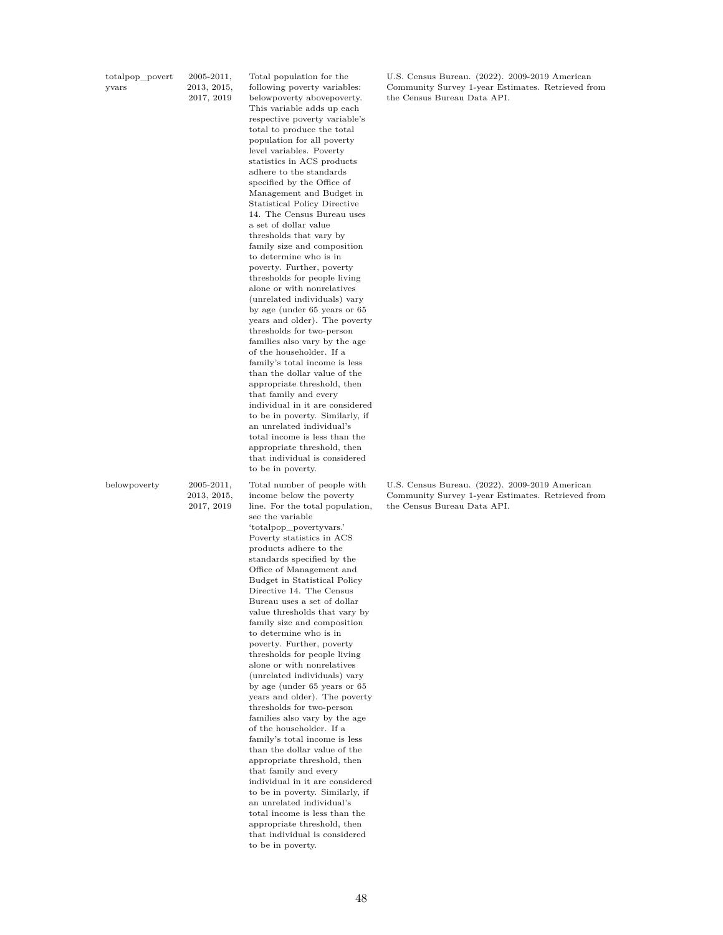| totalpop_povert | $2005 - 2011$ , |
|-----------------|-----------------|
| yvars           | 2013, 2015,     |
|                 | 2017, 2019      |

Total population for the following poverty variables: belowpoverty abovepoverty. This variable adds up each respective poverty variable's total to produce the total population for all poverty level variables. Poverty statistics in ACS products adhere to the standards specified by the Office of Management and Budget in Statistical Policy Directive 14. The Census Bureau uses a set of dollar value thresholds that vary by family size and composition to determine who is in poverty. Further, poverty thresholds for people living alone or with nonrelatives (unrelated individuals) vary by age (under 65 years or 65 years and older). The poverty thresholds for two-person families also vary by the age of the householder. If a family's total income is less than the dollar value of the appropriate threshold, then that family and every individual in it are considered to be in poverty. Similarly, if an unrelated individual's total income is less than the appropriate threshold, then that individual is considered to be in poverty.

belowpoverty 2005-2011,

2013, 2015, 2017, 2019

Total number of people with income below the poverty line. For the total population, see the variable 'totalpop\_povertyvars.' Poverty statistics in ACS products adhere to the standards specified by the Office of Management and Budget in Statistical Policy Directive 14. The Census Bureau uses a set of dollar value thresholds that vary by family size and composition to determine who is in poverty. Further, poverty thresholds for people living alone or with nonrelatives (unrelated individuals) vary by age (under 65 years or 65 years and older). The poverty thresholds for two-person families also vary by the age of the householder. If a family's total income is less than the dollar value of the appropriate threshold, then that family and every individual in it are considered to be in poverty. Similarly, if an unrelated individual's total income is less than the appropriate threshold, then that individual is considered to be in poverty.

U.S. Census Bureau. (2022). 2009-2019 American Community Survey 1-year Estimates. Retrieved from the Census Bureau Data API.

U.S. Census Bureau. (2022). 2009-2019 American Community Survey 1-year Estimates. Retrieved from the Census Bureau Data API.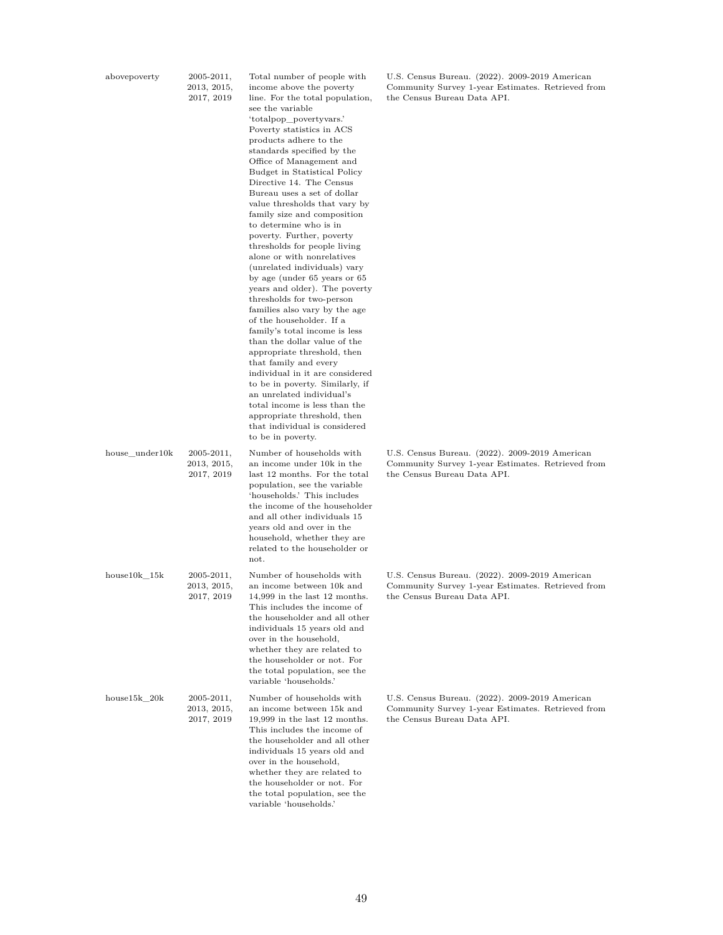| abovepoverty |  |
|--------------|--|
|              |  |

 $2005 - 2011$ , 2013, 2015, 2017, 2019 Total number of people with income above the poverty line. For the total population, see the variable 'totalpop\_povertyvars.' Poverty statistics in ACS products adhere to the standards specified by the Office of Management and Budget in Statistical Policy Directive 14. The Census Bureau uses a set of dollar value thresholds that vary by family size and composition to determine who is in poverty. Further, poverty thresholds for people living alone or with nonrelatives (unrelated individuals) vary by age (under 65 years or 65 years and older). The poverty thresholds for two-person families also vary by the age of the householder. If a family's total income is less than the dollar value of the appropriate threshold, then that family and every individual in it are considered to be in poverty. Similarly, if an unrelated individual's total income is less than the appropriate threshold, then that individual is considered to be in poverty. house\_under10k 2005-2011, 2013, 2015, 2017, 2019 Number of households with an income under 10k in the last 12 months. For the total population, see the variable 'households.' This includes the income of the householder and all other individuals 15 years old and over in the household, whether they are related to the householder or not. house10k\_15k 2005-2011, 2013, 2015, 2017, 2019 Number of households with an income between 10k and 14,999 in the last 12 months. This includes the income of the householder and all other individuals 15 years old and over in the household, whether they are related to the householder or not. For the total population, see the variable 'households.' house15k 20k 2005-2011, 2013, 2015, 2017, 2019 Number of households with an income between 15k and 19,999 in the last 12 months. This includes the income of the householder and all other individuals 15 years old and

over in the household, whether they are related to the householder or not. For the total population, see the variable 'households.'

U.S. Census Bureau. (2022). 2009-2019 American Community Survey 1-year Estimates. Retrieved from the Census Bureau Data API.

U.S. Census Bureau. (2022). 2009-2019 American Community Survey 1-year Estimates. Retrieved from the Census Bureau Data API.

U.S. Census Bureau. (2022). 2009-2019 American Community Survey 1-year Estimates. Retrieved from the Census Bureau Data API.

U.S. Census Bureau. (2022). 2009-2019 American Community Survey 1-year Estimates. Retrieved from the Census Bureau Data API.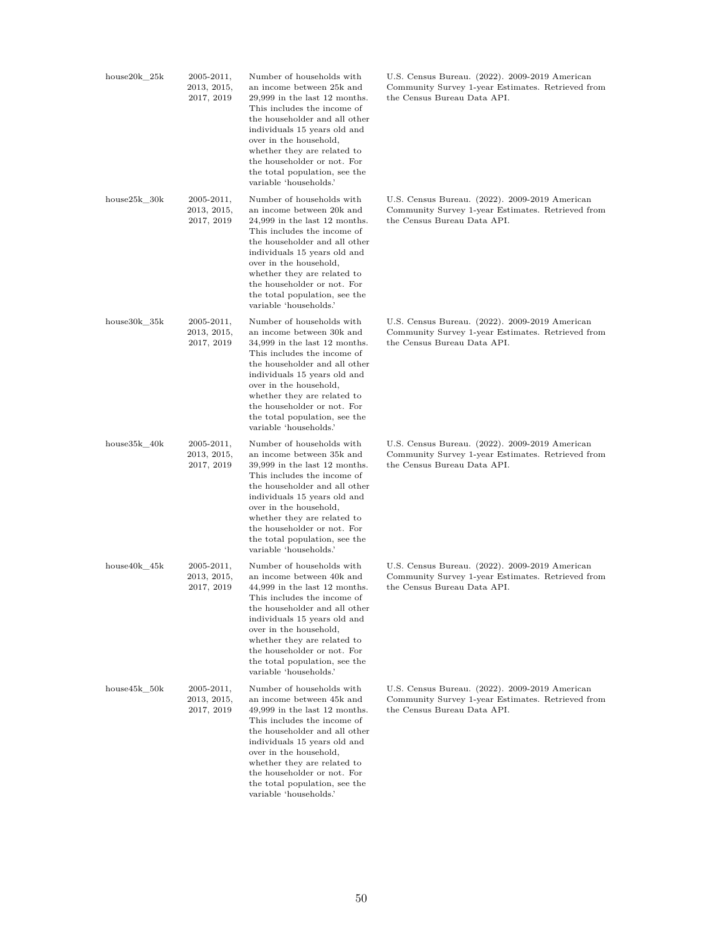| $house20k_25k$ | 2005-2011,<br>2013, 2015,<br>2017, 2019     | Number of households with<br>an income between 25k and<br>$29,999$ in the last 12 months.<br>This includes the income of<br>the householder and all other<br>individuals 15 years old and<br>over in the household,<br>whether they are related to<br>the householder or not. For<br>the total population, see the<br>variable 'households.' | U.S. Census Bureau. (2022). 2009-2019 American<br>Community Survey 1-year Estimates. Retrieved from<br>the Census Bureau Data API. |
|----------------|---------------------------------------------|----------------------------------------------------------------------------------------------------------------------------------------------------------------------------------------------------------------------------------------------------------------------------------------------------------------------------------------------|------------------------------------------------------------------------------------------------------------------------------------|
| $house25k_30k$ | $2005 - 2011,$<br>2013, 2015,<br>2017, 2019 | Number of households with<br>an income between 20k and<br>$24,999$ in the last 12 months.<br>This includes the income of<br>the householder and all other<br>individuals 15 years old and<br>over in the household,<br>whether they are related to<br>the householder or not. For<br>the total population, see the<br>variable 'households.' | U.S. Census Bureau. (2022). 2009-2019 American<br>Community Survey 1-year Estimates. Retrieved from<br>the Census Bureau Data API. |
| house30k_35k   | $2005 - 2011,$<br>2013, 2015,<br>2017, 2019 | Number of households with<br>an income between 30k and<br>$34,999$ in the last 12 months.<br>This includes the income of<br>the householder and all other<br>individuals 15 years old and<br>over in the household,<br>whether they are related to<br>the householder or not. For<br>the total population, see the<br>variable 'households.' | U.S. Census Bureau. (2022). 2009-2019 American<br>Community Survey 1-year Estimates. Retrieved from<br>the Census Bureau Data API. |
| house35k_40k   | $2005 - 2011,$<br>2013, 2015,<br>2017, 2019 | Number of households with<br>an income between 35k and<br>$39,999$ in the last 12 months.<br>This includes the income of<br>the householder and all other<br>individuals 15 years old and<br>over in the household,<br>whether they are related to<br>the householder or not. For<br>the total population, see the<br>variable 'households.' | U.S. Census Bureau. (2022). 2009-2019 American<br>Community Survey 1-year Estimates. Retrieved from<br>the Census Bureau Data API. |
| house40k_45k   | $2005 - 2011,$<br>2013, 2015,<br>2017, 2019 | Number of households with<br>an income between 40k and<br>$44,999$ in the last 12 months.<br>This includes the income of<br>the householder and all other<br>individuals 15 years old and<br>over in the household,<br>whether they are related to<br>the householder or not. For<br>the total population, see the<br>variable 'households.' | U.S. Census Bureau. (2022). 2009-2019 American<br>Community Survey 1-year Estimates. Retrieved from<br>the Census Bureau Data API. |
| house45k 50k   | $2005 - 2011,$<br>2013, 2015,<br>2017, 2019 | Number of households with<br>an income between 45k and<br>$49,999$ in the last 12 months.<br>This includes the income of<br>the householder and all other<br>individuals 15 years old and<br>over in the household,<br>whether they are related to<br>the householder or not. For<br>the total population, see the<br>variable 'households.' | U.S. Census Bureau. (2022). 2009-2019 American<br>Community Survey 1-year Estimates. Retrieved from<br>the Census Bureau Data API. |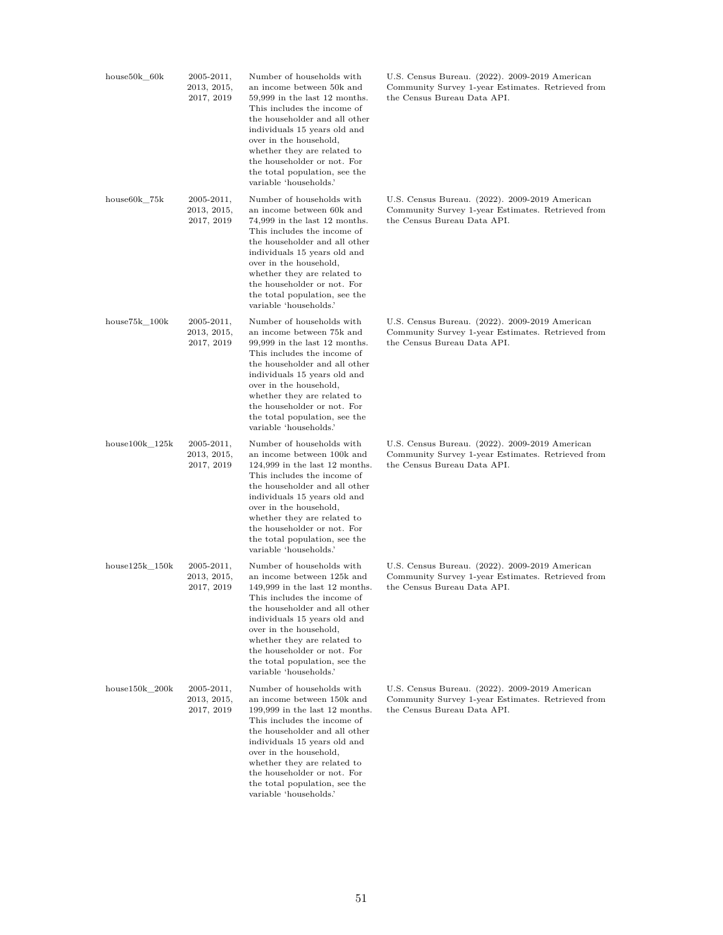| $house50k_60k$   | 2005-2011,<br>2013, 2015,<br>2017, 2019     | Number of households with<br>an income between 50k and<br>$59,999$ in the last 12 months.<br>This includes the income of<br>the householder and all other<br>individuals 15 years old and<br>over in the household,<br>whether they are related to<br>the householder or not. For<br>the total population, see the<br>variable 'households.'   | U.S. Census Bureau. (2022). 2009-2019 American<br>Community Survey 1-year Estimates. Retrieved from<br>the Census Bureau Data API. |
|------------------|---------------------------------------------|------------------------------------------------------------------------------------------------------------------------------------------------------------------------------------------------------------------------------------------------------------------------------------------------------------------------------------------------|------------------------------------------------------------------------------------------------------------------------------------|
| $house60k_{75k}$ | $2005 - 2011,$<br>2013, 2015,<br>2017, 2019 | Number of households with<br>an income between 60k and<br>74,999 in the last 12 months.<br>This includes the income of<br>the householder and all other<br>individuals 15 years old and<br>over in the household,<br>whether they are related to<br>the householder or not. For<br>the total population, see the<br>variable 'households.'     | U.S. Census Bureau. (2022). 2009-2019 American<br>Community Survey 1-year Estimates. Retrieved from<br>the Census Bureau Data API. |
| $house75k\_100k$ | $2005 - 2011,$<br>2013, 2015,<br>2017, 2019 | Number of households with<br>an income between 75k and<br>99,999 in the last 12 months.<br>This includes the income of<br>the householder and all other<br>individuals 15 years old and<br>over in the household,<br>whether they are related to<br>the householder or not. For<br>the total population, see the<br>variable 'households.'     | U.S. Census Bureau. (2022). 2009-2019 American<br>Community Survey 1-year Estimates. Retrieved from<br>the Census Bureau Data API. |
| $house100k_125k$ | $2005 - 2011,$<br>2013, 2015,<br>2017, 2019 | Number of households with<br>an income between 100k and<br>$124,999$ in the last 12 months.<br>This includes the income of<br>the householder and all other<br>individuals 15 years old and<br>over in the household,<br>whether they are related to<br>the householder or not. For<br>the total population, see the<br>variable 'households.' | U.S. Census Bureau. (2022). 2009-2019 American<br>Community Survey 1-year Estimates. Retrieved from<br>the Census Bureau Data API. |
| $house125k_150k$ | $2005 - 2011,$<br>2013, 2015,<br>2017, 2019 | Number of households with<br>an income between 125k and<br>$149,999$ in the last 12 months.<br>This includes the income of<br>the householder and all other<br>individuals 15 years old and<br>over in the household,<br>whether they are related to<br>the householder or not. For<br>the total population, see the<br>variable 'households.' | U.S. Census Bureau. (2022). 2009-2019 American<br>Community Survey 1-year Estimates. Retrieved from<br>the Census Bureau Data API. |
| $house150k_200k$ | $2005 - 2011,$<br>2013, 2015,<br>2017, 2019 | Number of households with<br>an income between 150k and<br>$199,999$ in the last 12 months.<br>This includes the income of<br>the householder and all other<br>individuals 15 years old and<br>over in the household,<br>whether they are related to<br>the householder or not. For<br>the total population, see the<br>variable 'households.' | U.S. Census Bureau. (2022). 2009-2019 American<br>Community Survey 1-year Estimates. Retrieved from<br>the Census Bureau Data API. |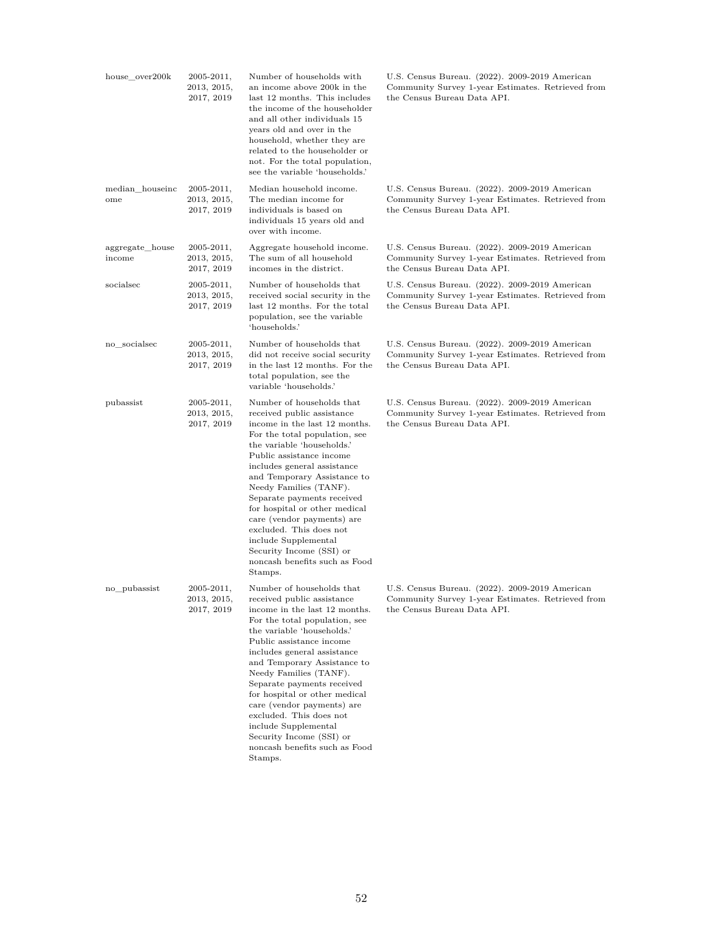| house over200k            | $2005 - 2011,$<br>2013, 2015,<br>2017, 2019 | Number of households with<br>an income above 200k in the<br>last 12 months. This includes<br>the income of the householder<br>and all other individuals 15<br>years old and over in the<br>household, whether they are<br>related to the householder or<br>not. For the total population,<br>see the variable 'households.'                                                                                                                                                                         | U.S. Census Bureau. (2022). 2009-2019 American<br>Community Survey 1-year Estimates. Retrieved from<br>the Census Bureau Data API. |
|---------------------------|---------------------------------------------|-----------------------------------------------------------------------------------------------------------------------------------------------------------------------------------------------------------------------------------------------------------------------------------------------------------------------------------------------------------------------------------------------------------------------------------------------------------------------------------------------------|------------------------------------------------------------------------------------------------------------------------------------|
| median_houseinc<br>ome    | $2005 - 2011,$<br>2013, 2015,<br>2017, 2019 | Median household income.<br>The median income for<br>individuals is based on<br>individuals 15 years old and<br>over with income.                                                                                                                                                                                                                                                                                                                                                                   | U.S. Census Bureau. (2022). 2009-2019 American<br>Community Survey 1-year Estimates. Retrieved from<br>the Census Bureau Data API. |
| aggregate_house<br>income | $2005 - 2011,$<br>2013, 2015,<br>2017, 2019 | Aggregate household income.<br>The sum of all household<br>incomes in the district.                                                                                                                                                                                                                                                                                                                                                                                                                 | U.S. Census Bureau. (2022). 2009-2019 American<br>Community Survey 1-year Estimates. Retrieved from<br>the Census Bureau Data API. |
| socialsec                 | $2005 - 2011,$<br>2013, 2015,<br>2017, 2019 | Number of households that<br>received social security in the<br>last 12 months. For the total<br>population, see the variable<br>'households.'                                                                                                                                                                                                                                                                                                                                                      | U.S. Census Bureau. (2022). 2009-2019 American<br>Community Survey 1-year Estimates. Retrieved from<br>the Census Bureau Data API. |
| no socialsec              | $2005 - 2011,$<br>2013, 2015,<br>2017, 2019 | Number of households that<br>did not receive social security<br>in the last 12 months. For the<br>total population, see the<br>variable 'households.'                                                                                                                                                                                                                                                                                                                                               | U.S. Census Bureau. (2022). 2009-2019 American<br>Community Survey 1-year Estimates. Retrieved from<br>the Census Bureau Data API. |
| pubassist                 | 2005-2011,<br>2013, 2015,<br>2017, 2019     | Number of households that<br>received public assistance<br>income in the last 12 months.<br>For the total population, see<br>the variable 'households.'<br>Public assistance income<br>includes general assistance<br>and Temporary Assistance to<br>Needy Families (TANF).<br>Separate payments received<br>for hospital or other medical<br>care (vendor payments) are<br>excluded. This does not<br>include Supplemental<br>Security Income (SSI) or<br>noncash benefits such as Food<br>Stamps. | U.S. Census Bureau. (2022). 2009-2019 American<br>Community Survey 1-year Estimates. Retrieved from<br>the Census Bureau Data API. |
| no_pubassist              | $2005 - 2011,$<br>2013, 2015,<br>2017, 2019 | Number of households that<br>received public assistance<br>income in the last 12 months.<br>For the total population, see<br>the variable 'households.'<br>Public assistance income<br>includes general assistance<br>and Temporary Assistance to<br>Needy Families (TANF).<br>Separate payments received<br>for hospital or other medical<br>care (vendor payments) are<br>excluded. This does not<br>include Supplemental<br>Security Income (SSI) or<br>noncash benefits such as Food<br>Stamps. | U.S. Census Bureau. (2022). 2009-2019 American<br>Community Survey 1-year Estimates. Retrieved from<br>the Census Bureau Data API. |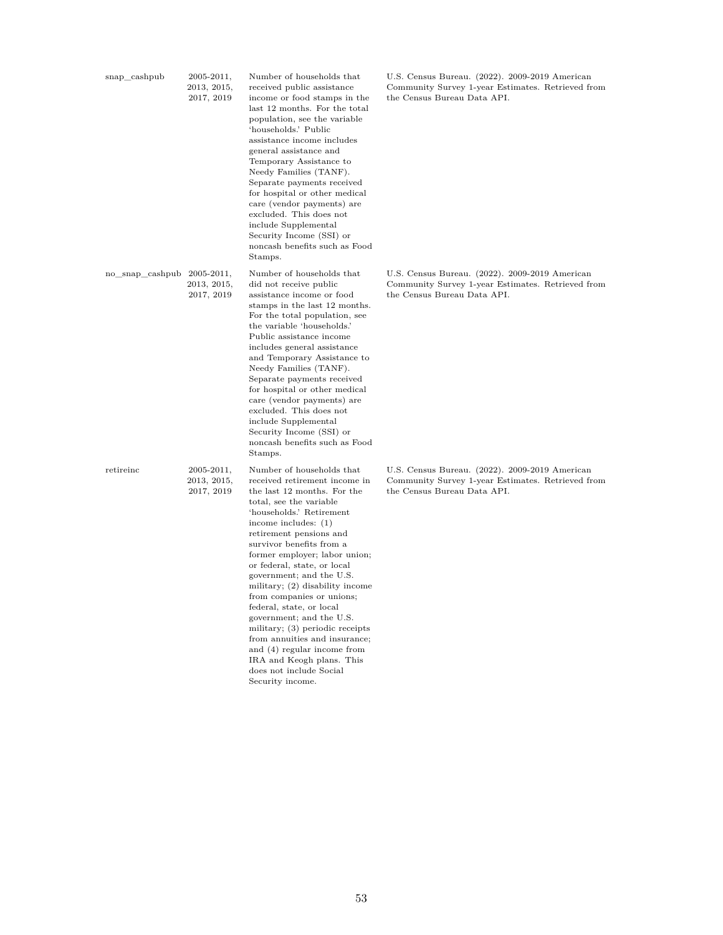| snap_cashpub                   | $2005 - 2011,$<br>2013, 2015,<br>2017, 2019 | Number of households that<br>received public assistance<br>income or food stamps in the<br>last 12 months. For the total<br>population, see the variable<br>'households.' Public<br>assistance income includes<br>general assistance and<br>Temporary Assistance to<br>Needy Families (TANF).<br>Separate payments received<br>for hospital or other medical<br>care (vendor payments) are<br>excluded. This does not<br>include Supplemental<br>Security Income (SSI) or<br>noncash benefits such as Food<br>Stamps.                                                                                                                | U.S. Census Bureau. (2022). 2009-2019 American<br>Community Survey 1-year Estimates. Retrieved from<br>the Census Bureau Data API. |
|--------------------------------|---------------------------------------------|--------------------------------------------------------------------------------------------------------------------------------------------------------------------------------------------------------------------------------------------------------------------------------------------------------------------------------------------------------------------------------------------------------------------------------------------------------------------------------------------------------------------------------------------------------------------------------------------------------------------------------------|------------------------------------------------------------------------------------------------------------------------------------|
| $no\_snap\_cashpub$ 2005-2011, | 2013, 2015,<br>2017, 2019                   | Number of households that<br>did not receive public<br>assistance income or food<br>stamps in the last 12 months.<br>For the total population, see<br>the variable 'households.'<br>Public assistance income<br>includes general assistance<br>and Temporary Assistance to<br>Needy Families (TANF).<br>Separate payments received<br>for hospital or other medical<br>care (vendor payments) are<br>excluded. This does not<br>include Supplemental<br>Security Income (SSI) or<br>noncash benefits such as Food<br>Stamps.                                                                                                         | U.S. Census Bureau. (2022). 2009-2019 American<br>Community Survey 1-year Estimates. Retrieved from<br>the Census Bureau Data API. |
| retireinc                      | $2005 - 2011,$<br>2013, 2015,<br>2017, 2019 | Number of households that<br>received retirement income in<br>the last 12 months. For the<br>total, see the variable<br>'households.' Retirement<br>income includes: $(1)$<br>retirement pensions and<br>survivor benefits from a<br>former employer; labor union;<br>or federal, state, or local<br>government; and the U.S.<br>military; (2) disability income<br>from companies or unions;<br>federal, state, or local<br>government; and the U.S.<br>military; (3) periodic receipts<br>from annuities and insurance;<br>and (4) regular income from<br>IRA and Keogh plans. This<br>does not include Social<br>Security income. | U.S. Census Bureau. (2022). 2009-2019 American<br>Community Survey 1-year Estimates. Retrieved from<br>the Census Bureau Data API. |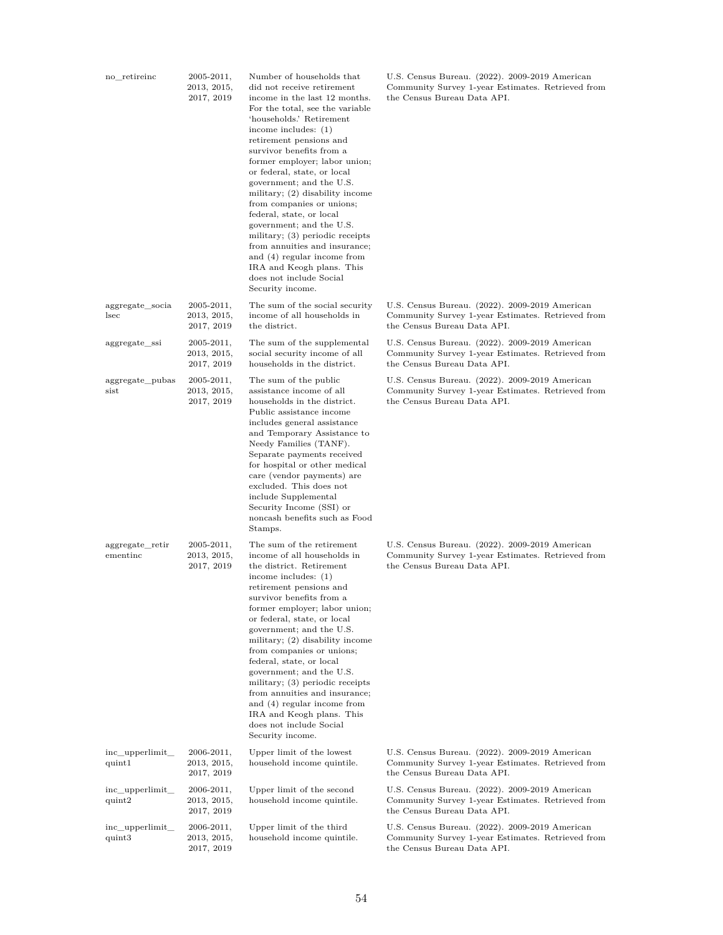| no_retireinc                | 2005-2011,<br>2013, 2015,<br>2017, 2019     | Number of households that<br>did not receive retirement<br>income in the last 12 months.<br>For the total, see the variable<br>'households.' Retirement<br>income includes: $(1)$<br>retirement pensions and<br>survivor benefits from a<br>former employer; labor union;<br>or federal, state, or local<br>government; and the U.S.<br>military; (2) disability income<br>from companies or unions;<br>federal, state, or local<br>government; and the U.S.<br>military; (3) periodic receipts<br>from annuities and insurance;<br>and (4) regular income from<br>IRA and Keogh plans. This<br>does not include Social<br>Security income. | U.S. Census Bureau. (2022). 2009-2019 American<br>Community Survey 1-year Estimates. Retrieved from<br>the Census Bureau Data API. |
|-----------------------------|---------------------------------------------|---------------------------------------------------------------------------------------------------------------------------------------------------------------------------------------------------------------------------------------------------------------------------------------------------------------------------------------------------------------------------------------------------------------------------------------------------------------------------------------------------------------------------------------------------------------------------------------------------------------------------------------------|------------------------------------------------------------------------------------------------------------------------------------|
| aggregate_socia<br>lsec     | $2005 - 2011,$<br>2013, 2015,<br>2017, 2019 | The sum of the social security<br>income of all households in<br>the district.                                                                                                                                                                                                                                                                                                                                                                                                                                                                                                                                                              | U.S. Census Bureau. (2022). 2009-2019 American<br>Community Survey 1-year Estimates. Retrieved from<br>the Census Bureau Data API. |
| aggregate_ssi               | $2005 - 2011,$<br>2013, 2015,<br>2017, 2019 | The sum of the supplemental<br>social security income of all<br>households in the district.                                                                                                                                                                                                                                                                                                                                                                                                                                                                                                                                                 | U.S. Census Bureau. (2022). 2009-2019 American<br>Community Survey 1-year Estimates. Retrieved from<br>the Census Bureau Data API. |
| aggregate_pubas<br>sist     | $2005 - 2011,$<br>2013, 2015,<br>2017, 2019 | The sum of the public<br>assistance income of all<br>households in the district.<br>Public assistance income<br>includes general assistance<br>and Temporary Assistance to<br>Needy Families (TANF).<br>Separate payments received<br>for hospital or other medical<br>care (vendor payments) are<br>excluded. This does not<br>include Supplemental<br>Security Income (SSI) or<br>noncash benefits such as Food<br>Stamps.                                                                                                                                                                                                                | U.S. Census Bureau. (2022). 2009-2019 American<br>Community Survey 1-year Estimates. Retrieved from<br>the Census Bureau Data API. |
| aggregate_retir<br>ementinc | $2005 - 2011,$<br>2013, 2015,<br>2017, 2019 | The sum of the retirement<br>income of all households in<br>the district. Retirement<br>income includes: $(1)$<br>retirement pensions and<br>survivor benefits from a<br>former employer; labor union;<br>or federal, state, or local<br>government; and the U.S.<br>military; $(2)$ disability income<br>from companies or unions;<br>federal, state, or local<br>government; and the U.S.<br>military; (3) periodic receipts<br>from annuities and insurance;<br>and (4) regular income from<br>IRA and Keogh plans. This<br>does not include Social<br>Security income.                                                                  | U.S. Census Bureau. (2022). 2009-2019 American<br>Community Survey 1-year Estimates. Retrieved from<br>the Census Bureau Data API. |
| inc_upperlimit_<br>quint1   | 2006-2011,<br>2013, 2015,<br>2017, 2019     | Upper limit of the lowest<br>household income quintile.                                                                                                                                                                                                                                                                                                                                                                                                                                                                                                                                                                                     | U.S. Census Bureau. (2022). 2009-2019 American<br>Community Survey 1-year Estimates. Retrieved from<br>the Census Bureau Data API. |
| inc_upperlimit_<br>quint2   | $2006 - 2011,$<br>2013, 2015,<br>2017, 2019 | Upper limit of the second<br>household income quintile.                                                                                                                                                                                                                                                                                                                                                                                                                                                                                                                                                                                     | U.S. Census Bureau. (2022). 2009-2019 American<br>Community Survey 1-year Estimates. Retrieved from<br>the Census Bureau Data API. |
| inc_upperlimit_<br>quint3   | 2006-2011,<br>2013, 2015,<br>2017, 2019     | Upper limit of the third<br>household income quintile.                                                                                                                                                                                                                                                                                                                                                                                                                                                                                                                                                                                      | U.S. Census Bureau. (2022). 2009-2019 American<br>Community Survey 1-year Estimates. Retrieved from<br>the Census Bureau Data API. |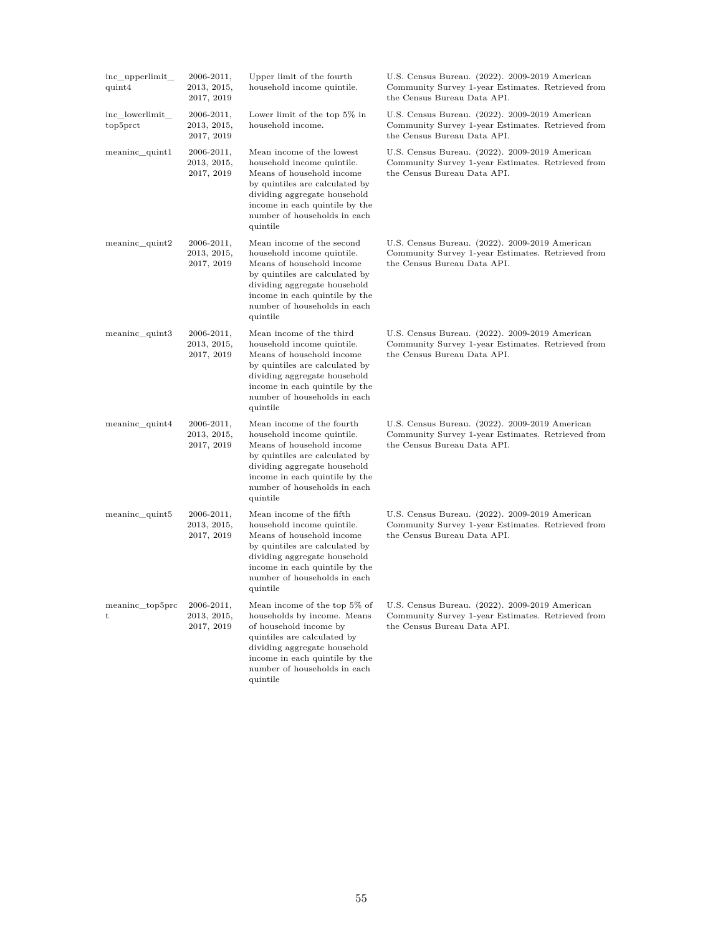| inc_upperlimit_<br>quint4   | $2006 - 2011,$<br>2013, 2015,<br>2017, 2019 | Upper limit of the fourth<br>household income quintile.                                                                                                                                                                              | U.S. Census Bureau. (2022). 2009-2019 American<br>Community Survey 1-year Estimates. Retrieved from<br>the Census Bureau Data API. |
|-----------------------------|---------------------------------------------|--------------------------------------------------------------------------------------------------------------------------------------------------------------------------------------------------------------------------------------|------------------------------------------------------------------------------------------------------------------------------------|
| inc_lowerlimit_<br>top5prct | 2006-2011,<br>2013, 2015,<br>2017, 2019     | Lower limit of the top $5\%$ in<br>household income.                                                                                                                                                                                 | U.S. Census Bureau. (2022). 2009-2019 American<br>Community Survey 1-year Estimates. Retrieved from<br>the Census Bureau Data API. |
| meaninc_quint1              | 2006-2011,<br>2013, 2015,<br>2017, 2019     | Mean income of the lowest<br>household income quintile.<br>Means of household income<br>by quintiles are calculated by<br>dividing aggregate household<br>income in each quintile by the<br>number of households in each<br>quintile | U.S. Census Bureau. (2022). 2009-2019 American<br>Community Survey 1-year Estimates. Retrieved from<br>the Census Bureau Data API. |
| $meaninc$ quint2            | $2006 - 2011,$<br>2013, 2015,<br>2017, 2019 | Mean income of the second<br>household income quintile.<br>Means of household income<br>by quintiles are calculated by<br>dividing aggregate household<br>income in each quintile by the<br>number of households in each<br>quintile | U.S. Census Bureau. (2022). 2009-2019 American<br>Community Survey 1-year Estimates. Retrieved from<br>the Census Bureau Data API. |
| meaninc_quint3              | 2006-2011,<br>2013, 2015,<br>2017, 2019     | Mean income of the third<br>household income quintile.<br>Means of household income<br>by quintiles are calculated by<br>dividing aggregate household<br>income in each quintile by the<br>number of households in each<br>quintile  | U.S. Census Bureau. (2022). 2009-2019 American<br>Community Survey 1-year Estimates. Retrieved from<br>the Census Bureau Data API. |
| meaninc_quint4              | $2006 - 2011,$<br>2013, 2015,<br>2017, 2019 | Mean income of the fourth<br>household income quintile.<br>Means of household income<br>by quintiles are calculated by<br>dividing aggregate household<br>income in each quintile by the<br>number of households in each<br>quintile | U.S. Census Bureau. (2022). 2009-2019 American<br>Community Survey 1-year Estimates. Retrieved from<br>the Census Bureau Data API. |
| meaninc_quint5              | $2006 - 2011,$<br>2013, 2015,<br>2017, 2019 | Mean income of the fifth<br>household income quintile.<br>Means of household income<br>by quintiles are calculated by<br>dividing aggregate household<br>income in each quintile by the<br>number of households in each<br>quintile  | U.S. Census Bureau. (2022). 2009-2019 American<br>Community Survey 1-year Estimates. Retrieved from<br>the Census Bureau Data API. |
| meaninc_top5prc<br>t        | $2006 - 2011,$<br>2013, 2015,<br>2017, 2019 | Mean income of the top 5% of<br>households by income. Means<br>of household income by<br>quintiles are calculated by<br>dividing aggregate household<br>income in each quintile by the<br>number of households in each<br>quintile   | U.S. Census Bureau. (2022). 2009-2019 American<br>Community Survey 1-year Estimates. Retrieved from<br>the Census Bureau Data API. |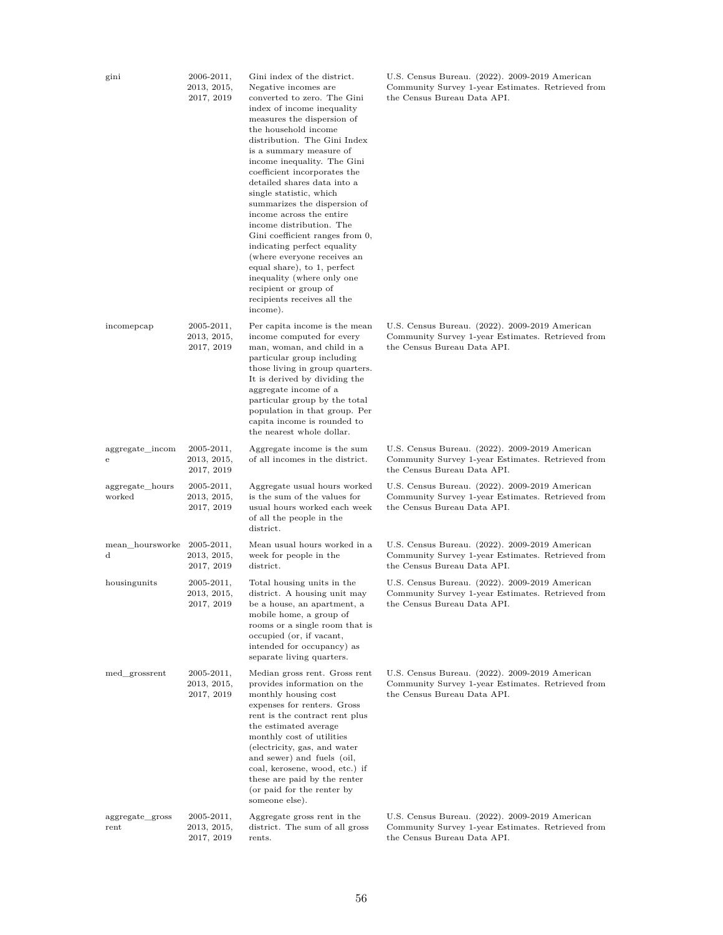| gini                      | 2006-2011,<br>2013, 2015,<br>2017, 2019        | Gini index of the district.<br>Negative incomes are<br>converted to zero. The Gini<br>index of income inequality<br>measures the dispersion of<br>the household income<br>distribution. The Gini Index<br>is a summary measure of<br>income inequality. The Gini<br>coefficient incorporates the<br>detailed shares data into a<br>single statistic, which<br>summarizes the dispersion of<br>income across the entire<br>income distribution. The<br>Gini coefficient ranges from 0,<br>indicating perfect equality<br>(where everyone receives an<br>equal share), to 1, perfect<br>inequality (where only one<br>recipient or group of<br>recipients receives all the<br>income). | U.S. Census Bureau. (2022). 2009-2019 American<br>Community Survey 1-year Estimates. Retrieved from<br>the Census Bureau Data API. |
|---------------------------|------------------------------------------------|--------------------------------------------------------------------------------------------------------------------------------------------------------------------------------------------------------------------------------------------------------------------------------------------------------------------------------------------------------------------------------------------------------------------------------------------------------------------------------------------------------------------------------------------------------------------------------------------------------------------------------------------------------------------------------------|------------------------------------------------------------------------------------------------------------------------------------|
| incomepcap                | $2005 - 2011,$<br>2013, 2015,<br>2017, 2019    | Per capita income is the mean<br>income computed for every<br>man, woman, and child in a<br>particular group including<br>those living in group quarters.<br>It is derived by dividing the<br>aggregate income of a<br>particular group by the total<br>population in that group. Per<br>capita income is rounded to<br>the nearest whole dollar.                                                                                                                                                                                                                                                                                                                                    | U.S. Census Bureau. (2022). 2009-2019 American<br>Community Survey 1-year Estimates. Retrieved from<br>the Census Bureau Data API. |
| aggregate_incom<br>e      | $2005 - 2011,$<br>2013, 2015,<br>2017, 2019    | Aggregate income is the sum<br>of all incomes in the district.                                                                                                                                                                                                                                                                                                                                                                                                                                                                                                                                                                                                                       | U.S. Census Bureau. (2022). 2009-2019 American<br>Community Survey 1-year Estimates. Retrieved from<br>the Census Bureau Data API. |
| aggregate_hours<br>worked | $2005 - 2011,$<br>$2013,\,2015,$<br>2017, 2019 | Aggregate usual hours worked<br>is the sum of the values for<br>usual hours worked each week<br>of all the people in the<br>district.                                                                                                                                                                                                                                                                                                                                                                                                                                                                                                                                                | U.S. Census Bureau. (2022). 2009-2019 American<br>Community Survey 1-year Estimates. Retrieved from<br>the Census Bureau Data API. |
| mean hoursworke<br>d      | $2005 - 2011,$<br>$2013,\,2015,$<br>2017, 2019 | Mean usual hours worked in a<br>week for people in the<br>district.                                                                                                                                                                                                                                                                                                                                                                                                                                                                                                                                                                                                                  | U.S. Census Bureau. (2022). 2009-2019 American<br>Community Survey 1-year Estimates. Retrieved from<br>the Census Bureau Data API. |
| housingunits              | $2005 - 2011,$<br>2013, 2015,<br>2017, 2019    | Total housing units in the<br>district. A housing unit may<br>be a house, an apartment, a<br>mobile home, a group of<br>rooms or a single room that is<br>occupied (or, if vacant,<br>intended for occupancy) as<br>separate living quarters.                                                                                                                                                                                                                                                                                                                                                                                                                                        | U.S. Census Bureau. (2022). 2009-2019 American<br>Community Survey 1-year Estimates. Retrieved from<br>the Census Bureau Data API. |
| med_grossrent             | $2005 - 2011,$<br>2013, 2015,<br>2017, 2019    | Median gross rent. Gross rent<br>provides information on the<br>monthly housing cost<br>expenses for renters. Gross<br>rent is the contract rent plus<br>the estimated average<br>monthly cost of utilities<br>(electricity, gas, and water<br>and sewer) and fuels (oil,<br>coal, kerosene, wood, etc.) if<br>these are paid by the renter<br>(or paid for the renter by<br>someone else).                                                                                                                                                                                                                                                                                          | U.S. Census Bureau. (2022). 2009-2019 American<br>Community Survey 1-year Estimates. Retrieved from<br>the Census Bureau Data API. |
| aggregate_gross<br>rent   | $2005 - 2011,$<br>2013, 2015,<br>2017, 2019    | Aggregate gross rent in the<br>district. The sum of all gross<br>rents.                                                                                                                                                                                                                                                                                                                                                                                                                                                                                                                                                                                                              | U.S. Census Bureau. (2022). 2009-2019 American<br>Community Survey 1-year Estimates. Retrieved from<br>the Census Bureau Data API. |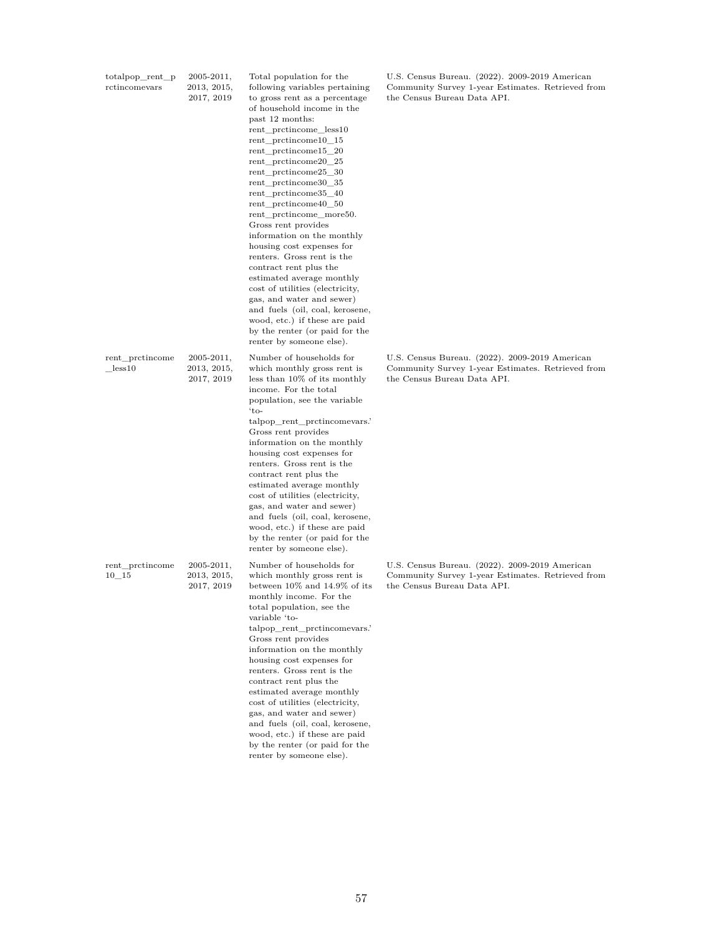| totalpop_rent_p<br>rctincomevars | $2005 - 2011,$<br>2013, 2015,<br>2017, 2019 | Total population for the<br>following variables pertaining<br>to gross rent as a percentage<br>of household income in the<br>past 12 months:<br>rent_prctincome_less10<br>rent protincome 10 15<br>rent_prctincome15_20<br>rent_prctincome20_25<br>rent_prctincome25_30<br>rent_prctincome30_35<br>rent protincome 35 40<br>rent_prctincome40_50<br>rent_prctincome_more50.<br>Gross rent provides<br>information on the monthly<br>housing cost expenses for<br>renters. Gross rent is the<br>contract rent plus the<br>estimated average monthly<br>cost of utilities (electricity,<br>gas, and water and sewer)<br>and fuels (oil, coal, kerosene,<br>wood, etc.) if these are paid<br>by the renter (or paid for the<br>renter by someone else). | U.S. Census Bureau. (2022). 2009-2019 American<br>Community Survey 1-year Estimates. Retrieved from<br>the Census Bureau Data API. |
|----------------------------------|---------------------------------------------|------------------------------------------------------------------------------------------------------------------------------------------------------------------------------------------------------------------------------------------------------------------------------------------------------------------------------------------------------------------------------------------------------------------------------------------------------------------------------------------------------------------------------------------------------------------------------------------------------------------------------------------------------------------------------------------------------------------------------------------------------|------------------------------------------------------------------------------------------------------------------------------------|
| rent_prctincome<br>less 10       | $2005 - 2011,$<br>2013, 2015,<br>2017, 2019 | Number of households for<br>which monthly gross rent is<br>less than 10% of its monthly<br>income. For the total<br>population, see the variable<br>'to-<br>talpop_rent_prctincomevars.'<br>Gross rent provides<br>information on the monthly<br>housing cost expenses for<br>renters. Gross rent is the<br>contract rent plus the<br>estimated average monthly<br>cost of utilities (electricity,<br>gas, and water and sewer)<br>and fuels (oil, coal, kerosene,<br>wood, etc.) if these are paid<br>by the renter (or paid for the<br>renter by someone else).                                                                                                                                                                                    | U.S. Census Bureau. (2022). 2009-2019 American<br>Community Survey 1-year Estimates. Retrieved from<br>the Census Bureau Data API. |
| rent_prctincome<br>$10 - 15$     | $2005 - 2011,$<br>2013, 2015,<br>2017, 2019 | Number of households for<br>which monthly gross rent is<br>between 10% and 14.9% of its<br>monthly income. For the<br>total population, see the<br>variable 'to-<br>talpop_rent_prctincomevars.'<br>Gross rent provides<br>information on the monthly<br>housing cost expenses for<br>renters. Gross rent is the<br>contract rent plus the<br>estimated average monthly<br>cost of utilities (electricity,<br>gas, and water and sewer)<br>and fuels (oil, coal, kerosene,<br>wood, etc.) if these are paid                                                                                                                                                                                                                                          | U.S. Census Bureau. (2022). 2009-2019 American<br>Community Survey 1-year Estimates. Retrieved from<br>the Census Bureau Data API. |

by the renter (or paid for the renter by someone else).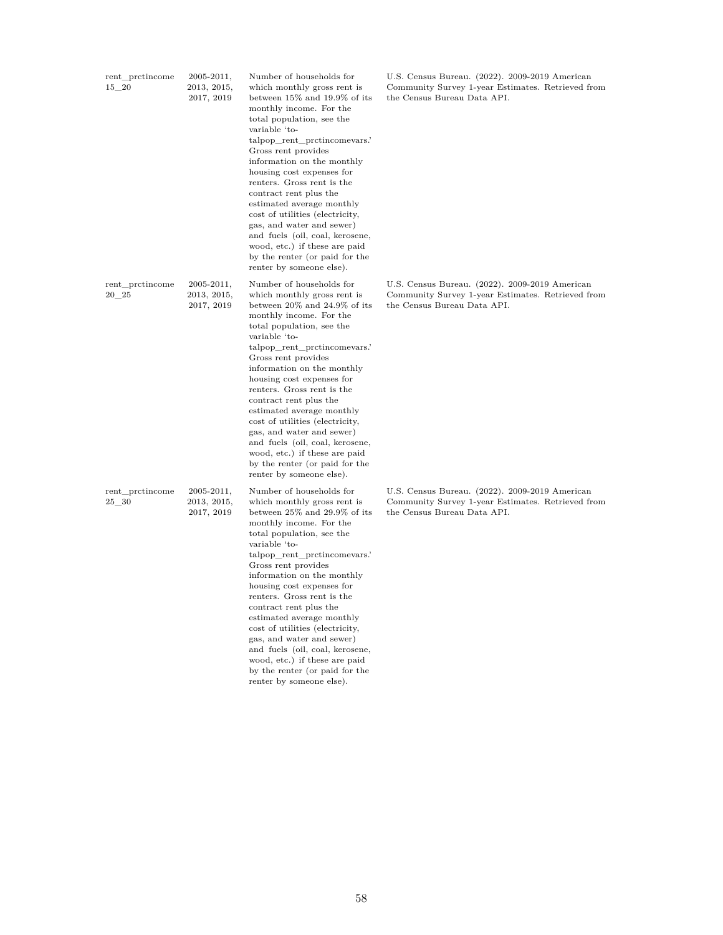| rent_prctincome<br>15 20     | $2005 - 2011,$<br>2013, 2015,<br>2017, 2019 | Number of households for<br>which monthly gross rent is<br>between 15% and 19.9% of its<br>monthly income. For the<br>total population, see the<br>variable 'to-<br>talpop_rent_prctincomevars.'<br>Gross rent provides<br>information on the monthly<br>housing cost expenses for<br>renters. Gross rent is the<br>contract rent plus the<br>estimated average monthly<br>cost of utilities (electricity,<br>gas, and water and sewer)<br>and fuels (oil, coal, kerosene,<br>wood, etc.) if these are paid<br>by the renter (or paid for the<br>renter by someone else). | U.S. Census Bureau. (2022). 2009-2019 American<br>Community Survey 1-year Estimates. Retrieved from<br>the Census Bureau Data API. |
|------------------------------|---------------------------------------------|---------------------------------------------------------------------------------------------------------------------------------------------------------------------------------------------------------------------------------------------------------------------------------------------------------------------------------------------------------------------------------------------------------------------------------------------------------------------------------------------------------------------------------------------------------------------------|------------------------------------------------------------------------------------------------------------------------------------|
| rent_prctincome<br>$20 - 25$ | $2005 - 2011,$<br>2013, 2015,<br>2017, 2019 | Number of households for<br>which monthly gross rent is<br>between 20% and 24.9% of its<br>monthly income. For the<br>total population, see the<br>variable 'to-<br>talpop rent protincomevars.<br>Gross rent provides<br>information on the monthly<br>housing cost expenses for<br>renters. Gross rent is the<br>contract rent plus the<br>estimated average monthly<br>cost of utilities (electricity,<br>gas, and water and sewer)<br>and fuels (oil, coal, kerosene,<br>wood, etc.) if these are paid<br>by the renter (or paid for the<br>renter by someone else).  | U.S. Census Bureau. (2022). 2009-2019 American<br>Community Survey 1-year Estimates. Retrieved from<br>the Census Bureau Data API. |
| rent_prctincome<br>$25 - 30$ | $2005 - 2011,$<br>2013, 2015,<br>2017, 2019 | Number of households for<br>which monthly gross rent is<br>between 25% and 29.9% of its<br>monthly income. For the<br>total population, see the<br>variable 'to-<br>talpop_rent_prctincomevars.'<br>Gross rent provides<br>information on the monthly<br>housing cost expenses for<br>renters. Gross rent is the<br>contract rent plus the<br>estimated average monthly<br>cost of utilities (electricity,<br>gas, and water and sewer)<br>and fuels (oil, coal, kerosene,<br>wood, etc.) if these are paid<br>by the renter (or paid for the<br>renter by someone else). | U.S. Census Bureau. (2022). 2009-2019 American<br>Community Survey 1-year Estimates. Retrieved from<br>the Census Bureau Data API. |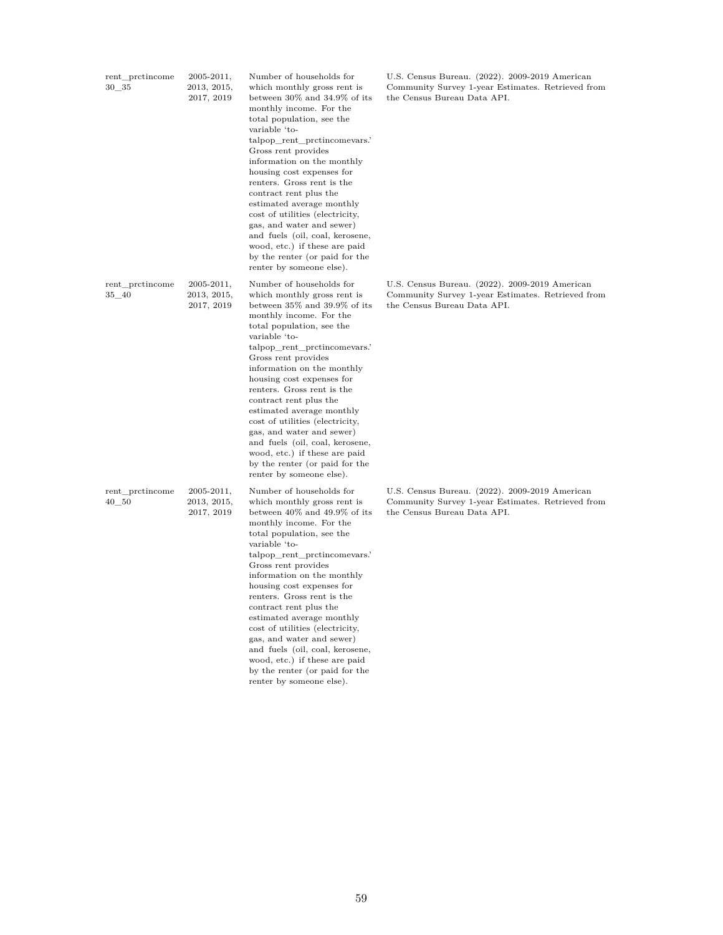| rent_prctincome<br>30 35     | 2005-2011,<br>2013, 2015,<br>2017, 2019     | Number of households for<br>which monthly gross rent is<br>between 30% and 34.9% of its<br>monthly income. For the<br>total population, see the<br>variable 'to-<br>talpop_rent_prctincomevars.'<br>Gross rent provides<br>information on the monthly<br>housing cost expenses for<br>renters. Gross rent is the<br>contract rent plus the<br>estimated average monthly<br>cost of utilities (electricity,<br>gas, and water and sewer)<br>and fuels (oil, coal, kerosene,<br>wood, etc.) if these are paid<br>by the renter (or paid for the<br>renter by someone else).       | U.S. Census Bureau. (2022). 2009-2019 American<br>Community Survey 1-year Estimates. Retrieved from<br>the Census Bureau Data API. |
|------------------------------|---------------------------------------------|---------------------------------------------------------------------------------------------------------------------------------------------------------------------------------------------------------------------------------------------------------------------------------------------------------------------------------------------------------------------------------------------------------------------------------------------------------------------------------------------------------------------------------------------------------------------------------|------------------------------------------------------------------------------------------------------------------------------------|
| rent_prctincome<br>$35 - 40$ | 2005-2011,<br>2013, 2015,<br>2017, 2019     | Number of households for<br>which monthly gross rent is<br>between 35% and 39.9% of its<br>monthly income. For the<br>total population, see the<br>variable 'to-<br>talpop_rent_prctincomevars.<br>Gross rent provides<br>information on the monthly<br>housing cost expenses for<br>renters. Gross rent is the<br>contract rent plus the<br>estimated average monthly<br>cost of utilities (electricity,<br>gas, and water and sewer)<br>and fuels (oil, coal, kerosene,<br>wood, etc.) if these are paid<br>by the renter (or paid for the<br>renter by someone else).        | U.S. Census Bureau. (2022). 2009-2019 American<br>Community Survey 1-year Estimates. Retrieved from<br>the Census Bureau Data API. |
| rent_prctincome<br>$40 - 50$ | $2005 - 2011,$<br>2013, 2015,<br>2017, 2019 | Number of households for<br>which monthly gross rent is<br>between $40\%$ and $49.9\%$ of its<br>monthly income. For the<br>total population, see the<br>variable 'to-<br>talpop_rent_prctincomevars.'<br>Gross rent provides<br>information on the monthly<br>housing cost expenses for<br>renters. Gross rent is the<br>contract rent plus the<br>estimated average monthly<br>cost of utilities (electricity,<br>gas, and water and sewer)<br>and fuels (oil, coal, kerosene,<br>wood, etc.) if these are paid<br>by the renter (or paid for the<br>renter by someone else). | U.S. Census Bureau. (2022). 2009-2019 American<br>Community Survey 1-year Estimates. Retrieved from<br>the Census Bureau Data API. |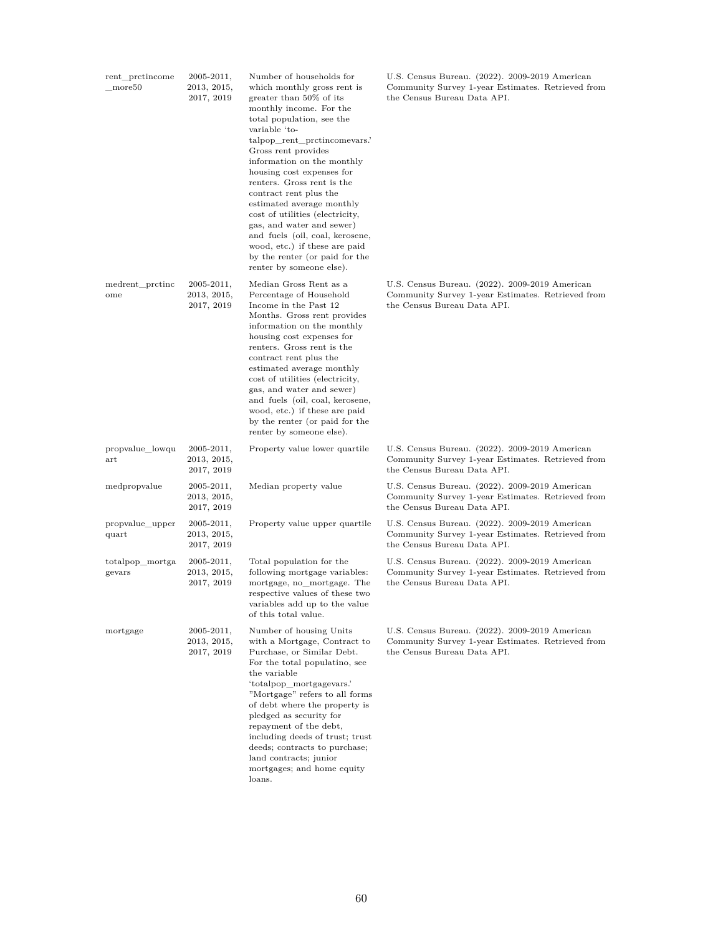| rent_prctincome<br>more <sub>50</sub> | $2005 - 2011,$<br>2013, 2015,<br>2017, 2019 | Number of households for<br>which monthly gross rent is<br>greater than 50% of its<br>monthly income. For the<br>total population, see the<br>variable 'to-<br>talpop_rent_prctincomevars.<br>Gross rent provides<br>information on the monthly<br>housing cost expenses for<br>renters. Gross rent is the<br>contract rent plus the<br>estimated average monthly<br>cost of utilities (electricity,<br>gas, and water and sewer)<br>and fuels (oil, coal, kerosene,<br>wood, etc.) if these are paid<br>by the renter (or paid for the<br>renter by someone else). | U.S. Census Bureau. (2022). 2009-2019 American<br>Community Survey 1-year Estimates. Retrieved from<br>the Census Bureau Data API. |
|---------------------------------------|---------------------------------------------|---------------------------------------------------------------------------------------------------------------------------------------------------------------------------------------------------------------------------------------------------------------------------------------------------------------------------------------------------------------------------------------------------------------------------------------------------------------------------------------------------------------------------------------------------------------------|------------------------------------------------------------------------------------------------------------------------------------|
| medrent_prctinc<br>ome                | $2005 - 2011,$<br>2013, 2015,<br>2017, 2019 | Median Gross Rent as a<br>Percentage of Household<br>Income in the Past 12<br>Months. Gross rent provides<br>information on the monthly<br>housing cost expenses for<br>renters. Gross rent is the<br>contract rent plus the<br>estimated average monthly<br>cost of utilities (electricity,<br>gas, and water and sewer)<br>and fuels (oil, coal, kerosene,<br>wood, etc.) if these are paid<br>by the renter (or paid for the<br>renter by someone else).                                                                                                         | U.S. Census Bureau. (2022). 2009-2019 American<br>Community Survey 1-year Estimates. Retrieved from<br>the Census Bureau Data API. |
| propvalue_lowqu<br>$_{\rm art}$       | $2005 - 2011,$<br>2013, 2015,<br>2017, 2019 | Property value lower quartile                                                                                                                                                                                                                                                                                                                                                                                                                                                                                                                                       | U.S. Census Bureau. (2022). 2009-2019 American<br>Community Survey 1-year Estimates. Retrieved from<br>the Census Bureau Data API. |
| medpropvalue                          | $2005 - 2011,$<br>2013, 2015,<br>2017, 2019 | Median property value                                                                                                                                                                                                                                                                                                                                                                                                                                                                                                                                               | U.S. Census Bureau. (2022). 2009-2019 American<br>Community Survey 1-year Estimates. Retrieved from<br>the Census Bureau Data API. |
| propvalue_upper<br>quart              | $2005 - 2011,$<br>2013, 2015,<br>2017, 2019 | Property value upper quartile                                                                                                                                                                                                                                                                                                                                                                                                                                                                                                                                       | U.S. Census Bureau. (2022). 2009-2019 American<br>Community Survey 1-year Estimates. Retrieved from<br>the Census Bureau Data API. |
| totalpop_mortga<br>gevars             | $2005 - 2011,$<br>2013, 2015,<br>2017, 2019 | Total population for the<br>following mortgage variables:<br>mortgage, no mortgage. The<br>respective values of these two<br>variables add up to the value<br>of this total value.                                                                                                                                                                                                                                                                                                                                                                                  | U.S. Census Bureau. (2022). 2009-2019 American<br>Community Survey 1-year Estimates. Retrieved from<br>the Census Bureau Data API. |
| mortgage                              | $2005 - 2011,$<br>2013, 2015,<br>2017, 2019 | Number of housing Units<br>with a Mortgage, Contract to<br>Purchase, or Similar Debt.<br>For the total populatino, see<br>the variable<br>'totalpop mortgagevars.'<br>"Mortgage" refers to all forms<br>of debt where the property is<br>pledged as security for<br>repayment of the debt,<br>including deeds of trust; trust<br>deeds; contracts to purchase;<br>land contracts; junior<br>mortgages; and home equity<br>loans.                                                                                                                                    | U.S. Census Bureau. (2022). 2009-2019 American<br>Community Survey 1-year Estimates. Retrieved from<br>the Census Bureau Data API. |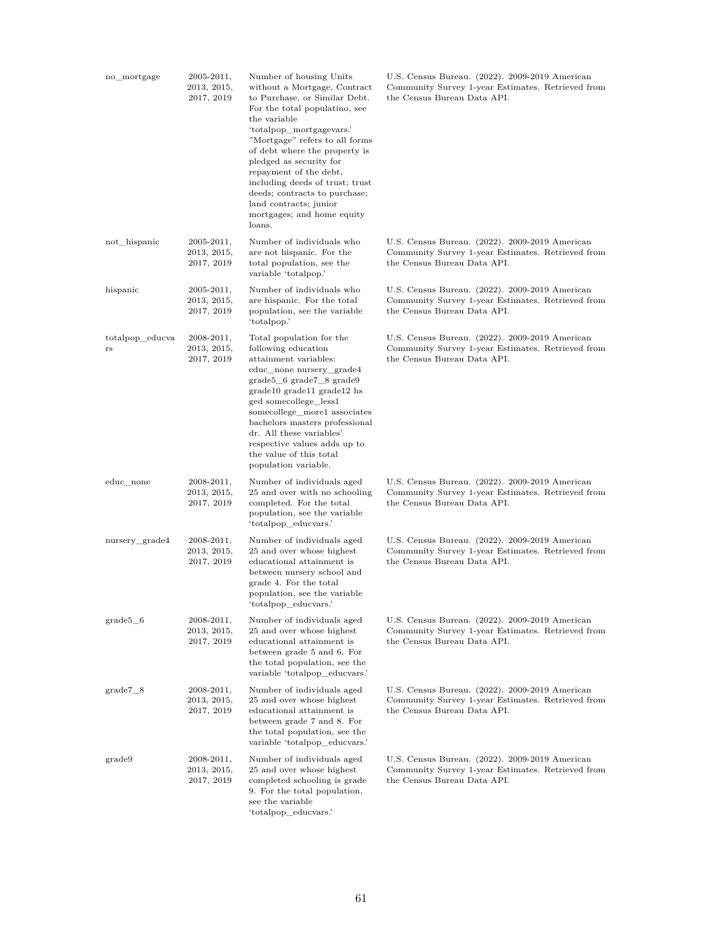| no_mortgage                    | 2005-2011,<br>2013, 2015,<br>2017, 2019     | Number of housing Units<br>without a Mortgage, Contract<br>to Purchase, or Similar Debt.<br>For the total populatino, see<br>the variable<br>'totalpop_mortgagevars.'<br>"Mortgage" refers to all forms<br>of debt where the property is<br>pledged as security for<br>repayment of the debt,<br>including deeds of trust; trust<br>deeds; contracts to purchase;<br>land contracts; junior<br>mortgages; and home equity<br>loans. | U.S. Census Bureau. (2022). 2009-2019 American<br>Community Survey 1-year Estimates. Retrieved from<br>the Census Bureau Data API. |
|--------------------------------|---------------------------------------------|-------------------------------------------------------------------------------------------------------------------------------------------------------------------------------------------------------------------------------------------------------------------------------------------------------------------------------------------------------------------------------------------------------------------------------------|------------------------------------------------------------------------------------------------------------------------------------|
| not_hispanic                   | $2005 - 2011,$<br>2013, 2015,<br>2017, 2019 | Number of individuals who<br>are not hispanic. For the<br>total population, see the<br>variable 'totalpop.'                                                                                                                                                                                                                                                                                                                         | U.S. Census Bureau. (2022). 2009-2019 American<br>Community Survey 1-year Estimates. Retrieved from<br>the Census Bureau Data API. |
| hispanic                       | $2005 - 2011,$<br>2013, 2015,<br>2017, 2019 | Number of individuals who<br>are hispanic. For the total<br>population, see the variable<br>'totalpop.'                                                                                                                                                                                                                                                                                                                             | U.S. Census Bureau. (2022). 2009-2019 American<br>Community Survey 1-year Estimates. Retrieved from<br>the Census Bureau Data API. |
| totalpop educva<br>$_{\rm rs}$ | 2008-2011,<br>2013, 2015,<br>2017, 2019     | Total population for the<br>following education<br>attainment variables:<br>educ_none nursery_grade4<br>$grade5_6 grade7_8 grade9$<br>grade10 grade11 grade12 hs<br>ged somecollege_less1<br>somecollege_more1 associates<br>bachelors masters professional<br>dr. All these variables'<br>respective values adds up to<br>the value of this total<br>population variable.                                                          | U.S. Census Bureau. (2022). 2009-2019 American<br>Community Survey 1-year Estimates. Retrieved from<br>the Census Bureau Data API. |
| educ none                      | $2008 - 2011,$<br>2013, 2015,<br>2017, 2019 | Number of individuals aged<br>25 and over with no schooling<br>completed. For the total<br>population, see the variable<br>'totalpop_educvars.'                                                                                                                                                                                                                                                                                     | U.S. Census Bureau. (2022). 2009-2019 American<br>Community Survey 1-year Estimates. Retrieved from<br>the Census Bureau Data API. |
| nursery_grade4                 | 2008-2011,<br>2013, 2015,<br>2017, 2019     | Number of individuals aged<br>25 and over whose highest<br>educational attainment is<br>between nursery school and<br>grade 4. For the total<br>population, see the variable<br>'totalpop_educvars.'                                                                                                                                                                                                                                | U.S. Census Bureau. (2022). 2009-2019 American<br>Community Survey 1-year Estimates. Retrieved from<br>the Census Bureau Data API. |
| $grade5_6$                     | 2008-2011,<br>2013, 2015,<br>2017, 2019     | Number of individuals aged<br>25 and over whose highest<br>educational attainment is<br>between grade 5 and 6. For<br>the total population, see the<br>variable 'totalpop educvars.'                                                                                                                                                                                                                                                | U.S. Census Bureau. (2022). 2009-2019 American<br>Community Survey 1-year Estimates. Retrieved from<br>the Census Bureau Data API. |
| $grade7_8$                     | 2008-2011,<br>2013, 2015,<br>2017, 2019     | Number of individuals aged<br>25 and over whose highest<br>educational attainment is<br>between grade 7 and 8. For<br>the total population, see the<br>variable 'totalpop_educvars.'                                                                                                                                                                                                                                                | U.S. Census Bureau. (2022). 2009-2019 American<br>Community Survey 1-year Estimates. Retrieved from<br>the Census Bureau Data API. |
| grade9                         | $2008 - 2011,$<br>2013, 2015,<br>2017, 2019 | Number of individuals aged<br>25 and over whose highest<br>completed schooling is grade<br>9. For the total population,<br>see the variable<br>'totalpop_educvars.'                                                                                                                                                                                                                                                                 | U.S. Census Bureau. (2022). 2009-2019 American<br>Community Survey 1-year Estimates. Retrieved from<br>the Census Bureau Data API. |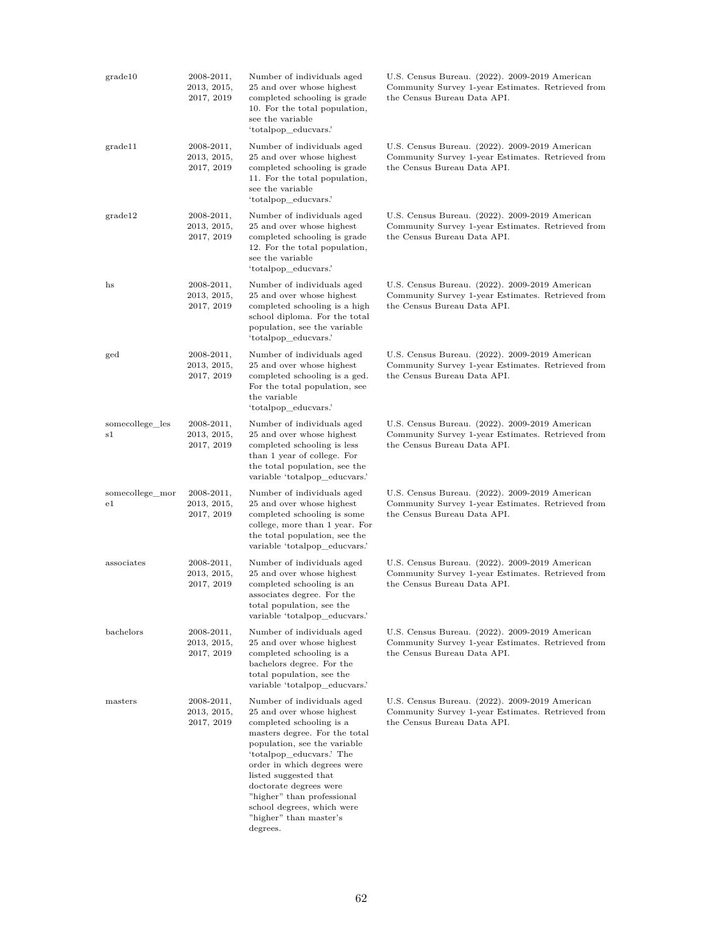| grade10                        | 2008-2011,<br>2013, 2015,<br>2017, 2019     | Number of individuals aged<br>25 and over whose highest<br>completed schooling is grade<br>10. For the total population,<br>see the variable<br>'totalpop_educvars.'                                                                                                                                                                                                 | U.S. Census Bureau. (2022). 2009-2019 American<br>Community Survey 1-year Estimates. Retrieved from<br>the Census Bureau Data API. |
|--------------------------------|---------------------------------------------|----------------------------------------------------------------------------------------------------------------------------------------------------------------------------------------------------------------------------------------------------------------------------------------------------------------------------------------------------------------------|------------------------------------------------------------------------------------------------------------------------------------|
| grade11                        | $2008 - 2011,$<br>2013, 2015,<br>2017, 2019 | Number of individuals aged<br>25 and over whose highest<br>completed schooling is grade<br>11. For the total population,<br>see the variable<br>'totalpop_educvars.'                                                                                                                                                                                                 | U.S. Census Bureau. (2022). 2009-2019 American<br>Community Survey 1-year Estimates. Retrieved from<br>the Census Bureau Data API. |
| grade12                        | $2008 - 2011,$<br>2013, 2015,<br>2017, 2019 | Number of individuals aged<br>25 and over whose highest<br>completed schooling is grade<br>12. For the total population,<br>see the variable<br>'totalpop_educvars.'                                                                                                                                                                                                 | U.S. Census Bureau. (2022). 2009-2019 American<br>Community Survey 1-year Estimates. Retrieved from<br>the Census Bureau Data API. |
| hs                             | $2008 - 2011,$<br>2013, 2015,<br>2017, 2019 | Number of individuals aged<br>25 and over whose highest<br>completed schooling is a high<br>school diploma. For the total<br>population, see the variable<br>'totalpop educvars.'                                                                                                                                                                                    | U.S. Census Bureau. (2022). 2009-2019 American<br>Community Survey 1-year Estimates. Retrieved from<br>the Census Bureau Data API. |
| ged                            | $2008 - 2011,$<br>2013, 2015,<br>2017, 2019 | Number of individuals aged<br>25 and over whose highest<br>completed schooling is a ged.<br>For the total population, see<br>the variable<br>'totalpop_educvars.'                                                                                                                                                                                                    | U.S. Census Bureau. (2022). 2009-2019 American<br>Community Survey 1-year Estimates. Retrieved from<br>the Census Bureau Data API. |
| somecollege_les<br>s1          | $2008 - 2011,$<br>2013, 2015,<br>2017, 2019 | Number of individuals aged<br>25 and over whose highest<br>completed schooling is less<br>than 1 year of college. For<br>the total population, see the<br>variable 'totalpop_educvars.'                                                                                                                                                                              | U.S. Census Bureau. (2022). 2009-2019 American<br>Community Survey 1-year Estimates. Retrieved from<br>the Census Bureau Data API. |
| somecollege_mor<br>$_{\rm e1}$ | $2008 - 2011,$<br>2013, 2015,<br>2017, 2019 | Number of individuals aged<br>25 and over whose highest<br>completed schooling is some<br>college, more than 1 year. For<br>the total population, see the<br>variable 'totalpop_educvars.'                                                                                                                                                                           | U.S. Census Bureau. (2022). 2009-2019 American<br>Community Survey 1-year Estimates. Retrieved from<br>the Census Bureau Data API. |
| associates                     | $2008 - 2011,$<br>2013, 2015,<br>2017, 2019 | Number of individuals aged<br>25 and over whose highest<br>completed schooling is an<br>associates degree. For the<br>total population, see the<br>variable 'totalpop_educvars.'                                                                                                                                                                                     | U.S. Census Bureau. (2022). 2009-2019 American<br>Community Survey 1-year Estimates. Retrieved from<br>the Census Bureau Data API. |
| bachelors                      | 2008-2011,<br>2013, 2015,<br>2017, 2019     | Number of individuals aged<br>25 and over whose highest<br>completed schooling is a<br>bachelors degree. For the<br>total population, see the<br>variable 'totalpop educyars.'                                                                                                                                                                                       | U.S. Census Bureau. (2022). 2009-2019 American<br>Community Survey 1-year Estimates. Retrieved from<br>the Census Bureau Data API. |
| masters                        | $2008 - 2011,$<br>2013, 2015,<br>2017, 2019 | Number of individuals aged<br>25 and over whose highest<br>completed schooling is a<br>masters degree. For the total<br>population, see the variable<br>'totalpop_educvars.' The<br>order in which degrees were<br>listed suggested that<br>doctorate degrees were<br>"higher" than professional<br>school degrees, which were<br>"higher" than master's<br>degrees. | U.S. Census Bureau. (2022). 2009-2019 American<br>Community Survey 1-year Estimates. Retrieved from<br>the Census Bureau Data API. |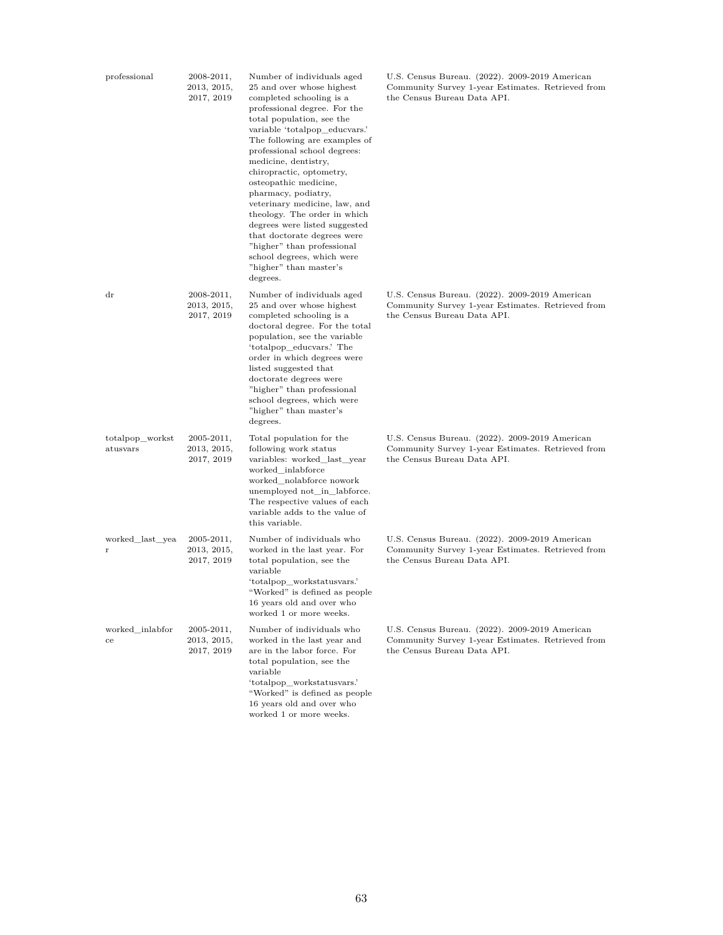| professional                | 2008-2011,<br>2013, 2015,<br>2017, 2019     | Number of individuals aged<br>25 and over whose highest<br>completed schooling is a<br>professional degree. For the<br>total population, see the<br>variable 'totalpop_educvars.'<br>The following are examples of<br>professional school degrees:<br>medicine, dentistry,<br>chiropractic, optometry,<br>osteopathic medicine,<br>pharmacy, podiatry,<br>veterinary medicine, law, and<br>theology. The order in which<br>degrees were listed suggested<br>that doctorate degrees were<br>"higher" than professional<br>school degrees, which were<br>"higher" than master's<br>degrees. | U.S. Census Bureau. (2022). 2009-2019 American<br>Community Survey 1-year Estimates. Retrieved from<br>the Census Bureau Data API. |
|-----------------------------|---------------------------------------------|-------------------------------------------------------------------------------------------------------------------------------------------------------------------------------------------------------------------------------------------------------------------------------------------------------------------------------------------------------------------------------------------------------------------------------------------------------------------------------------------------------------------------------------------------------------------------------------------|------------------------------------------------------------------------------------------------------------------------------------|
| $\rm dr$                    | $2008 - 2011,$<br>2013, 2015,<br>2017, 2019 | Number of individuals aged<br>25 and over whose highest<br>completed schooling is a<br>doctoral degree. For the total<br>population, see the variable<br>'totalpop_educvars.' The<br>order in which degrees were<br>listed suggested that<br>doctorate degrees were<br>"higher" than professional<br>school degrees, which were<br>"higher" than master's<br>degrees.                                                                                                                                                                                                                     | U.S. Census Bureau. (2022). 2009-2019 American<br>Community Survey 1-year Estimates. Retrieved from<br>the Census Bureau Data API. |
| totalpop_workst<br>atusvars | 2005-2011,<br>2013, 2015,<br>2017, 2019     | Total population for the<br>following work status<br>variables: worked last year<br>worked inlabforce<br>worked_nolabforce nowork<br>unemployed not_in_labforce.<br>The respective values of each<br>variable adds to the value of<br>this variable.                                                                                                                                                                                                                                                                                                                                      | U.S. Census Bureau. (2022). 2009-2019 American<br>Community Survey 1-year Estimates. Retrieved from<br>the Census Bureau Data API. |
| worked_last_yea<br>r        | $2005 - 2011,$<br>2013, 2015,<br>2017, 2019 | Number of individuals who<br>worked in the last year. For<br>total population, see the<br>variable<br>'totalpop workstatusvars.'<br>"Worked" is defined as people<br>16 years old and over who<br>worked 1 or more weeks.                                                                                                                                                                                                                                                                                                                                                                 | U.S. Census Bureau. (2022). 2009-2019 American<br>Community Survey 1-year Estimates. Retrieved from<br>the Census Bureau Data API. |
| worked inlabfor<br>ce       | $2005 - 2011,$<br>2013, 2015,<br>2017, 2019 | Number of individuals who<br>worked in the last year and<br>are in the labor force. For<br>total population, see the<br>variable<br>'totalpop workstatusvars.'<br>"Worked" is defined as people<br>16 years old and over who<br>worked 1 or more weeks.                                                                                                                                                                                                                                                                                                                                   | U.S. Census Bureau. (2022). 2009-2019 American<br>Community Survey 1-year Estimates. Retrieved from<br>the Census Bureau Data API. |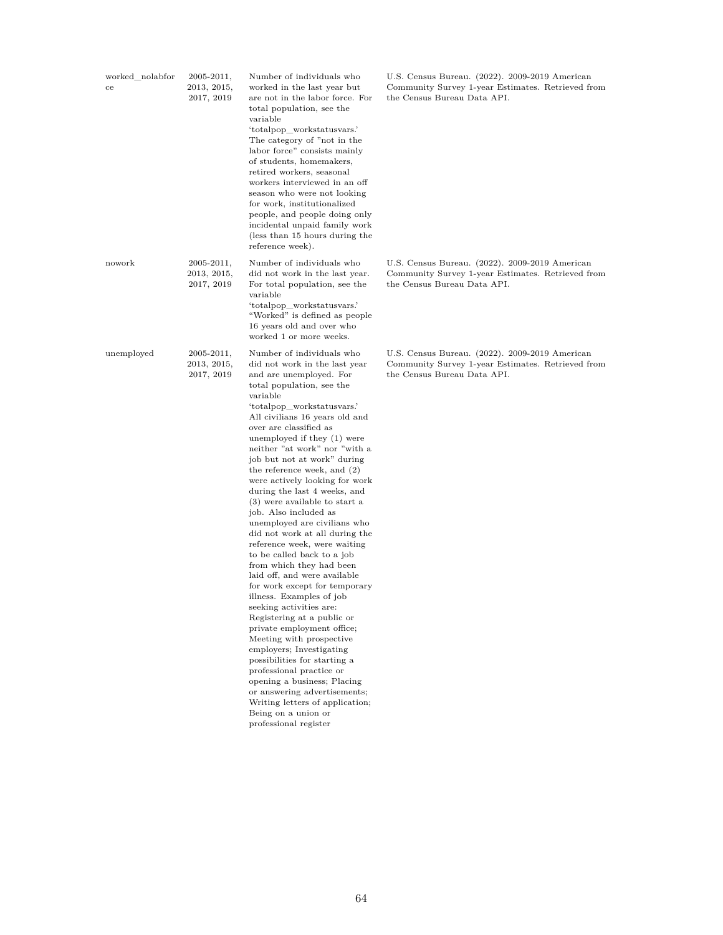| worked_nolabfor<br>ce | $2005 - 2011,$<br>2013, 2015,<br>2017, 2019 | Number of individuals who<br>worked in the last year but<br>are not in the labor force. For<br>total population, see the<br>variable<br>'totalpop workstatusvars.'<br>The category of "not in the<br>labor force" consists mainly<br>of students, homemakers,<br>retired workers, seasonal<br>workers interviewed in an off<br>season who were not looking<br>for work, institutionalized<br>people, and people doing only<br>incidental unpaid family work<br>(less than 15 hours during the<br>reference week).                                                                                                                                                                                                                                                                                                                                                                                                                                                                                                                                                                                        | U.S. Census Bureau. (2022). 2009-2019 American<br>Community Survey 1-year Estimates. Retrieved from<br>the Census Bureau Data API. |
|-----------------------|---------------------------------------------|----------------------------------------------------------------------------------------------------------------------------------------------------------------------------------------------------------------------------------------------------------------------------------------------------------------------------------------------------------------------------------------------------------------------------------------------------------------------------------------------------------------------------------------------------------------------------------------------------------------------------------------------------------------------------------------------------------------------------------------------------------------------------------------------------------------------------------------------------------------------------------------------------------------------------------------------------------------------------------------------------------------------------------------------------------------------------------------------------------|------------------------------------------------------------------------------------------------------------------------------------|
| nowork                | $2005 - 2011,$<br>2013, 2015,<br>2017, 2019 | Number of individuals who<br>did not work in the last year.<br>For total population, see the<br>variable<br>'totalpop_workstatusvars.'<br>"Worked" is defined as people<br>16 years old and over who<br>worked 1 or more weeks.                                                                                                                                                                                                                                                                                                                                                                                                                                                                                                                                                                                                                                                                                                                                                                                                                                                                          | U.S. Census Bureau. (2022). 2009-2019 American<br>Community Survey 1-year Estimates. Retrieved from<br>the Census Bureau Data API. |
| unemployed            | $2005 - 2011,$<br>2013, 2015,<br>2017, 2019 | Number of individuals who<br>did not work in the last year<br>and are unemployed. For<br>total population, see the<br>variable<br>'totalpop_workstatusvars.'<br>All civilians 16 years old and<br>over are classified as<br>unemployed if they (1) were<br>neither "at work" nor "with a<br>job but not at work" during<br>the reference week, and (2)<br>were actively looking for work<br>during the last 4 weeks, and<br>(3) were available to start a<br>job. Also included as<br>unemployed are civilians who<br>did not work at all during the<br>reference week, were waiting<br>to be called back to a job<br>from which they had been<br>laid off, and were available<br>for work except for temporary<br>illness. Examples of job<br>seeking activities are:<br>Registering at a public or<br>private employment office;<br>Meeting with prospective<br>employers; Investigating<br>possibilities for starting a<br>professional practice or<br>opening a business; Placing<br>or answering advertisements;<br>Writing letters of application;<br>Being on a union or<br>professional register | U.S. Census Bureau. (2022). 2009-2019 American<br>Community Survey 1-year Estimates. Retrieved from<br>the Census Bureau Data API. |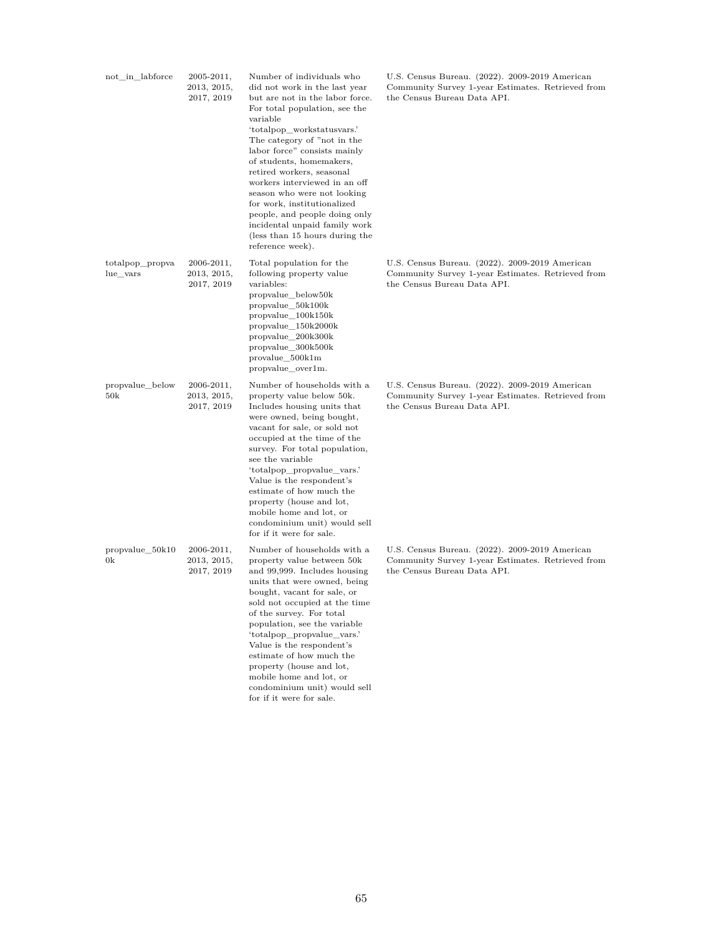| not in labforce             | 2005-2011,<br>2013, 2015,<br>2017, 2019 | Number of individuals who<br>did not work in the last year<br>but are not in the labor force.<br>For total population, see the<br>variable<br>'totalpop workstatusvars.'<br>The category of "not in the<br>labor force" consists mainly<br>of students, homemakers,<br>retired workers, seasonal<br>workers interviewed in an off<br>season who were not looking<br>for work, institutionalized<br>people, and people doing only<br>incidental unpaid family work<br>(less than 15 hours during the<br>reference week). | U.S. Census Bureau. (2022). 2009-2019 American<br>Community Survey 1-year Estimates. Retrieved from<br>the Census Bureau Data API. |
|-----------------------------|-----------------------------------------|-------------------------------------------------------------------------------------------------------------------------------------------------------------------------------------------------------------------------------------------------------------------------------------------------------------------------------------------------------------------------------------------------------------------------------------------------------------------------------------------------------------------------|------------------------------------------------------------------------------------------------------------------------------------|
| totalpop_propva<br>lue vars | 2006-2011,<br>2013, 2015,<br>2017, 2019 | Total population for the<br>following property value<br>variables:<br>propvalue_below50k<br>propvalue 50k100k<br>propvalue 100k150k<br>propvalue_150k2000k<br>propvalue_200k300k<br>propvalue_300k500k<br>provalue_500k1m<br>propvalue_over1m.                                                                                                                                                                                                                                                                          | U.S. Census Bureau. (2022). 2009-2019 American<br>Community Survey 1-year Estimates. Retrieved from<br>the Census Bureau Data API. |
| propvalue_below<br>50k      | 2006-2011,<br>2013, 2015,<br>2017, 2019 | Number of households with a<br>property value below 50k.<br>Includes housing units that<br>were owned, being bought,<br>vacant for sale, or sold not<br>occupied at the time of the<br>survey. For total population,<br>see the variable<br>'totalpop_propvalue_vars.'<br>Value is the respondent's<br>estimate of how much the<br>property (house and lot,<br>mobile home and lot, or<br>condominium unit) would sell<br>for if it were for sale.                                                                      | U.S. Census Bureau. (2022). 2009-2019 American<br>Community Survey 1-year Estimates. Retrieved from<br>the Census Bureau Data API. |
| propvalue 50k10<br>0k       | 2006-2011,<br>2013, 2015,<br>2017, 2019 | Number of households with a<br>property value between 50k<br>and 99,999. Includes housing<br>units that were owned, being<br>bought, vacant for sale, or<br>sold not occupied at the time<br>of the survey. For total<br>population, see the variable<br>'totalpop_propvalue_vars.'<br>Value is the respondent's<br>estimate of how much the<br>property (house and lot,<br>mobile home and lot, or<br>condominium unit) would sell                                                                                     | U.S. Census Bureau. (2022). 2009-2019 American<br>Community Survey 1-year Estimates. Retrieved from<br>the Census Bureau Data API. |

for if it were for sale.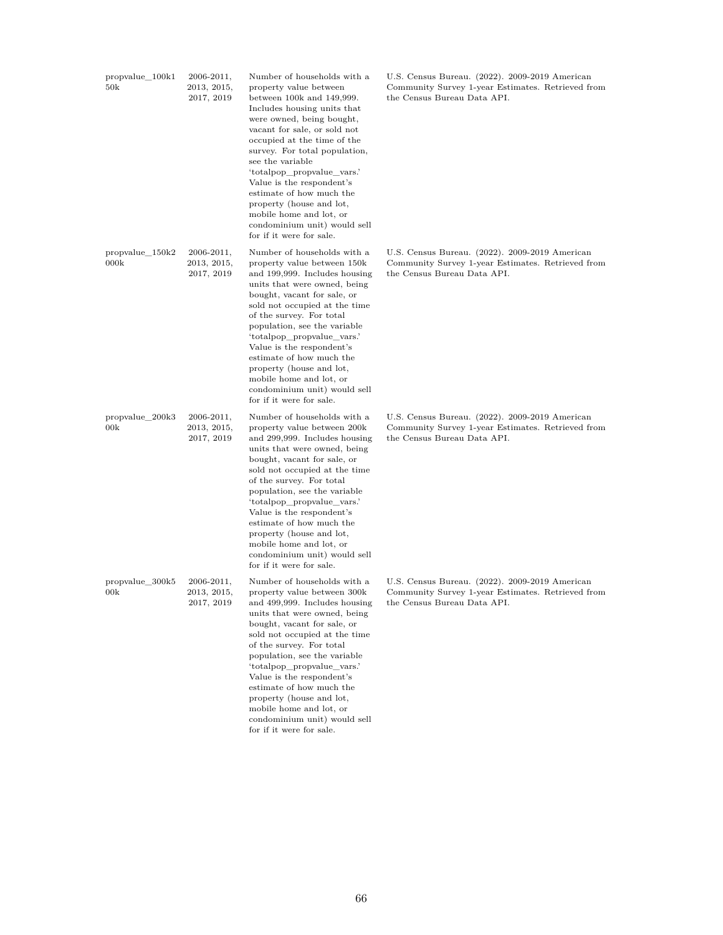| propvalue_100k1<br>50k    | 2006-2011,<br>2013, 2015,<br>2017, 2019     | Number of households with a<br>property value between<br>between $100k$ and $149,999$ .<br>Includes housing units that<br>were owned, being bought,<br>vacant for sale, or sold not<br>occupied at the time of the<br>survey. For total population,<br>see the variable<br>'totalpop_propvalue_vars.'<br>Value is the respondent's<br>estimate of how much the<br>property (house and lot,<br>mobile home and lot, or<br>condominium unit) would sell<br>for if it were for sale. | U.S. Census Bureau. (2022). 2009-2019 American<br>Community Survey 1-year Estimates. Retrieved from<br>the Census Bureau Data API. |
|---------------------------|---------------------------------------------|-----------------------------------------------------------------------------------------------------------------------------------------------------------------------------------------------------------------------------------------------------------------------------------------------------------------------------------------------------------------------------------------------------------------------------------------------------------------------------------|------------------------------------------------------------------------------------------------------------------------------------|
| $propvalue_150k2$<br>000k | $2006 - 2011,$<br>2013, 2015,<br>2017, 2019 | Number of households with a<br>property value between 150k<br>and 199,999. Includes housing<br>units that were owned, being<br>bought, vacant for sale, or<br>sold not occupied at the time<br>of the survey. For total<br>population, see the variable<br>'totalpop_propvalue_vars.'<br>Value is the respondent's<br>estimate of how much the<br>property (house and lot,<br>mobile home and lot, or<br>condominium unit) would sell<br>for if it were for sale.                 | U.S. Census Bureau. (2022). 2009-2019 American<br>Community Survey 1-year Estimates. Retrieved from<br>the Census Bureau Data API. |
| propvalue_200k3<br>00k    | $2006 - 2011,$<br>2013, 2015,<br>2017, 2019 | Number of households with a<br>property value between 200k<br>and 299,999. Includes housing<br>units that were owned, being<br>bought, vacant for sale, or<br>sold not occupied at the time<br>of the survey. For total<br>population, see the variable<br>'totalpop_propvalue_vars.'<br>Value is the respondent's<br>estimate of how much the<br>property (house and lot,<br>mobile home and lot, or<br>condominium unit) would sell<br>for if it were for sale.                 | U.S. Census Bureau. (2022). 2009-2019 American<br>Community Survey 1-year Estimates. Retrieved from<br>the Census Bureau Data API. |
| propvalue_300k5<br>00k    | $2006 - 2011,$<br>2013, 2015,<br>2017, 2019 | Number of households with a<br>property value between 300k<br>and 499,999. Includes housing<br>units that were owned, being<br>bought, vacant for sale, or<br>sold not occupied at the time<br>of the survey. For total<br>population, see the variable<br>'totalpop propvalue vars.'<br>Value is the respondent's<br>estimate of how much the<br>property (house and lot,                                                                                                        | U.S. Census Bureau. (2022). 2009-2019 American<br>Community Survey 1-year Estimates. Retrieved from<br>the Census Bureau Data API. |

mobile home and lot, or condominium unit) would sell for if it were for sale.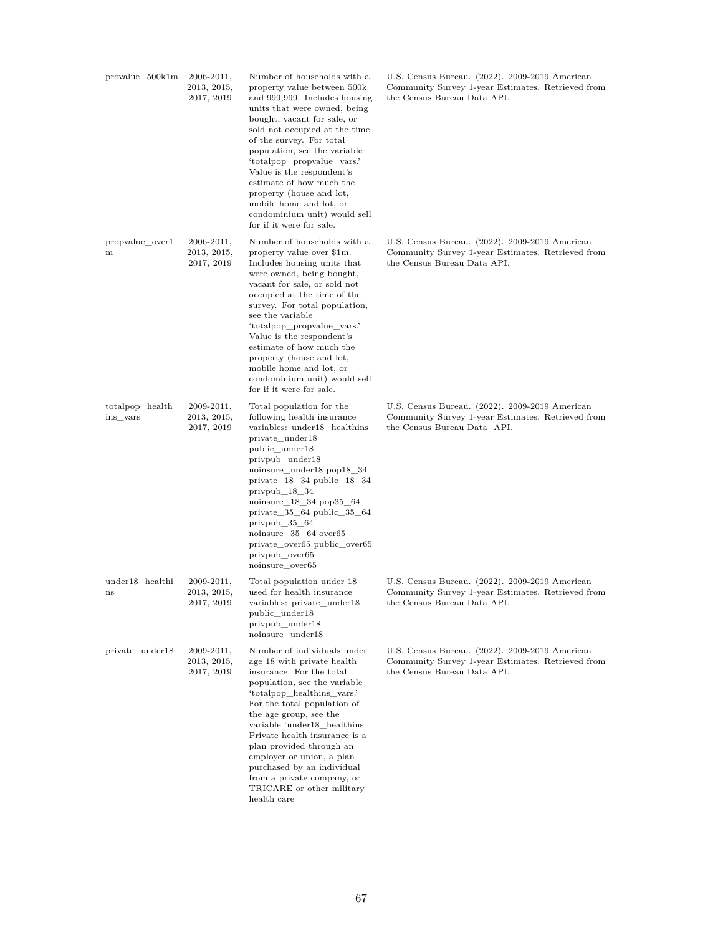| provalue 500k1m             | $2006 - 2011,$<br>2013, 2015,<br>2017, 2019 | Number of households with a<br>property value between 500k<br>and 999,999. Includes housing<br>units that were owned, being<br>bought, vacant for sale, or<br>sold not occupied at the time<br>of the survey. For total<br>population, see the variable<br>'totalpop_propvalue_vars.'<br>Value is the respondent's<br>estimate of how much the<br>property (house and lot,<br>mobile home and lot, or<br>condominium unit) would sell<br>for if it were for sale. | U.S. Census Bureau. (2022). 2009-2019 American<br>Community Survey 1-year Estimates. Retrieved from<br>the Census Bureau Data API. |
|-----------------------------|---------------------------------------------|-------------------------------------------------------------------------------------------------------------------------------------------------------------------------------------------------------------------------------------------------------------------------------------------------------------------------------------------------------------------------------------------------------------------------------------------------------------------|------------------------------------------------------------------------------------------------------------------------------------|
| propvalue_over1<br>m        | 2006-2011,<br>2013, 2015,<br>2017, 2019     | Number of households with a<br>property value over \$1m.<br>Includes housing units that<br>were owned, being bought,<br>vacant for sale, or sold not<br>occupied at the time of the<br>survey. For total population,<br>see the variable<br>'totalpop_propvalue_vars.'<br>Value is the respondent's<br>estimate of how much the<br>property (house and lot,<br>mobile home and lot, or<br>condominium unit) would sell<br>for if it were for sale.                | U.S. Census Bureau. (2022). 2009-2019 American<br>Community Survey 1-year Estimates. Retrieved from<br>the Census Bureau Data API. |
| totalpop_health<br>ins_vars | $2009 - 2011,$<br>2013, 2015,<br>2017, 2019 | Total population for the<br>following health insurance<br>variables: under18_healthins<br>private_under18<br>public_under18<br>privpub_under18<br>noinsure_under18 pop18_34<br>$private_18_34 public_18_34$<br>$privpub_18_34$<br>noinsure_18_34 pop35_64<br>private $\_35\_64$ public $\_35\_64$<br>privpub $\_\,35\_\,64$<br>noinsure_35_64 over65<br>private_over65 public_over65<br>privpub_over65<br>noinsure_over65                                         | U.S. Census Bureau. (2022). 2009-2019 American<br>Community Survey 1-year Estimates. Retrieved from<br>the Census Bureau Data API. |
| under18 healthi<br>ns       | $2009 - 2011,$<br>2013, 2015,<br>2017, 2019 | Total population under 18<br>used for health insurance<br>variables: private_under18<br>public_under18<br>privpub under18<br>noinsure_under18                                                                                                                                                                                                                                                                                                                     | U.S. Census Bureau. (2022). 2009-2019 American<br>Community Survey 1-year Estimates. Retrieved from<br>the Census Bureau Data API. |
| private_under18             | 2009-2011,<br>2013, 2015,<br>2017, 2019     | Number of individuals under<br>age 18 with private health<br>insurance. For the total<br>population, see the variable<br>'totalpop healthins vars.'<br>For the total population of<br>the age group, see the<br>variable 'under18 healthins.<br>Private health insurance is a<br>plan provided through an<br>employer or union, a plan<br>purchased by an individual<br>from a private company, or<br>TRICARE or other military<br>health care                    | U.S. Census Bureau. (2022). 2009-2019 American<br>Community Survey 1-year Estimates. Retrieved from<br>the Census Bureau Data API. |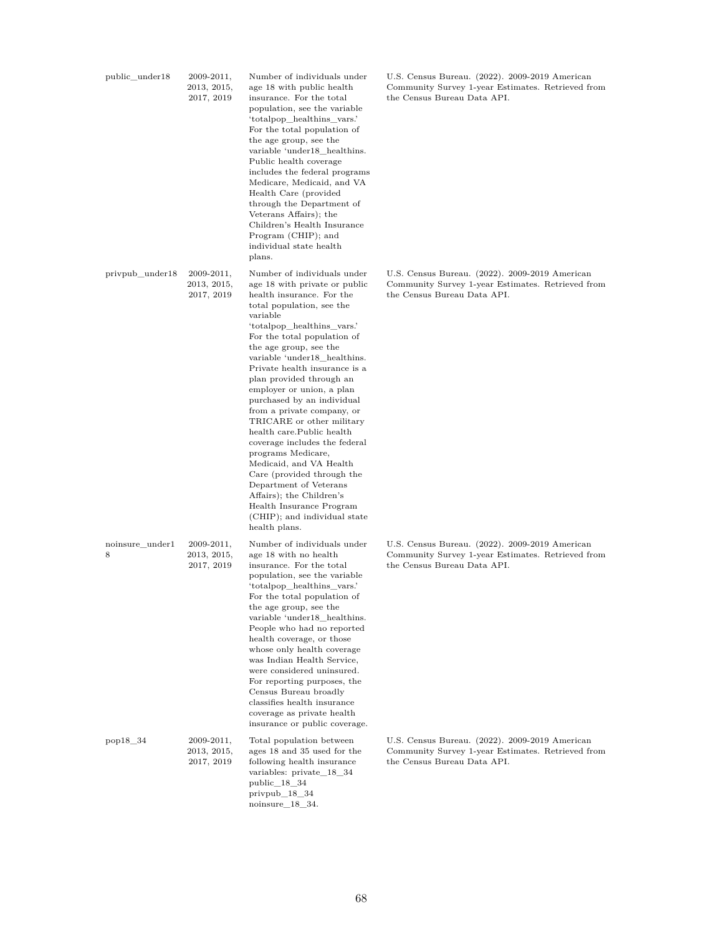| public_under18       | $2009 - 2011,$<br>2013, 2015,<br>2017, 2019 | Number of individuals under<br>age 18 with public health<br>insurance. For the total<br>population, see the variable<br>'totalpop_healthins_vars.'<br>For the total population of<br>the age group, see the<br>variable 'under18_healthins.<br>Public health coverage<br>includes the federal programs<br>Medicare, Medicaid, and VA<br>Health Care (provided<br>through the Department of<br>Veterans Affairs); the<br>Children's Health Insurance<br>Program (CHIP); and<br>individual state health<br>plans.                                                                                                                                                                                                               | U.S. Census Bureau. (2022). 2009-2019 American<br>Community Survey 1-year Estimates. Retrieved from<br>the Census Bureau Data API. |
|----------------------|---------------------------------------------|-------------------------------------------------------------------------------------------------------------------------------------------------------------------------------------------------------------------------------------------------------------------------------------------------------------------------------------------------------------------------------------------------------------------------------------------------------------------------------------------------------------------------------------------------------------------------------------------------------------------------------------------------------------------------------------------------------------------------------|------------------------------------------------------------------------------------------------------------------------------------|
| privpub_under18      | $2009 - 2011,$<br>2013, 2015,<br>2017, 2019 | Number of individuals under<br>age 18 with private or public<br>health insurance. For the<br>total population, see the<br>variable<br>'totalpop_healthins_vars.'<br>For the total population of<br>the age group, see the<br>variable 'under18 healthins.<br>Private health insurance is a<br>plan provided through an<br>employer or union, a plan<br>purchased by an individual<br>from a private company, or<br>TRICARE or other military<br>health care. Public health<br>coverage includes the federal<br>programs Medicare,<br>Medicaid, and VA Health<br>Care (provided through the<br>Department of Veterans<br>Affairs); the Children's<br>Health Insurance Program<br>(CHIP); and individual state<br>health plans. | U.S. Census Bureau. (2022). 2009-2019 American<br>Community Survey 1-year Estimates. Retrieved from<br>the Census Bureau Data API. |
| noinsure under1<br>8 | $2009 - 2011,$<br>2013, 2015,<br>2017, 2019 | Number of individuals under<br>age 18 with no health<br>insurance. For the total<br>population, see the variable<br>'totalpop_healthins_vars.'<br>For the total population of<br>the age group, see the<br>variable 'under18_healthins.<br>People who had no reported<br>health coverage, or those<br>whose only health coverage<br>was Indian Health Service,<br>were considered uninsured.<br>For reporting purposes, the<br>Census Bureau broadly<br>classifies health insurance<br>coverage as private health<br>insurance or public coverage.                                                                                                                                                                            | U.S. Census Bureau. (2022). 2009-2019 American<br>Community Survey 1-year Estimates. Retrieved from<br>the Census Bureau Data API. |
| pop18 34             | $2009 - 2011,$<br>2013, 2015,<br>2017, 2019 | Total population between<br>ages 18 and 35 used for the<br>following health insurance<br>variables: private_18_34<br>$public_18_34$<br>privpub $18$ $34$<br>noinsure $18$ $34$ .                                                                                                                                                                                                                                                                                                                                                                                                                                                                                                                                              | U.S. Census Bureau. (2022). 2009-2019 American<br>Community Survey 1-year Estimates. Retrieved from<br>the Census Bureau Data API. |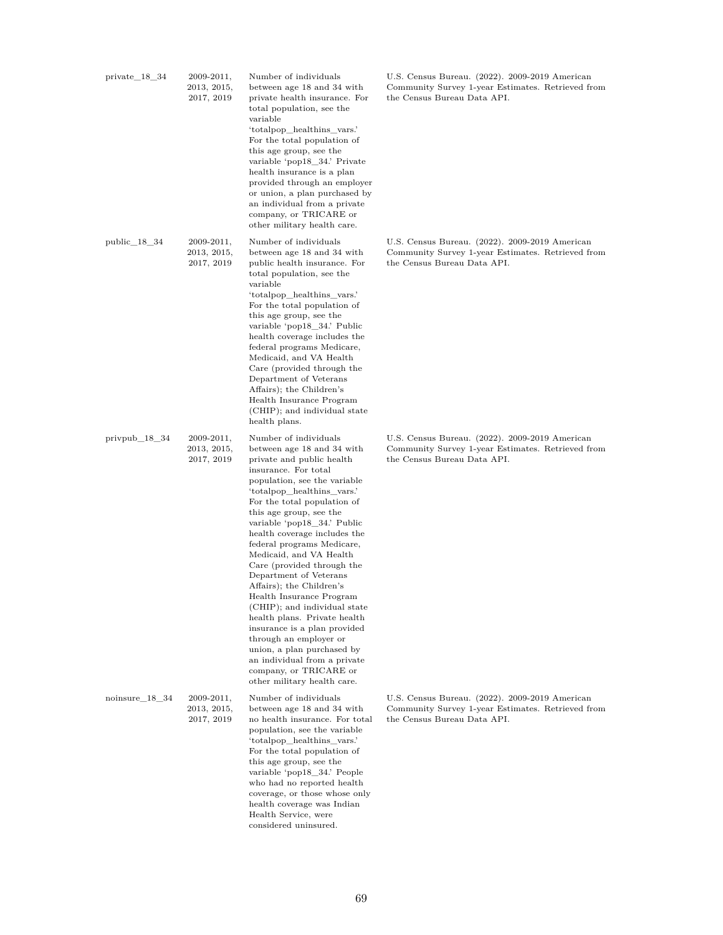| $private_18_34$  | $2009 - 2011,$<br>2013, 2015,<br>2017, 2019 | Number of individuals<br>between age 18 and 34 with<br>private health insurance. For<br>total population, see the<br>variable<br>'totalpop_healthins_vars.'<br>For the total population of<br>this age group, see the<br>variable 'pop18_34.' Private<br>health insurance is a plan<br>provided through an employer<br>or union, a plan purchased by<br>an individual from a private<br>company, or TRICARE or<br>other military health care.                                                                                                                                                                                                                                                                             | U.S. Census Bureau. (2022). 2009-2019 American<br>Community Survey 1-year Estimates. Retrieved from<br>the Census Bureau Data API. |
|------------------|---------------------------------------------|---------------------------------------------------------------------------------------------------------------------------------------------------------------------------------------------------------------------------------------------------------------------------------------------------------------------------------------------------------------------------------------------------------------------------------------------------------------------------------------------------------------------------------------------------------------------------------------------------------------------------------------------------------------------------------------------------------------------------|------------------------------------------------------------------------------------------------------------------------------------|
| $public_18_34$   | $2009 - 2011,$<br>2013, 2015,<br>2017, 2019 | Number of individuals<br>between age 18 and 34 with<br>public health insurance. For<br>total population, see the<br>variable<br>'totalpop_healthins_vars.'<br>For the total population of<br>this age group, see the<br>variable 'pop18_34.' Public<br>health coverage includes the<br>federal programs Medicare,<br>Medicaid, and VA Health<br>Care (provided through the<br>Department of Veterans<br>Affairs); the Children's<br>Health Insurance Program<br>(CHIP); and individual state<br>health plans.                                                                                                                                                                                                             | U.S. Census Bureau. (2022). 2009-2019 American<br>Community Survey 1-year Estimates. Retrieved from<br>the Census Bureau Data API. |
| $privpub_18_34$  | $2009 - 2011,$<br>2013, 2015,<br>2017, 2019 | Number of individuals<br>between age 18 and 34 with<br>private and public health<br>insurance. For total<br>population, see the variable<br>'totalpop_healthins_vars.'<br>For the total population of<br>this age group, see the<br>variable 'pop18_34.' Public<br>health coverage includes the<br>federal programs Medicare,<br>Medicaid, and VA Health<br>Care (provided through the<br>Department of Veterans<br>Affairs); the Children's<br>Health Insurance Program<br>(CHIP); and individual state<br>health plans. Private health<br>insurance is a plan provided<br>through an employer or<br>union, a plan purchased by<br>an individual from a private<br>company, or TRICARE or<br>other military health care. | U.S. Census Bureau. (2022). 2009-2019 American<br>Community Survey 1-year Estimates. Retrieved from<br>the Census Bureau Data API. |
| $noinsure_18_34$ | $2009 - 2011,$<br>2013, 2015,<br>2017, 2019 | Number of individuals<br>between age 18 and 34 with<br>no health insurance. For total<br>population, see the variable<br>'totalpop_healthins_vars.'<br>For the total population of<br>this age group, see the<br>variable 'pop18_34.' People<br>who had no reported health<br>coverage, or those whose only<br>health coverage was Indian<br>Health Service, were<br>considered uninsured.                                                                                                                                                                                                                                                                                                                                | U.S. Census Bureau. (2022). 2009-2019 American<br>Community Survey 1-year Estimates. Retrieved from<br>the Census Bureau Data API. |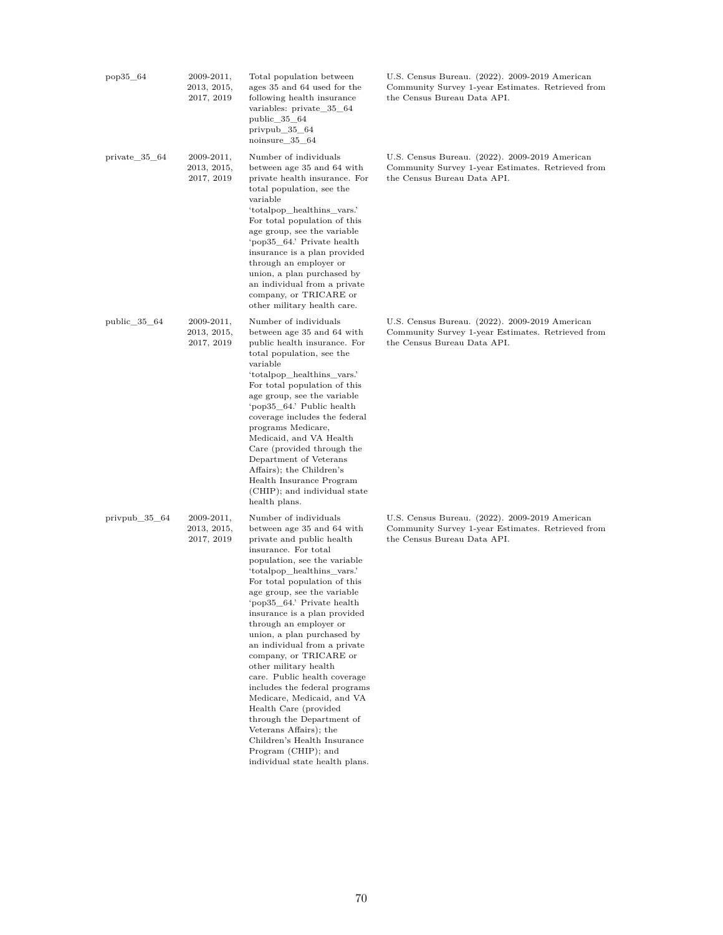| pop35_64               | 2009-2011,<br>2013, 2015,<br>2017, 2019     | Total population between<br>ages 35 and 64 used for the<br>following health insurance<br>variables: private_35_64<br>$public_35_64$<br>privpub $35\_64$<br>noinsure 35 64                                                                                                                                                                                                                                                                                                                                                                                                                                                                                                                                             | U.S. Census Bureau. (2022). 2009-2019 American<br>Community Survey 1-year Estimates. Retrieved from<br>the Census Bureau Data API. |
|------------------------|---------------------------------------------|-----------------------------------------------------------------------------------------------------------------------------------------------------------------------------------------------------------------------------------------------------------------------------------------------------------------------------------------------------------------------------------------------------------------------------------------------------------------------------------------------------------------------------------------------------------------------------------------------------------------------------------------------------------------------------------------------------------------------|------------------------------------------------------------------------------------------------------------------------------------|
| private_35_64          | $2009 - 2011,$<br>2013, 2015,<br>2017, 2019 | Number of individuals<br>between age 35 and 64 with<br>private health insurance. For<br>total population, see the<br>variable<br>'totalpop_healthins_vars.'<br>For total population of this<br>age group, see the variable<br>'pop35 64.' Private health<br>insurance is a plan provided<br>through an employer or<br>union, a plan purchased by<br>an individual from a private<br>company, or TRICARE or<br>other military health care.                                                                                                                                                                                                                                                                             | U.S. Census Bureau. (2022). 2009-2019 American<br>Community Survey 1-year Estimates. Retrieved from<br>the Census Bureau Data API. |
| public_35_64           | 2009-2011,<br>2013, 2015,<br>2017, 2019     | Number of individuals<br>between age 35 and 64 with<br>public health insurance. For<br>total population, see the<br>variable<br>'totalpop_healthins_vars.'<br>For total population of this<br>age group, see the variable<br>'pop35 64.' Public health<br>coverage includes the federal<br>programs Medicare,<br>Medicaid, and VA Health<br>Care (provided through the<br>Department of Veterans<br>Affairs); the Children's<br>Health Insurance Program<br>(CHIP); and individual state<br>health plans.                                                                                                                                                                                                             | U.S. Census Bureau. (2022). 2009-2019 American<br>Community Survey 1-year Estimates. Retrieved from<br>the Census Bureau Data API. |
| privpub $\_\,35\_\,64$ | $2009 - 2011,$<br>2013, 2015,<br>2017, 2019 | Number of individuals<br>between age 35 and 64 with<br>private and public health<br>insurance. For total<br>population, see the variable<br>'totalpop_healthins_vars.'<br>For total population of this<br>age group, see the variable<br>'pop35_64.' Private health<br>insurance is a plan provided<br>through an employer or<br>union, a plan purchased by<br>an individual from a private<br>company, or TRICARE or<br>other military health<br>care. Public health coverage<br>includes the federal programs<br>Medicare, Medicaid, and VA<br>Health Care (provided<br>through the Department of<br>Veterans Affairs); the<br>Children's Health Insurance<br>Program (CHIP); and<br>individual state health plans. | U.S. Census Bureau. (2022). 2009-2019 American<br>Community Survey 1-year Estimates. Retrieved from<br>the Census Bureau Data API. |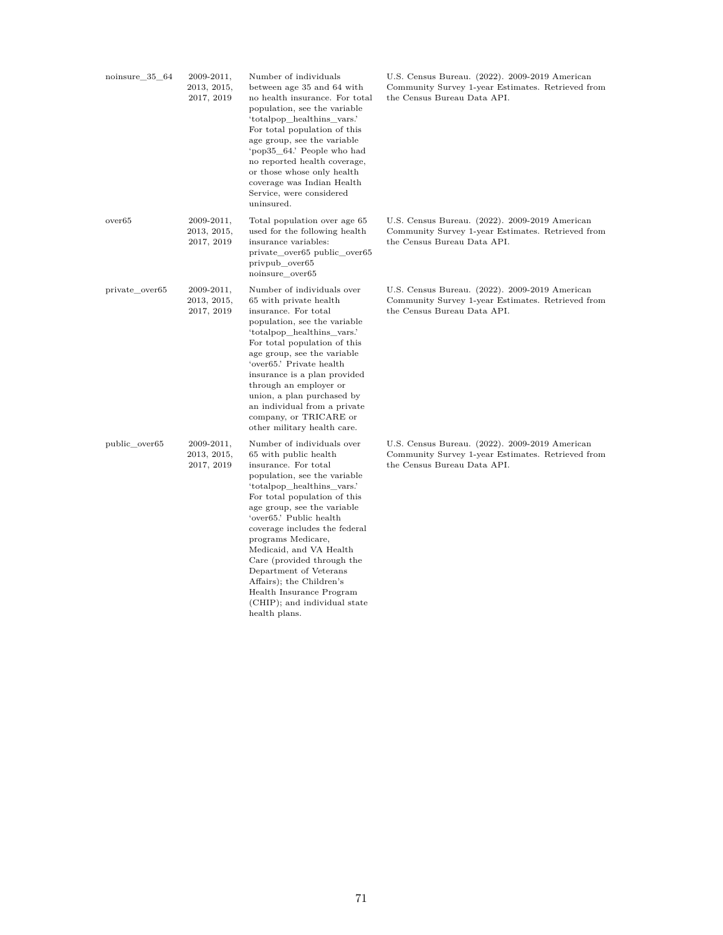| noinsure_35_64     | 2009-2011,<br>2013, 2015,<br>2017, 2019 | Number of individuals<br>between age 35 and 64 with<br>no health insurance. For total<br>population, see the variable<br>'totalpop_healthins_vars.'<br>For total population of this<br>age group, see the variable<br>'pop35 64.' People who had<br>no reported health coverage,<br>or those whose only health<br>coverage was Indian Health<br>Service, were considered<br>uninsured.                                                                                                 | U.S. Census Bureau. (2022). 2009-2019 American<br>Community Survey 1-year Estimates. Retrieved from<br>the Census Bureau Data API. |
|--------------------|-----------------------------------------|----------------------------------------------------------------------------------------------------------------------------------------------------------------------------------------------------------------------------------------------------------------------------------------------------------------------------------------------------------------------------------------------------------------------------------------------------------------------------------------|------------------------------------------------------------------------------------------------------------------------------------|
| over <sub>65</sub> | 2009-2011,<br>2013, 2015,<br>2017, 2019 | Total population over age 65<br>used for the following health<br>insurance variables:<br>private_over65 public_over65<br>privpub over65<br>noinsure over65                                                                                                                                                                                                                                                                                                                             | U.S. Census Bureau. (2022). 2009-2019 American<br>Community Survey 1-year Estimates. Retrieved from<br>the Census Bureau Data API. |
| private_over65     | 2009-2011,<br>2013, 2015,<br>2017, 2019 | Number of individuals over<br>65 with private health<br>insurance. For total<br>population, see the variable<br>'totalpop healthins vars.'<br>For total population of this<br>age group, see the variable<br>'over65.' Private health<br>insurance is a plan provided<br>through an employer or<br>union, a plan purchased by<br>an individual from a private<br>company, or TRICARE or<br>other military health care.                                                                 | U.S. Census Bureau. (2022). 2009-2019 American<br>Community Survey 1-year Estimates. Retrieved from<br>the Census Bureau Data API. |
| public over65      | 2009-2011,<br>2013, 2015,<br>2017, 2019 | Number of individuals over<br>65 with public health<br>insurance. For total<br>population, see the variable<br>'totalpop healthins vars.'<br>For total population of this<br>age group, see the variable<br>'over65.' Public health<br>coverage includes the federal<br>programs Medicare,<br>Medicaid, and VA Health<br>Care (provided through the<br>Department of Veterans<br>Affairs); the Children's<br>Health Insurance Program<br>(CHIP); and individual state<br>health plans. | U.S. Census Bureau. (2022). 2009-2019 American<br>Community Survey 1-year Estimates. Retrieved from<br>the Census Bureau Data API. |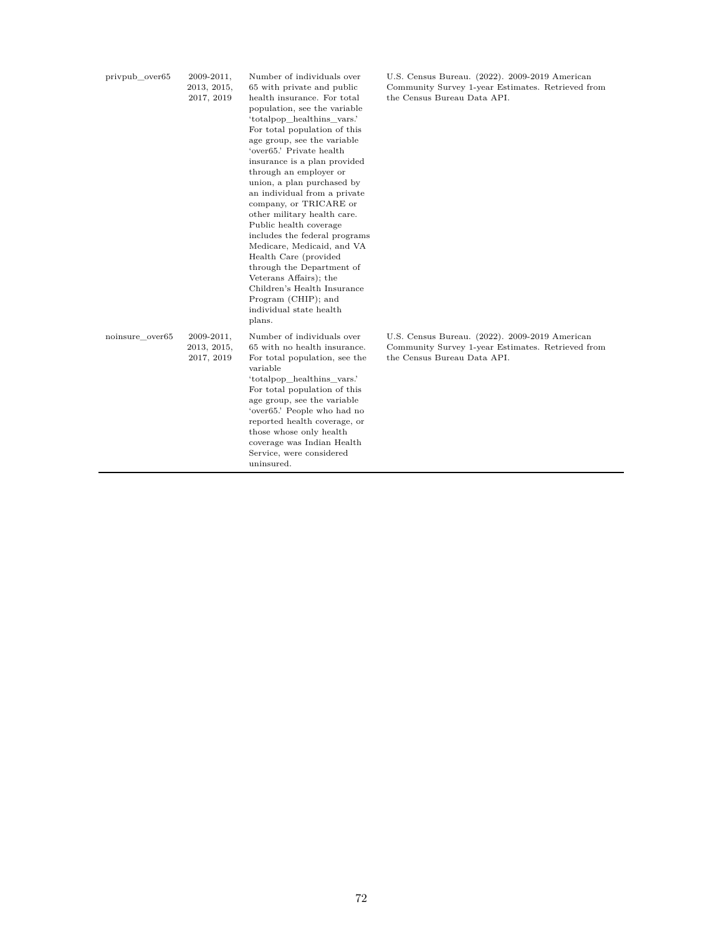| privpub over65  | 2009-2011,<br>2013, 2015,<br>2017, 2019     | Number of individuals over<br>65 with private and public<br>health insurance. For total<br>population, see the variable<br>'totalpop healthins vars.'<br>For total population of this<br>age group, see the variable<br>'over65.' Private health<br>insurance is a plan provided<br>through an employer or<br>union, a plan purchased by<br>an individual from a private<br>company, or TRICARE or<br>other military health care.<br>Public health coverage<br>includes the federal programs<br>Medicare, Medicaid, and VA<br>Health Care (provided<br>through the Department of<br>Veterans Affairs); the<br>Children's Health Insurance<br>Program (CHIP); and<br>individual state health<br>plans. | U.S. Census Bureau. (2022). 2009-2019 American<br>Community Survey 1-year Estimates. Retrieved from<br>the Census Bureau Data API. |
|-----------------|---------------------------------------------|-------------------------------------------------------------------------------------------------------------------------------------------------------------------------------------------------------------------------------------------------------------------------------------------------------------------------------------------------------------------------------------------------------------------------------------------------------------------------------------------------------------------------------------------------------------------------------------------------------------------------------------------------------------------------------------------------------|------------------------------------------------------------------------------------------------------------------------------------|
| noinsure over65 | $2009 - 2011,$<br>2013, 2015,<br>2017, 2019 | Number of individuals over<br>65 with no health insurance.<br>For total population, see the<br>variable<br>'totalpop_healthins_vars.'<br>For total population of this<br>age group, see the variable<br>'over65.' People who had no<br>reported health coverage, or<br>those whose only health<br>coverage was Indian Health<br>Service, were considered<br>uninsured.                                                                                                                                                                                                                                                                                                                                | U.S. Census Bureau. (2022). 2009-2019 American<br>Community Survey 1-year Estimates. Retrieved from<br>the Census Bureau Data API. |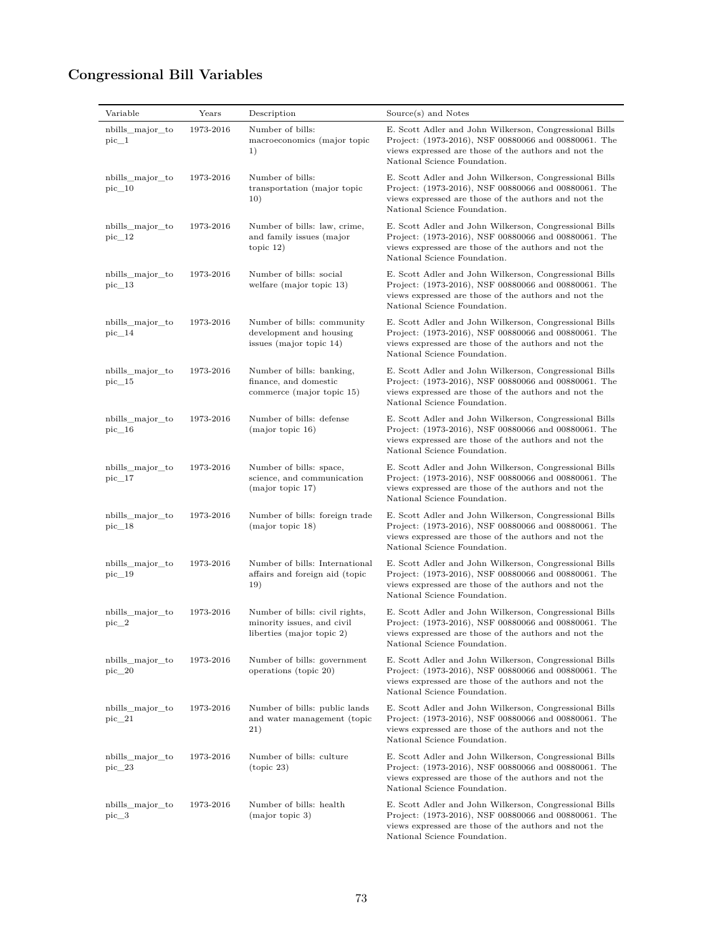## **Congressional Bill Variables**

| Variable                     | Years     | Description                                                                               | Source(s) and Notes                                                                                                                                                                                    |
|------------------------------|-----------|-------------------------------------------------------------------------------------------|--------------------------------------------------------------------------------------------------------------------------------------------------------------------------------------------------------|
| nbills_major_to<br>$pic\_1$  | 1973-2016 | Number of bills:<br>macroeconomics (major topic<br>1)                                     | E. Scott Adler and John Wilkerson, Congressional Bills<br>Project: (1973-2016), NSF 00880066 and 00880061. The<br>views expressed are those of the authors and not the<br>National Science Foundation. |
| nbills_major_to<br>$pic\_10$ | 1973-2016 | Number of bills:<br>transportation (major topic<br>10)                                    | E. Scott Adler and John Wilkerson, Congressional Bills<br>Project: (1973-2016), NSF 00880066 and 00880061. The<br>views expressed are those of the authors and not the<br>National Science Foundation. |
| nbills_major_to<br>$pic\_12$ | 1973-2016 | Number of bills: law, crime,<br>and family issues (major<br>topic $12)$                   | E. Scott Adler and John Wilkerson, Congressional Bills<br>Project: (1973-2016), NSF 00880066 and 00880061. The<br>views expressed are those of the authors and not the<br>National Science Foundation. |
| nbills_major_to<br>$pic\_13$ | 1973-2016 | Number of bills: social<br>welfare (major topic 13)                                       | E. Scott Adler and John Wilkerson, Congressional Bills<br>Project: (1973-2016), NSF 00880066 and 00880061. The<br>views expressed are those of the authors and not the<br>National Science Foundation. |
| nbills_major_to<br>$pic\_14$ | 1973-2016 | Number of bills: community<br>development and housing<br>issues (major topic $14$ )       | E. Scott Adler and John Wilkerson, Congressional Bills<br>Project: (1973-2016), NSF 00880066 and 00880061. The<br>views expressed are those of the authors and not the<br>National Science Foundation. |
| nbills_major_to<br>$pic\_15$ | 1973-2016 | Number of bills: banking,<br>finance, and domestic<br>commerce (major topic 15)           | E. Scott Adler and John Wilkerson, Congressional Bills<br>Project: (1973-2016), NSF 00880066 and 00880061. The<br>views expressed are those of the authors and not the<br>National Science Foundation. |
| nbills_major_to<br>$pic\_16$ | 1973-2016 | Number of bills: defense<br>(major topic 16)                                              | E. Scott Adler and John Wilkerson, Congressional Bills<br>Project: (1973-2016), NSF 00880066 and 00880061. The<br>views expressed are those of the authors and not the<br>National Science Foundation. |
| nbills_major_to<br>$pic\_17$ | 1973-2016 | Number of bills: space,<br>science, and communication<br>(major topic 17)                 | E. Scott Adler and John Wilkerson, Congressional Bills<br>Project: (1973-2016), NSF 00880066 and 00880061. The<br>views expressed are those of the authors and not the<br>National Science Foundation. |
| nbills_major_to<br>$pic\_18$ | 1973-2016 | Number of bills: foreign trade<br>(major topic 18)                                        | E. Scott Adler and John Wilkerson, Congressional Bills<br>Project: (1973-2016), NSF 00880066 and 00880061. The<br>views expressed are those of the authors and not the<br>National Science Foundation. |
| nbills_major_to<br>pic 19    | 1973-2016 | Number of bills: International<br>affairs and foreign aid (topic<br>19)                   | E. Scott Adler and John Wilkerson, Congressional Bills<br>Project: (1973-2016), NSF 00880066 and 00880061. The<br>views expressed are those of the authors and not the<br>National Science Foundation. |
| nbills major to<br>$pic_2$   | 1973-2016 | Number of bills: civil rights,<br>minority issues, and civil<br>liberties (major topic 2) | E. Scott Adler and John Wilkerson, Congressional Bills<br>Project: (1973-2016), NSF 00880066 and 00880061. The<br>views expressed are those of the authors and not the<br>National Science Foundation. |
| nbills major to<br>pic 20    | 1973-2016 | Number of bills: government<br>operations (topic 20)                                      | E. Scott Adler and John Wilkerson, Congressional Bills<br>Project: (1973-2016), NSF 00880066 and 00880061. The<br>views expressed are those of the authors and not the<br>National Science Foundation. |
| nbills_major_to<br>$pic\_21$ | 1973-2016 | Number of bills: public lands<br>and water management (topic<br>21)                       | E. Scott Adler and John Wilkerson, Congressional Bills<br>Project: (1973-2016), NSF 00880066 and 00880061. The<br>views expressed are those of the authors and not the<br>National Science Foundation. |
| nbills major to<br>$pic\_23$ | 1973-2016 | Number of bills: culture<br>(topic 23)                                                    | E. Scott Adler and John Wilkerson, Congressional Bills<br>Project: (1973-2016), NSF 00880066 and 00880061. The<br>views expressed are those of the authors and not the<br>National Science Foundation. |
| nbills_major_to<br>$pic_3$   | 1973-2016 | Number of bills: health<br>(major topic 3)                                                | E. Scott Adler and John Wilkerson, Congressional Bills<br>Project: (1973-2016), NSF 00880066 and 00880061. The<br>views expressed are those of the authors and not the<br>National Science Foundation. |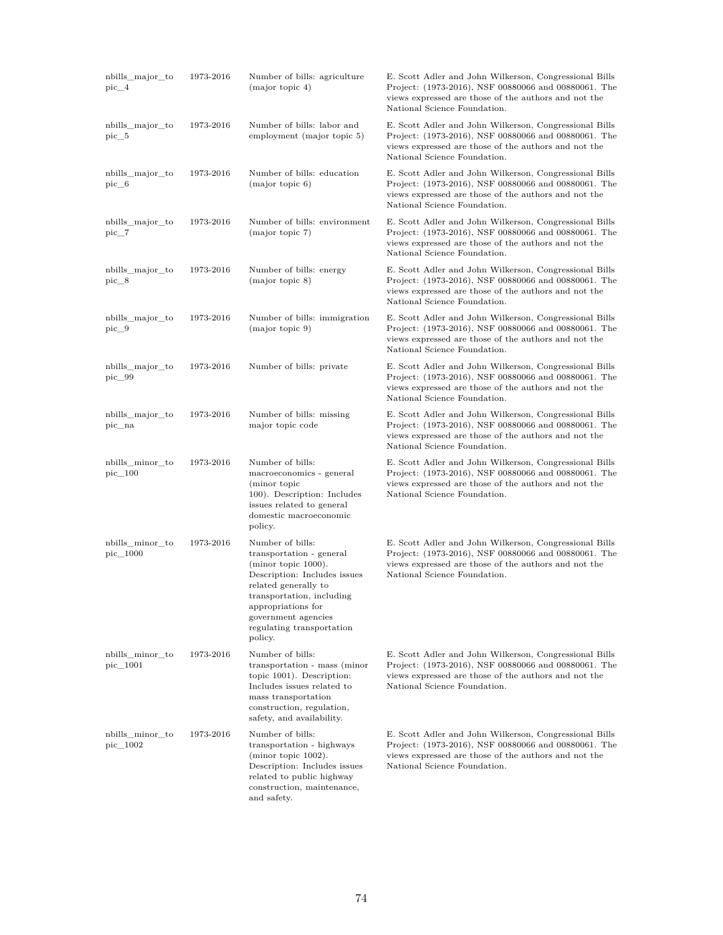| nbills_major_to<br>pic 4      | 1973-2016 | Number of bills: agriculture<br>(major topic 4)                                                                                                                                                                                                         | E. Scott Adler and John Wilkerson, Congressional Bills<br>Project: (1973-2016), NSF 00880066 and 00880061. The<br>views expressed are those of the authors and not the<br>National Science Foundation. |
|-------------------------------|-----------|---------------------------------------------------------------------------------------------------------------------------------------------------------------------------------------------------------------------------------------------------------|--------------------------------------------------------------------------------------------------------------------------------------------------------------------------------------------------------|
| nbills_major_to<br>$pic\_5$   | 1973-2016 | Number of bills: labor and<br>employment (major topic 5)                                                                                                                                                                                                | E. Scott Adler and John Wilkerson, Congressional Bills<br>Project: (1973-2016), NSF 00880066 and 00880061. The<br>views expressed are those of the authors and not the<br>National Science Foundation. |
| nbills_major_to<br>$pic\_6$   | 1973-2016 | Number of bills: education<br>(major topic 6)                                                                                                                                                                                                           | E. Scott Adler and John Wilkerson, Congressional Bills<br>Project: (1973-2016), NSF 00880066 and 00880061. The<br>views expressed are those of the authors and not the<br>National Science Foundation. |
| nbills_major_to<br>$pic_{7}$  | 1973-2016 | Number of bills: environment<br>(major topic 7)                                                                                                                                                                                                         | E. Scott Adler and John Wilkerson, Congressional Bills<br>Project: (1973-2016), NSF 00880066 and 00880061. The<br>views expressed are those of the authors and not the<br>National Science Foundation. |
| nbills_major_to<br>$pic_8$    | 1973-2016 | Number of bills: energy<br>(major topic 8)                                                                                                                                                                                                              | E. Scott Adler and John Wilkerson, Congressional Bills<br>Project: (1973-2016), NSF 00880066 and 00880061. The<br>views expressed are those of the authors and not the<br>National Science Foundation. |
| nbills_major_to<br>$pic\_9$   | 1973-2016 | Number of bills: immigration<br>(major topic 9)                                                                                                                                                                                                         | E. Scott Adler and John Wilkerson, Congressional Bills<br>Project: (1973-2016), NSF 00880066 and 00880061. The<br>views expressed are those of the authors and not the<br>National Science Foundation. |
| nbills_major_to<br>pic_99     | 1973-2016 | Number of bills: private                                                                                                                                                                                                                                | E. Scott Adler and John Wilkerson, Congressional Bills<br>Project: (1973-2016), NSF 00880066 and 00880061. The<br>views expressed are those of the authors and not the<br>National Science Foundation. |
| nbills_major_to<br>pic_na     | 1973-2016 | Number of bills: missing<br>major topic code                                                                                                                                                                                                            | E. Scott Adler and John Wilkerson, Congressional Bills<br>Project: (1973-2016), NSF 00880066 and 00880061. The<br>views expressed are those of the authors and not the<br>National Science Foundation. |
| nbills_minor_to<br>$pic\_100$ | 1973-2016 | Number of bills:<br>macroeconomics - general<br>(minor topic<br>100). Description: Includes<br>issues related to general<br>domestic macroeconomic<br>policy.                                                                                           | E. Scott Adler and John Wilkerson, Congressional Bills<br>Project: (1973-2016), NSF 00880066 and 00880061. The<br>views expressed are those of the authors and not the<br>National Science Foundation. |
| nbills_minor_to<br>pic_1000   | 1973-2016 | Number of bills:<br>transportation - general<br>$(\text{minor topic } 1000).$<br>Description: Includes issues<br>related generally to<br>transportation, including<br>appropriations for<br>government agencies<br>regulating transportation<br>policy. | E. Scott Adler and John Wilkerson, Congressional Bills<br>Project: (1973-2016), NSF 00880066 and 00880061. The<br>views expressed are those of the authors and not the<br>National Science Foundation. |
| nbills_minor_to<br>pic_1001   | 1973-2016 | Number of bills:<br>transportation - mass (minor<br>topic 1001). Description:<br>Includes issues related to<br>mass transportation<br>construction, regulation,<br>safety, and availability.                                                            | E. Scott Adler and John Wilkerson, Congressional Bills<br>Project: (1973-2016), NSF 00880066 and 00880061. The<br>views expressed are those of the authors and not the<br>National Science Foundation. |
| nbills minor to<br>pic_1002   | 1973-2016 | Number of bills:<br>transportation - highways<br>(minor topic 1002).<br>Description: Includes issues<br>related to public highway<br>construction, maintenance,<br>and safety.                                                                          | E. Scott Adler and John Wilkerson, Congressional Bills<br>Project: (1973-2016), NSF 00880066 and 00880061. The<br>views expressed are those of the authors and not the<br>National Science Foundation. |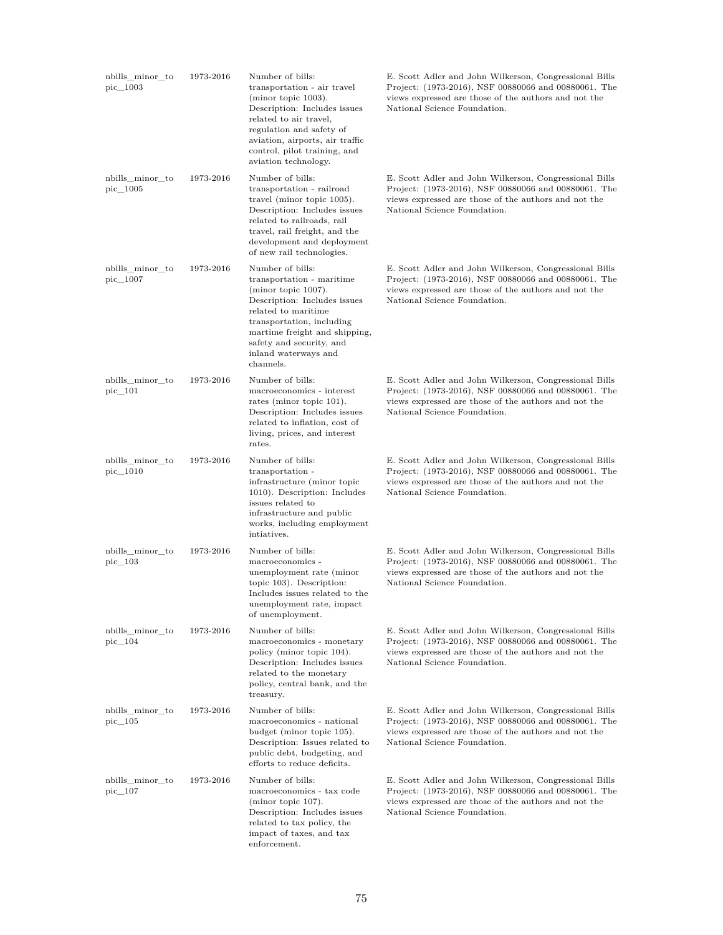| nbills minor to<br>pic 1003    | 1973-2016 | Number of bills:<br>transportation - air travel<br>(minor topic 1003).<br>Description: Includes issues<br>related to air travel,<br>regulation and safety of<br>aviation, airports, air traffic<br>control, pilot training, and<br>aviation technology.    | E. Scott Adler and John Wilkerson, Congressional Bills<br>Project: (1973-2016), NSF 00880066 and 00880061. The<br>views expressed are those of the authors and not the<br>National Science Foundation. |
|--------------------------------|-----------|------------------------------------------------------------------------------------------------------------------------------------------------------------------------------------------------------------------------------------------------------------|--------------------------------------------------------------------------------------------------------------------------------------------------------------------------------------------------------|
| nbills_minor_to<br>$pic\_1005$ | 1973-2016 | Number of bills:<br>transportation - railroad<br>travel (minor topic 1005).<br>Description: Includes issues<br>related to railroads, rail<br>travel, rail freight, and the<br>development and deployment<br>of new rail technologies.                      | E. Scott Adler and John Wilkerson, Congressional Bills<br>Project: (1973-2016), NSF 00880066 and 00880061. The<br>views expressed are those of the authors and not the<br>National Science Foundation. |
| nbills_minor_to<br>pic_1007    | 1973-2016 | Number of bills:<br>transportation - maritime<br>(minor topic 1007).<br>Description: Includes issues<br>related to maritime<br>transportation, including<br>martime freight and shipping,<br>safety and security, and<br>inland waterways and<br>channels. | E. Scott Adler and John Wilkerson, Congressional Bills<br>Project: (1973-2016), NSF 00880066 and 00880061. The<br>views expressed are those of the authors and not the<br>National Science Foundation. |
| nbills_minor_to<br>pic 101     | 1973-2016 | Number of bills:<br>macroeconomics - interest<br>rates (minor topic 101).<br>Description: Includes issues<br>related to inflation, cost of<br>living, prices, and interest<br>rates.                                                                       | E. Scott Adler and John Wilkerson, Congressional Bills<br>Project: (1973-2016), NSF 00880066 and 00880061. The<br>views expressed are those of the authors and not the<br>National Science Foundation. |
| nbills_minor_to<br>pic_1010    | 1973-2016 | Number of bills:<br>transportation -<br>infrastructure (minor topic<br>1010). Description: Includes<br>issues related to<br>infrastructure and public<br>works, including employment<br>intiatives.                                                        | E. Scott Adler and John Wilkerson, Congressional Bills<br>Project: (1973-2016), NSF 00880066 and 00880061. The<br>views expressed are those of the authors and not the<br>National Science Foundation. |
| nbills_minor_to<br>$pic\_103$  | 1973-2016 | Number of bills:<br>macroeconomics -<br>unemployment rate (minor<br>topic 103). Description:<br>Includes issues related to the<br>unemployment rate, impact<br>of unemployment.                                                                            | E. Scott Adler and John Wilkerson, Congressional Bills<br>Project: (1973-2016), NSF 00880066 and 00880061. The<br>views expressed are those of the authors and not the<br>National Science Foundation. |
| nbills_minor_to<br>pic_104     | 1973-2016 | Number of bills:<br>macroeconomics - monetary<br>policy (minor topic 104).<br>Description: Includes issues<br>related to the monetary<br>policy, central bank, and the<br>treasury.                                                                        | E. Scott Adler and John Wilkerson, Congressional Bills<br>Project: (1973-2016), NSF 00880066 and 00880061. The<br>views expressed are those of the authors and not the<br>National Science Foundation. |
| nbills_minor_to<br>pic 105     | 1973-2016 | Number of bills:<br>macroeconomics - national<br>budget (minor topic 105).<br>Description: Issues related to<br>public debt, budgeting, and<br>efforts to reduce deficits.                                                                                 | E. Scott Adler and John Wilkerson, Congressional Bills<br>Project: (1973-2016), NSF 00880066 and 00880061. The<br>views expressed are those of the authors and not the<br>National Science Foundation. |
| nbills_minor_to<br>pic 107     | 1973-2016 | Number of bills:<br>macroeconomics - tax code<br>$(minor topic 107)$ .<br>Description: Includes issues<br>related to tax policy, the<br>impact of taxes, and tax<br>enforcement.                                                                           | E. Scott Adler and John Wilkerson, Congressional Bills<br>Project: (1973-2016), NSF 00880066 and 00880061. The<br>views expressed are those of the authors and not the<br>National Science Foundation. |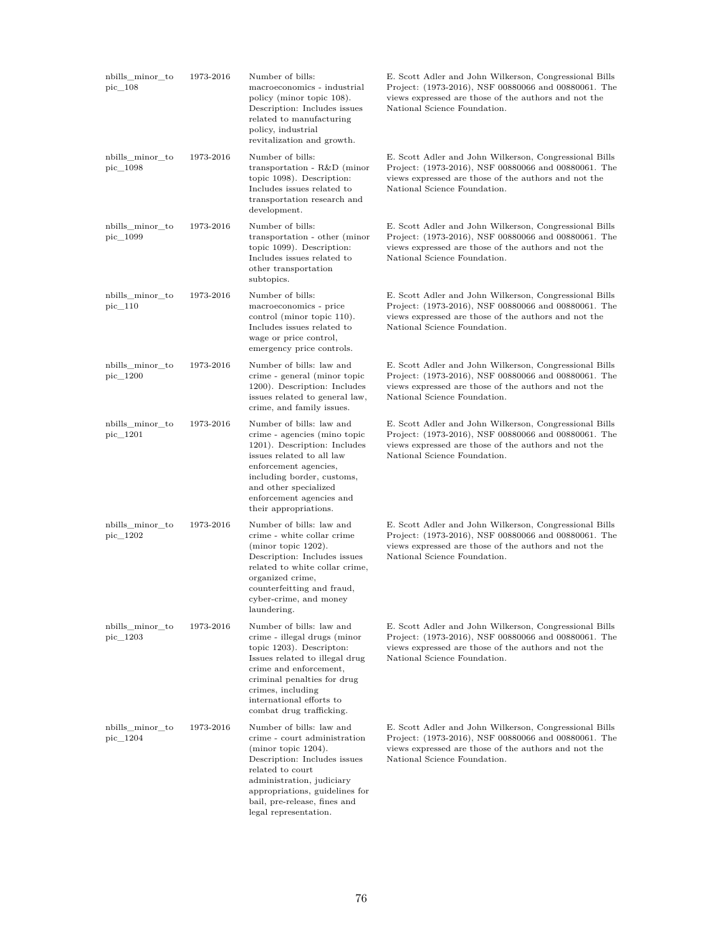| nbills_minor_to<br>pic 108    | 1973-2016 | Number of bills:<br>macroeconomics - industrial<br>policy (minor topic 108).<br>Description: Includes issues<br>related to manufacturing<br>policy, industrial<br>revitalization and growth.                                                                   | E. Scott Adler and John Wilkerson, Congressional Bills<br>Project: (1973-2016), NSF 00880066 and 00880061. The<br>views expressed are those of the authors and not the<br>National Science Foundation. |
|-------------------------------|-----------|----------------------------------------------------------------------------------------------------------------------------------------------------------------------------------------------------------------------------------------------------------------|--------------------------------------------------------------------------------------------------------------------------------------------------------------------------------------------------------|
| nbills_minor_to<br>pic_1098   | 1973-2016 | Number of bills:<br>transportation - $R&D$ (minor<br>topic 1098). Description:<br>Includes issues related to<br>transportation research and<br>development.                                                                                                    | E. Scott Adler and John Wilkerson, Congressional Bills<br>Project: (1973-2016), NSF 00880066 and 00880061. The<br>views expressed are those of the authors and not the<br>National Science Foundation. |
| nbills_minor_to<br>pic_1099   | 1973-2016 | Number of bills:<br>transportation - other (minor<br>topic 1099). Description:<br>Includes issues related to<br>other transportation<br>subtopics.                                                                                                             | E. Scott Adler and John Wilkerson, Congressional Bills<br>Project: (1973-2016), NSF 00880066 and 00880061. The<br>views expressed are those of the authors and not the<br>National Science Foundation. |
| nbills_minor_to<br>$pic\_110$ | 1973-2016 | Number of bills:<br>macroeconomics - price<br>control (minor topic 110).<br>Includes issues related to<br>wage or price control,<br>emergency price controls.                                                                                                  | E. Scott Adler and John Wilkerson, Congressional Bills<br>Project: (1973-2016), NSF 00880066 and 00880061. The<br>views expressed are those of the authors and not the<br>National Science Foundation. |
| nbills_minor_to<br>pic_1200   | 1973-2016 | Number of bills: law and<br>crime - general (minor topic<br>1200). Description: Includes<br>issues related to general law,<br>crime, and family issues.                                                                                                        | E. Scott Adler and John Wilkerson, Congressional Bills<br>Project: (1973-2016), NSF 00880066 and 00880061. The<br>views expressed are those of the authors and not the<br>National Science Foundation. |
| nbills_minor_to<br>pic_1201   | 1973-2016 | Number of bills: law and<br>crime - agencies (mino topic<br>1201). Description: Includes<br>issues related to all law<br>enforcement agencies,<br>including border, customs,<br>and other specialized<br>enforcement agencies and<br>their appropriations.     | E. Scott Adler and John Wilkerson, Congressional Bills<br>Project: (1973-2016), NSF 00880066 and 00880061. The<br>views expressed are those of the authors and not the<br>National Science Foundation. |
| nbills_minor_to<br>pic_1202   | 1973-2016 | Number of bills: law and<br>crime - white collar crime<br>(minor topic $1202$ ).<br>Description: Includes issues<br>related to white collar crime,<br>organized crime,<br>counterfeitting and fraud,<br>cyber-crime, and money<br>laundering.                  | E. Scott Adler and John Wilkerson, Congressional Bills<br>Project: (1973-2016), NSF 00880066 and 00880061. The<br>views expressed are those of the authors and not the<br>National Science Foundation. |
| nbills_minor_to<br>pic_1203   | 1973-2016 | Number of bills: law and<br>crime - illegal drugs (minor<br>topic 1203). Descripton:<br>Issues related to illegal drug<br>crime and enforcement,<br>criminal penalties for drug<br>crimes, including<br>international efforts to<br>combat drug trafficking.   | E. Scott Adler and John Wilkerson, Congressional Bills<br>Project: (1973-2016), NSF 00880066 and 00880061. The<br>views expressed are those of the authors and not the<br>National Science Foundation. |
| nbills_minor_to<br>pic_1204   | 1973-2016 | Number of bills: law and<br>crime - court administration<br>(minor topic $1204$ ).<br>Description: Includes issues<br>related to court<br>administration, judiciary<br>appropriations, guidelines for<br>bail, pre-release, fines and<br>legal representation. | E. Scott Adler and John Wilkerson, Congressional Bills<br>Project: (1973-2016), NSF 00880066 and 00880061. The<br>views expressed are those of the authors and not the<br>National Science Foundation. |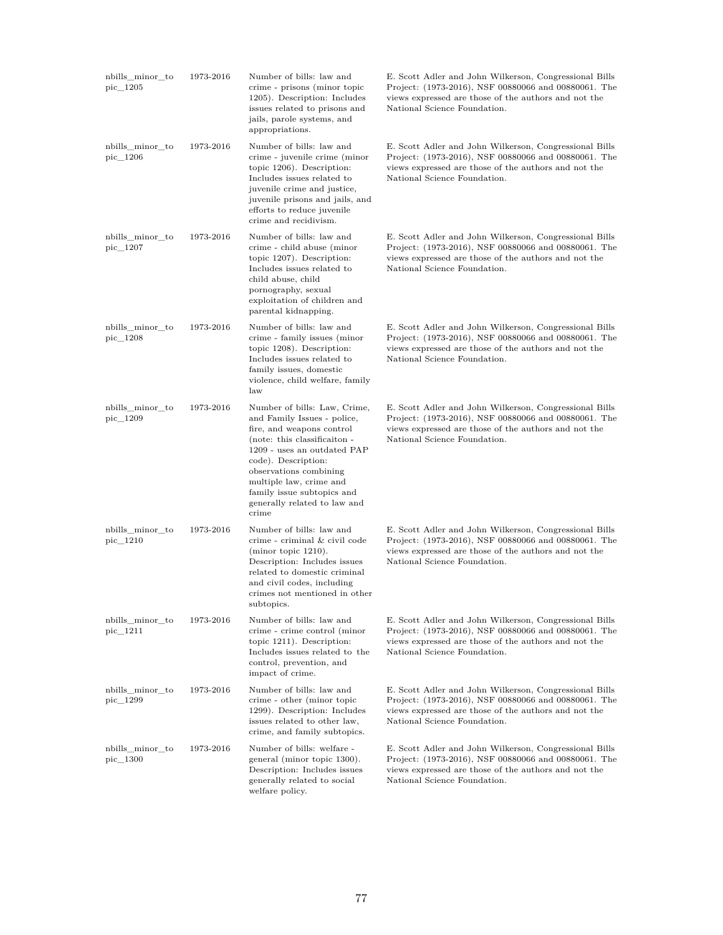| nbills_minor_to<br>pic_1205 | 1973-2016 | Number of bills: law and<br>crime - prisons (minor topic<br>1205). Description: Includes<br>issues related to prisons and<br>jails, parole systems, and<br>appropriations.                                                                                                                                 | E. Scott Adler and John Wilkerson, Congressional Bills<br>Project: (1973-2016), NSF 00880066 and 00880061. The<br>views expressed are those of the authors and not the<br>National Science Foundation. |
|-----------------------------|-----------|------------------------------------------------------------------------------------------------------------------------------------------------------------------------------------------------------------------------------------------------------------------------------------------------------------|--------------------------------------------------------------------------------------------------------------------------------------------------------------------------------------------------------|
| nbills_minor_to<br>pic_1206 | 1973-2016 | Number of bills: law and<br>crime - juvenile crime (minor<br>topic 1206). Description:<br>Includes issues related to<br>juvenile crime and justice,<br>juvenile prisons and jails, and<br>efforts to reduce juvenile<br>crime and recidivism.                                                              | E. Scott Adler and John Wilkerson, Congressional Bills<br>Project: (1973-2016), NSF 00880066 and 00880061. The<br>views expressed are those of the authors and not the<br>National Science Foundation. |
| nbills minor to<br>pic_1207 | 1973-2016 | Number of bills: law and<br>crime - child abuse (minor<br>topic 1207). Description:<br>Includes issues related to<br>child abuse, child<br>pornography, sexual<br>exploitation of children and<br>parental kidnapping.                                                                                     | E. Scott Adler and John Wilkerson, Congressional Bills<br>Project: (1973-2016), NSF 00880066 and 00880061. The<br>views expressed are those of the authors and not the<br>National Science Foundation. |
| nbills_minor_to<br>pic_1208 | 1973-2016 | Number of bills: law and<br>crime - family issues (minor<br>topic 1208). Description:<br>Includes issues related to<br>family issues, domestic<br>violence, child welfare, family<br>law                                                                                                                   | E. Scott Adler and John Wilkerson, Congressional Bills<br>Project: (1973-2016), NSF 00880066 and 00880061. The<br>views expressed are those of the authors and not the<br>National Science Foundation. |
| nbills_minor_to<br>pic_1209 | 1973-2016 | Number of bills: Law, Crime,<br>and Family Issues - police,<br>fire, and weapons control<br>(note: this classification -<br>1209 - uses an outdated PAP<br>code). Description:<br>observations combining<br>multiple law, crime and<br>family issue subtopics and<br>generally related to law and<br>crime | E. Scott Adler and John Wilkerson, Congressional Bills<br>Project: (1973-2016), NSF 00880066 and 00880061. The<br>views expressed are those of the authors and not the<br>National Science Foundation. |
| nbills_minor_to<br>pic_1210 | 1973-2016 | Number of bills: law and<br>crime - criminal & civil code<br>(minor topic $1210$ ).<br>Description: Includes issues<br>related to domestic criminal<br>and civil codes, including<br>crimes not mentioned in other<br>subtopics.                                                                           | E. Scott Adler and John Wilkerson, Congressional Bills<br>Project: (1973-2016), NSF 00880066 and 00880061. The<br>views expressed are those of the authors and not the<br>National Science Foundation. |
| nbills_minor_to<br>pic_1211 | 1973-2016 | Number of bills: law and<br>crime - crime control (minor<br>topic $1211$ ). Description:<br>Includes issues related to the<br>control, prevention, and<br>impact of crime.                                                                                                                                 | E. Scott Adler and John Wilkerson, Congressional Bills<br>Project: (1973-2016), NSF 00880066 and 00880061. The<br>views expressed are those of the authors and not the<br>National Science Foundation. |
| nbills_minor_to<br>pic_1299 | 1973-2016 | Number of bills: law and<br>crime - other (minor topic<br>1299). Description: Includes<br>issues related to other law,<br>crime, and family subtopics.                                                                                                                                                     | E. Scott Adler and John Wilkerson, Congressional Bills<br>Project: (1973-2016), NSF 00880066 and 00880061. The<br>views expressed are those of the authors and not the<br>National Science Foundation. |
| nbills_minor_to<br>pic_1300 | 1973-2016 | Number of bills: welfare -<br>general (minor topic 1300).<br>Description: Includes issues<br>generally related to social<br>welfare policy.                                                                                                                                                                | E. Scott Adler and John Wilkerson, Congressional Bills<br>Project: (1973-2016), NSF 00880066 and 00880061. The<br>views expressed are those of the authors and not the<br>National Science Foundation. |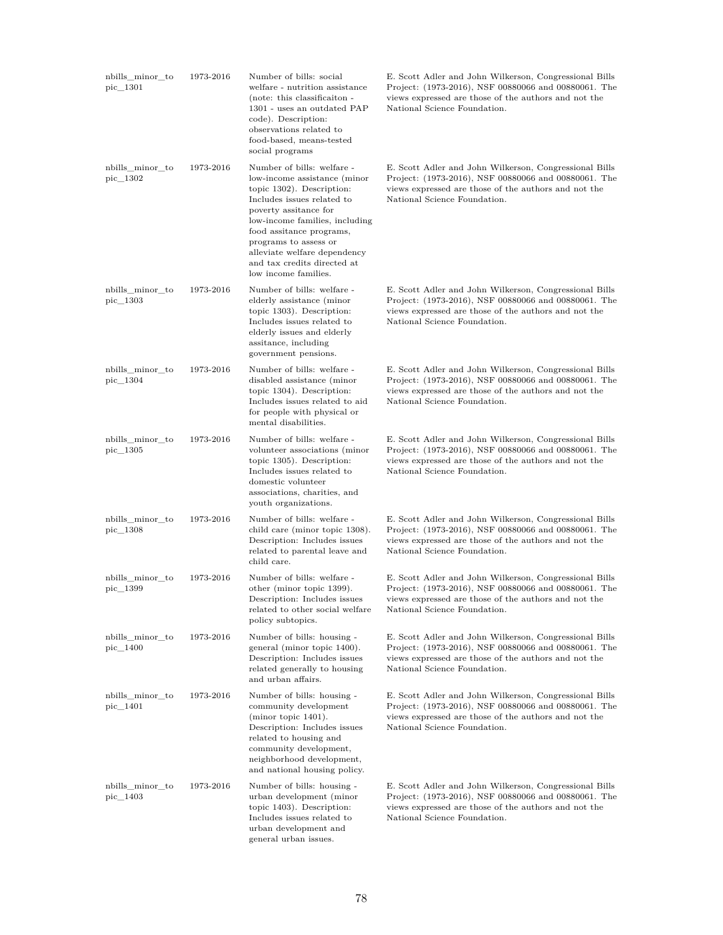| nbills_minor_to<br>pic_1301    | 1973-2016 | Number of bills: social<br>welfare - nutrition assistance<br>(note: this classification -<br>1301 - uses an outdated PAP<br>code). Description:<br>observations related to<br>food-based, means-tested<br>social programs                                                                                                    | E. Scott Adler and John Wilkerson, Congressional Bills<br>Project: (1973-2016), NSF 00880066 and 00880061. The<br>views expressed are those of the authors and not the<br>National Science Foundation. |
|--------------------------------|-----------|------------------------------------------------------------------------------------------------------------------------------------------------------------------------------------------------------------------------------------------------------------------------------------------------------------------------------|--------------------------------------------------------------------------------------------------------------------------------------------------------------------------------------------------------|
| nbills_minor_to<br>$pic\_1302$ | 1973-2016 | Number of bills: welfare -<br>low-income assistance (minor<br>topic 1302). Description:<br>Includes issues related to<br>poverty assitance for<br>low-income families, including<br>food assitance programs,<br>programs to assess or<br>alleviate welfare dependency<br>and tax credits directed at<br>low income families. | E. Scott Adler and John Wilkerson, Congressional Bills<br>Project: (1973-2016), NSF 00880066 and 00880061. The<br>views expressed are those of the authors and not the<br>National Science Foundation. |
| nbills_minor_to<br>pic 1303    | 1973-2016 | Number of bills: welfare -<br>elderly assistance (minor<br>topic 1303). Description:<br>Includes issues related to<br>elderly issues and elderly<br>assitance, including<br>government pensions.                                                                                                                             | E. Scott Adler and John Wilkerson, Congressional Bills<br>Project: (1973-2016), NSF 00880066 and 00880061. The<br>views expressed are those of the authors and not the<br>National Science Foundation. |
| nbills_minor_to<br>pic_1304    | 1973-2016 | Number of bills: welfare -<br>disabled assistance (minor<br>topic 1304). Description:<br>Includes issues related to aid<br>for people with physical or<br>mental disabilities.                                                                                                                                               | E. Scott Adler and John Wilkerson, Congressional Bills<br>Project: (1973-2016), NSF 00880066 and 00880061. The<br>views expressed are those of the authors and not the<br>National Science Foundation. |
| nbills_minor_to<br>$pic\_1305$ | 1973-2016 | Number of bills: welfare -<br>volunteer associations (minor<br>topic 1305). Description:<br>Includes issues related to<br>domestic volunteer<br>associations, charities, and<br>youth organizations.                                                                                                                         | E. Scott Adler and John Wilkerson, Congressional Bills<br>Project: (1973-2016), NSF 00880066 and 00880061. The<br>views expressed are those of the authors and not the<br>National Science Foundation. |
| nbills_minor_to<br>$pic\_1308$ | 1973-2016 | Number of bills: welfare -<br>child care (minor topic 1308).<br>Description: Includes issues<br>related to parental leave and<br>child care.                                                                                                                                                                                 | E. Scott Adler and John Wilkerson, Congressional Bills<br>Project: (1973-2016), NSF 00880066 and 00880061. The<br>views expressed are those of the authors and not the<br>National Science Foundation. |
| nbills_minor_to<br>pic_1399    | 1973-2016 | Number of bills: welfare -<br>other (minor topic 1399).<br>Description: Includes issues<br>related to other social welfare<br>policy subtopics.                                                                                                                                                                              | E. Scott Adler and John Wilkerson, Congressional Bills<br>Project: (1973-2016), NSF 00880066 and 00880061. The<br>views expressed are those of the authors and not the<br>National Science Foundation. |
| nbills_minor_to<br>pic_1400    | 1973-2016 | Number of bills: housing -<br>general (minor topic 1400).<br>Description: Includes issues<br>related generally to housing<br>and urban affairs.                                                                                                                                                                              | E. Scott Adler and John Wilkerson, Congressional Bills<br>Project: (1973-2016), NSF 00880066 and 00880061. The<br>views expressed are those of the authors and not the<br>National Science Foundation. |
| nbills_minor_to<br>pic_1401    | 1973-2016 | Number of bills: housing -<br>community development<br>$(\text{minor topic } 1401).$<br>Description: Includes issues<br>related to housing and<br>community development,<br>neighborhood development,<br>and national housing policy.                                                                                        | E. Scott Adler and John Wilkerson, Congressional Bills<br>Project: (1973-2016), NSF 00880066 and 00880061. The<br>views expressed are those of the authors and not the<br>National Science Foundation. |
| nbills_minor_to<br>pic_1403    | 1973-2016 | Number of bills: housing -<br>urban development (minor<br>topic 1403). Description:<br>Includes issues related to<br>urban development and<br>general urban issues.                                                                                                                                                          | E. Scott Adler and John Wilkerson, Congressional Bills<br>Project: (1973-2016), NSF 00880066 and 00880061. The<br>views expressed are those of the authors and not the<br>National Science Foundation. |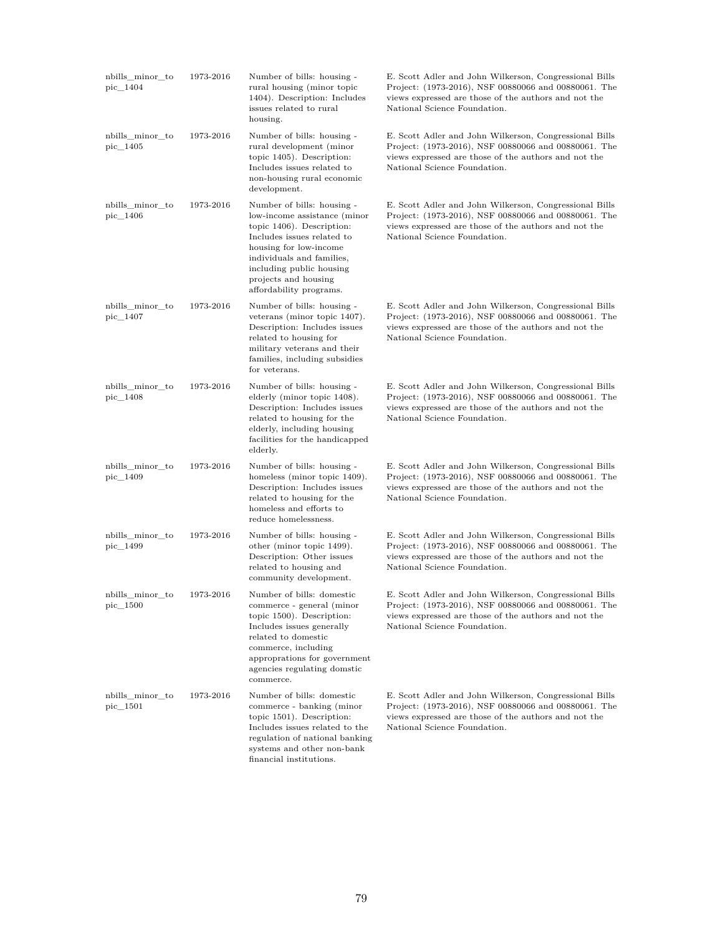| nbills_minor_to<br>pic 1404 | 1973-2016 | Number of bills: housing -<br>rural housing (minor topic<br>1404). Description: Includes<br>issues related to rural<br>housing.                                                                                                                             | E. Scott Adler and John Wilkerson, Congressional Bills<br>Project: (1973-2016), NSF 00880066 and 00880061. The<br>views expressed are those of the authors and not the<br>National Science Foundation. |
|-----------------------------|-----------|-------------------------------------------------------------------------------------------------------------------------------------------------------------------------------------------------------------------------------------------------------------|--------------------------------------------------------------------------------------------------------------------------------------------------------------------------------------------------------|
| nbills_minor_to<br>pic_1405 | 1973-2016 | Number of bills: housing -<br>rural development (minor<br>topic 1405). Description:<br>Includes issues related to<br>non-housing rural economic<br>development.                                                                                             | E. Scott Adler and John Wilkerson, Congressional Bills<br>Project: (1973-2016), NSF 00880066 and 00880061. The<br>views expressed are those of the authors and not the<br>National Science Foundation. |
| nbills_minor_to<br>pic_1406 | 1973-2016 | Number of bills: housing -<br>low-income assistance (minor<br>topic 1406). Description:<br>Includes issues related to<br>housing for low-income<br>individuals and families,<br>including public housing<br>projects and housing<br>affordability programs. | E. Scott Adler and John Wilkerson, Congressional Bills<br>Project: (1973-2016), NSF 00880066 and 00880061. The<br>views expressed are those of the authors and not the<br>National Science Foundation. |
| nbills minor to<br>pic_1407 | 1973-2016 | Number of bills: housing -<br>veterans (minor topic 1407).<br>Description: Includes issues<br>related to housing for<br>military veterans and their<br>families, including subsidies<br>for veterans.                                                       | E. Scott Adler and John Wilkerson, Congressional Bills<br>Project: (1973-2016), NSF 00880066 and 00880061. The<br>views expressed are those of the authors and not the<br>National Science Foundation. |
| nbills_minor_to<br>pic_1408 | 1973-2016 | Number of bills: housing -<br>elderly (minor topic 1408).<br>Description: Includes issues<br>related to housing for the<br>elderly, including housing<br>facilities for the handicapped<br>elderly.                                                         | E. Scott Adler and John Wilkerson, Congressional Bills<br>Project: (1973-2016), NSF 00880066 and 00880061. The<br>views expressed are those of the authors and not the<br>National Science Foundation. |
| nbills_minor_to<br>pic_1409 | 1973-2016 | Number of bills: housing -<br>homeless (minor topic 1409).<br>Description: Includes issues<br>related to housing for the<br>homeless and efforts to<br>reduce homelessness.                                                                                 | E. Scott Adler and John Wilkerson, Congressional Bills<br>Project: (1973-2016), NSF 00880066 and 00880061. The<br>views expressed are those of the authors and not the<br>National Science Foundation. |
| nbills_minor_to<br>pic_1499 | 1973-2016 | Number of bills: housing -<br>other (minor topic 1499).<br>Description: Other issues<br>related to housing and<br>community development.                                                                                                                    | E. Scott Adler and John Wilkerson, Congressional Bills<br>Project: (1973-2016), NSF 00880066 and 00880061. The<br>views expressed are those of the authors and not the<br>National Science Foundation. |
| nbills_minor_to<br>pic_1500 | 1973-2016 | Number of bills: domestic<br>commerce - general (minor<br>topic 1500). Description:<br>Includes issues generally<br>related to domestic<br>commerce, including<br>approprations for government<br>agencies regulating domstic<br>commerce.                  | E. Scott Adler and John Wilkerson, Congressional Bills<br>Project: (1973-2016), NSF 00880066 and 00880061. The<br>views expressed are those of the authors and not the<br>National Science Foundation. |
| nbills minor to<br>pic_1501 | 1973-2016 | Number of bills: domestic<br>commerce - banking (minor<br>topic $1501$ ). Description:<br>Includes issues related to the<br>regulation of national banking<br>systems and other non-bank<br>financial institutions.                                         | E. Scott Adler and John Wilkerson, Congressional Bills<br>Project: (1973-2016), NSF 00880066 and 00880061. The<br>views expressed are those of the authors and not the<br>National Science Foundation. |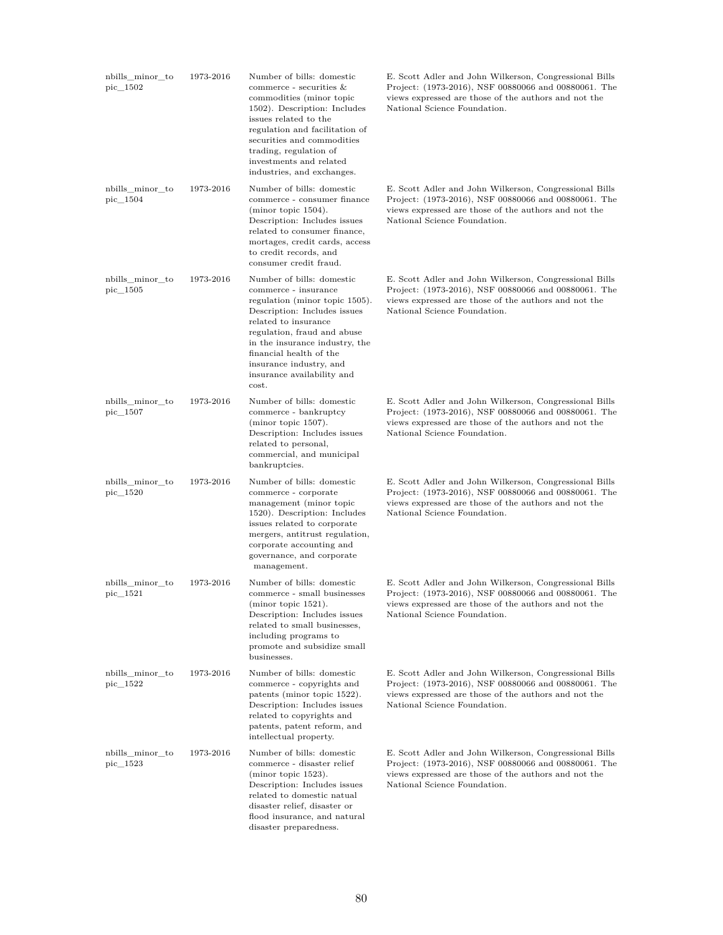| nbills minor to<br>pic 1502 | 1973-2016 | Number of bills: domestic<br>commerce - securities $&$<br>commodities (minor topic<br>1502). Description: Includes<br>issues related to the<br>regulation and facilitation of<br>securities and commodities<br>trading, regulation of<br>investments and related<br>industries, and exchanges.            | E. Scott Adler and John Wilkerson, Congressional Bills<br>Project: (1973-2016), NSF 00880066 and 00880061. The<br>views expressed are those of the authors and not the<br>National Science Foundation. |
|-----------------------------|-----------|-----------------------------------------------------------------------------------------------------------------------------------------------------------------------------------------------------------------------------------------------------------------------------------------------------------|--------------------------------------------------------------------------------------------------------------------------------------------------------------------------------------------------------|
| nbills_minor_to<br>pic_1504 | 1973-2016 | Number of bills: domestic<br>commerce - consumer finance<br>(minor topic 1504).<br>Description: Includes issues<br>related to consumer finance,<br>mortages, credit cards, access<br>to credit records, and<br>consumer credit fraud.                                                                     | E. Scott Adler and John Wilkerson, Congressional Bills<br>Project: (1973-2016), NSF 00880066 and 00880061. The<br>views expressed are those of the authors and not the<br>National Science Foundation. |
| nbills_minor_to<br>pic_1505 | 1973-2016 | Number of bills: domestic<br>commerce - insurance<br>regulation (minor topic 1505).<br>Description: Includes issues<br>related to insurance<br>regulation, fraud and abuse<br>in the insurance industry, the<br>financial health of the<br>insurance industry, and<br>insurance availability and<br>cost. | E. Scott Adler and John Wilkerson, Congressional Bills<br>Project: (1973-2016), NSF 00880066 and 00880061. The<br>views expressed are those of the authors and not the<br>National Science Foundation. |
| nbills minor to<br>pic_1507 | 1973-2016 | Number of bills: domestic<br>commerce - bankruptcy<br>(minor topic 1507).<br>Description: Includes issues<br>related to personal,<br>commercial, and municipal<br>bankruptcies.                                                                                                                           | E. Scott Adler and John Wilkerson, Congressional Bills<br>Project: (1973-2016), NSF 00880066 and 00880061. The<br>views expressed are those of the authors and not the<br>National Science Foundation. |
| nbills_minor_to<br>pic_1520 | 1973-2016 | Number of bills: domestic<br>commerce - corporate<br>management (minor topic<br>1520). Description: Includes<br>issues related to corporate<br>mergers, antitrust regulation,<br>corporate accounting and<br>governance, and corporate<br>management.                                                     | E. Scott Adler and John Wilkerson, Congressional Bills<br>Project: (1973-2016), NSF 00880066 and 00880061. The<br>views expressed are those of the authors and not the<br>National Science Foundation. |
| nbills_minor_to<br>pic_1521 | 1973-2016 | Number of bills: domestic<br>commerce - small businesses<br>(minor topic 1521).<br>Description: Includes issues<br>related to small businesses,<br>including programs to<br>promote and subsidize small<br>businesses.                                                                                    | E. Scott Adler and John Wilkerson, Congressional Bills<br>Project: (1973-2016), NSF 00880066 and 00880061. The<br>views expressed are those of the authors and not the<br>National Science Foundation. |
| nbills_minor_to<br>pic_1522 | 1973-2016 | Number of bills: domestic<br>commerce - copyrights and<br>patents (minor topic 1522).<br>Description: Includes issues<br>related to copyrights and<br>patents, patent reform, and<br>intellectual property.                                                                                               | E. Scott Adler and John Wilkerson, Congressional Bills<br>Project: (1973-2016), NSF 00880066 and 00880061. The<br>views expressed are those of the authors and not the<br>National Science Foundation. |
| nbills_minor_to<br>pic 1523 | 1973-2016 | Number of bills: domestic<br>commerce - disaster relief<br>(minor topic 1523).<br>Description: Includes issues<br>related to domestic natual<br>disaster relief, disaster or<br>flood insurance, and natural<br>disaster preparedness.                                                                    | E. Scott Adler and John Wilkerson, Congressional Bills<br>Project: (1973-2016), NSF 00880066 and 00880061. The<br>views expressed are those of the authors and not the<br>National Science Foundation. |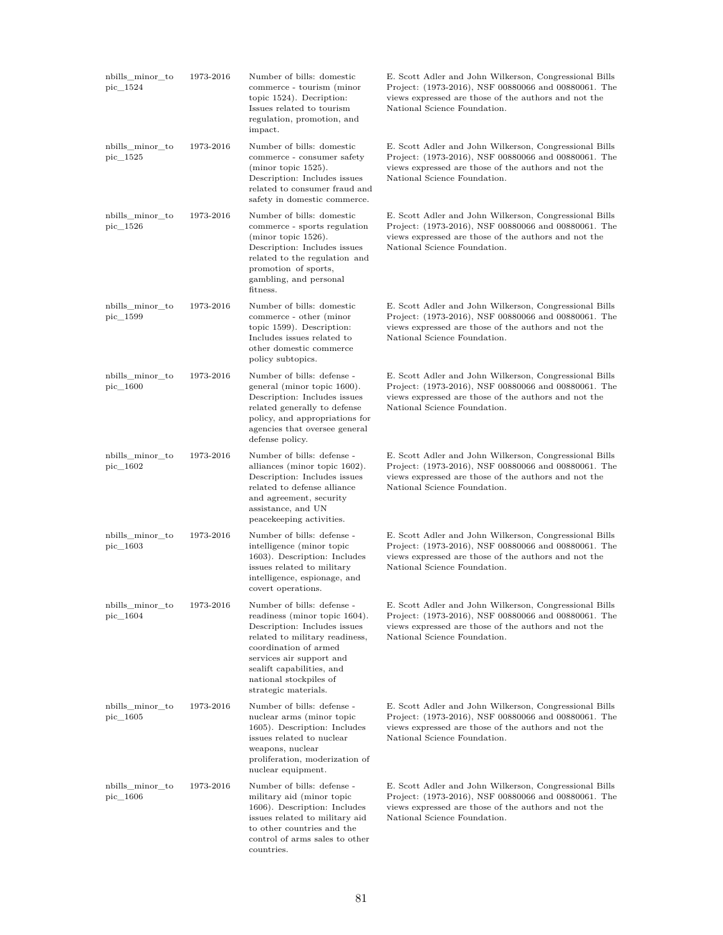| nbills_minor_to<br>pic_1524 | 1973-2016 | Number of bills: domestic<br>commerce - tourism (minor<br>topic 1524). Decription:<br>Issues related to tourism<br>regulation, promotion, and<br>impact.                                                                                                          | E. Scott Adler and John Wilkerson, Congressional Bills<br>Project: (1973-2016), NSF 00880066 and 00880061. The<br>views expressed are those of the authors and not the<br>National Science Foundation. |
|-----------------------------|-----------|-------------------------------------------------------------------------------------------------------------------------------------------------------------------------------------------------------------------------------------------------------------------|--------------------------------------------------------------------------------------------------------------------------------------------------------------------------------------------------------|
| nbills minor to<br>pic_1525 | 1973-2016 | Number of bills: domestic<br>commerce - consumer safety<br>(minor topic 1525).<br>Description: Includes issues<br>related to consumer fraud and<br>safety in domestic commerce.                                                                                   | E. Scott Adler and John Wilkerson, Congressional Bills<br>Project: (1973-2016), NSF 00880066 and 00880061. The<br>views expressed are those of the authors and not the<br>National Science Foundation. |
| nbills minor to<br>pic_1526 | 1973-2016 | Number of bills: domestic<br>commerce - sports regulation<br>(minor topic 1526).<br>Description: Includes issues<br>related to the regulation and<br>promotion of sports,<br>gambling, and personal<br>fitness.                                                   | E. Scott Adler and John Wilkerson, Congressional Bills<br>Project: (1973-2016), NSF 00880066 and 00880061. The<br>views expressed are those of the authors and not the<br>National Science Foundation. |
| nbills minor to<br>pic_1599 | 1973-2016 | Number of bills: domestic<br>commerce - other (minor<br>topic 1599). Description:<br>Includes issues related to<br>other domestic commerce<br>policy subtopics.                                                                                                   | E. Scott Adler and John Wilkerson, Congressional Bills<br>Project: (1973-2016), NSF 00880066 and 00880061. The<br>views expressed are those of the authors and not the<br>National Science Foundation. |
| nbills minor to<br>pic_1600 | 1973-2016 | Number of bills: defense -<br>general (minor topic 1600).<br>Description: Includes issues<br>related generally to defense<br>policy, and appropriations for<br>agencies that oversee general<br>defense policy.                                                   | E. Scott Adler and John Wilkerson, Congressional Bills<br>Project: (1973-2016), NSF 00880066 and 00880061. The<br>views expressed are those of the authors and not the<br>National Science Foundation. |
| nbills_minor_to<br>pic_1602 | 1973-2016 | Number of bills: defense -<br>alliances (minor topic 1602).<br>Description: Includes issues<br>related to defense alliance<br>and agreement, security<br>assistance, and UN<br>peacekeeping activities.                                                           | E. Scott Adler and John Wilkerson, Congressional Bills<br>Project: (1973-2016), NSF 00880066 and 00880061. The<br>views expressed are those of the authors and not the<br>National Science Foundation. |
| nbills_minor_to<br>pic_1603 | 1973-2016 | Number of bills: defense -<br>intelligence (minor topic<br>1603). Description: Includes<br>issues related to military<br>intelligence, espionage, and<br>covert operations.                                                                                       | E. Scott Adler and John Wilkerson, Congressional Bills<br>Project: (1973-2016), NSF 00880066 and 00880061. The<br>views expressed are those of the authors and not the<br>National Science Foundation. |
| nbills_minor_to<br>pic 1604 | 1973-2016 | Number of bills: defense -<br>readiness (minor topic 1604).<br>Description: Includes issues<br>related to military readiness,<br>coordination of armed<br>services air support and<br>sealift capabilities, and<br>national stockpiles of<br>strategic materials. | E. Scott Adler and John Wilkerson, Congressional Bills<br>Project: (1973-2016), NSF 00880066 and 00880061. The<br>views expressed are those of the authors and not the<br>National Science Foundation. |
| nbills_minor_to<br>pic_1605 | 1973-2016 | Number of bills: defense -<br>nuclear arms (minor topic<br>1605). Description: Includes<br>issues related to nuclear<br>weapons, nuclear<br>proliferation, moderization of<br>nuclear equipment.                                                                  | E. Scott Adler and John Wilkerson, Congressional Bills<br>Project: (1973-2016), NSF 00880066 and 00880061. The<br>views expressed are those of the authors and not the<br>National Science Foundation. |
| nbills_minor_to<br>pic_1606 | 1973-2016 | Number of bills: defense -<br>military aid (minor topic<br>1606). Description: Includes<br>issues related to military aid<br>to other countries and the<br>control of arms sales to other<br>countries.                                                           | E. Scott Adler and John Wilkerson, Congressional Bills<br>Project: (1973-2016), NSF 00880066 and 00880061. The<br>views expressed are those of the authors and not the<br>National Science Foundation. |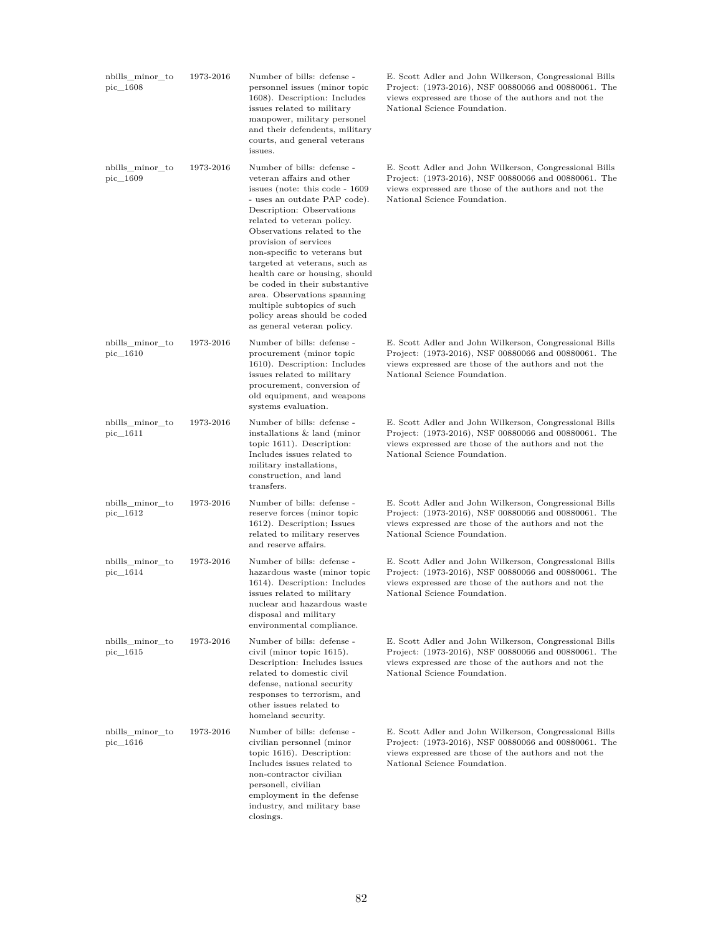| nbills_minor_to<br>pic_1608    | 1973-2016 | Number of bills: defense -<br>personnel issues (minor topic<br>1608). Description: Includes<br>issues related to military<br>manpower, military personel<br>and their defendents, military<br>courts, and general veterans<br>issues.                                                                                                                                                                                                                                                                        | E. Scott Adler and John Wilkerson, Congressional Bills<br>Project: (1973-2016), NSF 00880066 and 00880061. The<br>views expressed are those of the authors and not the<br>National Science Foundation. |
|--------------------------------|-----------|--------------------------------------------------------------------------------------------------------------------------------------------------------------------------------------------------------------------------------------------------------------------------------------------------------------------------------------------------------------------------------------------------------------------------------------------------------------------------------------------------------------|--------------------------------------------------------------------------------------------------------------------------------------------------------------------------------------------------------|
| nbills_minor_to<br>pic_1609    | 1973-2016 | Number of bills: defense -<br>veteran affairs and other<br>issues (note: this code - 1609)<br>- uses an outdate PAP code).<br>Description: Observations<br>related to veteran policy.<br>Observations related to the<br>provision of services<br>non-specific to veterans but<br>targeted at veterans, such as<br>health care or housing, should<br>be coded in their substantive<br>area. Observations spanning<br>multiple subtopics of such<br>policy areas should be coded<br>as general veteran policy. | E. Scott Adler and John Wilkerson, Congressional Bills<br>Project: (1973-2016), NSF 00880066 and 00880061. The<br>views expressed are those of the authors and not the<br>National Science Foundation. |
| nbills_minor_to<br>$pic\_1610$ | 1973-2016 | Number of bills: defense -<br>procurement (minor topic<br>1610). Description: Includes<br>issues related to military<br>procurement, conversion of<br>old equipment, and weapons<br>systems evaluation.                                                                                                                                                                                                                                                                                                      | E. Scott Adler and John Wilkerson, Congressional Bills<br>Project: (1973-2016), NSF 00880066 and 00880061. The<br>views expressed are those of the authors and not the<br>National Science Foundation. |
| nbills_minor_to<br>$pic\_1611$ | 1973-2016 | Number of bills: defense -<br>installations & land (minor<br>topic 1611). Description:<br>Includes issues related to<br>military installations,<br>construction, and land<br>transfers.                                                                                                                                                                                                                                                                                                                      | E. Scott Adler and John Wilkerson, Congressional Bills<br>Project: (1973-2016), NSF 00880066 and 00880061. The<br>views expressed are those of the authors and not the<br>National Science Foundation. |
| nbills_minor_to<br>$pic\_1612$ | 1973-2016 | Number of bills: defense -<br>reserve forces (minor topic<br>1612). Description; Issues<br>related to military reserves<br>and reserve affairs.                                                                                                                                                                                                                                                                                                                                                              | E. Scott Adler and John Wilkerson, Congressional Bills<br>Project: (1973-2016), NSF 00880066 and 00880061. The<br>views expressed are those of the authors and not the<br>National Science Foundation. |
| nbills_minor_to<br>pic_1614    | 1973-2016 | Number of bills: defense -<br>hazardous waste (minor topic<br>1614). Description: Includes<br>issues related to military<br>nuclear and hazardous waste<br>disposal and military<br>environmental compliance.                                                                                                                                                                                                                                                                                                | E. Scott Adler and John Wilkerson, Congressional Bills<br>Project: (1973-2016), NSF 00880066 and 00880061. The<br>views expressed are those of the authors and not the<br>National Science Foundation. |
| nbills_minor_to<br>pic_1615    | 1973-2016 | Number of bills: defense -<br>civil (minor topic 1615).<br>Description: Includes issues<br>related to domestic civil<br>defense, national security<br>responses to terrorism, and<br>other issues related to<br>homeland security.                                                                                                                                                                                                                                                                           | E. Scott Adler and John Wilkerson, Congressional Bills<br>Project: (1973-2016), NSF 00880066 and 00880061. The<br>views expressed are those of the authors and not the<br>National Science Foundation. |
| nbills_minor_to<br>pic_1616    | 1973-2016 | Number of bills: defense -<br>civilian personnel (minor<br>topic 1616). Description:<br>Includes issues related to<br>non-contractor civilian<br>personell, civilian<br>employment in the defense<br>industry, and military base<br>closings.                                                                                                                                                                                                                                                                | E. Scott Adler and John Wilkerson, Congressional Bills<br>Project: (1973-2016), NSF 00880066 and 00880061. The<br>views expressed are those of the authors and not the<br>National Science Foundation. |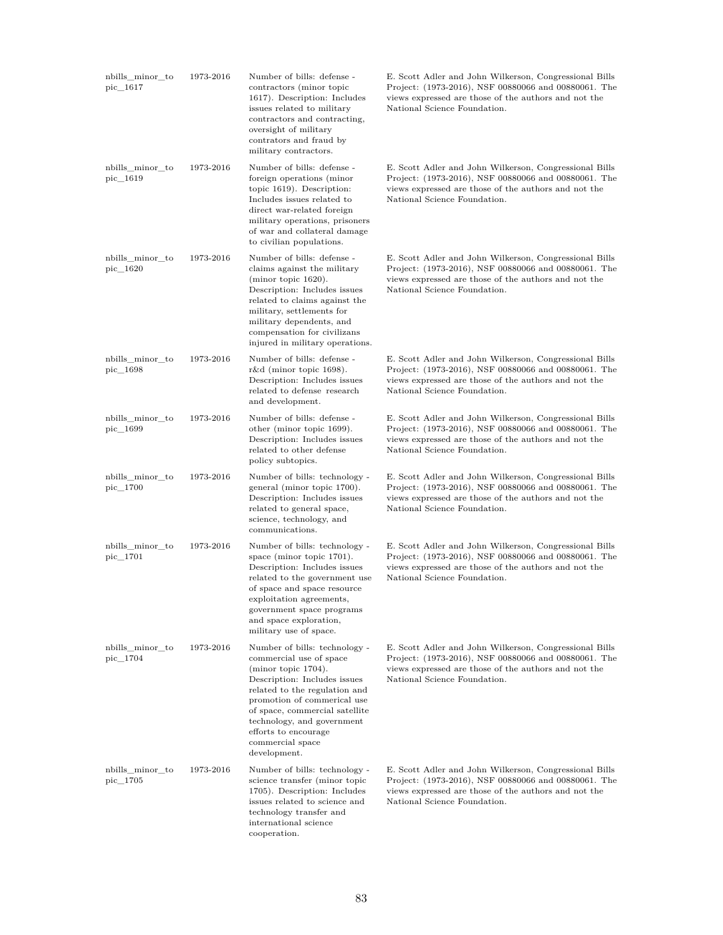| nbills minor to<br>pic_1617    | 1973-2016 | Number of bills: defense -<br>contractors (minor topic<br>1617). Description: Includes<br>issues related to military<br>contractors and contracting,<br>oversight of military<br>contrators and fraud by<br>military contractors.                                                                                       | E. Scott Adler and John Wilkerson, Congressional Bills<br>Project: (1973-2016), NSF 00880066 and 00880061. The<br>views expressed are those of the authors and not the<br>National Science Foundation. |
|--------------------------------|-----------|-------------------------------------------------------------------------------------------------------------------------------------------------------------------------------------------------------------------------------------------------------------------------------------------------------------------------|--------------------------------------------------------------------------------------------------------------------------------------------------------------------------------------------------------|
| nbills_minor_to<br>pic_1619    | 1973-2016 | Number of bills: defense -<br>foreign operations (minor<br>topic 1619). Description:<br>Includes issues related to<br>direct war-related foreign<br>military operations, prisoners<br>of war and collateral damage<br>to civilian populations.                                                                          | E. Scott Adler and John Wilkerson, Congressional Bills<br>Project: (1973-2016), NSF 00880066 and 00880061. The<br>views expressed are those of the authors and not the<br>National Science Foundation. |
| nbills_minor_to<br>$pic\_1620$ | 1973-2016 | Number of bills: defense -<br>claims against the military<br>(minor topic 1620).<br>Description: Includes issues<br>related to claims against the<br>military, settlements for<br>military dependents, and<br>compensation for civilizans<br>injured in military operations.                                            | E. Scott Adler and John Wilkerson, Congressional Bills<br>Project: (1973-2016), NSF 00880066 and 00880061. The<br>views expressed are those of the authors and not the<br>National Science Foundation. |
| nbills_minor_to<br>pic 1698    | 1973-2016 | Number of bills: defense -<br>r&d (minor topic 1698).<br>Description: Includes issues<br>related to defense research<br>and development.                                                                                                                                                                                | E. Scott Adler and John Wilkerson, Congressional Bills<br>Project: (1973-2016), NSF 00880066 and 00880061. The<br>views expressed are those of the authors and not the<br>National Science Foundation. |
| nbills_minor_to<br>pic_1699    | 1973-2016 | Number of bills: defense -<br>other (minor topic 1699).<br>Description: Includes issues<br>related to other defense<br>policy subtopics.                                                                                                                                                                                | E. Scott Adler and John Wilkerson, Congressional Bills<br>Project: (1973-2016), NSF 00880066 and 00880061. The<br>views expressed are those of the authors and not the<br>National Science Foundation. |
| nbills_minor_to<br>pic_1700    | 1973-2016 | Number of bills: technology -<br>general (minor topic 1700).<br>Description: Includes issues<br>related to general space,<br>science, technology, and<br>communications.                                                                                                                                                | E. Scott Adler and John Wilkerson, Congressional Bills<br>Project: (1973-2016), NSF 00880066 and 00880061. The<br>views expressed are those of the authors and not the<br>National Science Foundation. |
| nbills minor to<br>pic_1701    | 1973-2016 | Number of bills: technology -<br>space (minor topic 1701).<br>Description: Includes issues<br>related to the government use<br>of space and space resource<br>exploitation agreements,<br>government space programs<br>and space exploration,<br>military use of space.                                                 | E. Scott Adler and John Wilkerson, Congressional Bills<br>Project: (1973-2016), NSF 00880066 and 00880061. The<br>views expressed are those of the authors and not the<br>National Science Foundation. |
| nbills_minor_to<br>pic_1704    | 1973-2016 | Number of bills: technology -<br>commercial use of space<br>(mino <sub>r</sub> topic 1704).<br>Description: Includes issues<br>related to the regulation and<br>promotion of commerical use<br>of space, commercial satellite<br>technology, and government<br>efforts to encourage<br>commercial space<br>development. | E. Scott Adler and John Wilkerson, Congressional Bills<br>Project: (1973-2016), NSF 00880066 and 00880061. The<br>views expressed are those of the authors and not the<br>National Science Foundation. |
| nbills_minor_to<br>pic_1705    | 1973-2016 | Number of bills: technology -<br>science transfer (minor topic<br>1705). Description: Includes<br>issues related to science and<br>technology transfer and<br>international science<br>cooperation.                                                                                                                     | E. Scott Adler and John Wilkerson, Congressional Bills<br>Project: (1973-2016), NSF 00880066 and 00880061. The<br>views expressed are those of the authors and not the<br>National Science Foundation. |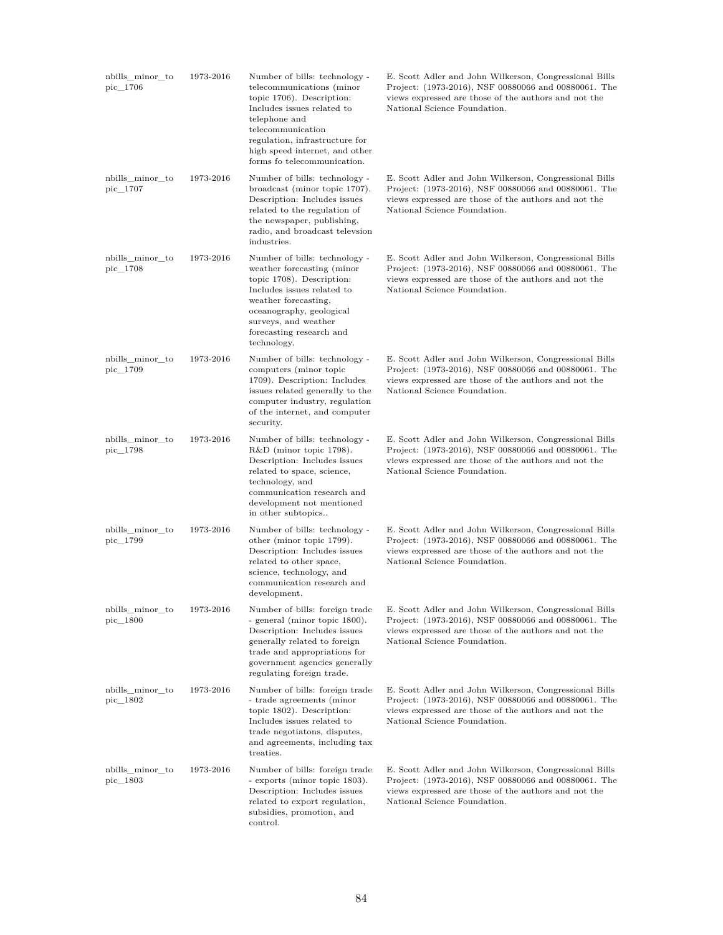| nbills_minor_to<br>pic 1706 | 1973-2016 | Number of bills: technology -<br>telecommunications (minor<br>topic 1706). Description:<br>Includes issues related to<br>telephone and<br>telecommunication<br>regulation, infrastructure for<br>high speed internet, and other<br>forms fo telecommunication. | E. Scott Adler and John Wilkerson, Congressional Bills<br>Project: (1973-2016), NSF 00880066 and 00880061. The<br>views expressed are those of the authors and not the<br>National Science Foundation. |
|-----------------------------|-----------|----------------------------------------------------------------------------------------------------------------------------------------------------------------------------------------------------------------------------------------------------------------|--------------------------------------------------------------------------------------------------------------------------------------------------------------------------------------------------------|
| nbills_minor_to<br>pic_1707 | 1973-2016 | Number of bills: technology -<br>broadcast (minor topic 1707).<br>Description: Includes issues<br>related to the regulation of<br>the newspaper, publishing,<br>radio, and broadcast televsion<br>industries.                                                  | E. Scott Adler and John Wilkerson, Congressional Bills<br>Project: (1973-2016), NSF 00880066 and 00880061. The<br>views expressed are those of the authors and not the<br>National Science Foundation. |
| nbills_minor_to<br>pic_1708 | 1973-2016 | Number of bills: technology -<br>weather forecasting (minor<br>topic 1708). Description:<br>Includes issues related to<br>weather forecasting,<br>oceanography, geological<br>surveys, and weather<br>forecasting research and<br>technology.                  | E. Scott Adler and John Wilkerson, Congressional Bills<br>Project: (1973-2016), NSF 00880066 and 00880061. The<br>views expressed are those of the authors and not the<br>National Science Foundation. |
| nbills minor to<br>pic_1709 | 1973-2016 | Number of bills: technology -<br>computers (minor topic<br>1709). Description: Includes<br>issues related generally to the<br>computer industry, regulation<br>of the internet, and computer<br>security.                                                      | E. Scott Adler and John Wilkerson, Congressional Bills<br>Project: (1973-2016), NSF 00880066 and 00880061. The<br>views expressed are those of the authors and not the<br>National Science Foundation. |
| nbills_minor_to<br>pic_1798 | 1973-2016 | Number of bills: technology -<br>$R&D$ (minor topic 1798).<br>Description: Includes issues<br>related to space, science,<br>technology, and<br>communication research and<br>development not mentioned<br>in other subtopics                                   | E. Scott Adler and John Wilkerson, Congressional Bills<br>Project: (1973-2016), NSF 00880066 and 00880061. The<br>views expressed are those of the authors and not the<br>National Science Foundation. |
| nbills minor to<br>pic_1799 | 1973-2016 | Number of bills: technology -<br>other (minor topic 1799).<br>Description: Includes issues<br>related to other space,<br>science, technology, and<br>communication research and<br>development.                                                                | E. Scott Adler and John Wilkerson, Congressional Bills<br>Project: (1973-2016), NSF 00880066 and 00880061. The<br>views expressed are those of the authors and not the<br>National Science Foundation. |
| nbills_minor_to<br>pic 1800 | 1973-2016 | Number of bills: foreign trade<br>- general (minor topic 1800).<br>Description: Includes issues<br>generally related to foreign<br>trade and appropriations for<br>government agencies generally<br>regulating foreign trade.                                  | E. Scott Adler and John Wilkerson, Congressional Bills<br>Project: (1973-2016), NSF 00880066 and 00880061. The<br>views expressed are those of the authors and not the<br>National Science Foundation. |
| nbills_minor_to<br>pic_1802 | 1973-2016 | Number of bills: foreign trade<br>- trade agreements (minor<br>topic 1802). Description:<br>Includes issues related to<br>trade negotiatons, disputes,<br>and agreements, including tax<br>treaties.                                                           | E. Scott Adler and John Wilkerson, Congressional Bills<br>Project: (1973-2016), NSF 00880066 and 00880061. The<br>views expressed are those of the authors and not the<br>National Science Foundation. |
| nbills_minor_to<br>pic_1803 | 1973-2016 | Number of bills: foreign trade<br>- exports (minor topic 1803).<br>Description: Includes issues<br>related to export regulation,<br>subsidies, promotion, and<br>control.                                                                                      | E. Scott Adler and John Wilkerson, Congressional Bills<br>Project: (1973-2016), NSF 00880066 and 00880061. The<br>views expressed are those of the authors and not the<br>National Science Foundation. |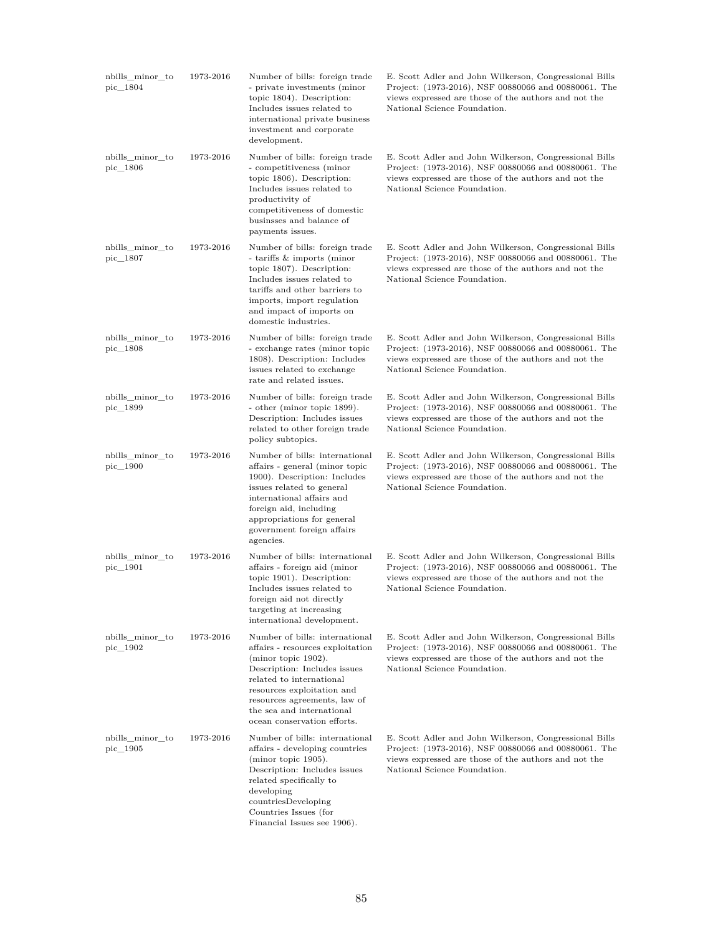| nbills_minor_to<br>pic 1804 | 1973-2016 | Number of bills: foreign trade<br>- private investments (minor<br>topic 1804). Description:<br>Includes issues related to<br>international private business<br>investment and corporate<br>development.                                                                         | E. Scott Adler and John Wilkerson, Congressional Bills<br>Project: (1973-2016), NSF 00880066 and 00880061. The<br>views expressed are those of the authors and not the<br>National Science Foundation. |
|-----------------------------|-----------|---------------------------------------------------------------------------------------------------------------------------------------------------------------------------------------------------------------------------------------------------------------------------------|--------------------------------------------------------------------------------------------------------------------------------------------------------------------------------------------------------|
| nbills_minor_to<br>pic_1806 | 1973-2016 | Number of bills: foreign trade<br>- competitiveness (minor<br>topic 1806). Description:<br>Includes issues related to<br>productivity of<br>competitiveness of domestic<br>businsses and balance of<br>payments issues.                                                         | E. Scott Adler and John Wilkerson, Congressional Bills<br>Project: (1973-2016), NSF 00880066 and 00880061. The<br>views expressed are those of the authors and not the<br>National Science Foundation. |
| nbills_minor_to<br>pic_1807 | 1973-2016 | Number of bills: foreign trade<br>- tariffs & imports (minor<br>topic 1807). Description:<br>Includes issues related to<br>tariffs and other barriers to<br>imports, import regulation<br>and impact of imports on<br>domestic industries.                                      | E. Scott Adler and John Wilkerson, Congressional Bills<br>Project: (1973-2016), NSF 00880066 and 00880061. The<br>views expressed are those of the authors and not the<br>National Science Foundation. |
| nbills minor to<br>pic 1808 | 1973-2016 | Number of bills: foreign trade<br>- exchange rates (minor topic<br>1808). Description: Includes<br>issues related to exchange<br>rate and related issues.                                                                                                                       | E. Scott Adler and John Wilkerson, Congressional Bills<br>Project: (1973-2016), NSF 00880066 and 00880061. The<br>views expressed are those of the authors and not the<br>National Science Foundation. |
| nbills_minor_to<br>pic 1899 | 1973-2016 | Number of bills: foreign trade<br>- other (minor topic 1899).<br>Description: Includes issues<br>related to other foreign trade<br>policy subtopics.                                                                                                                            | E. Scott Adler and John Wilkerson, Congressional Bills<br>Project: (1973-2016), NSF 00880066 and 00880061. The<br>views expressed are those of the authors and not the<br>National Science Foundation. |
| nbills_minor_to<br>pic_1900 | 1973-2016 | Number of bills: international<br>affairs - general (minor topic<br>1900). Description: Includes<br>issues related to general<br>international affairs and<br>foreign aid, including<br>appropriations for general<br>government foreign affairs<br>agencies.                   | E. Scott Adler and John Wilkerson, Congressional Bills<br>Project: (1973-2016), NSF 00880066 and 00880061. The<br>views expressed are those of the authors and not the<br>National Science Foundation. |
| nbills minor to<br>pic_1901 | 1973-2016 | Number of bills: international<br>affairs - foreign aid (minor<br>topic 1901). Description:<br>Includes issues related to<br>foreign aid not directly<br>targeting at increasing<br>international development.                                                                  | E. Scott Adler and John Wilkerson, Congressional Bills<br>Project: (1973-2016), NSF 00880066 and 00880061. The<br>views expressed are those of the authors and not the<br>National Science Foundation. |
| nbills_minor_to<br>pic_1902 | 1973-2016 | Number of bills: international<br>affairs - resources exploitation<br>(minor topic 1902).<br>Description: Includes issues<br>related to international<br>resources exploitation and<br>resources agreements, law of<br>the sea and international<br>ocean conservation efforts. | E. Scott Adler and John Wilkerson, Congressional Bills<br>Project: (1973-2016), NSF 00880066 and 00880061. The<br>views expressed are those of the authors and not the<br>National Science Foundation. |
| nbills_minor_to<br>pic_1905 | 1973-2016 | Number of bills: international<br>affairs - developing countries<br>(mino <sub>r</sub> topic 1905).<br>Description: Includes issues<br>related specifically to<br>developing<br>countriesDeveloping<br>Countries Issues (for<br>Financial Issues see 1906).                     | E. Scott Adler and John Wilkerson, Congressional Bills<br>Project: (1973-2016), NSF 00880066 and 00880061. The<br>views expressed are those of the authors and not the<br>National Science Foundation. |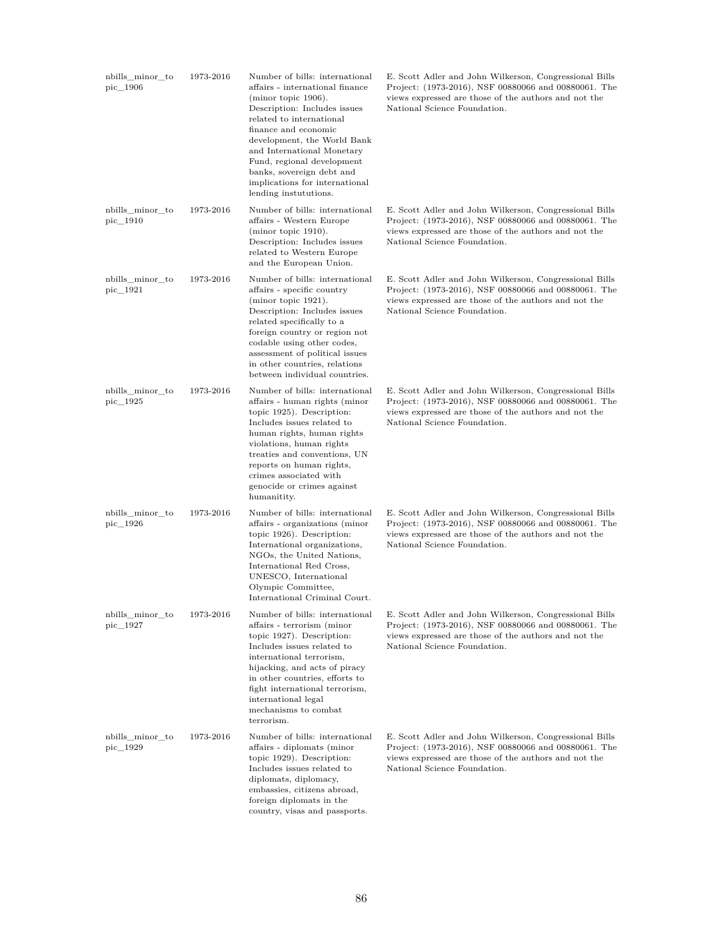| nbills_minor_to<br>pic_1906 | 1973-2016 | Number of bills: international<br>affairs - international finance<br>$(\text{minor topic } 1906).$<br>Description: Includes issues<br>related to international<br>finance and economic<br>development, the World Bank<br>and International Monetary<br>Fund, regional development<br>banks, sovereign debt and<br>implications for international<br>lending instututions. | E. Scott Adler and John Wilkerson, Congressional Bills<br>Project: (1973-2016), NSF 00880066 and 00880061. The<br>views expressed are those of the authors and not the<br>National Science Foundation. |
|-----------------------------|-----------|---------------------------------------------------------------------------------------------------------------------------------------------------------------------------------------------------------------------------------------------------------------------------------------------------------------------------------------------------------------------------|--------------------------------------------------------------------------------------------------------------------------------------------------------------------------------------------------------|
| nbills minor to<br>pic_1910 | 1973-2016 | Number of bills: international<br>affairs - Western Europe<br>(minor topic 1910).<br>Description: Includes issues<br>related to Western Europe<br>and the European Union.                                                                                                                                                                                                 | E. Scott Adler and John Wilkerson, Congressional Bills<br>Project: (1973-2016), NSF 00880066 and 00880061. The<br>views expressed are those of the authors and not the<br>National Science Foundation. |
| nbills_minor_to<br>pic_1921 | 1973-2016 | Number of bills: international<br>affairs - specific country<br>$(\text{minor topic } 1921).$<br>Description: Includes issues<br>related specifically to a<br>foreign country or region not<br>codable using other codes,<br>assessment of political issues<br>in other countries, relations<br>between individual countries.                                             | E. Scott Adler and John Wilkerson, Congressional Bills<br>Project: (1973-2016), NSF 00880066 and 00880061. The<br>views expressed are those of the authors and not the<br>National Science Foundation. |
| nbills_minor_to<br>pic_1925 | 1973-2016 | Number of bills: international<br>affairs - human rights (minor<br>topic 1925). Description:<br>Includes issues related to<br>human rights, human rights<br>violations, human rights<br>treaties and conventions, UN<br>reports on human rights,<br>crimes associated with<br>genocide or crimes against<br>humanitity.                                                   | E. Scott Adler and John Wilkerson, Congressional Bills<br>Project: (1973-2016), NSF 00880066 and 00880061. The<br>views expressed are those of the authors and not the<br>National Science Foundation. |
| nbills_minor_to<br>pic_1926 | 1973-2016 | Number of bills: international<br>affairs - organizations (minor<br>topic 1926). Description:<br>International organizations,<br>NGOs, the United Nations,<br>International Red Cross,<br>UNESCO, International<br>Olympic Committee,<br>International Criminal Court.                                                                                                    | E. Scott Adler and John Wilkerson, Congressional Bills<br>Project: (1973-2016), NSF 00880066 and 00880061. The<br>views expressed are those of the authors and not the<br>National Science Foundation. |
| nbills_minor_to<br>pic 1927 | 1973-2016 | Number of bills: international<br>affairs - terrorism (minor<br>topic 1927). Description:<br>Includes issues related to<br>international terrorism,<br>hijacking, and acts of piracy<br>in other countries, efforts to<br>fight international terrorism,<br>international legal<br>mechanisms to combat<br>terrorism.                                                     | E. Scott Adler and John Wilkerson, Congressional Bills<br>Project: (1973-2016), NSF 00880066 and 00880061. The<br>views expressed are those of the authors and not the<br>National Science Foundation. |
| nbills minor to<br>pic_1929 | 1973-2016 | Number of bills: international<br>affairs - diplomats (minor<br>topic 1929). Description:<br>Includes issues related to<br>diplomats, diplomacy,<br>embassies, citizens abroad,<br>foreign diplomats in the<br>country, visas and passports.                                                                                                                              | E. Scott Adler and John Wilkerson, Congressional Bills<br>Project: (1973-2016), NSF 00880066 and 00880061. The<br>views expressed are those of the authors and not the<br>National Science Foundation. |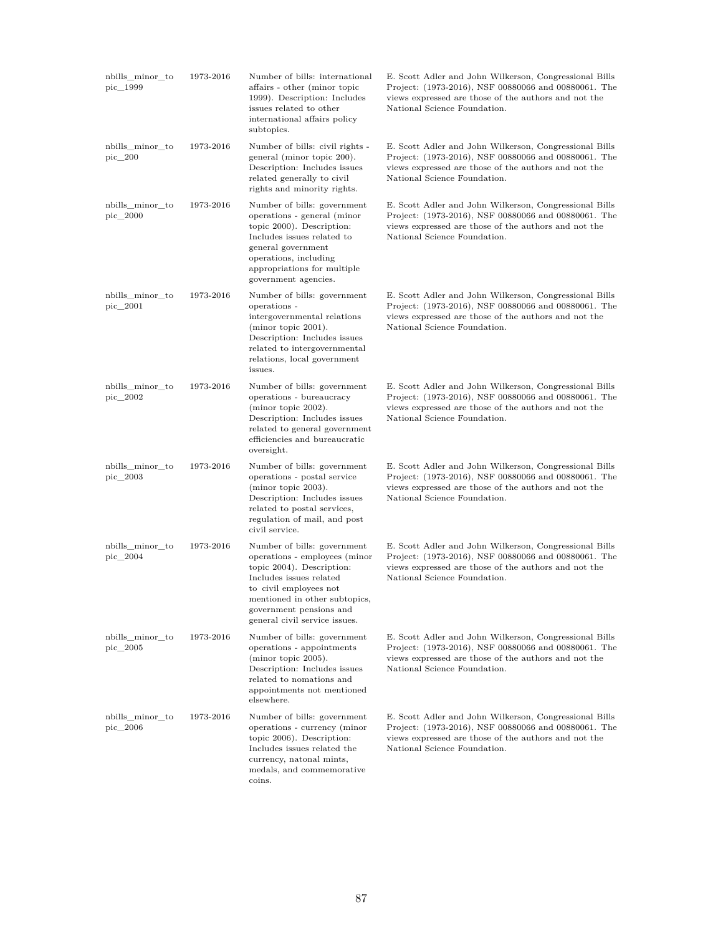| nbills_minor_to<br>pic_1999 | 1973-2016 | Number of bills: international<br>affairs - other (minor topic<br>1999). Description: Includes<br>issues related to other<br>international affairs policy<br>subtopics.                                                                     | E. Scott Adler and John Wilkerson, Congressional Bills<br>Project: (1973-2016), NSF 00880066 and 00880061. The<br>views expressed are those of the authors and not the<br>National Science Foundation. |
|-----------------------------|-----------|---------------------------------------------------------------------------------------------------------------------------------------------------------------------------------------------------------------------------------------------|--------------------------------------------------------------------------------------------------------------------------------------------------------------------------------------------------------|
| nbills minor to<br>pic_200  | 1973-2016 | Number of bills: civil rights -<br>general (minor topic 200).<br>Description: Includes issues<br>related generally to civil<br>rights and minority rights.                                                                                  | E. Scott Adler and John Wilkerson, Congressional Bills<br>Project: (1973-2016), NSF 00880066 and 00880061. The<br>views expressed are those of the authors and not the<br>National Science Foundation. |
| nbills minor to<br>pic_2000 | 1973-2016 | Number of bills: government<br>operations - general (minor<br>topic 2000). Description:<br>Includes issues related to<br>general government<br>operations, including<br>appropriations for multiple<br>government agencies.                 | E. Scott Adler and John Wilkerson, Congressional Bills<br>Project: (1973-2016), NSF 00880066 and 00880061. The<br>views expressed are those of the authors and not the<br>National Science Foundation. |
| nbills_minor_to<br>pic_2001 | 1973-2016 | Number of bills: government<br>operations -<br>intergovernmental relations<br>(minor topic 2001).<br>Description: Includes issues<br>related to intergovernmental<br>relations, local government<br>issues.                                 | E. Scott Adler and John Wilkerson, Congressional Bills<br>Project: (1973-2016), NSF 00880066 and 00880061. The<br>views expressed are those of the authors and not the<br>National Science Foundation. |
| nbills_minor_to<br>pic_2002 | 1973-2016 | Number of bills: government<br>operations - bureaucracy<br>(minor topic 2002).<br>Description: Includes issues<br>related to general government<br>efficiencies and bureaucratic<br>oversight.                                              | E. Scott Adler and John Wilkerson, Congressional Bills<br>Project: (1973-2016), NSF 00880066 and 00880061. The<br>views expressed are those of the authors and not the<br>National Science Foundation. |
| nbills_minor_to<br>pic_2003 | 1973-2016 | Number of bills: government<br>operations - postal service<br>(minor topic 2003).<br>Description: Includes issues<br>related to postal services,<br>regulation of mail, and post<br>civil service.                                          | E. Scott Adler and John Wilkerson, Congressional Bills<br>Project: (1973-2016), NSF 00880066 and 00880061. The<br>views expressed are those of the authors and not the<br>National Science Foundation. |
| nbills minor to<br>pic_2004 | 1973-2016 | Number of bills: government<br>operations - employees (minor<br>topic 2004). Description:<br>Includes issues related<br>to civil employees not<br>mentioned in other subtopics,<br>government pensions and<br>general civil service issues. | E. Scott Adler and John Wilkerson, Congressional Bills<br>Project: (1973-2016), NSF 00880066 and 00880061. The<br>views expressed are those of the authors and not the<br>National Science Foundation. |
| nbills_minor_to<br>pic 2005 | 1973-2016 | Number of bills: government<br>operations - appointments<br>(minor topic 2005).<br>Description: Includes issues<br>related to nomations and<br>appointments not mentioned<br>elsewhere.                                                     | E. Scott Adler and John Wilkerson, Congressional Bills<br>Project: (1973-2016), NSF 00880066 and 00880061. The<br>views expressed are those of the authors and not the<br>National Science Foundation. |
| nbills_minor_to<br>pic_2006 | 1973-2016 | Number of bills: government<br>operations - currency (minor<br>topic 2006). Description:<br>Includes issues related the<br>currency, natonal mints,<br>medals, and commemorative<br>coins.                                                  | E. Scott Adler and John Wilkerson, Congressional Bills<br>Project: (1973-2016), NSF 00880066 and 00880061. The<br>views expressed are those of the authors and not the<br>National Science Foundation. |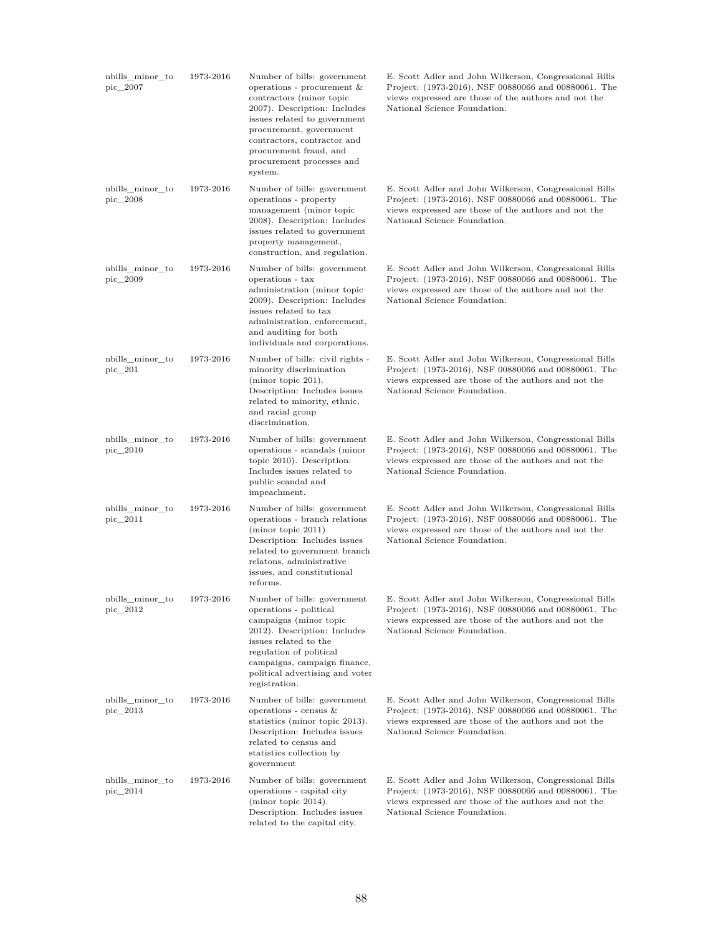| nbills_minor_to<br>pic 2007 | 1973-2016 | Number of bills: government<br>operations - procurement $\&$<br>contractors (minor topic<br>2007). Description: Includes<br>issues related to government<br>procurement, government<br>contractors, contractor and<br>procurement fraud, and<br>procurement processes and<br>system. | E. Scott Adler and John Wilkerson, Congressional Bills<br>Project: (1973-2016), NSF 00880066 and 00880061. The<br>views expressed are those of the authors and not the<br>National Science Foundation. |
|-----------------------------|-----------|--------------------------------------------------------------------------------------------------------------------------------------------------------------------------------------------------------------------------------------------------------------------------------------|--------------------------------------------------------------------------------------------------------------------------------------------------------------------------------------------------------|
| nbills_minor_to<br>pic 2008 | 1973-2016 | Number of bills: government<br>operations - property<br>management (minor topic<br>2008). Description: Includes<br>issues related to government<br>property management,<br>construction, and regulation.                                                                             | E. Scott Adler and John Wilkerson, Congressional Bills<br>Project: (1973-2016), NSF 00880066 and 00880061. The<br>views expressed are those of the authors and not the<br>National Science Foundation. |
| nbills_minor_to<br>pic_2009 | 1973-2016 | Number of bills: government<br>operations - tax<br>administration (minor topic<br>2009). Description: Includes<br>issues related to tax<br>administration, enforcement,<br>and auditing for both<br>individuals and corporations.                                                    | E. Scott Adler and John Wilkerson, Congressional Bills<br>Project: (1973-2016), NSF 00880066 and 00880061. The<br>views expressed are those of the authors and not the<br>National Science Foundation. |
| nbills_minor_to<br>pic 201  | 1973-2016 | Number of bills: civil rights -<br>minority discrimination<br>$(minor topic 201)$ .<br>Description: Includes issues<br>related to minority, ethnic,<br>and racial group<br>discrimination.                                                                                           | E. Scott Adler and John Wilkerson, Congressional Bills<br>Project: (1973-2016), NSF 00880066 and 00880061. The<br>views expressed are those of the authors and not the<br>National Science Foundation. |
| nbills_minor_to<br>pic_2010 | 1973-2016 | Number of bills: government<br>operations - scandals (minor<br>topic 2010). Description:<br>Includes issues related to<br>public scandal and<br>impeachment.                                                                                                                         | E. Scott Adler and John Wilkerson, Congressional Bills<br>Project: (1973-2016), NSF 00880066 and 00880061. The<br>views expressed are those of the authors and not the<br>National Science Foundation. |
| nbills_minor_to<br>pic_2011 | 1973-2016 | Number of bills: government<br>operations - branch relations<br>$(\text{minor topic } 2011).$<br>Description: Includes issues<br>related to government branch<br>relatons, administrative<br>issues, and constitutional<br>reforms.                                                  | E. Scott Adler and John Wilkerson, Congressional Bills<br>Project: (1973-2016), NSF 00880066 and 00880061. The<br>views expressed are those of the authors and not the<br>National Science Foundation. |
| nbills_minor_to<br>pic 2012 | 1973-2016 | Number of bills: government<br>operations - political<br>campaigns (minor topic<br>2012). Description: Includes<br>issues related to the<br>regulation of political<br>campaigns, campaign finance,<br>political advertising and voter<br>registration.                              | E. Scott Adler and John Wilkerson, Congressional Bills<br>Project: (1973-2016), NSF 00880066 and 00880061. The<br>views expressed are those of the authors and not the<br>National Science Foundation. |
| nbills_minor_to<br>pic_2013 | 1973-2016 | Number of bills: government<br>operations - census $\&$<br>statistics (minor topic 2013).<br>Description: Includes issues<br>related to census and<br>statistics collection by<br>government                                                                                         | E. Scott Adler and John Wilkerson, Congressional Bills<br>Project: (1973-2016), NSF 00880066 and 00880061. The<br>views expressed are those of the authors and not the<br>National Science Foundation. |
| nbills_minor_to<br>pic_2014 | 1973-2016 | Number of bills: government<br>operations - capital city<br>(minor topic $2014$ ).<br>Description: Includes issues<br>related to the capital city.                                                                                                                                   | E. Scott Adler and John Wilkerson, Congressional Bills<br>Project: (1973-2016), NSF 00880066 and 00880061. The<br>views expressed are those of the authors and not the<br>National Science Foundation. |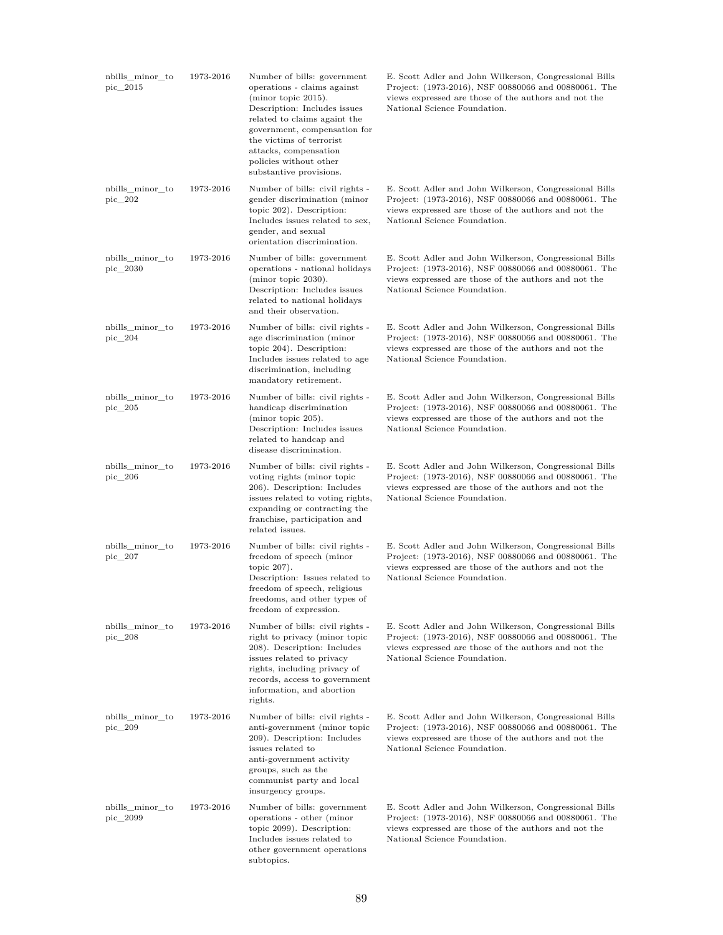| nbills_minor_to<br>pic 2015   | 1973-2016 | Number of bills: government<br>operations - claims against<br>(minor topic 2015).<br>Description: Includes issues<br>related to claims againt the<br>government, compensation for<br>the victims of terrorist<br>attacks, compensation<br>policies without other<br>substantive provisions. | E. Scott Adler and John Wilkerson, Congressional Bills<br>Project: (1973-2016), NSF 00880066 and 00880061. The<br>views expressed are those of the authors and not the<br>National Science Foundation. |
|-------------------------------|-----------|---------------------------------------------------------------------------------------------------------------------------------------------------------------------------------------------------------------------------------------------------------------------------------------------|--------------------------------------------------------------------------------------------------------------------------------------------------------------------------------------------------------|
| nbills minor to<br>pic_202    | 1973-2016 | Number of bills: civil rights -<br>gender discrimination (minor<br>topic 202). Description:<br>Includes issues related to sex,<br>gender, and sexual<br>orientation discrimination.                                                                                                         | E. Scott Adler and John Wilkerson, Congressional Bills<br>Project: (1973-2016), NSF 00880066 and 00880061. The<br>views expressed are those of the authors and not the<br>National Science Foundation. |
| nbills minor to<br>pic_2030   | 1973-2016 | Number of bills: government<br>operations - national holidays<br>$(minor topic 2030)$ .<br>Description: Includes issues<br>related to national holidays<br>and their observation.                                                                                                           | E. Scott Adler and John Wilkerson, Congressional Bills<br>Project: (1973-2016), NSF 00880066 and 00880061. The<br>views expressed are those of the authors and not the<br>National Science Foundation. |
| nbills_minor_to<br>pic 204    | 1973-2016 | Number of bills: civil rights -<br>age discrimination (minor<br>topic 204). Description:<br>Includes issues related to age<br>discrimination, including<br>mandatory retirement.                                                                                                            | E. Scott Adler and John Wilkerson, Congressional Bills<br>Project: (1973-2016), NSF 00880066 and 00880061. The<br>views expressed are those of the authors and not the<br>National Science Foundation. |
| nbills_minor_to<br>$pic\_205$ | 1973-2016 | Number of bills: civil rights -<br>handicap discrimination<br>$(minor topic 205)$ .<br>Description: Includes issues<br>related to handcap and<br>disease discrimination.                                                                                                                    | E. Scott Adler and John Wilkerson, Congressional Bills<br>Project: (1973-2016), NSF 00880066 and 00880061. The<br>views expressed are those of the authors and not the<br>National Science Foundation. |
| nbills_minor_to<br>$pic\_206$ | 1973-2016 | Number of bills: civil rights -<br>voting rights (minor topic<br>206). Description: Includes<br>issues related to voting rights,<br>expanding or contracting the<br>franchise, participation and<br>related issues.                                                                         | E. Scott Adler and John Wilkerson, Congressional Bills<br>Project: (1973-2016), NSF 00880066 and 00880061. The<br>views expressed are those of the authors and not the<br>National Science Foundation. |
| nbills_minor_to<br>$pic\_207$ | 1973-2016 | Number of bills: civil rights -<br>freedom of speech (minor<br>topic $207$ ).<br>Description: Issues related to<br>freedom of speech, religious<br>freedoms, and other types of<br>freedom of expression.                                                                                   | E. Scott Adler and John Wilkerson, Congressional Bills<br>Project: (1973-2016), NSF 00880066 and 00880061. The<br>views expressed are those of the authors and not the<br>National Science Foundation. |
| nbills minor to<br>pic 208    | 1973-2016 | Number of bills: civil rights -<br>right to privacy (minor topic<br>208). Description: Includes<br>issues related to privacy<br>rights, including privacy of<br>records, access to government<br>information, and abortion<br>rights.                                                       | E. Scott Adler and John Wilkerson, Congressional Bills<br>Project: (1973-2016), NSF 00880066 and 00880061. The<br>views expressed are those of the authors and not the<br>National Science Foundation. |
| nbills_minor_to<br>$pic\_209$ | 1973-2016 | Number of bills: civil rights -<br>anti-government (minor topic<br>209). Description: Includes<br>issues related to<br>anti-government activity<br>groups, such as the<br>communist party and local<br>insurgency groups.                                                                   | E. Scott Adler and John Wilkerson, Congressional Bills<br>Project: (1973-2016), NSF 00880066 and 00880061. The<br>views expressed are those of the authors and not the<br>National Science Foundation. |
| nbills_minor_to<br>pic_2099   | 1973-2016 | Number of bills: government<br>operations - other (minor<br>topic 2099). Description:<br>Includes issues related to<br>other government operations<br>subtopics.                                                                                                                            | E. Scott Adler and John Wilkerson, Congressional Bills<br>Project: (1973-2016), NSF 00880066 and 00880061. The<br>views expressed are those of the authors and not the<br>National Science Foundation. |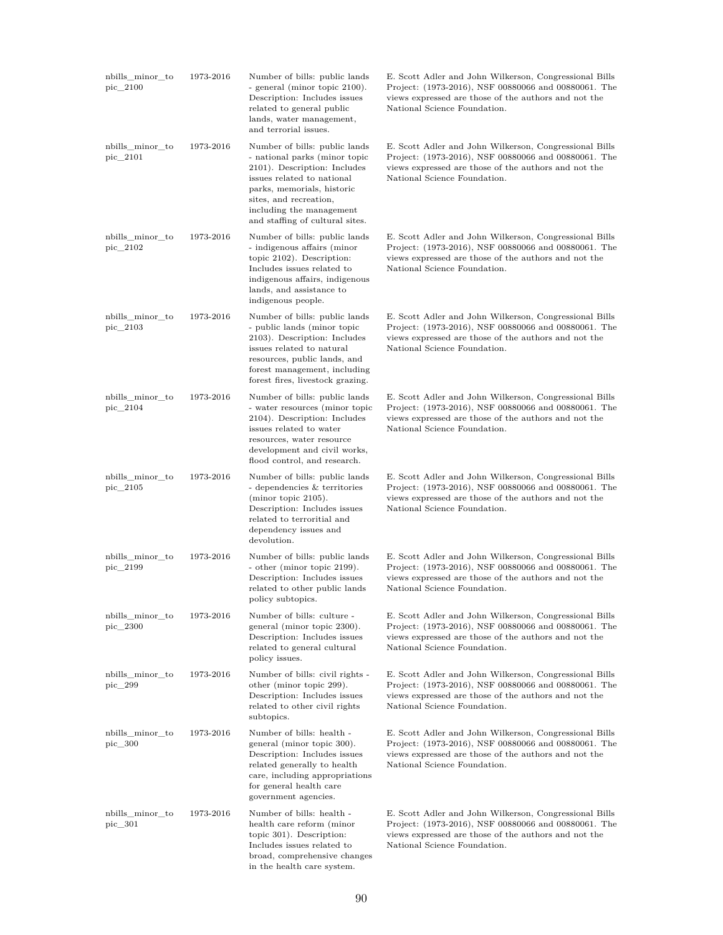| nbills_minor_to<br>pic_2100 | 1973-2016 | Number of bills: public lands<br>- general (minor topic 2100).<br>Description: Includes issues<br>related to general public<br>lands, water management,<br>and terrorial issues.                                                                    | E. Scott Adler and John Wilkerson, Congressional Bills<br>Project: (1973-2016), NSF 00880066 and 00880061. The<br>views expressed are those of the authors and not the<br>National Science Foundation. |
|-----------------------------|-----------|-----------------------------------------------------------------------------------------------------------------------------------------------------------------------------------------------------------------------------------------------------|--------------------------------------------------------------------------------------------------------------------------------------------------------------------------------------------------------|
| nbills_minor_to<br>pic_2101 | 1973-2016 | Number of bills: public lands<br>- national parks (minor topic<br>2101). Description: Includes<br>issues related to national<br>parks, memorials, historic<br>sites, and recreation,<br>including the management<br>and staffing of cultural sites. | E. Scott Adler and John Wilkerson, Congressional Bills<br>Project: (1973-2016), NSF 00880066 and 00880061. The<br>views expressed are those of the authors and not the<br>National Science Foundation. |
| nbills_minor_to<br>pic_2102 | 1973-2016 | Number of bills: public lands<br>- indigenous affairs (minor<br>topic 2102). Description:<br>Includes issues related to<br>indigenous affairs, indigenous<br>lands, and assistance to<br>indigenous people.                                         | E. Scott Adler and John Wilkerson, Congressional Bills<br>Project: (1973-2016), NSF 00880066 and 00880061. The<br>views expressed are those of the authors and not the<br>National Science Foundation. |
| nbills minor to<br>pic_2103 | 1973-2016 | Number of bills: public lands<br>- public lands (minor topic<br>2103). Description: Includes<br>issues related to natural<br>resources, public lands, and<br>forest management, including<br>forest fires, livestock grazing.                       | E. Scott Adler and John Wilkerson, Congressional Bills<br>Project: (1973-2016), NSF 00880066 and 00880061. The<br>views expressed are those of the authors and not the<br>National Science Foundation. |
| nbills_minor_to<br>pic 2104 | 1973-2016 | Number of bills: public lands<br>- water resources (minor topic<br>2104). Description: Includes<br>issues related to water<br>resources, water resource<br>development and civil works,<br>flood control, and research.                             | E. Scott Adler and John Wilkerson, Congressional Bills<br>Project: (1973-2016), NSF 00880066 and 00880061. The<br>views expressed are those of the authors and not the<br>National Science Foundation. |
| nbills_minor_to<br>pic_2105 | 1973-2016 | Number of bills: public lands<br>- dependencies & territories<br>$(minor topic 2105)$ .<br>Description: Includes issues<br>related to terroritial and<br>dependency issues and<br>devolution.                                                       | E. Scott Adler and John Wilkerson, Congressional Bills<br>Project: (1973-2016), NSF 00880066 and 00880061. The<br>views expressed are those of the authors and not the<br>National Science Foundation. |
| nbills_minor_to<br>pic_2199 | 1973-2016 | Number of bills: public lands<br>- other (minor topic 2199).<br>Description: Includes issues<br>related to other public lands<br>policy subtopics.                                                                                                  | E. Scott Adler and John Wilkerson, Congressional Bills<br>Project: (1973-2016), NSF 00880066 and 00880061. The<br>views expressed are those of the authors and not the<br>National Science Foundation. |
| nbills_minor_to<br>pic_2300 | 1973-2016 | Number of bills: culture -<br>general (minor topic 2300).<br>Description: Includes issues<br>related to general cultural<br>policy issues.                                                                                                          | E. Scott Adler and John Wilkerson, Congressional Bills<br>Project: (1973-2016), NSF 00880066 and 00880061. The<br>views expressed are those of the authors and not the<br>National Science Foundation. |
| nbills_minor_to<br>pic_299  | 1973-2016 | Number of bills: civil rights -<br>other (minor topic 299).<br>Description: Includes issues<br>related to other civil rights<br>subtopics.                                                                                                          | E. Scott Adler and John Wilkerson, Congressional Bills<br>Project: (1973-2016), NSF 00880066 and 00880061. The<br>views expressed are those of the authors and not the<br>National Science Foundation. |
| nbills_minor_to<br>pic_300  | 1973-2016 | Number of bills: health -<br>general (minor topic 300).<br>Description: Includes issues<br>related generally to health<br>care, including appropriations<br>for general health care<br>government agencies.                                         | E. Scott Adler and John Wilkerson, Congressional Bills<br>Project: (1973-2016), NSF 00880066 and 00880061. The<br>views expressed are those of the authors and not the<br>National Science Foundation. |
| nbills_minor_to<br>pic_301  | 1973-2016 | Number of bills: health -<br>health care reform (minor<br>topic 301). Description:<br>Includes issues related to<br>broad, comprehensive changes<br>in the health care system.                                                                      | E. Scott Adler and John Wilkerson, Congressional Bills<br>Project: (1973-2016), NSF 00880066 and 00880061. The<br>views expressed are those of the authors and not the<br>National Science Foundation. |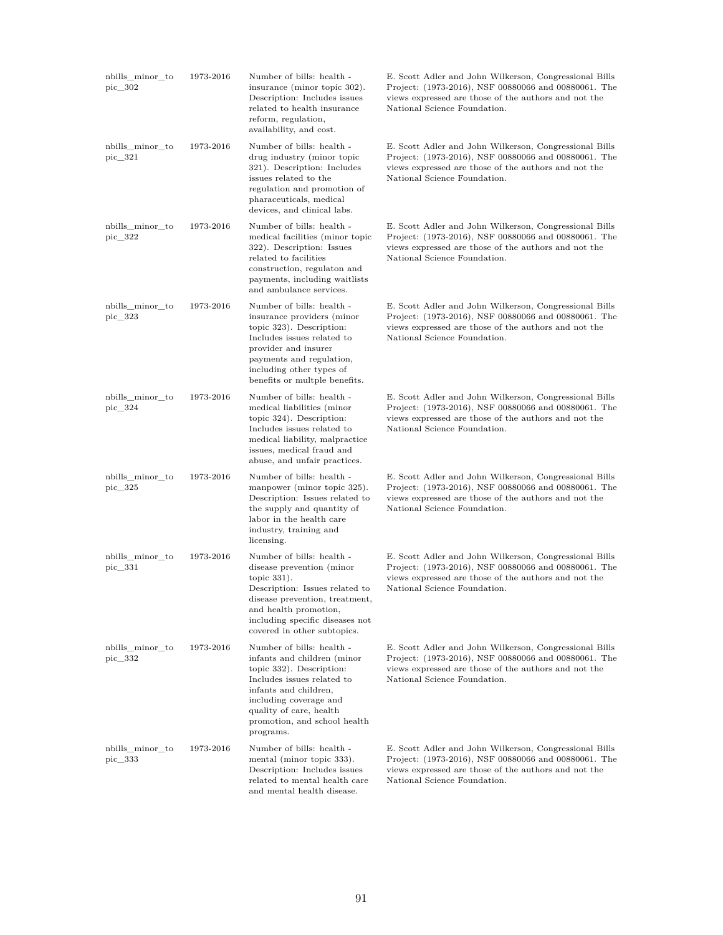| nbills minor to<br>pic_302 | 1973-2016 | Number of bills: health -<br>insurance (minor topic 302).<br>Description: Includes issues<br>related to health insurance<br>reform, regulation,<br>availability, and cost.                                                                    | E. Scott Adler and John Wilkerson, Congressional Bills<br>Project: (1973-2016), NSF 00880066 and 00880061. The<br>views expressed are those of the authors and not the<br>National Science Foundation. |
|----------------------------|-----------|-----------------------------------------------------------------------------------------------------------------------------------------------------------------------------------------------------------------------------------------------|--------------------------------------------------------------------------------------------------------------------------------------------------------------------------------------------------------|
| nbills_minor_to<br>pic_321 | 1973-2016 | Number of bills: health -<br>drug industry (minor topic<br>321). Description: Includes<br>issues related to the<br>regulation and promotion of<br>pharaceuticals, medical<br>devices, and clinical labs.                                      | E. Scott Adler and John Wilkerson, Congressional Bills<br>Project: (1973-2016), NSF 00880066 and 00880061. The<br>views expressed are those of the authors and not the<br>National Science Foundation. |
| nbills_minor_to<br>pic_322 | 1973-2016 | Number of bills: health -<br>medical facilities (minor topic<br>322). Description: Issues<br>related to facilities<br>construction, regulaton and<br>payments, including waitlists<br>and ambulance services.                                 | E. Scott Adler and John Wilkerson, Congressional Bills<br>Project: (1973-2016), NSF 00880066 and 00880061. The<br>views expressed are those of the authors and not the<br>National Science Foundation. |
| nbills_minor_to<br>pic 323 | 1973-2016 | Number of bills: health -<br>insurance providers (minor<br>topic 323). Description:<br>Includes issues related to<br>provider and insurer<br>payments and regulation,<br>including other types of<br>benefits or multple benefits.            | E. Scott Adler and John Wilkerson, Congressional Bills<br>Project: (1973-2016), NSF 00880066 and 00880061. The<br>views expressed are those of the authors and not the<br>National Science Foundation. |
| nbills_minor_to<br>pic_324 | 1973-2016 | Number of bills: health -<br>medical liabilities (minor<br>topic 324). Description:<br>Includes issues related to<br>medical liability, malpractice<br>issues, medical fraud and<br>abuse, and unfair practices.                              | E. Scott Adler and John Wilkerson, Congressional Bills<br>Project: (1973-2016), NSF 00880066 and 00880061. The<br>views expressed are those of the authors and not the<br>National Science Foundation. |
| nbills_minor_to<br>pic_325 | 1973-2016 | Number of bills: health -<br>manpower (minor topic 325).<br>Description: Issues related to<br>the supply and quantity of<br>labor in the health care<br>industry, training and<br>licensing.                                                  | E. Scott Adler and John Wilkerson, Congressional Bills<br>Project: (1973-2016), NSF 00880066 and 00880061. The<br>views expressed are those of the authors and not the<br>National Science Foundation. |
| nbills_minor_to<br>pic_331 | 1973-2016 | Number of bills: health -<br>disease prevention (minor<br>topic $331$ ).<br>Description: Issues related to<br>disease prevention, treatment,<br>and health promotion,<br>including specific diseases not<br>covered in other subtopics.       | E. Scott Adler and John Wilkerson, Congressional Bills<br>Project: (1973-2016), NSF 00880066 and 00880061. The<br>views expressed are those of the authors and not the<br>National Science Foundation. |
| nbills minor to<br>pic_332 | 1973-2016 | Number of bills: health -<br>infants and children (minor<br>topic 332). Description:<br>Includes issues related to<br>infants and children,<br>including coverage and<br>quality of care, health<br>promotion, and school health<br>programs. | E. Scott Adler and John Wilkerson, Congressional Bills<br>Project: (1973-2016), NSF 00880066 and 00880061. The<br>views expressed are those of the authors and not the<br>National Science Foundation. |
| nbills_minor_to<br>pic_333 | 1973-2016 | Number of bills: health -<br>mental (minor topic 333).<br>Description: Includes issues<br>related to mental health care<br>and mental health disease.                                                                                         | E. Scott Adler and John Wilkerson, Congressional Bills<br>Project: (1973-2016), NSF 00880066 and 00880061. The<br>views expressed are those of the authors and not the<br>National Science Foundation. |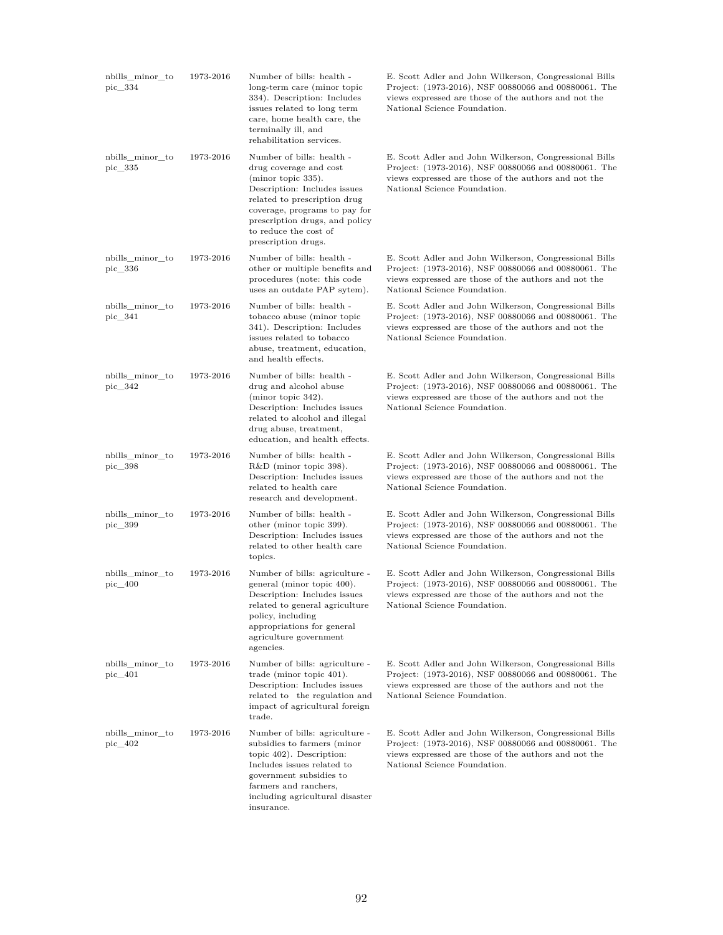| nbills_minor_to<br>pic_334    | 1973-2016 | Number of bills: health -<br>long-term care (minor topic<br>334). Description: Includes<br>issues related to long term<br>care, home health care, the<br>terminally ill, and<br>rehabilitation services.                                                     | E. Scott Adler and John Wilkerson, Congressional Bills<br>Project: (1973-2016), NSF 00880066 and 00880061. The<br>views expressed are those of the authors and not the<br>National Science Foundation. |
|-------------------------------|-----------|--------------------------------------------------------------------------------------------------------------------------------------------------------------------------------------------------------------------------------------------------------------|--------------------------------------------------------------------------------------------------------------------------------------------------------------------------------------------------------|
| nbills_minor_to<br>pic_335    | 1973-2016 | Number of bills: health -<br>drug coverage and cost<br>(minor topic 335).<br>Description: Includes issues<br>related to prescription drug<br>coverage, programs to pay for<br>prescription drugs, and policy<br>to reduce the cost of<br>prescription drugs. | E. Scott Adler and John Wilkerson, Congressional Bills<br>Project: (1973-2016), NSF 00880066 and 00880061. The<br>views expressed are those of the authors and not the<br>National Science Foundation. |
| nbills_minor_to<br>pic_336    | 1973-2016 | Number of bills: health -<br>other or multiple benefits and<br>procedures (note: this code<br>uses an outdate PAP sytem).                                                                                                                                    | E. Scott Adler and John Wilkerson, Congressional Bills<br>Project: (1973-2016), NSF 00880066 and 00880061. The<br>views expressed are those of the authors and not the<br>National Science Foundation. |
| nbills_minor_to<br>pic_341    | 1973-2016 | Number of bills: health -<br>tobacco abuse (minor topic<br>341). Description: Includes<br>issues related to tobacco<br>abuse, treatment, education,<br>and health effects.                                                                                   | E. Scott Adler and John Wilkerson, Congressional Bills<br>Project: (1973-2016), NSF 00880066 and 00880061. The<br>views expressed are those of the authors and not the<br>National Science Foundation. |
| nbills_minor_to<br>pic 342    | 1973-2016 | Number of bills: health -<br>drug and alcohol abuse<br>(minor topic 342).<br>Description: Includes issues<br>related to alcohol and illegal<br>drug abuse, treatment,<br>education, and health effects.                                                      | E. Scott Adler and John Wilkerson, Congressional Bills<br>Project: (1973-2016), NSF 00880066 and 00880061. The<br>views expressed are those of the authors and not the<br>National Science Foundation. |
| nbills_minor_to<br>pic_398    | 1973-2016 | Number of bills: health -<br>R&D (minor topic 398).<br>Description: Includes issues<br>related to health care<br>research and development.                                                                                                                   | E. Scott Adler and John Wilkerson, Congressional Bills<br>Project: (1973-2016), NSF 00880066 and 00880061. The<br>views expressed are those of the authors and not the<br>National Science Foundation. |
| nbills_minor_to<br>pic_399    | 1973-2016 | Number of bills: health -<br>other (minor topic 399).<br>Description: Includes issues<br>related to other health care<br>topics.                                                                                                                             | E. Scott Adler and John Wilkerson, Congressional Bills<br>Project: (1973-2016), NSF 00880066 and 00880061. The<br>views expressed are those of the authors and not the<br>National Science Foundation. |
| nbills_minor_to<br>$pic\_400$ | 1973-2016 | Number of bills: agriculture -<br>general (minor topic 400).<br>Description: Includes issues<br>related to general agriculture<br>policy, including<br>appropriations for general<br>agriculture government<br>agencies.                                     | E. Scott Adler and John Wilkerson, Congressional Bills<br>Project: (1973-2016), NSF 00880066 and 00880061. The<br>views expressed are those of the authors and not the<br>National Science Foundation. |
| nbills_minor_to<br>pic 401    | 1973-2016 | Number of bills: agriculture -<br>trade (minor topic $401$ ).<br>Description: Includes issues<br>related to the regulation and<br>impact of agricultural foreign<br>trade.                                                                                   | E. Scott Adler and John Wilkerson, Congressional Bills<br>Project: (1973-2016), NSF 00880066 and 00880061. The<br>views expressed are those of the authors and not the<br>National Science Foundation. |
| nbills_minor_to<br>pic_402    | 1973-2016 | Number of bills: agriculture -<br>subsidies to farmers (minor<br>topic $402$ ). Description:<br>Includes issues related to<br>government subsidies to<br>farmers and ranchers,<br>including agricultural disaster<br>insurance.                              | E. Scott Adler and John Wilkerson, Congressional Bills<br>Project: (1973-2016), NSF 00880066 and 00880061. The<br>views expressed are those of the authors and not the<br>National Science Foundation. |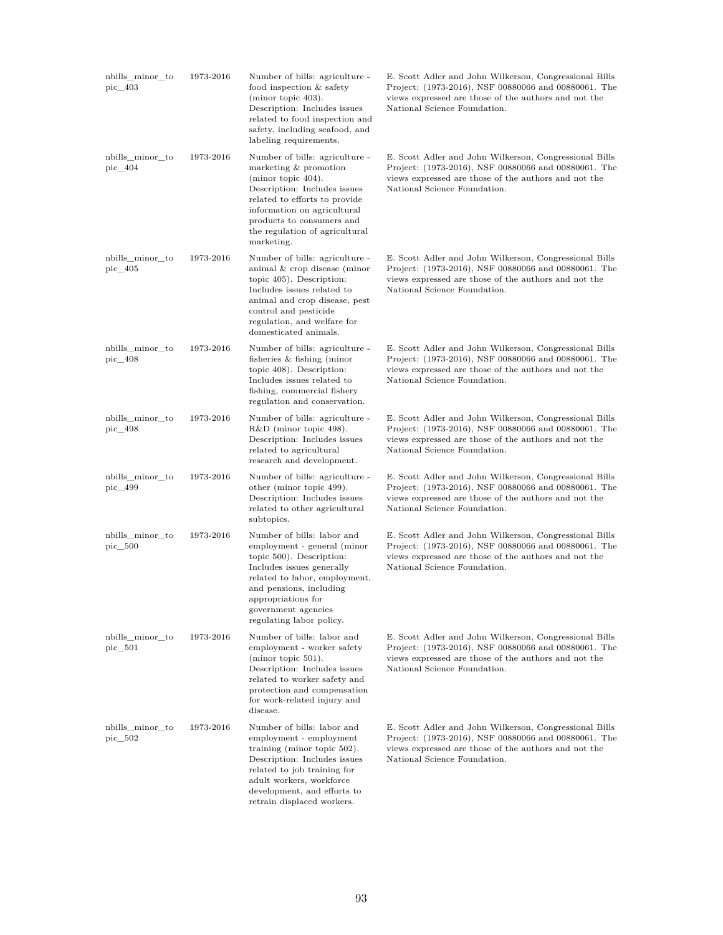| nbills_minor_to<br>pic_403 | 1973-2016 | Number of bills: agriculture -<br>food inspection & safety<br>$(minor topic 403)$ .<br>Description: Includes issues<br>related to food inspection and<br>safety, including seafood, and<br>labeling requirements.                                               | E. Scott Adler and John Wilkerson, Congressional Bills<br>Project: (1973-2016), NSF 00880066 and 00880061. The<br>views expressed are those of the authors and not the<br>National Science Foundation. |
|----------------------------|-----------|-----------------------------------------------------------------------------------------------------------------------------------------------------------------------------------------------------------------------------------------------------------------|--------------------------------------------------------------------------------------------------------------------------------------------------------------------------------------------------------|
| nbills_minor_to<br>pic_404 | 1973-2016 | Number of bills: agriculture -<br>marketing $&$ promotion<br>(minor topic $404$ ).<br>Description: Includes issues<br>related to efforts to provide<br>information on agricultural<br>products to consumers and<br>the regulation of agricultural<br>marketing. | E. Scott Adler and John Wilkerson, Congressional Bills<br>Project: (1973-2016), NSF 00880066 and 00880061. The<br>views expressed are those of the authors and not the<br>National Science Foundation. |
| nbills_minor_to<br>pic_405 | 1973-2016 | Number of bills: agriculture -<br>animal $&$ crop disease (minor<br>topic 405). Description:<br>Includes issues related to<br>animal and crop disease, pest<br>control and pesticide<br>regulation, and welfare for<br>domesticated animals.                    | E. Scott Adler and John Wilkerson, Congressional Bills<br>Project: (1973-2016), NSF 00880066 and 00880061. The<br>views expressed are those of the authors and not the<br>National Science Foundation. |
| nbills_minor_to<br>pic_408 | 1973-2016 | Number of bills: agriculture -<br>fisheries $&$ fishing (minor<br>topic 408). Description:<br>Includes issues related to<br>fishing, commercial fishery<br>regulation and conservation.                                                                         | E. Scott Adler and John Wilkerson, Congressional Bills<br>Project: (1973-2016), NSF 00880066 and 00880061. The<br>views expressed are those of the authors and not the<br>National Science Foundation. |
| nbills minor to<br>pic_498 | 1973-2016 | Number of bills: agriculture -<br>$R&D$ (minor topic 498).<br>Description: Includes issues<br>related to agricultural<br>research and development.                                                                                                              | E. Scott Adler and John Wilkerson, Congressional Bills<br>Project: (1973-2016), NSF 00880066 and 00880061. The<br>views expressed are those of the authors and not the<br>National Science Foundation. |
| nbills_minor_to<br>pic_499 | 1973-2016 | Number of bills: agriculture -<br>other (minor topic 499).<br>Description: Includes issues<br>related to other agricultural<br>subtopics.                                                                                                                       | E. Scott Adler and John Wilkerson, Congressional Bills<br>Project: (1973-2016), NSF 00880066 and 00880061. The<br>views expressed are those of the authors and not the<br>National Science Foundation. |
| nbills minor to<br>pic 500 | 1973-2016 | Number of bills: labor and<br>employment - general (minor<br>topic 500). Description:<br>Includes issues generally<br>related to labor, employment,<br>and pensions, including<br>appropriations for<br>government agencies<br>regulating labor policy.         | E. Scott Adler and John Wilkerson, Congressional Bills<br>Project: (1973-2016), NSF 00880066 and 00880061. The<br>views expressed are those of the authors and not the<br>National Science Foundation. |
| nbills minor to<br>pic 501 | 1973-2016 | Number of bills: labor and<br>employment - worker safety<br>$(minor topic 501)$ .<br>Description: Includes issues<br>related to worker safety and<br>protection and compensation<br>for work-related injury and<br>disease.                                     | E. Scott Adler and John Wilkerson, Congressional Bills<br>Project: (1973-2016), NSF 00880066 and 00880061. The<br>views expressed are those of the authors and not the<br>National Science Foundation. |
| nbills minor to<br>pic_502 | 1973-2016 | Number of bills: labor and<br>employment - employment<br>training (minor topic $502$ ).<br>Description: Includes issues<br>related to job training for<br>adult workers, workforce<br>development, and efforts to<br>retrain displaced workers.                 | E. Scott Adler and John Wilkerson, Congressional Bills<br>Project: (1973-2016), NSF 00880066 and 00880061. The<br>views expressed are those of the authors and not the<br>National Science Foundation. |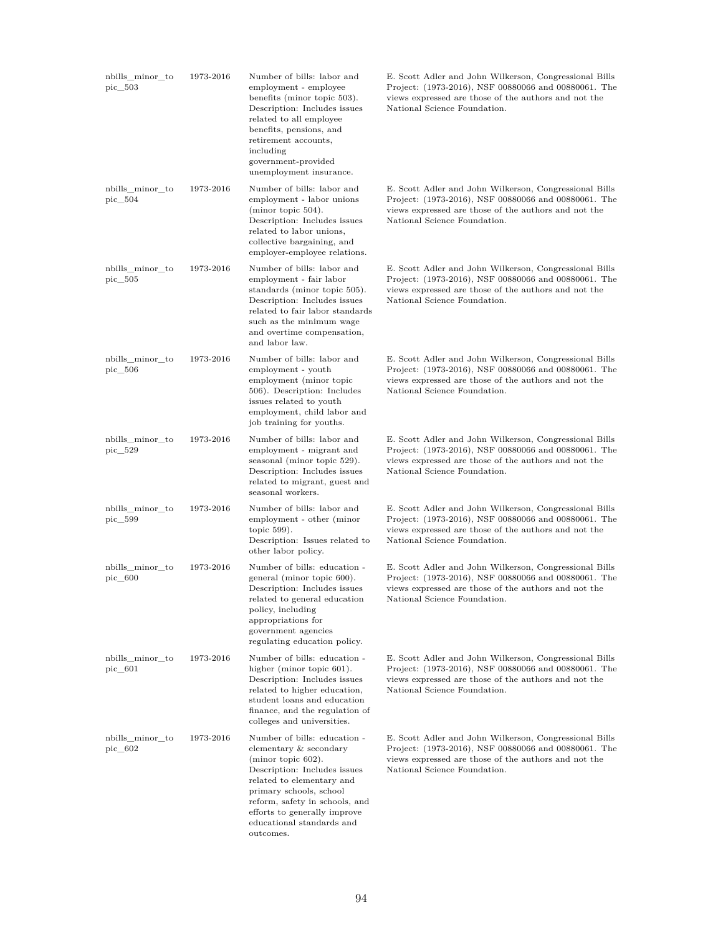| nbills_minor_to<br>pic 503    | 1973-2016 | Number of bills: labor and<br>employment - employee<br>benefits (minor topic 503).<br>Description: Includes issues<br>related to all employee<br>benefits, pensions, and<br>retirement accounts,<br>including<br>government-provided<br>unemployment insurance.                     | E. Scott Adler and John Wilkerson, Congressional Bills<br>Project: (1973-2016), NSF 00880066 and 00880061. The<br>views expressed are those of the authors and not the<br>National Science Foundation. |
|-------------------------------|-----------|-------------------------------------------------------------------------------------------------------------------------------------------------------------------------------------------------------------------------------------------------------------------------------------|--------------------------------------------------------------------------------------------------------------------------------------------------------------------------------------------------------|
| nbills_minor_to<br>pic_504    | 1973-2016 | Number of bills: labor and<br>employment - labor unions<br>(minor topic $504$ ).<br>Description: Includes issues<br>related to labor unions,<br>collective bargaining, and<br>employer-employee relations.                                                                          | E. Scott Adler and John Wilkerson, Congressional Bills<br>Project: (1973-2016), NSF 00880066 and 00880061. The<br>views expressed are those of the authors and not the<br>National Science Foundation. |
| nbills_minor_to<br>pic_505    | 1973-2016 | Number of bills: labor and<br>employment - fair labor<br>standards (minor topic 505).<br>Description: Includes issues<br>related to fair labor standards<br>such as the minimum wage<br>and overtime compensation,<br>and labor law.                                                | E. Scott Adler and John Wilkerson, Congressional Bills<br>Project: (1973-2016), NSF 00880066 and 00880061. The<br>views expressed are those of the authors and not the<br>National Science Foundation. |
| nbills_minor_to<br>pic_506    | 1973-2016 | Number of bills: labor and<br>employment - youth<br>employment (minor topic<br>506). Description: Includes<br>issues related to youth<br>employment, child labor and<br>job training for youths.                                                                                    | E. Scott Adler and John Wilkerson, Congressional Bills<br>Project: (1973-2016), NSF 00880066 and 00880061. The<br>views expressed are those of the authors and not the<br>National Science Foundation. |
| nbills_minor_to<br>pic_529    | 1973-2016 | Number of bills: labor and<br>employment - migrant and<br>seasonal (minor topic 529).<br>Description: Includes issues<br>related to migrant, guest and<br>seasonal workers.                                                                                                         | E. Scott Adler and John Wilkerson, Congressional Bills<br>Project: (1973-2016), NSF 00880066 and 00880061. The<br>views expressed are those of the authors and not the<br>National Science Foundation. |
| nbills_minor_to<br>pic_599    | 1973-2016 | Number of bills: labor and<br>employment - other (minor<br>topic 599).<br>Description: Issues related to<br>other labor policy.                                                                                                                                                     | E. Scott Adler and John Wilkerson, Congressional Bills<br>Project: (1973-2016), NSF 00880066 and 00880061. The<br>views expressed are those of the authors and not the<br>National Science Foundation. |
| nbills minor to<br>pic_600    | 1973-2016 | Number of bills: education -<br>general (minor topic 600).<br>Description: Includes issues<br>related to general education<br>policy, including<br>appropriations for<br>government agencies<br>regulating education policy.                                                        | E. Scott Adler and John Wilkerson, Congressional Bills<br>Project: (1973-2016), NSF 00880066 and 00880061. The<br>views expressed are those of the authors and not the<br>National Science Foundation. |
| nbills_minor_to<br>$pic\_601$ | 1973-2016 | Number of bills: education -<br>higher (minor topic 601).<br>Description: Includes issues<br>related to higher education,<br>student loans and education<br>finance, and the regulation of<br>colleges and universities.                                                            | E. Scott Adler and John Wilkerson, Congressional Bills<br>Project: (1973-2016), NSF 00880066 and 00880061. The<br>views expressed are those of the authors and not the<br>National Science Foundation. |
| nbills minor to<br>pic 602    | 1973-2016 | Number of bills: education -<br>elementary & secondary<br>(minor topic $602$ ).<br>Description: Includes issues<br>related to elementary and<br>primary schools, school<br>reform, safety in schools, and<br>efforts to generally improve<br>educational standards and<br>outcomes. | E. Scott Adler and John Wilkerson, Congressional Bills<br>Project: (1973-2016), NSF 00880066 and 00880061. The<br>views expressed are those of the authors and not the<br>National Science Foundation. |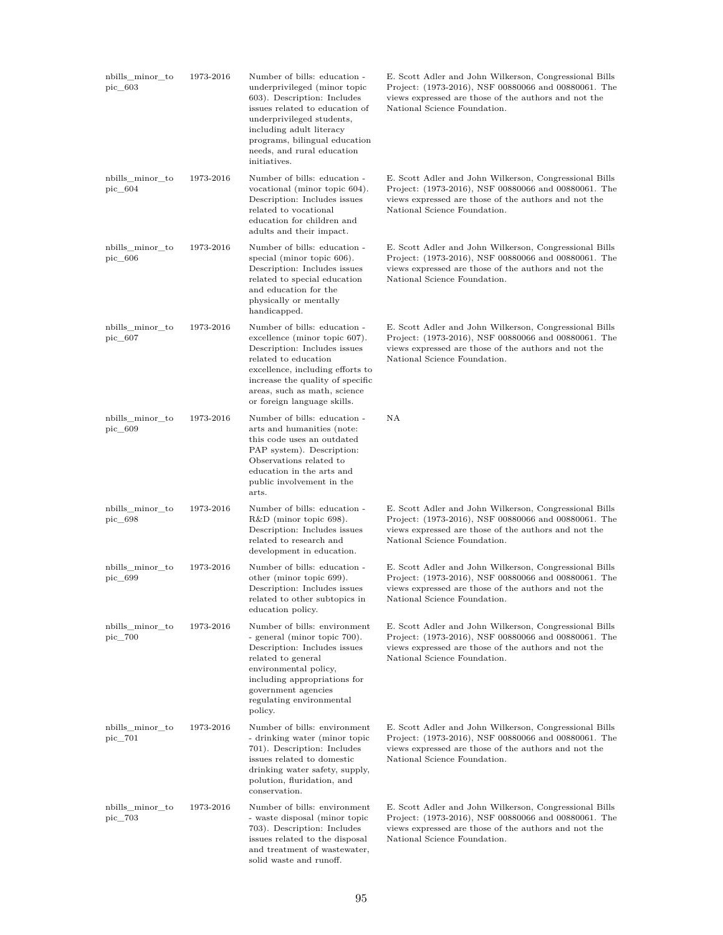| nbills minor to<br>pic 603    | 1973-2016 | Number of bills: education -<br>underprivileged (minor topic<br>603). Description: Includes<br>issues related to education of<br>underprivileged students,<br>including adult literacy<br>programs, bilingual education<br>needs, and rural education<br>initiatives. | E. Scott Adler and John Wilkerson, Congressional Bills<br>Project: (1973-2016), NSF 00880066 and 00880061. The<br>views expressed are those of the authors and not the<br>National Science Foundation. |
|-------------------------------|-----------|-----------------------------------------------------------------------------------------------------------------------------------------------------------------------------------------------------------------------------------------------------------------------|--------------------------------------------------------------------------------------------------------------------------------------------------------------------------------------------------------|
| nbills_minor_to<br>$pic\_604$ | 1973-2016 | Number of bills: education -<br>vocational (minor topic 604).<br>Description: Includes issues<br>related to vocational<br>education for children and<br>adults and their impact.                                                                                      | E. Scott Adler and John Wilkerson, Congressional Bills<br>Project: (1973-2016), NSF 00880066 and 00880061. The<br>views expressed are those of the authors and not the<br>National Science Foundation. |
| nbills_minor_to<br>$pic\_606$ | 1973-2016 | Number of bills: education -<br>special (minor topic 606).<br>Description: Includes issues<br>related to special education<br>and education for the<br>physically or mentally<br>handicapped.                                                                         | E. Scott Adler and John Wilkerson, Congressional Bills<br>Project: (1973-2016), NSF 00880066 and 00880061. The<br>views expressed are those of the authors and not the<br>National Science Foundation. |
| nbills_minor_to<br>$pic\_607$ | 1973-2016 | Number of bills: education -<br>excellence (minor topic 607).<br>Description: Includes issues<br>related to education<br>excellence, including efforts to<br>increase the quality of specific<br>areas, such as math, science<br>or foreign language skills.          | E. Scott Adler and John Wilkerson, Congressional Bills<br>Project: (1973-2016), NSF 00880066 and 00880061. The<br>views expressed are those of the authors and not the<br>National Science Foundation. |
| nbills_minor_to<br>pic_609    | 1973-2016 | Number of bills: education -<br>arts and humanities (note:<br>this code uses an outdated<br>PAP system). Description:<br>Observations related to<br>education in the arts and<br>public involvement in the<br>arts.                                                   | ΝA                                                                                                                                                                                                     |
| nbills_minor_to<br>pic_698    | 1973-2016 | Number of bills: education -<br>$R&D$ (minor topic 698).<br>Description: Includes issues<br>related to research and<br>development in education.                                                                                                                      | E. Scott Adler and John Wilkerson, Congressional Bills<br>Project: (1973-2016), NSF 00880066 and 00880061. The<br>views expressed are those of the authors and not the<br>National Science Foundation. |
| nbills_minor_to<br>pic_699    | 1973-2016 | Number of bills: education -<br>other (minor topic 699).<br>Description: Includes issues<br>related to other subtopics in<br>education policy.                                                                                                                        | E. Scott Adler and John Wilkerson, Congressional Bills<br>Project: (1973-2016), NSF 00880066 and 00880061. The<br>views expressed are those of the authors and not the<br>National Science Foundation. |
| nbills_minor_to<br>pic_700    | 1973-2016 | Number of bills: environment<br>- general (minor topic 700).<br>Description: Includes issues<br>related to general<br>environmental policy,<br>including appropriations for<br>government agencies<br>regulating environmental<br>policy.                             | E. Scott Adler and John Wilkerson, Congressional Bills<br>Project: (1973-2016), NSF 00880066 and 00880061. The<br>views expressed are those of the authors and not the<br>National Science Foundation. |
| nbills_minor_to<br>pic_701    | 1973-2016 | Number of bills: environment<br>- drinking water (minor topic<br>701). Description: Includes<br>issues related to domestic<br>drinking water safety, supply,<br>polution, fluridation, and<br>conservation.                                                           | E. Scott Adler and John Wilkerson, Congressional Bills<br>Project: (1973-2016), NSF 00880066 and 00880061. The<br>views expressed are those of the authors and not the<br>National Science Foundation. |
| nbills_minor_to<br>pic_703    | 1973-2016 | Number of bills: environment<br>- waste disposal (minor topic<br>703). Description: Includes<br>issues related to the disposal<br>and treatment of wastewater,<br>solid waste and runoff.                                                                             | E. Scott Adler and John Wilkerson, Congressional Bills<br>Project: (1973-2016), NSF 00880066 and 00880061. The<br>views expressed are those of the authors and not the<br>National Science Foundation. |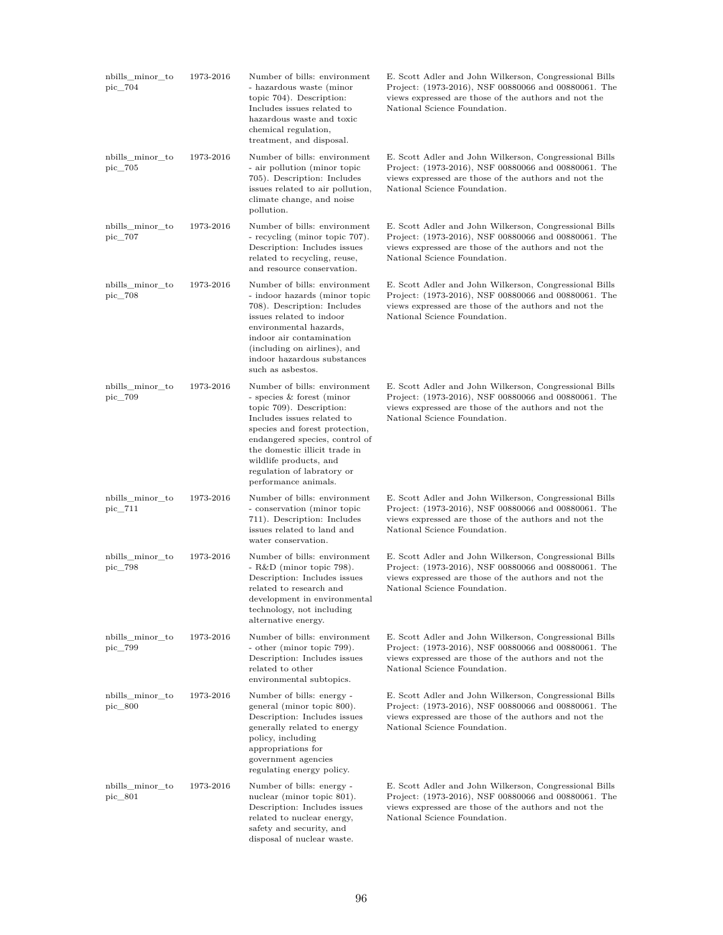| nbills_minor_to<br>pic 704 | 1973-2016 | Number of bills: environment<br>- hazardous waste (minor<br>topic 704). Description:<br>Includes issues related to<br>hazardous waste and toxic<br>chemical regulation,<br>treatment, and disposal.                                                                                                      | E. Scott Adler and John Wilkerson, Congressional Bills<br>Project: (1973-2016), NSF 00880066 and 00880061. The<br>views expressed are those of the authors and not the<br>National Science Foundation. |
|----------------------------|-----------|----------------------------------------------------------------------------------------------------------------------------------------------------------------------------------------------------------------------------------------------------------------------------------------------------------|--------------------------------------------------------------------------------------------------------------------------------------------------------------------------------------------------------|
| nbills_minor_to<br>pic_705 | 1973-2016 | Number of bills: environment<br>- air pollution (minor topic<br>705). Description: Includes<br>issues related to air pollution,<br>climate change, and noise<br>pollution.                                                                                                                               | E. Scott Adler and John Wilkerson, Congressional Bills<br>Project: (1973-2016), NSF 00880066 and 00880061. The<br>views expressed are those of the authors and not the<br>National Science Foundation. |
| nbills_minor_to<br>pic_707 | 1973-2016 | Number of bills: environment<br>- recycling (minor topic 707).<br>Description: Includes issues<br>related to recycling, reuse,<br>and resource conservation.                                                                                                                                             | E. Scott Adler and John Wilkerson, Congressional Bills<br>Project: (1973-2016), NSF 00880066 and 00880061. The<br>views expressed are those of the authors and not the<br>National Science Foundation. |
| nbills minor to<br>pic_708 | 1973-2016 | Number of bills: environment<br>- indoor hazards (minor topic<br>708). Description: Includes<br>issues related to indoor<br>environmental hazards,<br>indoor air contamination<br>(including on airlines), and<br>indoor hazardous substances<br>such as asbestos.                                       | E. Scott Adler and John Wilkerson, Congressional Bills<br>Project: (1973-2016), NSF 00880066 and 00880061. The<br>views expressed are those of the authors and not the<br>National Science Foundation. |
| nbills_minor_to<br>pic_709 | 1973-2016 | Number of bills: environment<br>- species & forest (minor<br>topic 709). Description:<br>Includes issues related to<br>species and forest protection,<br>endangered species, control of<br>the domestic illicit trade in<br>wildlife products, and<br>regulation of labratory or<br>performance animals. | E. Scott Adler and John Wilkerson, Congressional Bills<br>Project: (1973-2016), NSF 00880066 and 00880061. The<br>views expressed are those of the authors and not the<br>National Science Foundation. |
| nbills_minor_to<br>pic_711 | 1973-2016 | Number of bills: environment<br>- conservation (minor topic<br>711). Description: Includes<br>issues related to land and<br>water conservation.                                                                                                                                                          | E. Scott Adler and John Wilkerson, Congressional Bills<br>Project: (1973-2016), NSF 00880066 and 00880061. The<br>views expressed are those of the authors and not the<br>National Science Foundation. |
| nbills_minor_to<br>pic_798 | 1973-2016 | Number of bills: environment<br>$-R&D$ (minor topic 798).<br>Description: Includes issues<br>related to research and<br>development in environmental<br>technology, not including<br>alternative energy.                                                                                                 | E. Scott Adler and John Wilkerson, Congressional Bills<br>Project: (1973-2016), NSF 00880066 and 00880061. The<br>views expressed are those of the authors and not the<br>National Science Foundation. |
| nbills_minor_to<br>pic_799 | 1973-2016 | Number of bills: environment<br>- other (minor topic 799).<br>Description: Includes issues<br>related to other<br>environmental subtopics.                                                                                                                                                               | E. Scott Adler and John Wilkerson, Congressional Bills<br>Project: (1973-2016), NSF 00880066 and 00880061. The<br>views expressed are those of the authors and not the<br>National Science Foundation. |
| nbills_minor_to<br>pic 800 | 1973-2016 | Number of bills: energy -<br>general (minor topic 800).<br>Description: Includes issues<br>generally related to energy<br>policy, including<br>appropriations for<br>government agencies<br>regulating energy policy.                                                                                    | E. Scott Adler and John Wilkerson, Congressional Bills<br>Project: (1973-2016), NSF 00880066 and 00880061. The<br>views expressed are those of the authors and not the<br>National Science Foundation. |
| nbills_minor_to<br>pic_801 | 1973-2016 | Number of bills: energy -<br>nuclear (minor topic 801).<br>Description: Includes issues<br>related to nuclear energy,<br>safety and security, and<br>disposal of nuclear waste.                                                                                                                          | E. Scott Adler and John Wilkerson, Congressional Bills<br>Project: (1973-2016), NSF 00880066 and 00880061. The<br>views expressed are those of the authors and not the<br>National Science Foundation. |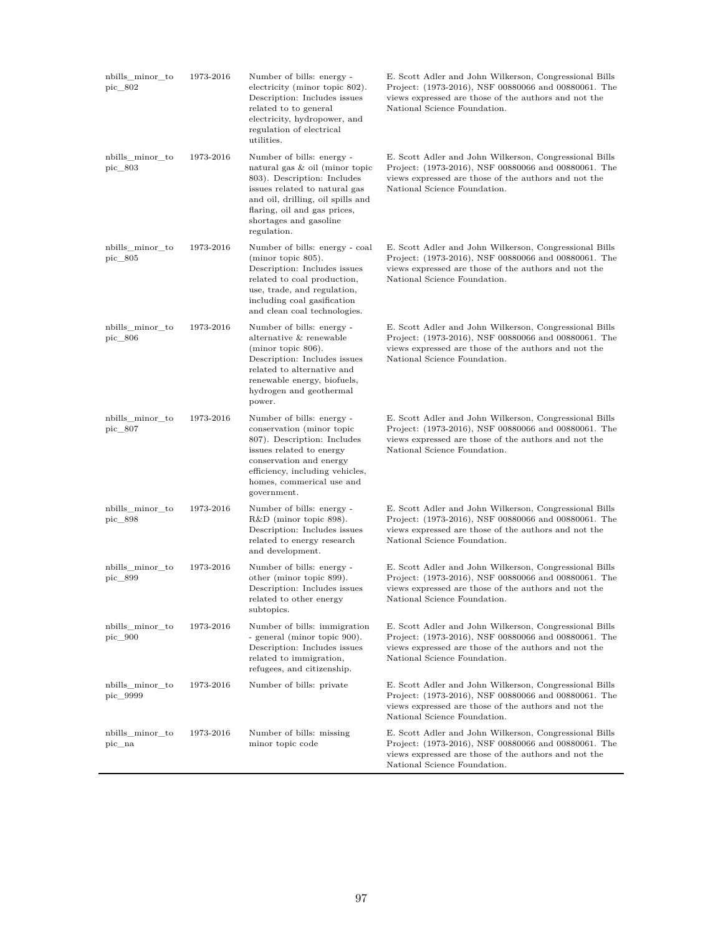| nbills_minor_to<br>pic 802       | 1973-2016 | Number of bills: energy -<br>electricity (minor topic 802).<br>Description: Includes issues<br>related to to general<br>electricity, hydropower, and<br>regulation of electrical<br>utilities.                                            | E. Scott Adler and John Wilkerson, Congressional Bills<br>Project: (1973-2016), NSF 00880066 and 00880061. The<br>views expressed are those of the authors and not the<br>National Science Foundation. |
|----------------------------------|-----------|-------------------------------------------------------------------------------------------------------------------------------------------------------------------------------------------------------------------------------------------|--------------------------------------------------------------------------------------------------------------------------------------------------------------------------------------------------------|
| nbills_minor_to<br>pic_803       | 1973-2016 | Number of bills: energy -<br>natural gas & oil (minor topic<br>803). Description: Includes<br>issues related to natural gas<br>and oil, drilling, oil spills and<br>flaring, oil and gas prices,<br>shortages and gasoline<br>regulation. | E. Scott Adler and John Wilkerson, Congressional Bills<br>Project: (1973-2016), NSF 00880066 and 00880061. The<br>views expressed are those of the authors and not the<br>National Science Foundation. |
| nbills_minor_to<br>pic 805       | 1973-2016 | Number of bills: energy - coal<br>$(minor topic 805)$ .<br>Description: Includes issues<br>related to coal production,<br>use, trade, and regulation,<br>including coal gasification<br>and clean coal technologies.                      | E. Scott Adler and John Wilkerson, Congressional Bills<br>Project: (1973-2016), NSF 00880066 and 00880061. The<br>views expressed are those of the authors and not the<br>National Science Foundation. |
| nbills_minor_to<br>pic $\_\ 806$ | 1973-2016 | Number of bills: energy -<br>alternative & renewable<br>$(minor topic 806)$ .<br>Description: Includes issues<br>related to alternative and<br>renewable energy, biofuels,<br>hydrogen and geothermal<br>power.                           | E. Scott Adler and John Wilkerson, Congressional Bills<br>Project: (1973-2016), NSF 00880066 and 00880061. The<br>views expressed are those of the authors and not the<br>National Science Foundation. |
| nbills_minor_to<br>pic_807       | 1973-2016 | Number of bills: energy -<br>conservation (minor topic<br>807). Description: Includes<br>issues related to energy<br>conservation and energy<br>efficiency, including vehicles,<br>homes, commerical use and<br>government.               | E. Scott Adler and John Wilkerson, Congressional Bills<br>Project: (1973-2016), NSF 00880066 and 00880061. The<br>views expressed are those of the authors and not the<br>National Science Foundation. |
| nbills_minor_to<br>pic_898       | 1973-2016 | Number of bills: energy -<br>R&D (minor topic 898).<br>Description: Includes issues<br>related to energy research<br>and development.                                                                                                     | E. Scott Adler and John Wilkerson, Congressional Bills<br>Project: (1973-2016), NSF 00880066 and 00880061. The<br>views expressed are those of the authors and not the<br>National Science Foundation. |
| nbills_minor_to<br>pic_899       | 1973-2016 | Number of bills: energy -<br>other (minor topic 899).<br>Description: Includes issues<br>related to other energy<br>subtopics.                                                                                                            | E. Scott Adler and John Wilkerson, Congressional Bills<br>Project: (1973-2016), NSF 00880066 and 00880061. The<br>views expressed are those of the authors and not the<br>National Science Foundation. |
| nbills_minor_to<br>pic 900       | 1973-2016 | Number of bills: immigration<br>- general (minor topic 900).<br>Description: Includes issues<br>related to immigration,<br>refugees, and citizenship.                                                                                     | E. Scott Adler and John Wilkerson, Congressional Bills<br>Project: (1973-2016), NSF 00880066 and 00880061. The<br>views expressed are those of the authors and not the<br>National Science Foundation. |
| nbills_minor_to<br>pic 9999      | 1973-2016 | Number of bills: private                                                                                                                                                                                                                  | E. Scott Adler and John Wilkerson, Congressional Bills<br>Project: (1973-2016), NSF 00880066 and 00880061. The<br>views expressed are those of the authors and not the<br>National Science Foundation. |
| nbills_minor_to<br>pic na        | 1973-2016 | Number of bills: missing<br>minor topic code                                                                                                                                                                                              | E. Scott Adler and John Wilkerson, Congressional Bills<br>Project: (1973-2016), NSF 00880066 and 00880061. The<br>views expressed are those of the authors and not the<br>National Science Foundation. |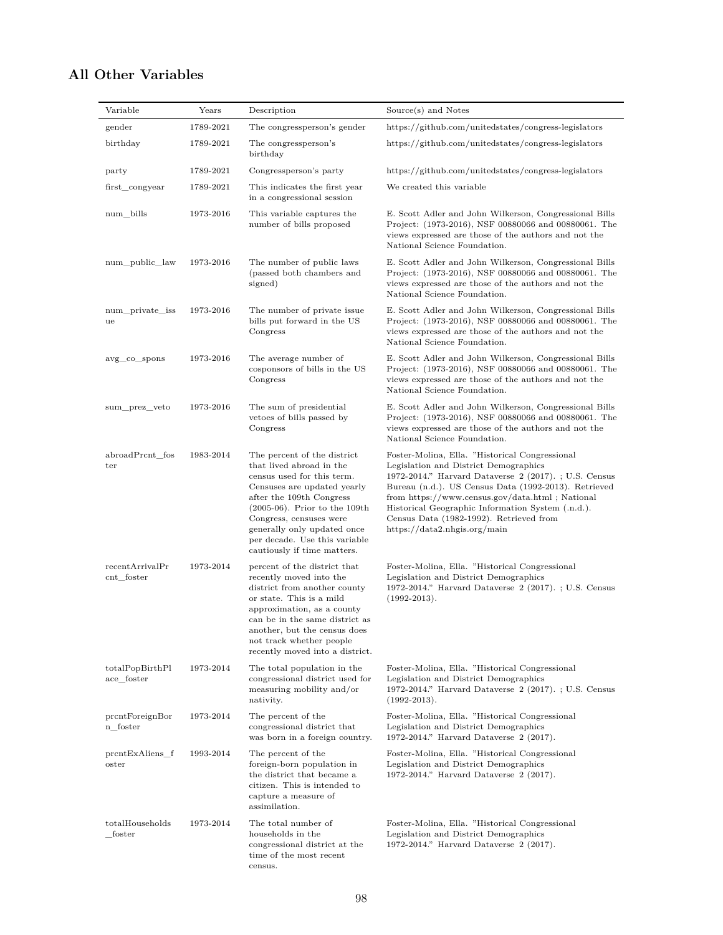## **All Other Variables**

| Variable                        | Years     | Description                                                                                                                                                                                                                                                                                                    | Source(s) and Notes                                                                                                                                                                                                                                                                                                                                                                        |
|---------------------------------|-----------|----------------------------------------------------------------------------------------------------------------------------------------------------------------------------------------------------------------------------------------------------------------------------------------------------------------|--------------------------------------------------------------------------------------------------------------------------------------------------------------------------------------------------------------------------------------------------------------------------------------------------------------------------------------------------------------------------------------------|
| gender                          | 1789-2021 | The congressperson's gender                                                                                                                                                                                                                                                                                    | https://github.com/unitedstates/congress-legislators                                                                                                                                                                                                                                                                                                                                       |
| birthday                        | 1789-2021 | The congressperson's<br>birthday                                                                                                                                                                                                                                                                               | https://github.com/unitedstates/congress-legislators                                                                                                                                                                                                                                                                                                                                       |
| party                           | 1789-2021 | Congressperson's party                                                                                                                                                                                                                                                                                         | https://github.com/unitedstates/congress-legislators                                                                                                                                                                                                                                                                                                                                       |
| first congyear                  | 1789-2021 | This indicates the first year<br>in a congressional session                                                                                                                                                                                                                                                    | We created this variable                                                                                                                                                                                                                                                                                                                                                                   |
| num bills                       | 1973-2016 | This variable captures the<br>number of bills proposed                                                                                                                                                                                                                                                         | E. Scott Adler and John Wilkerson, Congressional Bills<br>Project: (1973-2016), NSF 00880066 and 00880061. The<br>views expressed are those of the authors and not the<br>National Science Foundation.                                                                                                                                                                                     |
| num_public_law                  | 1973-2016 | The number of public laws<br>(passed both chambers and<br>signed)                                                                                                                                                                                                                                              | E. Scott Adler and John Wilkerson, Congressional Bills<br>Project: (1973-2016), NSF 00880066 and 00880061. The<br>views expressed are those of the authors and not the<br>National Science Foundation.                                                                                                                                                                                     |
| num_private_iss<br>ue           | 1973-2016 | The number of private issue<br>bills put forward in the US<br>Congress                                                                                                                                                                                                                                         | E. Scott Adler and John Wilkerson, Congressional Bills<br>Project: (1973-2016), NSF 00880066 and 00880061. The<br>views expressed are those of the authors and not the<br>National Science Foundation.                                                                                                                                                                                     |
| avg co spons                    | 1973-2016 | The average number of<br>cosponsors of bills in the US<br>Congress                                                                                                                                                                                                                                             | E. Scott Adler and John Wilkerson, Congressional Bills<br>Project: (1973-2016), NSF 00880066 and 00880061. The<br>views expressed are those of the authors and not the<br>National Science Foundation.                                                                                                                                                                                     |
| sum_prez_veto                   | 1973-2016 | The sum of presidential<br>vetoes of bills passed by<br>Congress                                                                                                                                                                                                                                               | E. Scott Adler and John Wilkerson, Congressional Bills<br>Project: (1973-2016), NSF 00880066 and 00880061. The<br>views expressed are those of the authors and not the<br>National Science Foundation.                                                                                                                                                                                     |
| abroadPrcnt fos<br>ter          | 1983-2014 | The percent of the district<br>that lived abroad in the<br>census used for this term.<br>Censuses are updated yearly<br>after the 109th Congress<br>$(2005-06)$ . Prior to the 109th<br>Congress, censuses were<br>generally only updated once<br>per decade. Use this variable<br>cautiously if time matters. | Foster-Molina, Ella. "Historical Congressional<br>Legislation and District Demographics<br>1972-2014." Harvard Dataverse 2 (2017).; U.S. Census<br>Bureau (n.d.). US Census Data (1992-2013). Retrieved<br>from https://www.census.gov/data.html; National<br>Historical Geographic Information System (.n.d.).<br>Census Data (1982-1992). Retrieved from<br>https://data2.nhgis.org/main |
| recentArrivalPr<br>$cnt_foster$ | 1973-2014 | percent of the district that<br>recently moved into the<br>district from another county<br>or state. This is a mild<br>approximation, as a county<br>can be in the same district as<br>another, but the census does<br>not track whether people<br>recently moved into a district.                             | Foster-Molina, Ella. "Historical Congressional<br>Legislation and District Demographics<br>1972-2014." Harvard Dataverse 2 (2017).; U.S. Census<br>$(1992 - 2013)$ .                                                                                                                                                                                                                       |
| totalPopBirthPl<br>ace foster   | 1973-2014 | The total population in the<br>congressional district used for<br>measuring mobility and/or<br>nativity.                                                                                                                                                                                                       | Foster-Molina, Ella. "Historical Congressional<br>Legislation and District Demographics<br>1972-2014." Harvard Dataverse 2 (2017).; U.S. Census<br>$(1992-2013).$                                                                                                                                                                                                                          |
| prcntForeignBor<br>n foster     | 1973-2014 | The percent of the<br>congressional district that<br>was born in a foreign country.                                                                                                                                                                                                                            | Foster-Molina, Ella. "Historical Congressional<br>Legislation and District Demographics<br>1972-2014." Harvard Dataverse 2 (2017).                                                                                                                                                                                                                                                         |
| prcntExAliens_f<br>oster        | 1993-2014 | The percent of the<br>foreign-born population in<br>the district that became a<br>citizen. This is intended to<br>capture a measure of<br>assimilation.                                                                                                                                                        | Foster-Molina, Ella. "Historical Congressional<br>Legislation and District Demographics<br>1972-2014." Harvard Dataverse 2 (2017).                                                                                                                                                                                                                                                         |
| totalHouseholds<br>foster       | 1973-2014 | The total number of<br>households in the<br>congressional district at the<br>time of the most recent<br>census.                                                                                                                                                                                                | Foster-Molina, Ella. "Historical Congressional<br>Legislation and District Demographics<br>1972-2014." Harvard Dataverse 2 (2017).                                                                                                                                                                                                                                                         |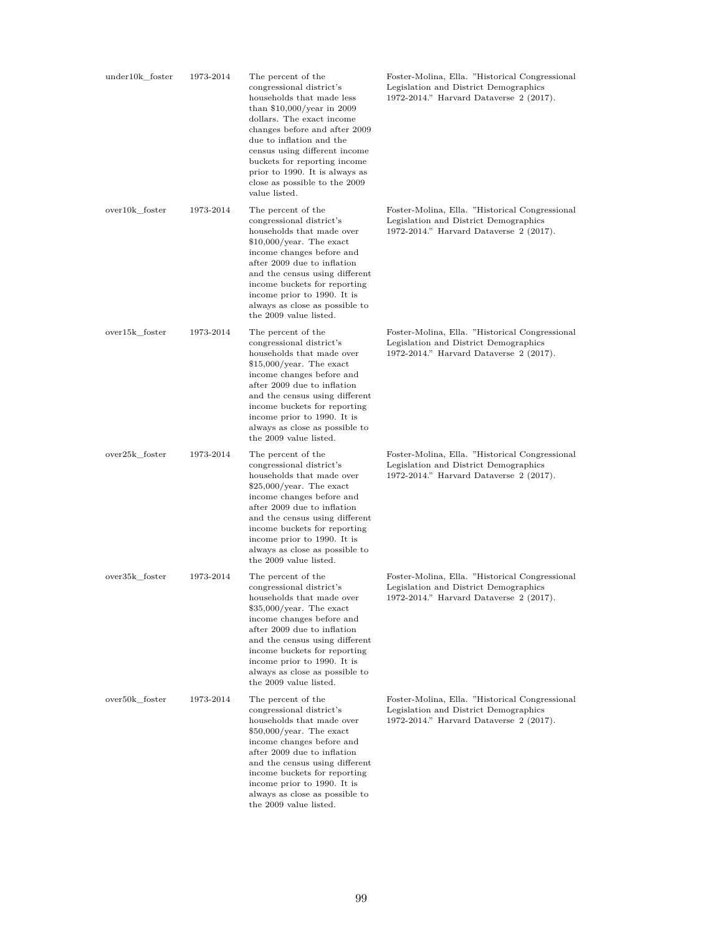| under10k_foster | 1973-2014 | The percent of the<br>congressional district's<br>households that made less<br>than $$10,000/year$ in 2009<br>dollars. The exact income<br>changes before and after 2009<br>due to inflation and the<br>census using different income<br>buckets for reporting income<br>prior to 1990. It is always as<br>close as possible to the 2009<br>value listed. | Foster-Molina, Ella. "Historical Congressional<br>Legislation and District Demographics<br>1972-2014." Harvard Dataverse 2 (2017). |
|-----------------|-----------|-----------------------------------------------------------------------------------------------------------------------------------------------------------------------------------------------------------------------------------------------------------------------------------------------------------------------------------------------------------|------------------------------------------------------------------------------------------------------------------------------------|
| over10k_foster  | 1973-2014 | The percent of the<br>congressional district's<br>households that made over<br>$$10,000/year$ . The exact<br>income changes before and<br>after 2009 due to inflation<br>and the census using different<br>income buckets for reporting<br>income prior to 1990. It is<br>always as close as possible to<br>the 2009 value listed.                        | Foster-Molina, Ella. "Historical Congressional<br>Legislation and District Demographics<br>1972-2014." Harvard Dataverse 2 (2017). |
| over15k foster  | 1973-2014 | The percent of the<br>congressional district's<br>households that made over<br>$$15,000/year$ . The exact<br>income changes before and<br>after 2009 due to inflation<br>and the census using different<br>income buckets for reporting<br>income prior to 1990. It is<br>always as close as possible to<br>the 2009 value listed.                        | Foster-Molina, Ella. "Historical Congressional<br>Legislation and District Demographics<br>1972-2014." Harvard Dataverse 2 (2017). |
| over25k foster  | 1973-2014 | The percent of the<br>congressional district's<br>households that made over<br>$$25,000/year$ . The exact<br>income changes before and<br>after 2009 due to inflation<br>and the census using different<br>income buckets for reporting<br>income prior to 1990. It is<br>always as close as possible to<br>the 2009 value listed.                        | Foster-Molina, Ella. "Historical Congressional<br>Legislation and District Demographics<br>1972-2014." Harvard Dataverse 2 (2017). |
| over35k foster  | 1973-2014 | The percent of the<br>congressional district's<br>households that made over<br>$$35,000/year$ . The exact<br>income changes before and<br>after 2009 due to inflation<br>and the census using different<br>income buckets for reporting<br>income prior to 1990. It is<br>always as close as possible to<br>the 2009 value listed.                        | Foster-Molina, Ella. "Historical Congressional<br>Legislation and District Demographics<br>1972-2014." Harvard Dataverse 2 (2017). |
| over50k_foster  | 1973-2014 | The percent of the<br>congressional district's<br>households that made over<br>$$50,000/year$ . The exact<br>income changes before and<br>after 2009 due to inflation<br>and the census using different<br>income buckets for reporting<br>income prior to 1990. It is<br>always as close as possible to<br>the 2009 value listed.                        | Foster-Molina, Ella. "Historical Congressional<br>Legislation and District Demographics<br>1972-2014." Harvard Dataverse 2 (2017). |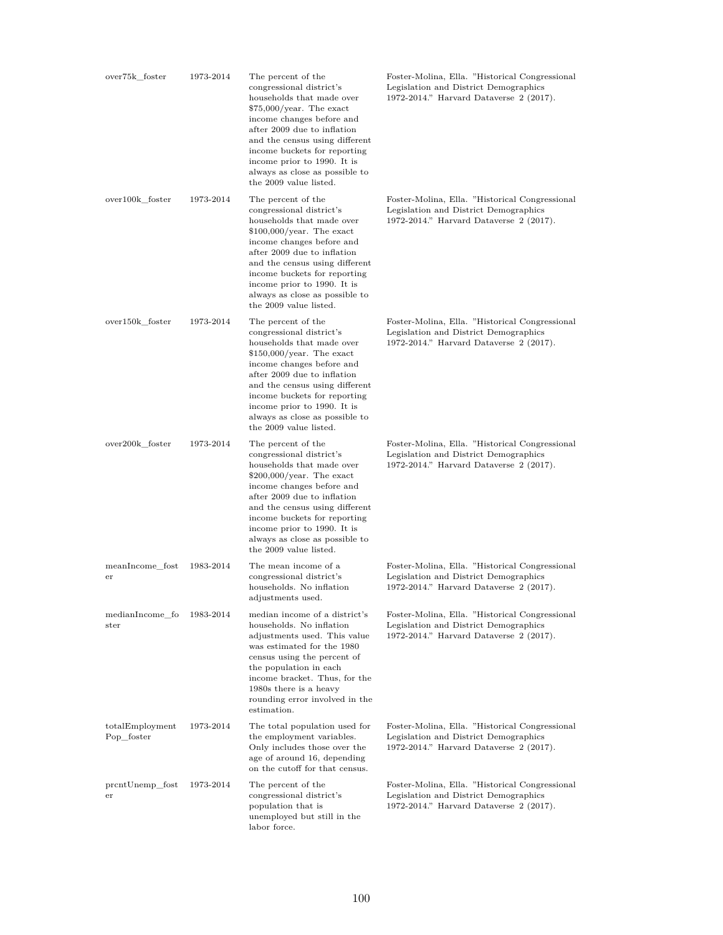| over75k_foster                   | 1973-2014 | The percent of the<br>congressional district's<br>households that made over<br>$$75,000/year$ . The exact<br>income changes before and<br>after 2009 due to inflation<br>and the census using different<br>income buckets for reporting<br>income prior to 1990. It is<br>always as close as possible to<br>the 2009 value listed.  | Foster-Molina, Ella. "Historical Congressional<br>Legislation and District Demographics<br>1972-2014." Harvard Dataverse 2 (2017). |
|----------------------------------|-----------|-------------------------------------------------------------------------------------------------------------------------------------------------------------------------------------------------------------------------------------------------------------------------------------------------------------------------------------|------------------------------------------------------------------------------------------------------------------------------------|
| over100k foster                  | 1973-2014 | The percent of the<br>congressional district's<br>households that made over<br>$$100,000/year$ . The exact<br>income changes before and<br>after 2009 due to inflation<br>and the census using different<br>income buckets for reporting<br>income prior to 1990. It is<br>always as close as possible to<br>the 2009 value listed. | Foster-Molina, Ella. "Historical Congressional<br>Legislation and District Demographics<br>1972-2014." Harvard Dataverse 2 (2017). |
| over150k_foster                  | 1973-2014 | The percent of the<br>congressional district's<br>households that made over<br>$$150,000/year$ . The exact<br>income changes before and<br>after 2009 due to inflation<br>and the census using different<br>income buckets for reporting<br>income prior to 1990. It is<br>always as close as possible to<br>the 2009 value listed. | Foster-Molina, Ella. "Historical Congressional<br>Legislation and District Demographics<br>1972-2014." Harvard Dataverse 2 (2017). |
| over200k_foster                  | 1973-2014 | The percent of the<br>congressional district's<br>households that made over<br>$$200,000/year$ . The exact<br>income changes before and<br>after 2009 due to inflation<br>and the census using different<br>income buckets for reporting<br>income prior to 1990. It is<br>always as close as possible to<br>the 2009 value listed. | Foster-Molina, Ella. "Historical Congressional<br>Legislation and District Demographics<br>1972-2014." Harvard Dataverse 2 (2017). |
| meanIncome fost<br>er            | 1983-2014 | The mean income of a<br>congressional district's<br>households. No inflation<br>adjustments used.                                                                                                                                                                                                                                   | Foster-Molina, Ella. "Historical Congressional<br>Legislation and District Demographics<br>1972-2014." Harvard Dataverse 2 (2017). |
| medianIncome_fo<br>$_{\rm ster}$ | 1983-2014 | median income of a district's<br>households. No inflation<br>adjustments used. This value<br>was estimated for the 1980<br>census using the percent of<br>the population in each<br>income bracket. Thus, for the<br>1980s there is a heavy<br>rounding error involved in the<br>estimation.                                        | Foster-Molina, Ella. "Historical Congressional<br>Legislation and District Demographics<br>1972-2014." Harvard Dataverse 2 (2017). |
| totalEmployment<br>Pop_foster    | 1973-2014 | The total population used for<br>the employment variables.<br>Only includes those over the<br>age of around 16, depending<br>on the cutoff for that census.                                                                                                                                                                         | Foster-Molina, Ella. "Historical Congressional<br>Legislation and District Demographics<br>1972-2014." Harvard Dataverse 2 (2017). |
| prcntUnemp_fost<br>$_{\rm er}$   | 1973-2014 | The percent of the<br>congressional district's<br>population that is<br>unemployed but still in the<br>labor force.                                                                                                                                                                                                                 | Foster-Molina, Ella. "Historical Congressional<br>Legislation and District Demographics<br>1972-2014." Harvard Dataverse 2 (2017). |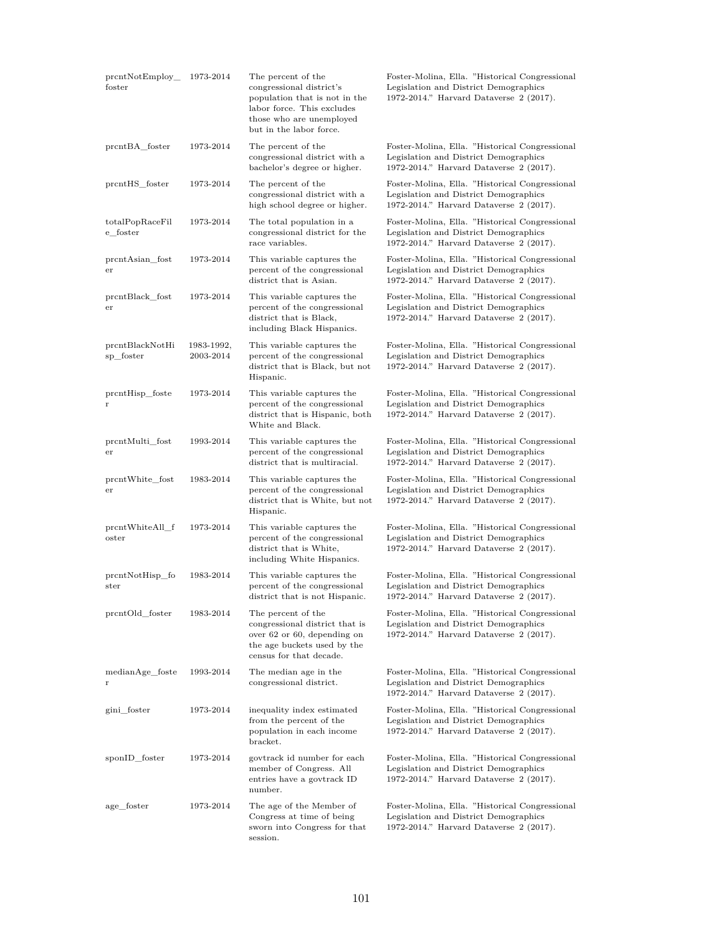| prcntNotEmployee<br>foster             | 1973-2014               | The percent of the<br>congressional district's<br>population that is not in the<br>labor force. This excludes<br>those who are unemployed<br>but in the labor force. | Foster-Molina, Ella. "Historical Congressional<br>Legislation and District Demographics<br>1972-2014." Harvard Dataverse 2 (2017). |
|----------------------------------------|-------------------------|----------------------------------------------------------------------------------------------------------------------------------------------------------------------|------------------------------------------------------------------------------------------------------------------------------------|
| prcntBA foster                         | 1973-2014               | The percent of the<br>congressional district with a<br>bachelor's degree or higher.                                                                                  | Foster-Molina, Ella. "Historical Congressional<br>Legislation and District Demographics<br>1972-2014." Harvard Dataverse 2 (2017). |
| prcntHS_foster                         | 1973-2014               | The percent of the<br>congressional district with a<br>high school degree or higher.                                                                                 | Foster-Molina, Ella. "Historical Congressional<br>Legislation and District Demographics<br>1972-2014." Harvard Dataverse 2 (2017). |
| totalPopRaceFil<br>e_foster            | 1973-2014               | The total population in a<br>congressional district for the<br>race variables.                                                                                       | Foster-Molina, Ella. "Historical Congressional<br>Legislation and District Demographics<br>1972-2014." Harvard Dataverse 2 (2017). |
| prcntAsian_fost<br>$_{\rm er}$         | 1973-2014               | This variable captures the<br>percent of the congressional<br>district that is Asian.                                                                                | Foster-Molina, Ella. "Historical Congressional<br>Legislation and District Demographics<br>1972-2014." Harvard Dataverse 2 (2017). |
| prentBlack_fost<br>$_{\rm er}$         | 1973-2014               | This variable captures the<br>percent of the congressional<br>district that is Black,<br>including Black Hispanics.                                                  | Foster-Molina, Ella. "Historical Congressional<br>Legislation and District Demographics<br>1972-2014." Harvard Dataverse 2 (2017). |
| prcntBlackNotHi<br>sp_foster           | 1983-1992,<br>2003-2014 | This variable captures the<br>percent of the congressional<br>district that is Black, but not<br>Hispanic.                                                           | Foster-Molina, Ella. "Historical Congressional<br>Legislation and District Demographics<br>1972-2014." Harvard Dataverse 2 (2017). |
| prcntHisp foste<br>r                   | 1973-2014               | This variable captures the<br>percent of the congressional<br>district that is Hispanic, both<br>White and Black.                                                    | Foster-Molina, Ella. "Historical Congressional<br>Legislation and District Demographics<br>1972-2014." Harvard Dataverse 2 (2017). |
| prcntMulti_fost<br>$_{\rm er}$         | 1993-2014               | This variable captures the<br>percent of the congressional<br>district that is multiracial.                                                                          | Foster-Molina, Ella. "Historical Congressional<br>Legislation and District Demographics<br>1972-2014." Harvard Dataverse 2 (2017). |
| prcntWhite_fost<br>er                  | 1983-2014               | This variable captures the<br>percent of the congressional<br>district that is White, but not<br>Hispanic.                                                           | Foster-Molina, Ella. "Historical Congressional<br>Legislation and District Demographics<br>1972-2014." Harvard Dataverse 2 (2017). |
| prcntWhiteAll_f<br>$_{\mathrm{oster}}$ | 1973-2014               | This variable captures the<br>percent of the congressional<br>district that is White,<br>including White Hispanics.                                                  | Foster-Molina, Ella. "Historical Congressional<br>Legislation and District Demographics<br>1972-2014." Harvard Dataverse 2 (2017). |
| prcntNotHisp fo<br>ster                | 1983-2014               | This variable captures the<br>percent of the congressional<br>district that is not Hispanic.                                                                         | Foster-Molina, Ella. "Historical Congressional<br>Legislation and District Demographics<br>1972-2014." Harvard Dataverse 2 (2017). |
| prentOld foster                        | 1983-2014               | The percent of the<br>congressional district that is<br>over 62 or 60, depending on<br>the age buckets used by the<br>census for that decade.                        | Foster-Molina, Ella. "Historical Congressional<br>Legislation and District Demographics<br>1972-2014." Harvard Dataverse 2 (2017). |
| medianAge_foste<br>r                   | 1993-2014               | The median age in the<br>congressional district.                                                                                                                     | Foster-Molina, Ella. "Historical Congressional<br>Legislation and District Demographics<br>1972-2014." Harvard Dataverse 2 (2017). |
| gini_foster                            | 1973-2014               | inequality index estimated<br>from the percent of the<br>population in each income<br>bracket.                                                                       | Foster-Molina, Ella. "Historical Congressional<br>Legislation and District Demographics<br>1972-2014." Harvard Dataverse 2 (2017). |
| sponID_foster                          | 1973-2014               | govtrack id number for each<br>member of Congress. All<br>entries have a govtrack ID<br>number.                                                                      | Foster-Molina, Ella. "Historical Congressional<br>Legislation and District Demographics<br>1972-2014." Harvard Dataverse 2 (2017). |
| age_foster                             | 1973-2014               | The age of the Member of<br>Congress at time of being<br>sworn into Congress for that<br>session.                                                                    | Foster-Molina, Ella. "Historical Congressional<br>Legislation and District Demographics<br>1972-2014." Harvard Dataverse 2 (2017). |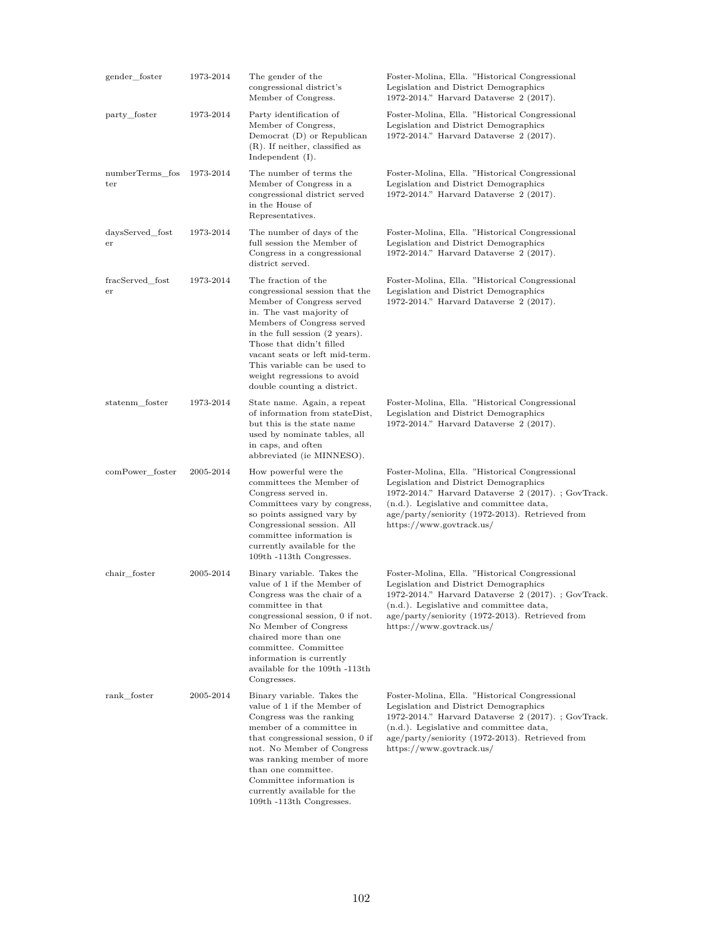| gender_foster          | 1973-2014 | The gender of the<br>congressional district's<br>Member of Congress.                                                                                                                                                                                                                                                                       | Foster-Molina, Ella. "Historical Congressional<br>Legislation and District Demographics<br>1972-2014." Harvard Dataverse 2 (2017).                                                                                                                                         |
|------------------------|-----------|--------------------------------------------------------------------------------------------------------------------------------------------------------------------------------------------------------------------------------------------------------------------------------------------------------------------------------------------|----------------------------------------------------------------------------------------------------------------------------------------------------------------------------------------------------------------------------------------------------------------------------|
| party_foster           | 1973-2014 | Party identification of<br>Member of Congress,<br>Democrat (D) or Republican<br>$(R)$ . If neither, classified as<br>Independent $(I)$ .                                                                                                                                                                                                   | Foster-Molina, Ella. "Historical Congressional<br>Legislation and District Demographics<br>1972-2014." Harvard Dataverse 2 (2017).                                                                                                                                         |
| numberTerms_fos<br>ter | 1973-2014 | The number of terms the<br>Member of Congress in a<br>congressional district served<br>in the House of<br>Representatives.                                                                                                                                                                                                                 | Foster-Molina, Ella. "Historical Congressional<br>Legislation and District Demographics<br>1972-2014." Harvard Dataverse 2 (2017).                                                                                                                                         |
| daysServed_fost<br>er  | 1973-2014 | The number of days of the<br>full session the Member of<br>Congress in a congressional<br>district served.                                                                                                                                                                                                                                 | Foster-Molina, Ella. "Historical Congressional<br>Legislation and District Demographics<br>1972-2014." Harvard Dataverse 2 (2017).                                                                                                                                         |
| fracServed_fost<br>er  | 1973-2014 | The fraction of the<br>congressional session that the<br>Member of Congress served<br>in. The vast majority of<br>Members of Congress served<br>in the full session (2 years).<br>Those that didn't filled<br>vacant seats or left mid-term.<br>This variable can be used to<br>weight regressions to avoid<br>double counting a district. | Foster-Molina, Ella. "Historical Congressional<br>Legislation and District Demographics<br>1972-2014." Harvard Dataverse 2 (2017).                                                                                                                                         |
| statenm foster         | 1973-2014 | State name. Again, a repeat<br>of information from stateDist,<br>but this is the state name<br>used by nominate tables, all<br>in caps, and often<br>abbreviated (ie MINNESO).                                                                                                                                                             | Foster-Molina, Ella. "Historical Congressional<br>Legislation and District Demographics<br>1972-2014." Harvard Dataverse 2 (2017).                                                                                                                                         |
| comPower_foster        | 2005-2014 | How powerful were the<br>committees the Member of<br>Congress served in.<br>Committees vary by congress,<br>so points assigned vary by<br>Congressional session. All<br>committee information is<br>currently available for the<br>109th -113th Congresses.                                                                                | Foster-Molina, Ella. "Historical Congressional<br>Legislation and District Demographics<br>1972-2014." Harvard Dataverse $2(2017)$ .; GovTrack.<br>(n.d.). Legislative and committee data,<br>age/party/seniority (1972-2013). Retrieved from<br>https://www.govtrack.us/  |
| chair foster           | 2005-2014 | Binary variable. Takes the<br>value of 1 if the Member of<br>Congress was the chair of a<br>committee in that<br>congressional session, 0 if not.<br>No Member of Congress<br>chaired more than one<br>committee. Committee<br>information is currently<br>available for the 109th -113th<br>Congresses.                                   | Foster-Molina, Ella. "Historical Congressional<br>Legislation and District Demographics<br>1972-2014." Harvard Dataverse $2(2017)$ . : GovTrack.<br>(n.d.). Legislative and committee data,<br>age/party/seniority (1972-2013). Retrieved from<br>https://www.govtrack.us/ |
| rank foster            | 2005-2014 | Binary variable. Takes the<br>value of 1 if the Member of<br>Congress was the ranking<br>member of a committee in<br>that congressional session, 0 if<br>not. No Member of Congress<br>was ranking member of more<br>than one committee.<br>Committee information is<br>currently available for the<br>109th -113th Congresses.            | Foster-Molina, Ella. "Historical Congressional<br>Legislation and District Demographics<br>1972-2014." Harvard Dataverse $2(2017)$ .; GovTrack.<br>(n.d.). Legislative and committee data,<br>age/party/seniority (1972-2013). Retrieved from<br>https://www.govtrack.us/  |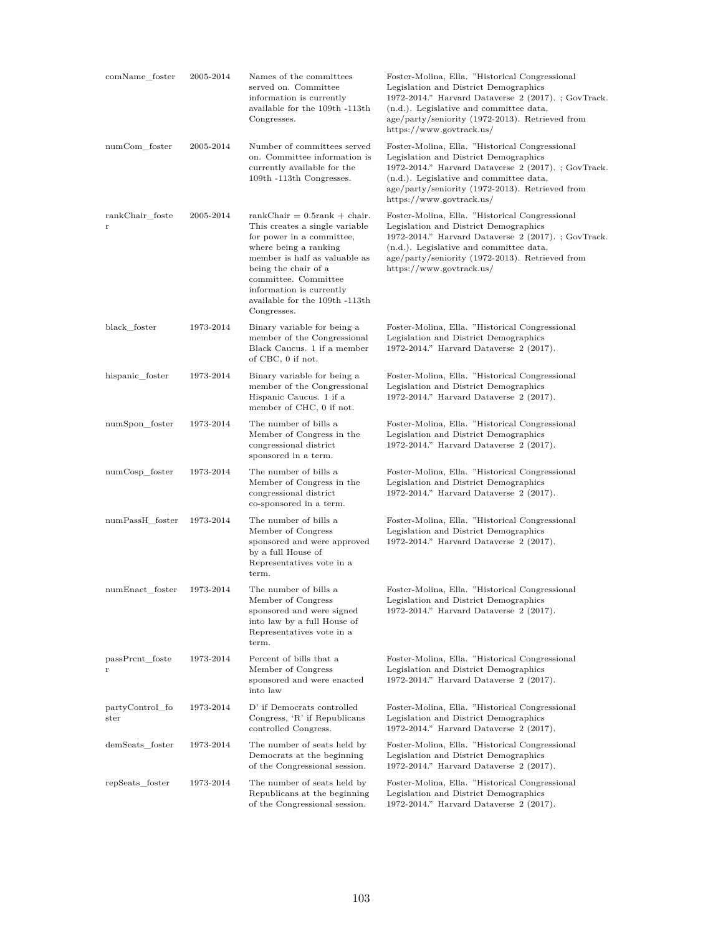| comName_foster             | 2005-2014 | Names of the committees<br>served on. Committee<br>information is currently<br>available for the 109th -113th<br>Congresses.                                                                                                                                                         | Foster-Molina, Ella. "Historical Congressional<br>Legislation and District Demographics<br>1972-2014." Harvard Dataverse $2(2017)$ .; GovTrack.<br>(n.d.). Legislative and committee data,<br>age/party/seniority (1972-2013). Retrieved from<br>https://www.govtrack.us/  |
|----------------------------|-----------|--------------------------------------------------------------------------------------------------------------------------------------------------------------------------------------------------------------------------------------------------------------------------------------|----------------------------------------------------------------------------------------------------------------------------------------------------------------------------------------------------------------------------------------------------------------------------|
| numCom foster              | 2005-2014 | Number of committees served<br>on. Committee information is<br>currently available for the<br>109th -113th Congresses.                                                                                                                                                               | Foster-Molina, Ella. "Historical Congressional"<br>Legislation and District Demographics<br>1972-2014." Harvard Dataverse $2(2017)$ .; GovTrack.<br>(n.d.). Legislative and committee data,<br>age/party/seniority (1972-2013). Retrieved from<br>https://www.govtrack.us/ |
| rankChair_foste<br>$\bf r$ | 2005-2014 | $rankChair = 0.5rank + chair.$<br>This creates a single variable<br>for power in a committee,<br>where being a ranking<br>member is half as valuable as<br>being the chair of a<br>committee. Committee<br>information is currently<br>available for the 109th -113th<br>Congresses. | Foster-Molina, Ella. "Historical Congressional<br>Legislation and District Demographics<br>1972-2014." Harvard Dataverse $2(2017)$ .; GovTrack.<br>(n.d.). Legislative and committee data,<br>age/party/seniority (1972-2013). Retrieved from<br>https://www.govtrack.us/  |
| black foster               | 1973-2014 | Binary variable for being a<br>member of the Congressional<br>Black Caucus. 1 if a member<br>of CBC, 0 if not.                                                                                                                                                                       | Foster-Molina, Ella. "Historical Congressional<br>Legislation and District Demographics<br>1972-2014." Harvard Dataverse 2 (2017).                                                                                                                                         |
| hispanic_foster            | 1973-2014 | Binary variable for being a<br>member of the Congressional<br>Hispanic Caucus. 1 if a<br>member of CHC, 0 if not.                                                                                                                                                                    | Foster-Molina, Ella. "Historical Congressional<br>Legislation and District Demographics<br>1972-2014." Harvard Dataverse 2 (2017).                                                                                                                                         |
| numSpon_foster             | 1973-2014 | The number of bills a<br>Member of Congress in the<br>congressional district<br>sponsored in a term.                                                                                                                                                                                 | Foster-Molina, Ella. "Historical Congressional<br>Legislation and District Demographics<br>1972-2014." Harvard Dataverse 2 (2017).                                                                                                                                         |
| numCosp_foster             | 1973-2014 | The number of bills a<br>Member of Congress in the<br>congressional district<br>co-sponsored in a term.                                                                                                                                                                              | Foster-Molina, Ella. "Historical Congressional<br>Legislation and District Demographics<br>1972-2014." Harvard Dataverse 2 (2017).                                                                                                                                         |
| numPassH_foster            | 1973-2014 | The number of bills a<br>Member of Congress<br>sponsored and were approved<br>by a full House of<br>Representatives vote in a<br>term.                                                                                                                                               | Foster-Molina, Ella. "Historical Congressional<br>Legislation and District Demographics<br>1972-2014." Harvard Dataverse 2 (2017).                                                                                                                                         |
| numEnact foster            | 1973-2014 | The number of bills a<br>Member of Congress<br>sponsored and were signed<br>into law by a full House of<br>Representatives vote in a<br>term.                                                                                                                                        | Foster-Molina, Ella. "Historical Congressional<br>Legislation and District Demographics<br>1972-2014." Harvard Dataverse 2 (2017).                                                                                                                                         |
| passPrcnt_foste<br>r       | 1973-2014 | Percent of bills that a<br>Member of Congress<br>sponsored and were enacted<br>into law                                                                                                                                                                                              | Foster-Molina, Ella. "Historical Congressional<br>Legislation and District Demographics<br>1972-2014." Harvard Dataverse 2 (2017).                                                                                                                                         |
| partyControl_fo<br>ster    | 1973-2014 | D' if Democrats controlled<br>Congress, 'R' if Republicans<br>controlled Congress.                                                                                                                                                                                                   | Foster-Molina, Ella. "Historical Congressional<br>Legislation and District Demographics<br>1972-2014." Harvard Dataverse 2 (2017).                                                                                                                                         |
| demSeats foster            | 1973-2014 | The number of seats held by<br>Democrats at the beginning<br>of the Congressional session.                                                                                                                                                                                           | Foster-Molina, Ella. "Historical Congressional<br>Legislation and District Demographics<br>1972-2014." Harvard Dataverse 2 (2017).                                                                                                                                         |
| repSeats_foster            | 1973-2014 | The number of seats held by<br>Republicans at the beginning<br>of the Congressional session.                                                                                                                                                                                         | Foster-Molina, Ella. "Historical Congressional<br>Legislation and District Demographics<br>1972-2014." Harvard Dataverse 2 (2017).                                                                                                                                         |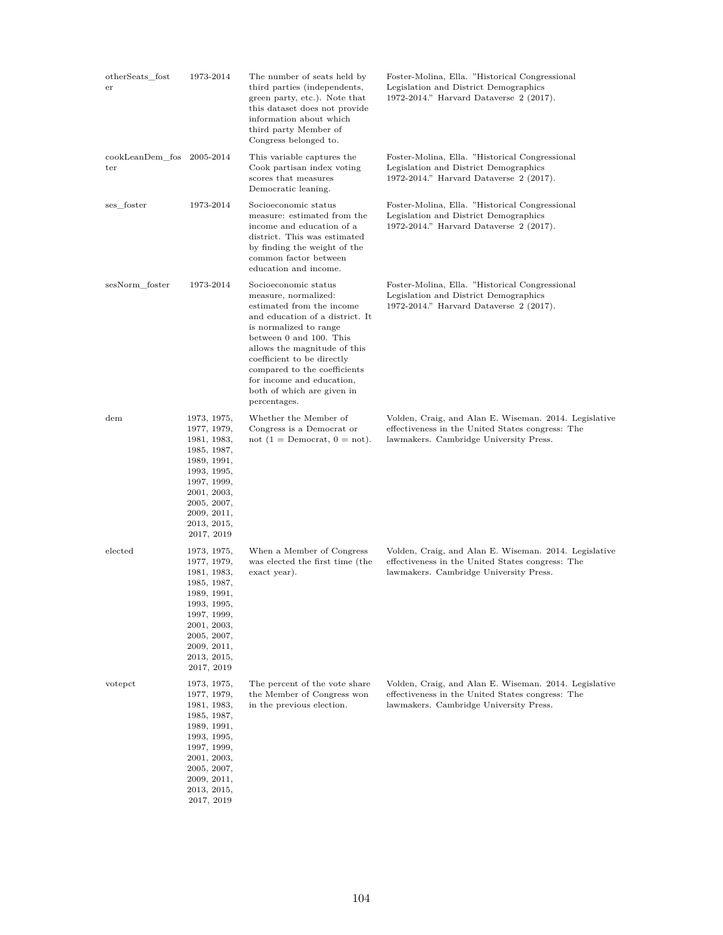| otherSeats fost<br>er            | 1973-2014                                                                                                                                                                       | The number of seats held by<br>third parties (independents,<br>green party, etc.). Note that<br>this dataset does not provide<br>information about which<br>third party Member of<br>Congress belonged to.                                                                                                                                 | Foster-Molina, Ella. "Historical Congressional<br>Legislation and District Demographics<br>1972-2014." Harvard Dataverse 2 (2017).                  |
|----------------------------------|---------------------------------------------------------------------------------------------------------------------------------------------------------------------------------|--------------------------------------------------------------------------------------------------------------------------------------------------------------------------------------------------------------------------------------------------------------------------------------------------------------------------------------------|-----------------------------------------------------------------------------------------------------------------------------------------------------|
| cookLeanDem fos 2005-2014<br>ter |                                                                                                                                                                                 | This variable captures the<br>Cook partisan index voting<br>scores that measures<br>Democratic leaning.                                                                                                                                                                                                                                    | Foster-Molina, Ella. "Historical Congressional<br>Legislation and District Demographics<br>1972-2014." Harvard Dataverse 2 (2017).                  |
| ses foster                       | 1973-2014                                                                                                                                                                       | Socioeconomic status<br>measure: estimated from the<br>income and education of a<br>district. This was estimated<br>by finding the weight of the<br>common factor between<br>education and income.                                                                                                                                         | Foster-Molina, Ella. "Historical Congressional<br>Legislation and District Demographics<br>1972-2014." Harvard Dataverse 2 (2017).                  |
| sesNorm foster                   | 1973-2014                                                                                                                                                                       | Socioeconomic status<br>measure, normalized:<br>estimated from the income<br>and education of a district. It<br>is normalized to range<br>between 0 and 100. This<br>allows the magnitude of this<br>coefficient to be directly<br>compared to the coefficients<br>for income and education,<br>both of which are given in<br>percentages. | Foster-Molina, Ella. "Historical Congressional<br>Legislation and District Demographics<br>1972-2014." Harvard Dataverse 2 (2017).                  |
| $_{\rm dem}$                     | 1973, 1975,<br>1977, 1979,<br>1981, 1983,<br>1985, 1987,<br>1989, 1991,<br>1993, 1995,<br>1997, 1999,<br>2001, 2003,<br>2005, 2007,<br>2009, 2011,<br>2013, 2015,<br>2017, 2019 | Whether the Member of<br>Congress is a Democrat or<br>not $(1 = Democrat, 0 = not).$                                                                                                                                                                                                                                                       | Volden, Craig, and Alan E. Wiseman. 2014. Legislative<br>effectiveness in the United States congress: The<br>lawmakers. Cambridge University Press. |
| elected                          | 1973, 1975,<br>1977, 1979,<br>1981, 1983,<br>1985, 1987,<br>1989, 1991,<br>1993, 1995,<br>1997, 1999,<br>2001, 2003,<br>2005, 2007,<br>2009, 2011,<br>2013, 2015,<br>2017, 2019 | When a Member of Congress<br>was elected the first time (the<br>exact year).                                                                                                                                                                                                                                                               | Volden, Craig, and Alan E. Wiseman. 2014. Legislative<br>effectiveness in the United States congress: The<br>lawmakers. Cambridge University Press. |
| votepct                          | 1973, 1975,<br>1977, 1979,<br>1981, 1983,<br>1985, 1987,<br>1989, 1991,<br>1993, 1995,<br>1997, 1999,<br>2001, 2003,<br>2005, 2007,<br>2009, 2011,<br>2013, 2015,<br>2017, 2019 | The percent of the vote share<br>the Member of Congress won<br>in the previous election.                                                                                                                                                                                                                                                   | Volden, Craig, and Alan E. Wiseman. 2014. Legislative<br>effectiveness in the United States congress: The<br>lawmakers. Cambridge University Press. |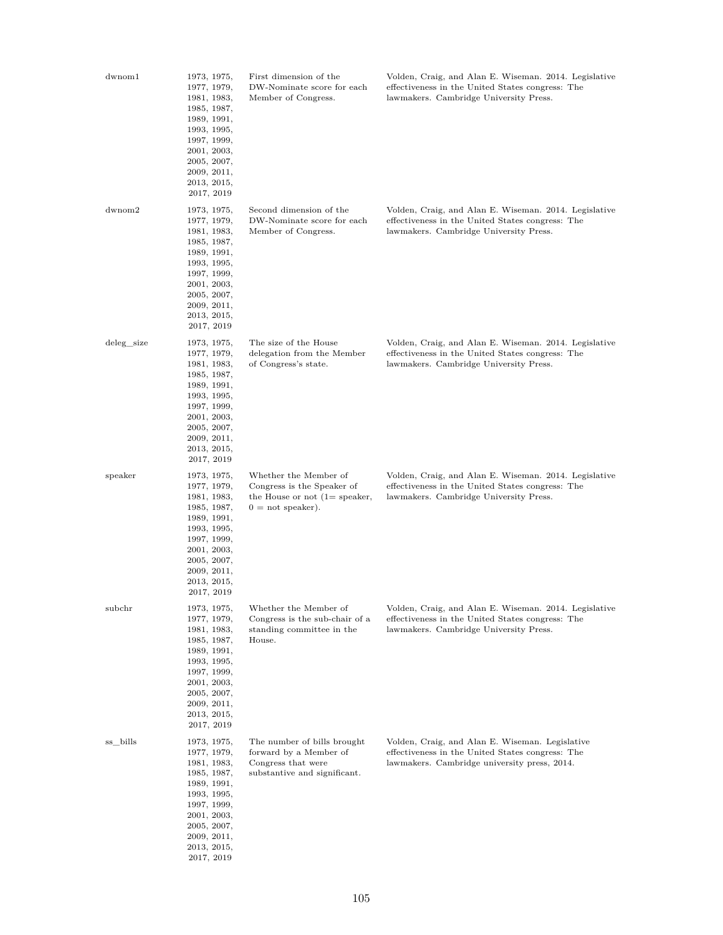| $_{\rm{dwnom1}}$ | 1973, 1975,<br>1977, 1979,<br>1981, 1983,<br>1985, 1987,<br>1989, 1991,<br>1993, 1995,<br>1997, 1999,<br>2001, 2003,<br>2005, 2007,<br>2009, 2011,<br>2013, 2015,<br>2017, 2019 | First dimension of the<br>DW-Nominate score for each<br>Member of Congress.                                                  | Volden, Craig, and Alan E. Wiseman. 2014. Legislative<br>effectiveness in the United States congress: The<br>lawmakers. Cambridge University Press. |
|------------------|---------------------------------------------------------------------------------------------------------------------------------------------------------------------------------|------------------------------------------------------------------------------------------------------------------------------|-----------------------------------------------------------------------------------------------------------------------------------------------------|
| $d$ wnom $2$     | 1973, 1975,<br>1977, 1979,<br>1981, 1983,<br>1985, 1987,<br>1989, 1991,<br>1993, 1995,<br>1997, 1999,<br>2001, 2003,<br>2005, 2007,<br>2009, 2011,<br>2013, 2015,<br>2017, 2019 | Second dimension of the<br>DW-Nominate score for each<br>Member of Congress.                                                 | Volden, Craig, and Alan E. Wiseman. 2014. Legislative<br>effectiveness in the United States congress: The<br>lawmakers. Cambridge University Press. |
| deleg_size       | 1973, 1975,<br>1977, 1979,<br>1981, 1983,<br>1985, 1987,<br>1989, 1991,<br>1993, 1995,<br>1997, 1999,<br>2001, 2003,<br>2005, 2007,<br>2009, 2011,<br>2013, 2015,<br>2017, 2019 | The size of the House<br>delegation from the Member<br>of Congress's state.                                                  | Volden, Craig, and Alan E. Wiseman. 2014. Legislative<br>effectiveness in the United States congress: The<br>lawmakers. Cambridge University Press. |
| speaker          | 1973, 1975,<br>1977, 1979,<br>1981, 1983,<br>1985, 1987,<br>1989, 1991,<br>1993, 1995,<br>1997, 1999,<br>2001, 2003,<br>2005, 2007,<br>2009, 2011,<br>2013, 2015,<br>2017, 2019 | Whether the Member of<br>Congress is the Speaker of<br>the House or not $(1 = \text{speaker},$<br>$0 = \text{not speaker}$ . | Volden, Craig, and Alan E. Wiseman. 2014. Legislative<br>effectiveness in the United States congress: The<br>lawmakers. Cambridge University Press. |
| subchr           | 1973, 1975,<br>1977, 1979,<br>1981, 1983,<br>1985, 1987,<br>1989, 1991,<br>1993, 1995,<br>1997, 1999,<br>2001, 2003,<br>2005, 2007,<br>2009, 2011,<br>2013, 2015,<br>2017, 2019 | Whether the Member of<br>Congress is the sub-chair of a<br>standing committee in the<br>House.                               | Volden, Craig, and Alan E. Wiseman. 2014. Legislative<br>effectiveness in the United States congress: The<br>lawmakers. Cambridge University Press. |
| ss_bills         | 1973, 1975,<br>1977, 1979,<br>1981, 1983,<br>1985, 1987,<br>1989, 1991,<br>1993, 1995,<br>1997, 1999,<br>2001, 2003,<br>2005, 2007,<br>2009, 2011,<br>2013, 2015,<br>2017, 2019 | The number of bills brought<br>forward by a Member of<br>Congress that were<br>substantive and significant.                  | Volden, Craig, and Alan E. Wiseman. Legislative<br>effectiveness in the United States congress: The<br>lawmakers. Cambridge university press, 2014. |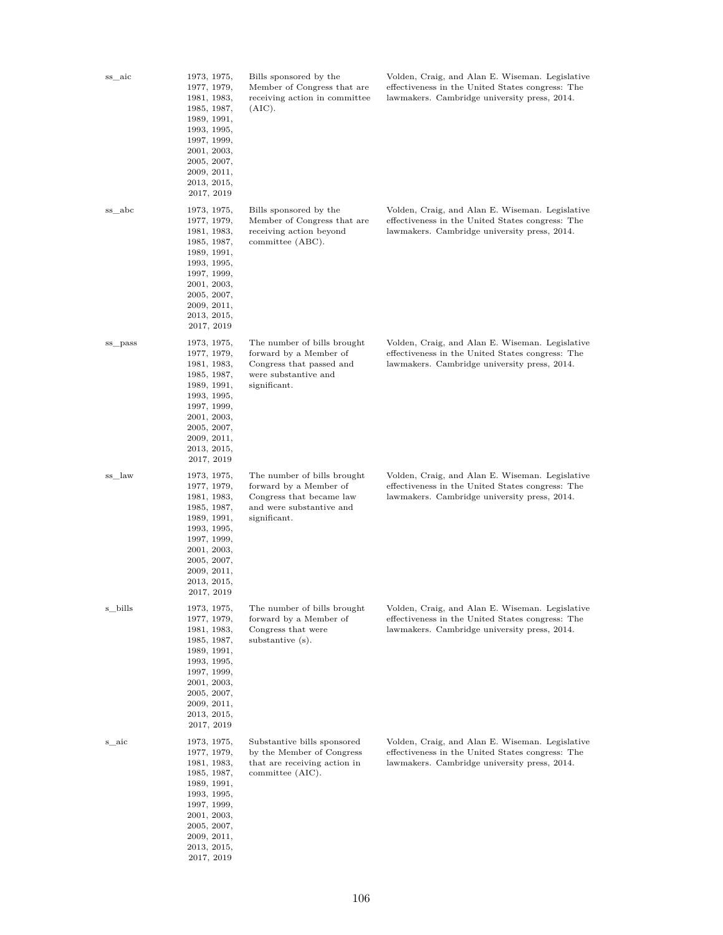| ss_aic  | 1973, 1975,<br>1977, 1979,<br>1981, 1983,<br>1985, 1987,<br>1989, 1991,<br>1993, 1995,<br>1997, 1999,<br>2001, 2003,<br>2005, 2007,<br>2009, 2011,<br>2013, 2015,<br>2017, 2019 | Bills sponsored by the<br>Member of Congress that are<br>receiving action in committee<br>(AIC).                              | Volden, Craig, and Alan E. Wiseman. Legislative<br>effectiveness in the United States congress: The<br>lawmakers. Cambridge university press, 2014. |
|---------|---------------------------------------------------------------------------------------------------------------------------------------------------------------------------------|-------------------------------------------------------------------------------------------------------------------------------|-----------------------------------------------------------------------------------------------------------------------------------------------------|
| ss_abc  | 1973, 1975,<br>1977, 1979,<br>1981, 1983,<br>1985, 1987,<br>1989, 1991,<br>1993, 1995,<br>1997, 1999,<br>2001, 2003,<br>2005, 2007,<br>2009, 2011,<br>2013, 2015,<br>2017, 2019 | Bills sponsored by the<br>Member of Congress that are<br>receiving action beyond<br>committee (ABC).                          | Volden, Craig, and Alan E. Wiseman. Legislative<br>effectiveness in the United States congress: The<br>lawmakers. Cambridge university press, 2014. |
| ss_pass | 1973, 1975,<br>1977, 1979,<br>1981, 1983,<br>1985, 1987,<br>1989, 1991,<br>1993, 1995,<br>1997, 1999,<br>2001, 2003,<br>2005, 2007,<br>2009, 2011,<br>2013, 2015,<br>2017, 2019 | The number of bills brought<br>forward by a Member of<br>Congress that passed and<br>were substantive and<br>significant.     | Volden, Craig, and Alan E. Wiseman. Legislative<br>effectiveness in the United States congress: The<br>lawmakers. Cambridge university press, 2014. |
| ss_law  | 1973, 1975,<br>1977, 1979,<br>1981, 1983,<br>1985, 1987,<br>1989, 1991,<br>1993, 1995,<br>1997, 1999,<br>2001, 2003,<br>2005, 2007,<br>2009, 2011,<br>2013, 2015,<br>2017, 2019 | The number of bills brought<br>forward by a Member of<br>Congress that became law<br>and were substantive and<br>significant. | Volden, Craig, and Alan E. Wiseman. Legislative<br>effectiveness in the United States congress: The<br>lawmakers. Cambridge university press, 2014. |
| s_bills | 1973, 1975,<br>1977, 1979,<br>1981, 1983,<br>1985, 1987,<br>1989, 1991,<br>1993, 1995,<br>1997, 1999,<br>2001, 2003,<br>2005, 2007,<br>2009, 2011,<br>2013, 2015,<br>2017, 2019 | The number of bills brought<br>forward by a Member of<br>Congress that were<br>substantive $(s)$ .                            | Volden, Craig, and Alan E. Wiseman. Legislative<br>effectiveness in the United States congress: The<br>lawmakers. Cambridge university press, 2014. |
| s_aic   | 1973, 1975,<br>1977, 1979,<br>1981, 1983,<br>1985, 1987,<br>1989, 1991,<br>1993, 1995,<br>1997, 1999,<br>2001, 2003,<br>2005, 2007,<br>2009, 2011,<br>2013, 2015,<br>2017, 2019 | Substantive bills sponsored<br>by the Member of Congress<br>that are receiving action in<br>committee (AIC).                  | Volden, Craig, and Alan E. Wiseman. Legislative<br>effectiveness in the United States congress: The<br>lawmakers. Cambridge university press, 2014. |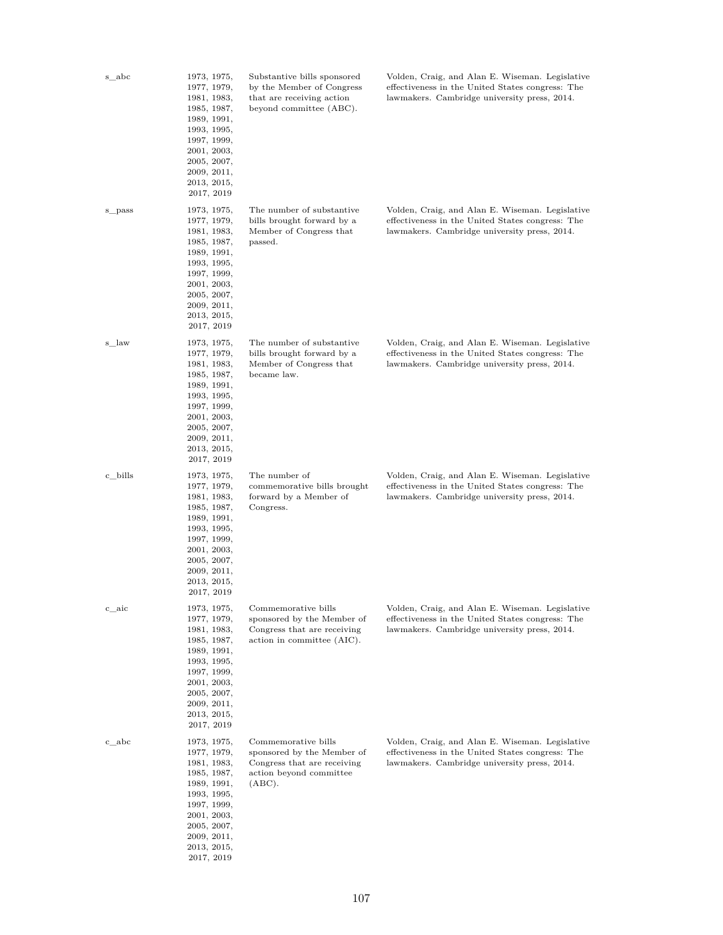| s_abc   | 1973, 1975,<br>1977, 1979,<br>1981, 1983,<br>1985, 1987,<br>1989, 1991,<br>1993, 1995,<br>1997, 1999,<br>2001, 2003,<br>2005, 2007,<br>2009, 2011,<br>2013, 2015,<br>2017, 2019 | Substantive bills sponsored<br>by the Member of Congress<br>that are receiving action<br>beyond committee (ABC).      | Volden, Craig, and Alan E. Wiseman. Legislative<br>effectiveness in the United States congress: The<br>lawmakers. Cambridge university press, 2014. |
|---------|---------------------------------------------------------------------------------------------------------------------------------------------------------------------------------|-----------------------------------------------------------------------------------------------------------------------|-----------------------------------------------------------------------------------------------------------------------------------------------------|
| s_pass  | 1973, 1975,<br>1977, 1979,<br>1981, 1983,<br>1985, 1987,<br>1989, 1991,<br>1993, 1995,<br>1997, 1999,<br>2001, 2003,<br>2005, 2007,<br>2009, 2011,<br>2013, 2015,<br>2017, 2019 | The number of substantive<br>bills brought forward by a<br>Member of Congress that<br>passed.                         | Volden, Craig, and Alan E. Wiseman. Legislative<br>effectiveness in the United States congress: The<br>lawmakers. Cambridge university press, 2014. |
| s_law   | 1973, 1975,<br>1977, 1979,<br>1981, 1983,<br>1985, 1987,<br>1989, 1991,<br>1993, 1995,<br>1997, 1999,<br>2001, 2003,<br>2005, 2007,<br>2009, 2011,<br>2013, 2015,<br>2017, 2019 | The number of substantive<br>bills brought forward by a<br>Member of Congress that<br>became law.                     | Volden, Craig, and Alan E. Wiseman. Legislative<br>effectiveness in the United States congress: The<br>lawmakers. Cambridge university press, 2014. |
| c_bills | 1973, 1975,<br>1977, 1979,<br>1981, 1983,<br>1985, 1987,<br>1989, 1991,<br>1993, 1995,<br>1997, 1999,<br>2001, 2003,<br>2005, 2007,<br>2009, 2011,<br>2013, 2015,<br>2017, 2019 | The number of<br>commemorative bills brought<br>forward by a Member of<br>Congress.                                   | Volden, Craig, and Alan E. Wiseman. Legislative<br>effectiveness in the United States congress: The<br>lawmakers. Cambridge university press, 2014. |
| c_aic   | 1973, 1975,<br>1977, 1979,<br>1981, 1983,<br>1985, 1987,<br>1989, 1991,<br>1993, 1995,<br>1997, 1999,<br>2001, 2003,<br>2005, 2007,<br>2009, 2011,<br>2013, 2015,<br>2017, 2019 | Commemorative bills<br>sponsored by the Member of<br>Congress that are receiving<br>action in committee (AIC).        | Volden, Craig, and Alan E. Wiseman. Legislative<br>effectiveness in the United States congress: The<br>lawmakers. Cambridge university press, 2014. |
| c abc   | 1973, 1975,<br>1977, 1979,<br>1981, 1983,<br>1985, 1987,<br>1989, 1991,<br>1993, 1995,<br>1997, 1999,<br>2001, 2003,<br>2005, 2007,<br>2009, 2011,<br>2013, 2015,<br>2017, 2019 | Commemorative bills<br>sponsored by the Member of<br>Congress that are receiving<br>action beyond committee<br>(ABC). | Volden, Craig, and Alan E. Wiseman. Legislative<br>effectiveness in the United States congress: The<br>lawmakers. Cambridge university press, 2014. |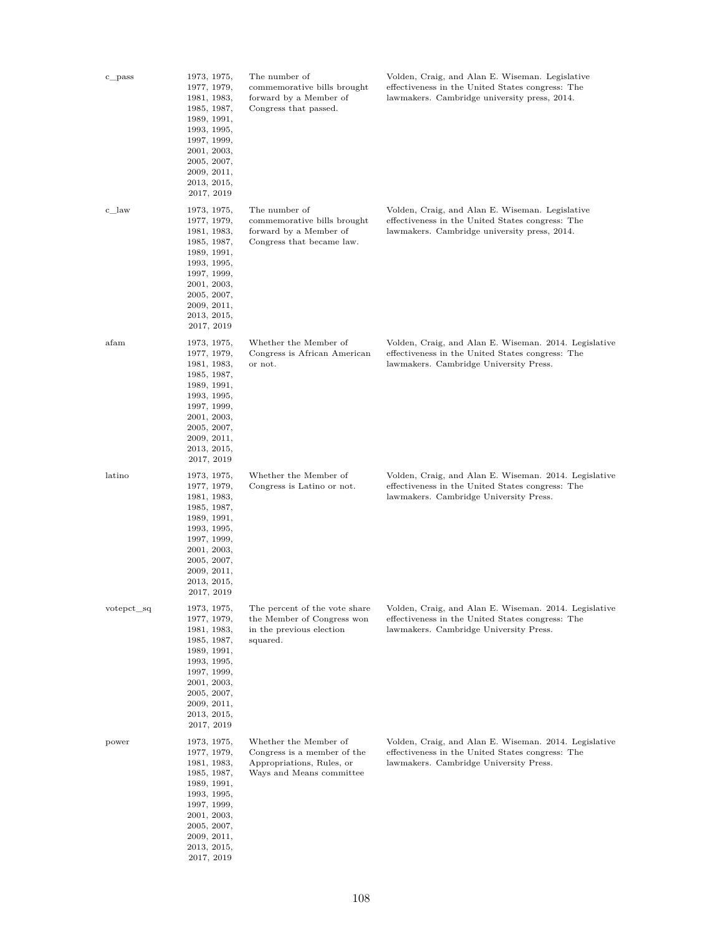| c_pass     | 1973, 1975,<br>1977, 1979,<br>1981, 1983,<br>1985, 1987,<br>1989, 1991,<br>1993, 1995,<br>1997, 1999,<br>2001, 2003,<br>2005, 2007,<br>2009, 2011,<br>2013, 2015,<br>2017, 2019 | The number of<br>commemorative bills brought<br>forward by a Member of<br>Congress that passed.               | Volden, Craig, and Alan E. Wiseman. Legislative<br>effectiveness in the United States congress: The<br>lawmakers. Cambridge university press, 2014. |
|------------|---------------------------------------------------------------------------------------------------------------------------------------------------------------------------------|---------------------------------------------------------------------------------------------------------------|-----------------------------------------------------------------------------------------------------------------------------------------------------|
| c_law      | 1973, 1975,<br>1977, 1979,<br>1981, 1983,<br>1985, 1987,<br>1989, 1991,<br>1993, 1995,<br>1997, 1999,<br>2001, 2003,<br>2005, 2007,<br>2009, 2011,<br>2013, 2015,<br>2017, 2019 | The number of<br>commemorative bills brought<br>forward by a Member of<br>Congress that became law.           | Volden, Craig, and Alan E. Wiseman. Legislative<br>effectiveness in the United States congress: The<br>lawmakers. Cambridge university press, 2014. |
| afam       | 1973, 1975,<br>1977, 1979,<br>1981, 1983,<br>1985, 1987,<br>1989, 1991,<br>1993, 1995,<br>1997, 1999,<br>2001, 2003,<br>2005, 2007,<br>2009, 2011,<br>2013, 2015,<br>2017, 2019 | Whether the Member of<br>Congress is African American<br>or not.                                              | Volden, Craig, and Alan E. Wiseman. 2014. Legislative<br>effectiveness in the United States congress: The<br>lawmakers. Cambridge University Press. |
| latino     | 1973, 1975,<br>1977, 1979,<br>1981, 1983,<br>1985, 1987,<br>1989, 1991,<br>1993, 1995,<br>1997, 1999,<br>2001, 2003,<br>2005, 2007,<br>2009, 2011,<br>2013, 2015,<br>2017, 2019 | Whether the Member of<br>Congress is Latino or not.                                                           | Volden, Craig, and Alan E. Wiseman. 2014. Legislative<br>effectiveness in the United States congress: The<br>lawmakers. Cambridge University Press. |
| votepct_sq | 1973, 1975,<br>1977, 1979,<br>1981, 1983,<br>1985, 1987,<br>1989, 1991,<br>1993, 1995,<br>1997, 1999,<br>2001, 2003,<br>2005, 2007,<br>2009, 2011,<br>2013, 2015,<br>2017, 2019 | The percent of the vote share<br>the Member of Congress won<br>in the previous election<br>squared.           | Volden, Craig, and Alan E. Wiseman. 2014. Legislative<br>effectiveness in the United States congress: The<br>lawmakers. Cambridge University Press. |
| power      | 1973, 1975,<br>1977, 1979,<br>1981, 1983,<br>1985, 1987,<br>1989, 1991,<br>1993, 1995,<br>1997, 1999,<br>2001, 2003,<br>2005, 2007,<br>2009, 2011,<br>2013, 2015,<br>2017, 2019 | Whether the Member of<br>Congress is a member of the<br>Appropriations, Rules, or<br>Ways and Means committee | Volden, Craig, and Alan E. Wiseman. 2014. Legislative<br>effectiveness in the United States congress: The<br>lawmakers. Cambridge University Press. |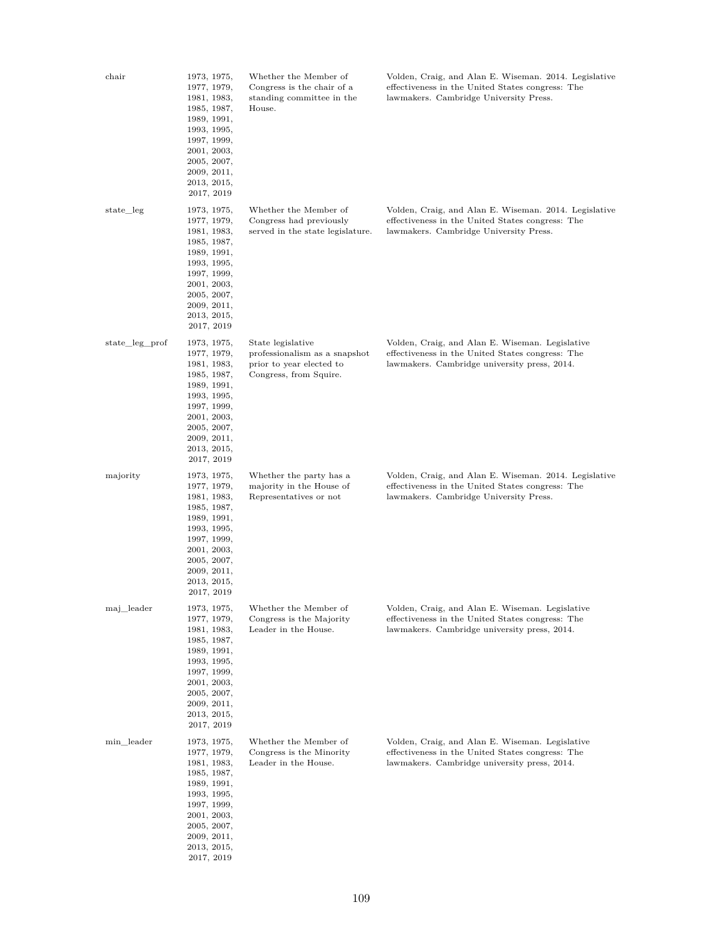| chair          | 1973, 1975,<br>1977, 1979,<br>1981, 1983,<br>1985, 1987,<br>1989, 1991,<br>1993, 1995,<br>1997, 1999,<br>2001, 2003,<br>2005, 2007,<br>2009, 2011,<br>2013, 2015,<br>2017, 2019 | Whether the Member of<br>Congress is the chair of a<br>standing committee in the<br>House.               | Volden, Craig, and Alan E. Wiseman. 2014. Legislative<br>effectiveness in the United States congress: The<br>lawmakers. Cambridge University Press. |
|----------------|---------------------------------------------------------------------------------------------------------------------------------------------------------------------------------|----------------------------------------------------------------------------------------------------------|-----------------------------------------------------------------------------------------------------------------------------------------------------|
| state_leg      | 1973, 1975,<br>1977, 1979,<br>1981, 1983,<br>1985, 1987,<br>1989, 1991,<br>1993, 1995,<br>1997, 1999,<br>2001, 2003,<br>2005, 2007,<br>2009, 2011,<br>2013, 2015,<br>2017, 2019 | Whether the Member of<br>Congress had previously<br>served in the state legislature.                     | Volden, Craig, and Alan E. Wiseman. 2014. Legislative<br>effectiveness in the United States congress: The<br>lawmakers. Cambridge University Press. |
| state_leg_prof | 1973, 1975,<br>1977, 1979,<br>1981, 1983,<br>1985, 1987,<br>1989, 1991,<br>1993, 1995,<br>1997, 1999,<br>2001, 2003,<br>2005, 2007,<br>2009, 2011,<br>2013, 2015,<br>2017, 2019 | State legislative<br>professionalism as a snapshot<br>prior to year elected to<br>Congress, from Squire. | Volden, Craig, and Alan E. Wiseman. Legislative<br>effectiveness in the United States congress: The<br>lawmakers. Cambridge university press, 2014. |
| majority       | 1973, 1975,<br>1977, 1979,<br>1981, 1983,<br>1985, 1987,<br>1989, 1991,<br>1993, 1995,<br>1997, 1999,<br>2001, 2003,<br>2005, 2007,<br>2009, 2011,<br>2013, 2015,<br>2017, 2019 | Whether the party has a<br>majority in the House of<br>Representatives or not                            | Volden, Craig, and Alan E. Wiseman. 2014. Legislative<br>effectiveness in the United States congress: The<br>lawmakers. Cambridge University Press. |
| maj_leader     | 1973, 1975,<br>1977, 1979,<br>1981, 1983,<br>1985, 1987,<br>1989, 1991,<br>1993, 1995,<br>1997, 1999,<br>2001, 2003,<br>2005, 2007,<br>2009, 2011,<br>2013, 2015,<br>2017, 2019 | Whether the Member of<br>Congress is the Majority<br>Leader in the House.                                | Volden, Craig, and Alan E. Wiseman. Legislative<br>effectiveness in the United States congress: The<br>lawmakers. Cambridge university press, 2014. |
| min leader     | 1973, 1975,<br>1977, 1979,<br>1981, 1983,<br>1985, 1987,<br>1989, 1991,<br>1993, 1995,<br>1997, 1999,<br>2001, 2003,<br>2005, 2007,<br>2009, 2011,<br>2013, 2015,<br>2017, 2019 | Whether the Member of<br>Congress is the Minority<br>Leader in the House.                                | Volden, Craig, and Alan E. Wiseman. Legislative<br>effectiveness in the United States congress: The<br>lawmakers. Cambridge university press, 2014. |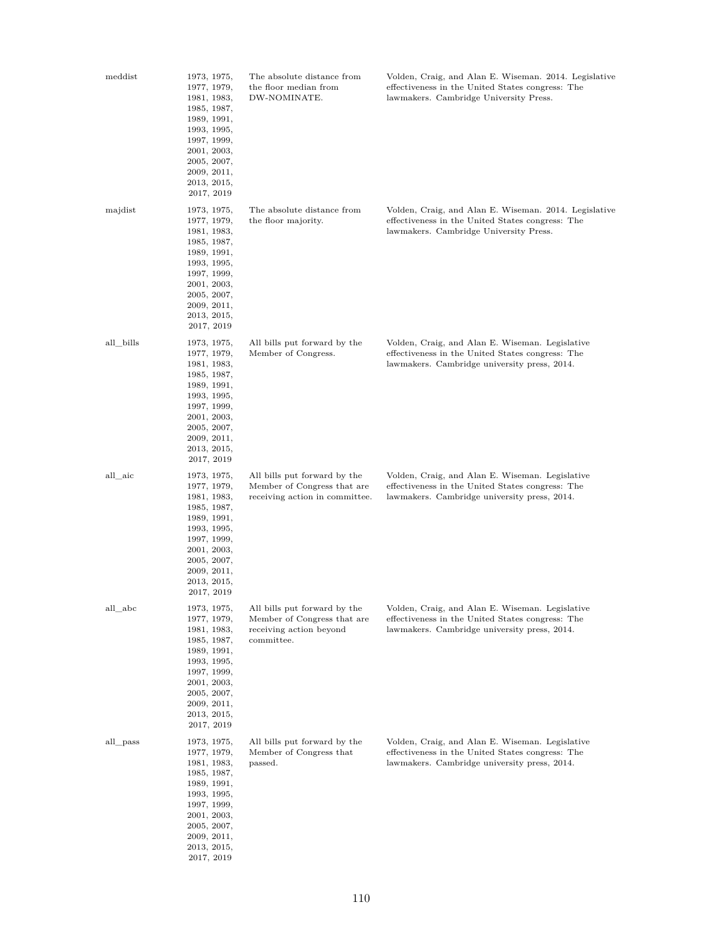| meddist   | 1973, 1975,<br>1977, 1979,<br>1981, 1983,<br>1985, 1987,<br>1989, 1991,<br>1993, 1995,<br>1997, 1999,<br>2001, 2003,<br>2005, 2007,<br>2009, 2011,<br>2013, 2015,<br>2017, 2019 | The absolute distance from<br>the floor median from<br>DW-NOMINATE.                                  | Volden, Craig, and Alan E. Wiseman. 2014. Legislative<br>effectiveness in the United States congress: The<br>lawmakers. Cambridge University Press. |
|-----------|---------------------------------------------------------------------------------------------------------------------------------------------------------------------------------|------------------------------------------------------------------------------------------------------|-----------------------------------------------------------------------------------------------------------------------------------------------------|
| majdist   | 1973, 1975,<br>1977, 1979,<br>1981, 1983,<br>1985, 1987,<br>1989, 1991,<br>1993, 1995,<br>1997, 1999,<br>2001, 2003,<br>2005, 2007,<br>2009, 2011,<br>2013, 2015,<br>2017, 2019 | The absolute distance from<br>the floor majority.                                                    | Volden, Craig, and Alan E. Wiseman. 2014. Legislative<br>effectiveness in the United States congress: The<br>lawmakers. Cambridge University Press. |
| all_bills | 1973, 1975,<br>1977, 1979,<br>1981, 1983,<br>1985, 1987,<br>1989, 1991,<br>1993, 1995,<br>1997, 1999,<br>2001, 2003,<br>2005, 2007,<br>2009, 2011,<br>2013, 2015,<br>2017, 2019 | All bills put forward by the<br>Member of Congress.                                                  | Volden, Craig, and Alan E. Wiseman. Legislative<br>effectiveness in the United States congress: The<br>lawmakers. Cambridge university press, 2014. |
| all_aic   | 1973, 1975,<br>1977, 1979,<br>1981, 1983,<br>1985, 1987,<br>1989, 1991,<br>1993, 1995,<br>1997, 1999,<br>2001, 2003,<br>2005, 2007,<br>2009, 2011,<br>2013, 2015,<br>2017, 2019 | All bills put forward by the<br>Member of Congress that are<br>receiving action in committee.        | Volden, Craig, and Alan E. Wiseman. Legislative<br>effectiveness in the United States congress: The<br>lawmakers. Cambridge university press, 2014. |
| all_abc   | 1973, 1975,<br>1977, 1979,<br>1981, 1983,<br>1985, 1987,<br>1989, 1991,<br>1993, 1995,<br>1997, 1999,<br>2001, 2003,<br>2005, 2007,<br>2009, 2011,<br>2013, 2015,<br>2017, 2019 | All bills put forward by the<br>Member of Congress that are<br>receiving action beyond<br>committee. | Volden, Craig, and Alan E. Wiseman. Legislative<br>effectiveness in the United States congress: The<br>lawmakers. Cambridge university press, 2014. |
| all_pass  | 1973, 1975,<br>1977, 1979,<br>1981, 1983,<br>1985, 1987,<br>1989, 1991,<br>1993, 1995,<br>1997, 1999,<br>2001, 2003,<br>2005, 2007,<br>2009, 2011,<br>2013, 2015,<br>2017, 2019 | All bills put forward by the<br>Member of Congress that<br>passed.                                   | Volden, Craig, and Alan E. Wiseman. Legislative<br>effectiveness in the United States congress: The<br>lawmakers. Cambridge university press, 2014. |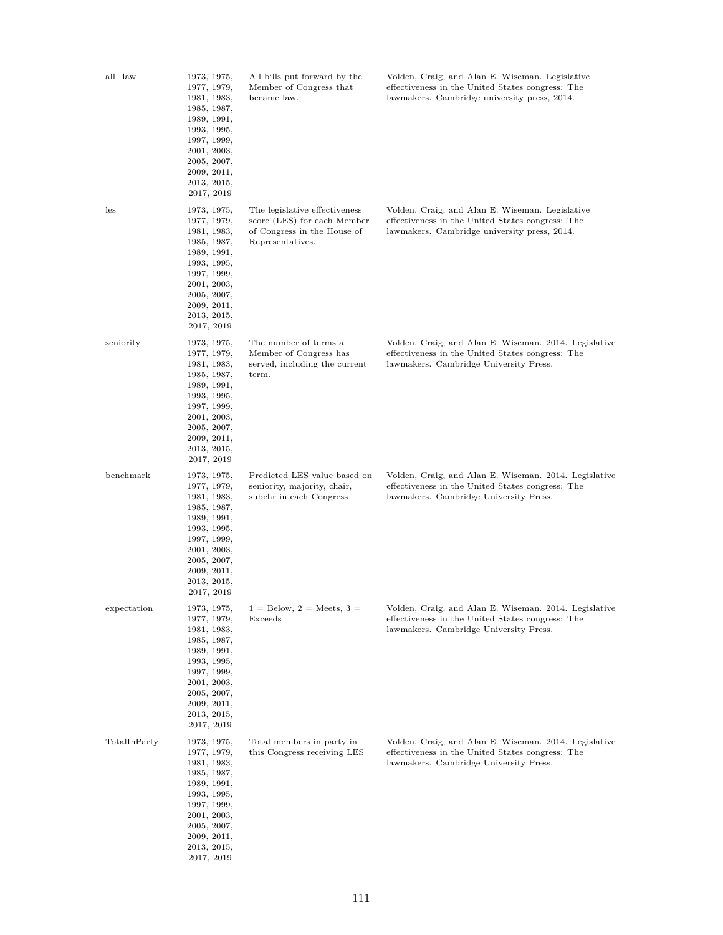| all_law      | 1973, 1975,<br>1977, 1979,<br>1981, 1983,<br>1985, 1987,<br>1989, 1991,<br>1993, 1995,<br>1997, 1999,<br>2001, 2003,<br>2005, 2007,<br>2009, 2011,<br>2013, 2015,<br>2017, 2019 | All bills put forward by the<br>Member of Congress that<br>became law.                                          | Volden, Craig, and Alan E. Wiseman. Legislative<br>effectiveness in the United States congress: The<br>lawmakers. Cambridge university press, 2014. |
|--------------|---------------------------------------------------------------------------------------------------------------------------------------------------------------------------------|-----------------------------------------------------------------------------------------------------------------|-----------------------------------------------------------------------------------------------------------------------------------------------------|
| les          | 1973, 1975,<br>1977, 1979,<br>1981, 1983,<br>1985, 1987,<br>1989, 1991,<br>1993, 1995,<br>1997, 1999,<br>2001, 2003,<br>2005, 2007,<br>2009, 2011,<br>2013, 2015,<br>2017, 2019 | The legislative effectiveness<br>score (LES) for each Member<br>of Congress in the House of<br>Representatives. | Volden, Craig, and Alan E. Wiseman. Legislative<br>effectiveness in the United States congress: The<br>lawmakers. Cambridge university press, 2014. |
| seniority    | 1973, 1975,<br>1977, 1979,<br>1981, 1983,<br>1985, 1987,<br>1989, 1991,<br>1993, 1995,<br>1997, 1999,<br>2001, 2003,<br>2005, 2007,<br>2009, 2011,<br>2013, 2015,<br>2017, 2019 | The number of terms a<br>Member of Congress has<br>served, including the current<br>term.                       | Volden, Craig, and Alan E. Wiseman. 2014. Legislative<br>effectiveness in the United States congress: The<br>lawmakers. Cambridge University Press. |
| benchmark    | 1973, 1975,<br>1977, 1979,<br>1981, 1983,<br>1985, 1987,<br>1989, 1991,<br>1993, 1995,<br>1997, 1999,<br>2001, 2003,<br>2005, 2007,<br>2009, 2011,<br>2013, 2015,<br>2017, 2019 | Predicted LES value based on<br>seniority, majority, chair,<br>subchr in each Congress                          | Volden, Craig, and Alan E. Wiseman. 2014. Legislative<br>effectiveness in the United States congress: The<br>lawmakers. Cambridge University Press. |
| expectation  | 1973, 1975,<br>1977, 1979,<br>1981, 1983,<br>1985, 1987,<br>1989, 1991,<br>1993, 1995,<br>1997, 1999,<br>2001, 2003,<br>2005, 2007,<br>2009, 2011,<br>2013, 2015,<br>2017, 2019 | $1 =$ Below, $2 =$ Meets, $3 =$<br>Exceeds                                                                      | Volden, Craig, and Alan E. Wiseman. 2014. Legislative<br>effectiveness in the United States congress: The<br>lawmakers. Cambridge University Press. |
| TotalInParty | 1973, 1975,<br>1977, 1979,<br>1981, 1983,<br>1985, 1987,<br>1989, 1991,<br>1993, 1995,<br>1997, 1999,<br>2001, 2003,<br>2005, 2007,<br>2009, 2011,<br>2013, 2015,<br>2017, 2019 | Total members in party in<br>this Congress receiving LES                                                        | Volden, Craig, and Alan E. Wiseman. 2014. Legislative<br>effectiveness in the United States congress: The<br>lawmakers. Cambridge University Press. |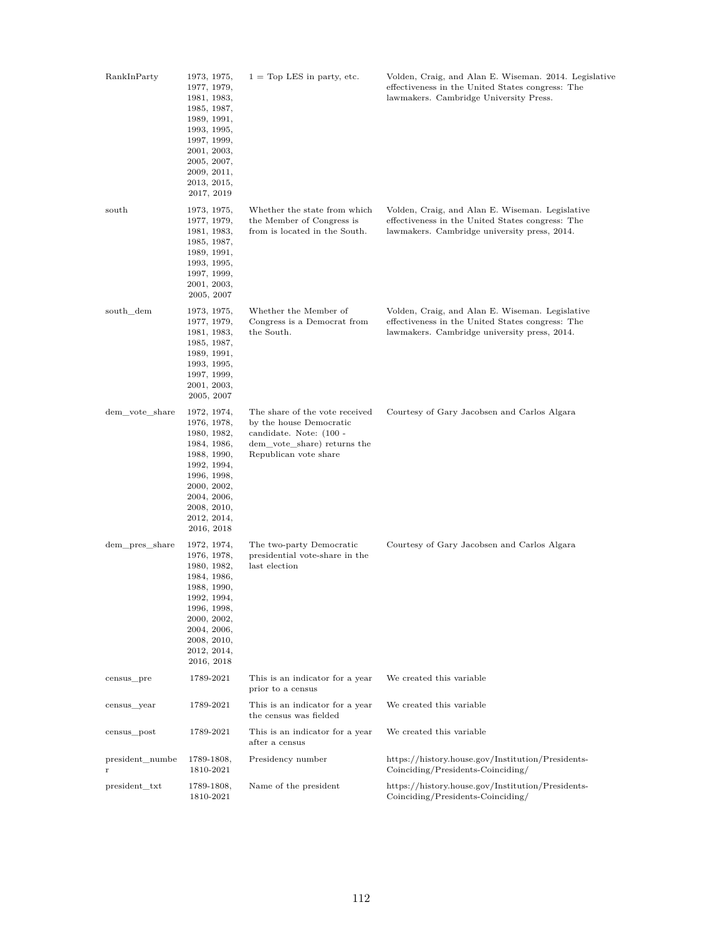| RankInParty          | 1973, 1975,<br>1977, 1979,<br>1981, 1983,<br>1985, 1987,<br>1989, 1991,<br>1993, 1995,<br>1997, 1999,<br>2001, 2003,<br>2005, 2007,<br>2009, 2011,<br>2013, 2015,<br>2017, 2019 | $1 = Top$ LES in party, etc.                                                                                                                 | Volden, Craig, and Alan E. Wiseman. 2014. Legislative<br>effectiveness in the United States congress: The<br>lawmakers. Cambridge University Press. |
|----------------------|---------------------------------------------------------------------------------------------------------------------------------------------------------------------------------|----------------------------------------------------------------------------------------------------------------------------------------------|-----------------------------------------------------------------------------------------------------------------------------------------------------|
| south                | 1973, 1975,<br>1977, 1979,<br>1981, 1983,<br>1985, 1987,<br>1989, 1991,<br>1993, 1995,<br>1997, 1999,<br>2001, 2003,<br>2005, 2007                                              | Whether the state from which<br>the Member of Congress is<br>from is located in the South.                                                   | Volden, Craig, and Alan E. Wiseman. Legislative<br>effectiveness in the United States congress: The<br>lawmakers. Cambridge university press, 2014. |
| south dem            | 1973, 1975,<br>1977, 1979,<br>1981, 1983,<br>1985, 1987,<br>1989, 1991,<br>1993, 1995,<br>1997, 1999,<br>2001, 2003,<br>2005, 2007                                              | Whether the Member of<br>Congress is a Democrat from<br>the South.                                                                           | Volden, Craig, and Alan E. Wiseman. Legislative<br>effectiveness in the United States congress: The<br>lawmakers. Cambridge university press, 2014. |
| dem_vote_share       | 1972, 1974,<br>1976, 1978,<br>1980, 1982,<br>1984, 1986,<br>1988, 1990,<br>1992, 1994,<br>1996, 1998,<br>2000, 2002,<br>2004, 2006,<br>2008, 2010,<br>2012, 2014,<br>2016, 2018 | The share of the vote received<br>by the house Democratic<br>candidate. Note: (100 -<br>dem_vote_share) returns the<br>Republican vote share | Courtesy of Gary Jacobsen and Carlos Algara                                                                                                         |
| dem_pres_share       | 1972, 1974,<br>1976, 1978,<br>1980, 1982,<br>1984, 1986,<br>1988, 1990,<br>1992, 1994,<br>1996, 1998,<br>2000, 2002,<br>2004, 2006,<br>2008, 2010,<br>2012, 2014,<br>2016, 2018 | The two-party Democratic<br>presidential vote-share in the<br>last election                                                                  | Courtesy of Gary Jacobsen and Carlos Algara                                                                                                         |
| census_pre           | 1789-2021                                                                                                                                                                       | This is an indicator for a year<br>prior to a census                                                                                         | We created this variable                                                                                                                            |
| census_year          | 1789-2021                                                                                                                                                                       | This is an indicator for a year<br>the census was fielded                                                                                    | We created this variable                                                                                                                            |
| census_post          | 1789-2021                                                                                                                                                                       | This is an indicator for a year<br>after a census                                                                                            | We created this variable                                                                                                                            |
| president_numbe<br>r | 1789-1808,<br>1810-2021                                                                                                                                                         | Presidency number                                                                                                                            | https://history.house.gov/Institution/Presidents-<br>Coinciding/Presidents-Coinciding/                                                              |
| president_txt        | 1789-1808,<br>1810-2021                                                                                                                                                         | Name of the president                                                                                                                        | https://history.house.gov/Institution/Presidents-<br>Coinciding/Presidents-Coinciding/                                                              |